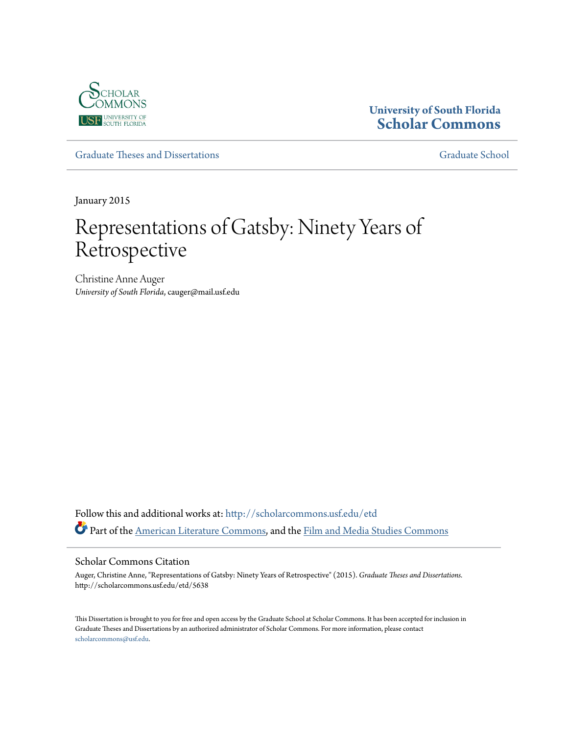

# **University of South Florida [Scholar Commons](http://scholarcommons.usf.edu?utm_source=scholarcommons.usf.edu%2Fetd%2F5638&utm_medium=PDF&utm_campaign=PDFCoverPages)**

[Graduate Theses and Dissertations](http://scholarcommons.usf.edu/etd?utm_source=scholarcommons.usf.edu%2Fetd%2F5638&utm_medium=PDF&utm_campaign=PDFCoverPages) [Graduate School](http://scholarcommons.usf.edu/grad?utm_source=scholarcommons.usf.edu%2Fetd%2F5638&utm_medium=PDF&utm_campaign=PDFCoverPages) Craduate School

January 2015

# Representations of Gatsby: Ninety Years of Retrospective

Christine Anne Auger *University of South Florida*, cauger@mail.usf.edu

Follow this and additional works at: [http://scholarcommons.usf.edu/etd](http://scholarcommons.usf.edu/etd?utm_source=scholarcommons.usf.edu%2Fetd%2F5638&utm_medium=PDF&utm_campaign=PDFCoverPages) Part of the [American Literature Commons,](http://network.bepress.com/hgg/discipline/441?utm_source=scholarcommons.usf.edu%2Fetd%2F5638&utm_medium=PDF&utm_campaign=PDFCoverPages) and the [Film and Media Studies Commons](http://network.bepress.com/hgg/discipline/563?utm_source=scholarcommons.usf.edu%2Fetd%2F5638&utm_medium=PDF&utm_campaign=PDFCoverPages)

#### Scholar Commons Citation

Auger, Christine Anne, "Representations of Gatsby: Ninety Years of Retrospective" (2015). *Graduate Theses and Dissertations.* http://scholarcommons.usf.edu/etd/5638

This Dissertation is brought to you for free and open access by the Graduate School at Scholar Commons. It has been accepted for inclusion in Graduate Theses and Dissertations by an authorized administrator of Scholar Commons. For more information, please contact [scholarcommons@usf.edu](mailto:scholarcommons@usf.edu).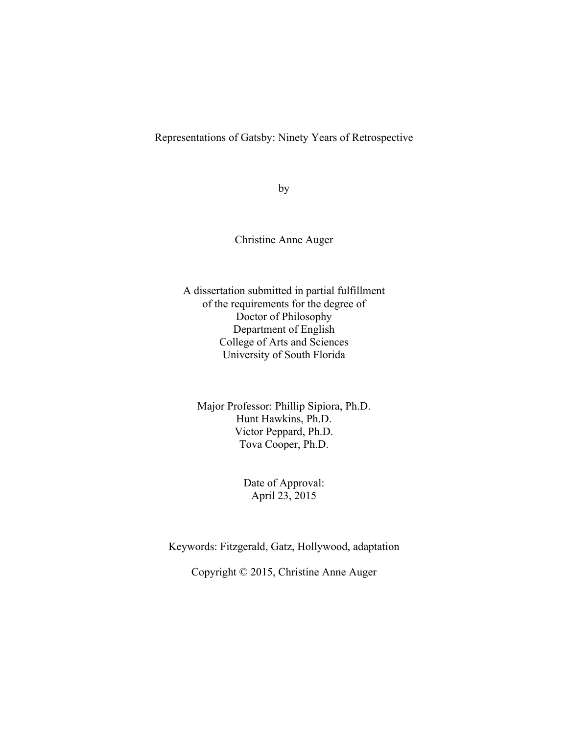# Representations of Gatsby: Ninety Years of Retrospective

by

Christine Anne Auger

A dissertation submitted in partial fulfillment of the requirements for the degree of Doctor of Philosophy Department of English College of Arts and Sciences University of South Florida

Major Professor: Phillip Sipiora, Ph.D. Hunt Hawkins, Ph.D. Victor Peppard, Ph.D. Tova Cooper, Ph.D.

> Date of Approval: April 23, 2015

Keywords: Fitzgerald, Gatz, Hollywood, adaptation

Copyright © 2015, Christine Anne Auger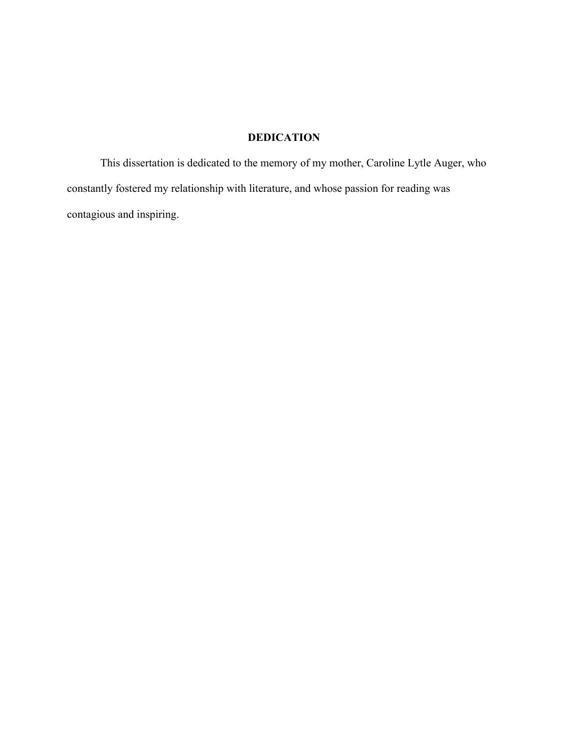# **DEDICATION**

This dissertation is dedicated to the memory of my mother, Caroline Lytle Auger, who constantly fostered my relationship with literature, and whose passion for reading was contagious and inspiring.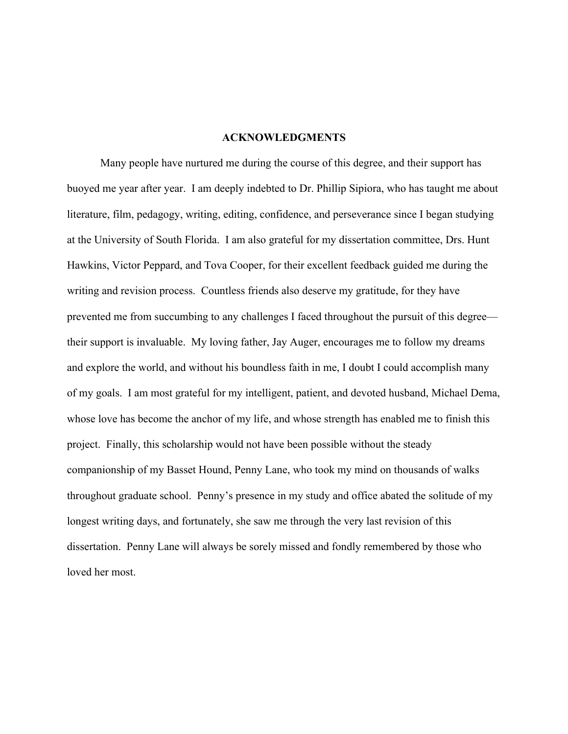# **ACKNOWLEDGMENTS**

Many people have nurtured me during the course of this degree, and their support has buoyed me year after year. I am deeply indebted to Dr. Phillip Sipiora, who has taught me about literature, film, pedagogy, writing, editing, confidence, and perseverance since I began studying at the University of South Florida. I am also grateful for my dissertation committee, Drs. Hunt Hawkins, Victor Peppard, and Tova Cooper, for their excellent feedback guided me during the writing and revision process. Countless friends also deserve my gratitude, for they have prevented me from succumbing to any challenges I faced throughout the pursuit of this degree their support is invaluable. My loving father, Jay Auger, encourages me to follow my dreams and explore the world, and without his boundless faith in me, I doubt I could accomplish many of my goals. I am most grateful for my intelligent, patient, and devoted husband, Michael Dema, whose love has become the anchor of my life, and whose strength has enabled me to finish this project. Finally, this scholarship would not have been possible without the steady companionship of my Basset Hound, Penny Lane, who took my mind on thousands of walks throughout graduate school. Penny's presence in my study and office abated the solitude of my longest writing days, and fortunately, she saw me through the very last revision of this dissertation. Penny Lane will always be sorely missed and fondly remembered by those who loved her most.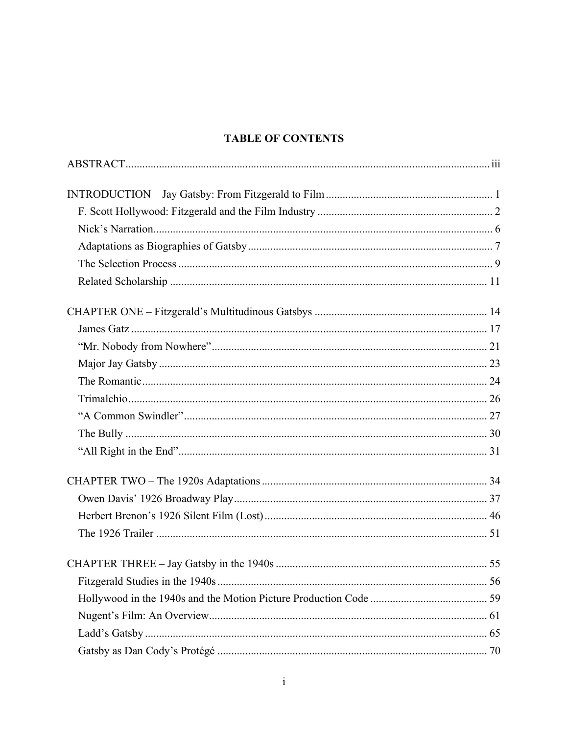# **TABLE OF CONTENTS**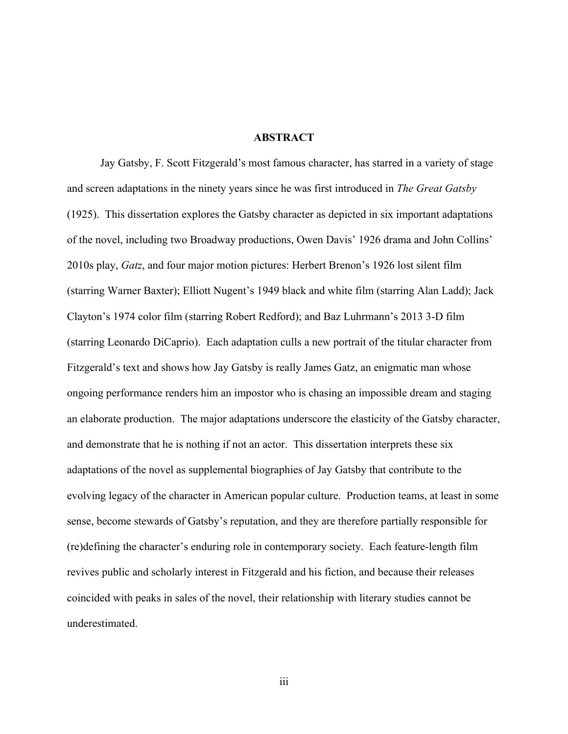## **ABSTRACT**

Jay Gatsby, F. Scott Fitzgerald's most famous character, has starred in a variety of stage and screen adaptations in the ninety years since he was first introduced in *The Great Gatsby* (1925). This dissertation explores the Gatsby character as depicted in six important adaptations of the novel, including two Broadway productions, Owen Davis' 1926 drama and John Collins' 2010s play, *Gatz*, and four major motion pictures: Herbert Brenon's 1926 lost silent film (starring Warner Baxter); Elliott Nugent's 1949 black and white film (starring Alan Ladd); Jack Clayton's 1974 color film (starring Robert Redford); and Baz Luhrmann's 2013 3-D film (starring Leonardo DiCaprio). Each adaptation culls a new portrait of the titular character from Fitzgerald's text and shows how Jay Gatsby is really James Gatz, an enigmatic man whose ongoing performance renders him an impostor who is chasing an impossible dream and staging an elaborate production. The major adaptations underscore the elasticity of the Gatsby character, and demonstrate that he is nothing if not an actor. This dissertation interprets these six adaptations of the novel as supplemental biographies of Jay Gatsby that contribute to the evolving legacy of the character in American popular culture. Production teams, at least in some sense, become stewards of Gatsby's reputation, and they are therefore partially responsible for (re)defining the character's enduring role in contemporary society. Each feature-length film revives public and scholarly interest in Fitzgerald and his fiction, and because their releases coincided with peaks in sales of the novel, their relationship with literary studies cannot be underestimated.

iii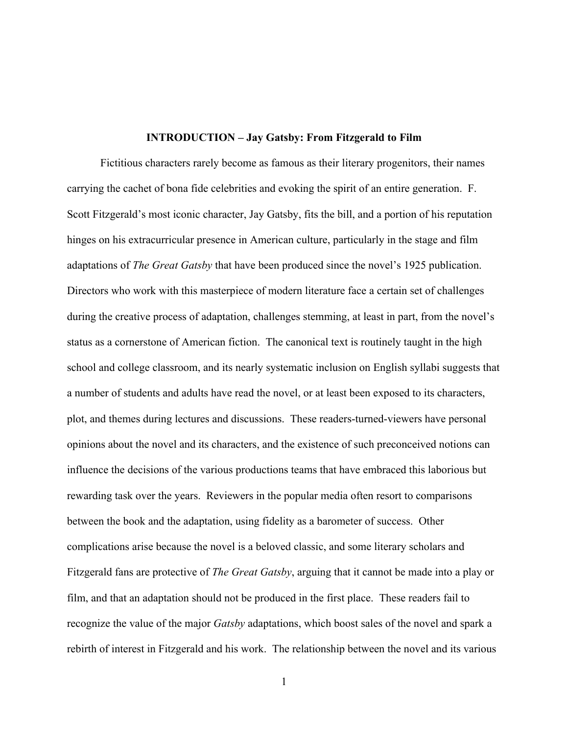### **INTRODUCTION – Jay Gatsby: From Fitzgerald to Film**

Fictitious characters rarely become as famous as their literary progenitors, their names carrying the cachet of bona fide celebrities and evoking the spirit of an entire generation. F. Scott Fitzgerald's most iconic character, Jay Gatsby, fits the bill, and a portion of his reputation hinges on his extracurricular presence in American culture, particularly in the stage and film adaptations of *The Great Gatsby* that have been produced since the novel's 1925 publication. Directors who work with this masterpiece of modern literature face a certain set of challenges during the creative process of adaptation, challenges stemming, at least in part, from the novel's status as a cornerstone of American fiction. The canonical text is routinely taught in the high school and college classroom, and its nearly systematic inclusion on English syllabi suggests that a number of students and adults have read the novel, or at least been exposed to its characters, plot, and themes during lectures and discussions. These readers-turned-viewers have personal opinions about the novel and its characters, and the existence of such preconceived notions can influence the decisions of the various productions teams that have embraced this laborious but rewarding task over the years. Reviewers in the popular media often resort to comparisons between the book and the adaptation, using fidelity as a barometer of success. Other complications arise because the novel is a beloved classic, and some literary scholars and Fitzgerald fans are protective of *The Great Gatsby*, arguing that it cannot be made into a play or film, and that an adaptation should not be produced in the first place. These readers fail to recognize the value of the major *Gatsby* adaptations, which boost sales of the novel and spark a rebirth of interest in Fitzgerald and his work. The relationship between the novel and its various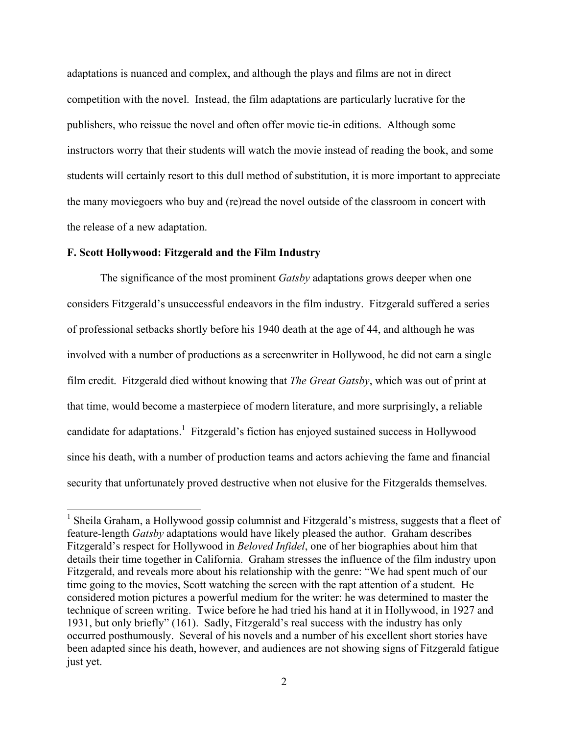adaptations is nuanced and complex, and although the plays and films are not in direct competition with the novel. Instead, the film adaptations are particularly lucrative for the publishers, who reissue the novel and often offer movie tie-in editions. Although some instructors worry that their students will watch the movie instead of reading the book, and some students will certainly resort to this dull method of substitution, it is more important to appreciate the many moviegoers who buy and (re)read the novel outside of the classroom in concert with the release of a new adaptation.

#### **F. Scott Hollywood: Fitzgerald and the Film Industry**

The significance of the most prominent *Gatsby* adaptations grows deeper when one considers Fitzgerald's unsuccessful endeavors in the film industry. Fitzgerald suffered a series of professional setbacks shortly before his 1940 death at the age of 44, and although he was involved with a number of productions as a screenwriter in Hollywood, he did not earn a single film credit. Fitzgerald died without knowing that *The Great Gatsby*, which was out of print at that time, would become a masterpiece of modern literature, and more surprisingly, a reliable candidate for adaptations.<sup>1</sup> Fitzgerald's fiction has enjoyed sustained success in Hollywood since his death, with a number of production teams and actors achieving the fame and financial security that unfortunately proved destructive when not elusive for the Fitzgeralds themselves.

<sup>&</sup>lt;sup>1</sup> Sheila Graham, a Hollywood gossip columnist and Fitzgerald's mistress, suggests that a fleet of feature-length *Gatsby* adaptations would have likely pleased the author. Graham describes Fitzgerald's respect for Hollywood in *Beloved Infidel*, one of her biographies about him that details their time together in California. Graham stresses the influence of the film industry upon Fitzgerald, and reveals more about his relationship with the genre: "We had spent much of our time going to the movies, Scott watching the screen with the rapt attention of a student. He considered motion pictures a powerful medium for the writer: he was determined to master the technique of screen writing. Twice before he had tried his hand at it in Hollywood, in 1927 and 1931, but only briefly" (161). Sadly, Fitzgerald's real success with the industry has only occurred posthumously. Several of his novels and a number of his excellent short stories have been adapted since his death, however, and audiences are not showing signs of Fitzgerald fatigue just yet.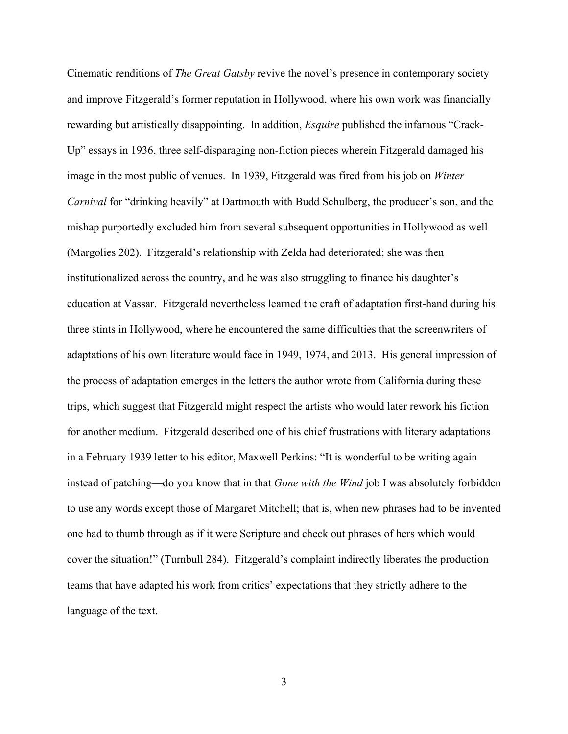Cinematic renditions of *The Great Gatsby* revive the novel's presence in contemporary society and improve Fitzgerald's former reputation in Hollywood, where his own work was financially rewarding but artistically disappointing. In addition, *Esquire* published the infamous "Crack-Up" essays in 1936, three self-disparaging non-fiction pieces wherein Fitzgerald damaged his image in the most public of venues. In 1939, Fitzgerald was fired from his job on *Winter Carnival* for "drinking heavily" at Dartmouth with Budd Schulberg, the producer's son, and the mishap purportedly excluded him from several subsequent opportunities in Hollywood as well (Margolies 202). Fitzgerald's relationship with Zelda had deteriorated; she was then institutionalized across the country, and he was also struggling to finance his daughter's education at Vassar. Fitzgerald nevertheless learned the craft of adaptation first-hand during his three stints in Hollywood, where he encountered the same difficulties that the screenwriters of adaptations of his own literature would face in 1949, 1974, and 2013. His general impression of the process of adaptation emerges in the letters the author wrote from California during these trips, which suggest that Fitzgerald might respect the artists who would later rework his fiction for another medium. Fitzgerald described one of his chief frustrations with literary adaptations in a February 1939 letter to his editor, Maxwell Perkins: "It is wonderful to be writing again instead of patching—do you know that in that *Gone with the Wind* job I was absolutely forbidden to use any words except those of Margaret Mitchell; that is, when new phrases had to be invented one had to thumb through as if it were Scripture and check out phrases of hers which would cover the situation!" (Turnbull 284). Fitzgerald's complaint indirectly liberates the production teams that have adapted his work from critics' expectations that they strictly adhere to the language of the text.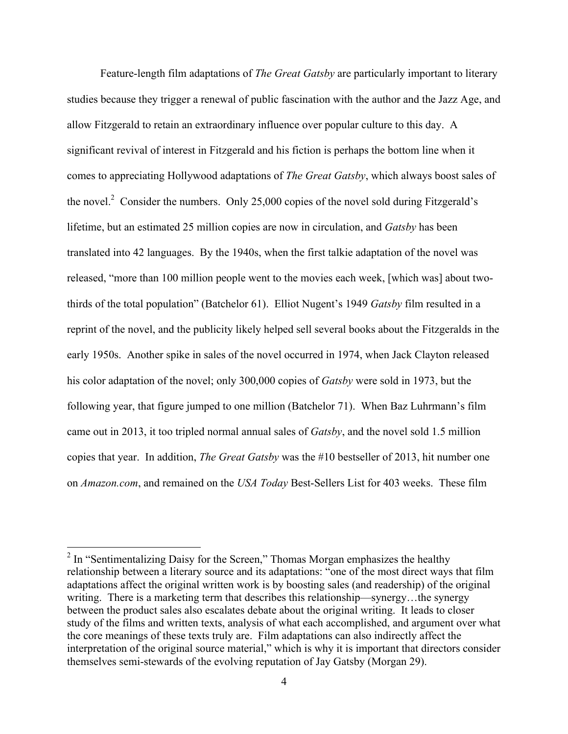Feature-length film adaptations of *The Great Gatsby* are particularly important to literary studies because they trigger a renewal of public fascination with the author and the Jazz Age, and allow Fitzgerald to retain an extraordinary influence over popular culture to this day. A significant revival of interest in Fitzgerald and his fiction is perhaps the bottom line when it comes to appreciating Hollywood adaptations of *The Great Gatsby*, which always boost sales of the novel.2 Consider the numbers. Only 25,000 copies of the novel sold during Fitzgerald's lifetime, but an estimated 25 million copies are now in circulation, and *Gatsby* has been translated into 42 languages. By the 1940s, when the first talkie adaptation of the novel was released, "more than 100 million people went to the movies each week, [which was] about twothirds of the total population" (Batchelor 61). Elliot Nugent's 1949 *Gatsby* film resulted in a reprint of the novel, and the publicity likely helped sell several books about the Fitzgeralds in the early 1950s. Another spike in sales of the novel occurred in 1974, when Jack Clayton released his color adaptation of the novel; only 300,000 copies of *Gatsby* were sold in 1973, but the following year, that figure jumped to one million (Batchelor 71). When Baz Luhrmann's film came out in 2013, it too tripled normal annual sales of *Gatsby*, and the novel sold 1.5 million copies that year. In addition, *The Great Gatsby* was the #10 bestseller of 2013, hit number one on *Amazon.com*, and remained on the *USA Today* Best-Sellers List for 403 weeks. These film

 $2 \text{ In }$  "Sentimentalizing Daisy for the Screen," Thomas Morgan emphasizes the healthy relationship between a literary source and its adaptations: "one of the most direct ways that film adaptations affect the original written work is by boosting sales (and readership) of the original writing. There is a marketing term that describes this relationship—synergy...the synergy between the product sales also escalates debate about the original writing. It leads to closer study of the films and written texts, analysis of what each accomplished, and argument over what the core meanings of these texts truly are. Film adaptations can also indirectly affect the interpretation of the original source material," which is why it is important that directors consider themselves semi-stewards of the evolving reputation of Jay Gatsby (Morgan 29).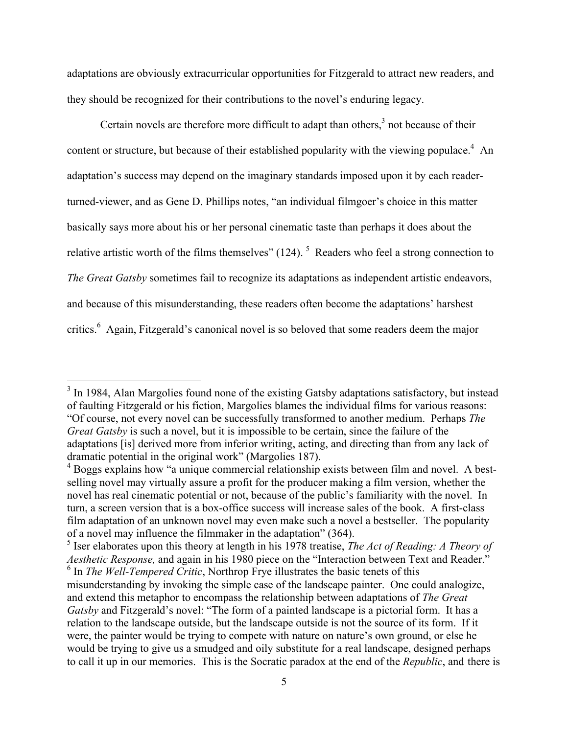adaptations are obviously extracurricular opportunities for Fitzgerald to attract new readers, and they should be recognized for their contributions to the novel's enduring legacy.

Certain novels are therefore more difficult to adapt than others, $3$  not because of their content or structure, but because of their established popularity with the viewing populace.<sup>4</sup> An adaptation's success may depend on the imaginary standards imposed upon it by each readerturned-viewer, and as Gene D. Phillips notes, "an individual filmgoer's choice in this matter basically says more about his or her personal cinematic taste than perhaps it does about the relative artistic worth of the films themselves"  $(124)$ .<sup>5</sup> Readers who feel a strong connection to *The Great Gatsby* sometimes fail to recognize its adaptations as independent artistic endeavors, and because of this misunderstanding, these readers often become the adaptations' harshest critics.<sup>6</sup> Again, Fitzgerald's canonical novel is so beloved that some readers deem the major

<sup>&</sup>lt;sup>3</sup> In 1984, Alan Margolies found none of the existing Gatsby adaptations satisfactory, but instead of faulting Fitzgerald or his fiction, Margolies blames the individual films for various reasons: "Of course, not every novel can be successfully transformed to another medium. Perhaps *The Great Gatsby* is such a novel, but it is impossible to be certain, since the failure of the adaptations [is] derived more from inferior writing, acting, and directing than from any lack of dramatic potential in the original work" (Margolies 187).

<sup>&</sup>lt;sup>4</sup> Boggs explains how "a unique commercial relationship exists between film and novel. A bestselling novel may virtually assure a profit for the producer making a film version, whether the novel has real cinematic potential or not, because of the public's familiarity with the novel. In turn, a screen version that is a box-office success will increase sales of the book. A first-class film adaptation of an unknown novel may even make such a novel a bestseller. The popularity of a novel may influence the filmmaker in the adaptation" (364). <sup>5</sup> Iser elaborates upon this theory at length in his 1978 treatise, *The Act of Reading: A Theory of* 

*Aesthetic Response,* and again in his 1980 piece on the "Interaction between Text and Reader." <sup>6</sup> In *The Well-Tempered Critic*, Northrop Frye illustrates the basic tenets of this

misunderstanding by invoking the simple case of the landscape painter. One could analogize, and extend this metaphor to encompass the relationship between adaptations of *The Great Gatsby* and Fitzgerald's novel: "The form of a painted landscape is a pictorial form. It has a relation to the landscape outside, but the landscape outside is not the source of its form. If it were, the painter would be trying to compete with nature on nature's own ground, or else he would be trying to give us a smudged and oily substitute for a real landscape, designed perhaps to call it up in our memories. This is the Socratic paradox at the end of the *Republic*, and there is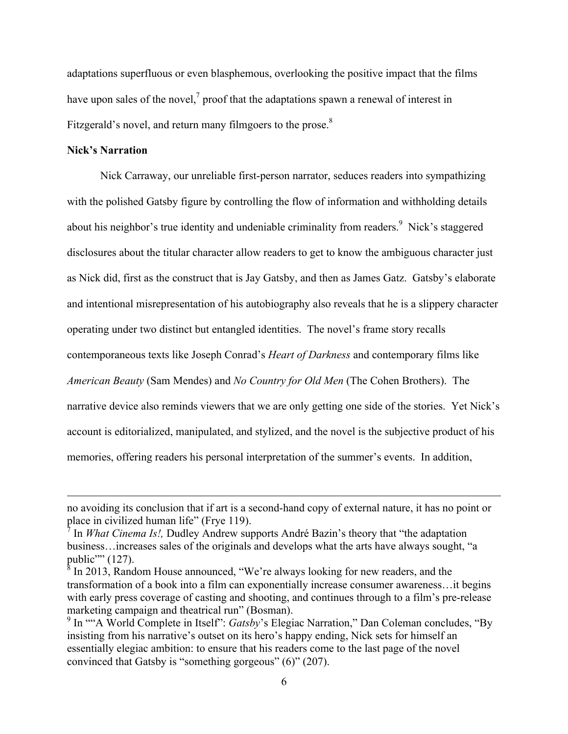adaptations superfluous or even blasphemous, overlooking the positive impact that the films have upon sales of the novel, $<sup>7</sup>$  proof that the adaptations spawn a renewal of interest in</sup> Fitzgerald's novel, and return many filmgoers to the prose. $8$ 

# **Nick's Narration**

<u>.</u>

Nick Carraway, our unreliable first-person narrator, seduces readers into sympathizing with the polished Gatsby figure by controlling the flow of information and withholding details about his neighbor's true identity and undeniable criminality from readers.<sup>9</sup> Nick's staggered disclosures about the titular character allow readers to get to know the ambiguous character just as Nick did, first as the construct that is Jay Gatsby, and then as James Gatz. Gatsby's elaborate and intentional misrepresentation of his autobiography also reveals that he is a slippery character operating under two distinct but entangled identities. The novel's frame story recalls contemporaneous texts like Joseph Conrad's *Heart of Darkness* and contemporary films like *American Beauty* (Sam Mendes) and *No Country for Old Men* (The Cohen Brothers). The narrative device also reminds viewers that we are only getting one side of the stories. Yet Nick's account is editorialized, manipulated, and stylized, and the novel is the subjective product of his memories, offering readers his personal interpretation of the summer's events. In addition,

no avoiding its conclusion that if art is a second-hand copy of external nature, it has no point or place in civilized human life" (Frye 119).<br><sup>7</sup> In *What Cinema Is!, Dudley Andrew supports André Bazin's theory that "the adaptation"* 

business…increases sales of the originals and develops what the arts have always sought, "a public"" (127).

In 2013, Random House announced, "We're always looking for new readers, and the transformation of a book into a film can exponentially increase consumer awareness…it begins with early press coverage of casting and shooting, and continues through to a film's pre-release marketing campaign and theatrical run" (Bosman).

<sup>&</sup>lt;sup>9</sup> In ""A World Complete in Itself": *Gatsby*'s Elegiac Narration," Dan Coleman concludes, "By insisting from his narrative's outset on its hero's happy ending, Nick sets for himself an essentially elegiac ambition: to ensure that his readers come to the last page of the novel convinced that Gatsby is "something gorgeous" (6)" (207).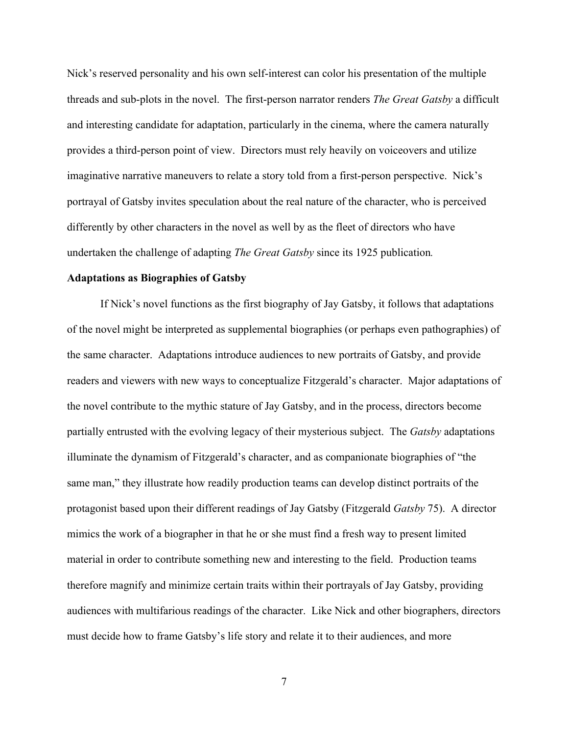Nick's reserved personality and his own self-interest can color his presentation of the multiple threads and sub-plots in the novel. The first-person narrator renders *The Great Gatsby* a difficult and interesting candidate for adaptation, particularly in the cinema, where the camera naturally provides a third-person point of view. Directors must rely heavily on voiceovers and utilize imaginative narrative maneuvers to relate a story told from a first-person perspective. Nick's portrayal of Gatsby invites speculation about the real nature of the character, who is perceived differently by other characters in the novel as well by as the fleet of directors who have undertaken the challenge of adapting *The Great Gatsby* since its 1925 publication*.*

#### **Adaptations as Biographies of Gatsby**

If Nick's novel functions as the first biography of Jay Gatsby, it follows that adaptations of the novel might be interpreted as supplemental biographies (or perhaps even pathographies) of the same character. Adaptations introduce audiences to new portraits of Gatsby, and provide readers and viewers with new ways to conceptualize Fitzgerald's character. Major adaptations of the novel contribute to the mythic stature of Jay Gatsby, and in the process, directors become partially entrusted with the evolving legacy of their mysterious subject. The *Gatsby* adaptations illuminate the dynamism of Fitzgerald's character, and as companionate biographies of "the same man," they illustrate how readily production teams can develop distinct portraits of the protagonist based upon their different readings of Jay Gatsby (Fitzgerald *Gatsby* 75). A director mimics the work of a biographer in that he or she must find a fresh way to present limited material in order to contribute something new and interesting to the field. Production teams therefore magnify and minimize certain traits within their portrayals of Jay Gatsby, providing audiences with multifarious readings of the character. Like Nick and other biographers, directors must decide how to frame Gatsby's life story and relate it to their audiences, and more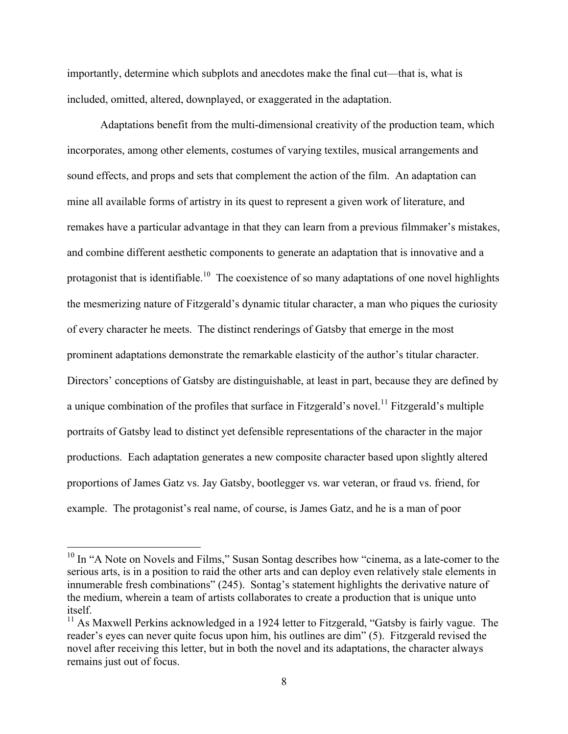importantly, determine which subplots and anecdotes make the final cut—that is, what is included, omitted, altered, downplayed, or exaggerated in the adaptation.

Adaptations benefit from the multi-dimensional creativity of the production team, which incorporates, among other elements, costumes of varying textiles, musical arrangements and sound effects, and props and sets that complement the action of the film. An adaptation can mine all available forms of artistry in its quest to represent a given work of literature, and remakes have a particular advantage in that they can learn from a previous filmmaker's mistakes, and combine different aesthetic components to generate an adaptation that is innovative and a protagonist that is identifiable.<sup>10</sup> The coexistence of so many adaptations of one novel highlights the mesmerizing nature of Fitzgerald's dynamic titular character, a man who piques the curiosity of every character he meets. The distinct renderings of Gatsby that emerge in the most prominent adaptations demonstrate the remarkable elasticity of the author's titular character. Directors' conceptions of Gatsby are distinguishable, at least in part, because they are defined by a unique combination of the profiles that surface in Fitzgerald's novel.<sup>11</sup> Fitzgerald's multiple portraits of Gatsby lead to distinct yet defensible representations of the character in the major productions. Each adaptation generates a new composite character based upon slightly altered proportions of James Gatz vs. Jay Gatsby, bootlegger vs. war veteran, or fraud vs. friend, for example. The protagonist's real name, of course, is James Gatz, and he is a man of poor

<sup>&</sup>lt;sup>10</sup> In "A Note on Novels and Films," Susan Sontag describes how "cinema, as a late-comer to the serious arts, is in a position to raid the other arts and can deploy even relatively stale elements in innumerable fresh combinations" (245). Sontag's statement highlights the derivative nature of the medium, wherein a team of artists collaborates to create a production that is unique unto itself.

<sup>&</sup>lt;sup>11</sup> As Maxwell Perkins acknowledged in a 1924 letter to Fitzgerald, "Gatsby is fairly vague. The reader's eyes can never quite focus upon him, his outlines are dim" (5). Fitzgerald revised the novel after receiving this letter, but in both the novel and its adaptations, the character always remains just out of focus.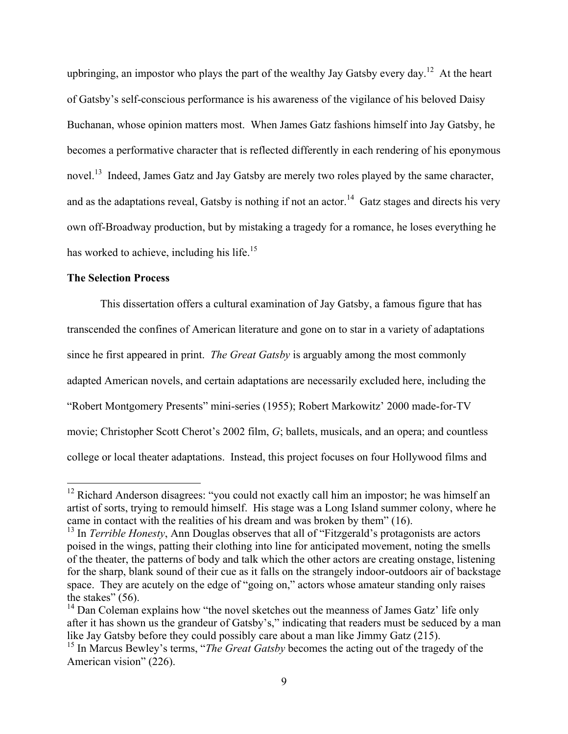upbringing, an impostor who plays the part of the wealthy Jay Gatsby every day.<sup>12</sup> At the heart of Gatsby's self-conscious performance is his awareness of the vigilance of his beloved Daisy Buchanan, whose opinion matters most. When James Gatz fashions himself into Jay Gatsby, he becomes a performative character that is reflected differently in each rendering of his eponymous novel.<sup>13</sup> Indeed, James Gatz and Jay Gatsby are merely two roles played by the same character, and as the adaptations reveal, Gatsby is nothing if not an actor.<sup>14</sup> Gatz stages and directs his very own off-Broadway production, but by mistaking a tragedy for a romance, he loses everything he has worked to achieve, including his life.<sup>15</sup>

# **The Selection Process**

This dissertation offers a cultural examination of Jay Gatsby, a famous figure that has transcended the confines of American literature and gone on to star in a variety of adaptations since he first appeared in print. *The Great Gatsby* is arguably among the most commonly adapted American novels, and certain adaptations are necessarily excluded here, including the "Robert Montgomery Presents" mini-series (1955); Robert Markowitz' 2000 made-for-TV movie; Christopher Scott Cherot's 2002 film, *G*; ballets, musicals, and an opera; and countless college or local theater adaptations. Instead, this project focuses on four Hollywood films and

 $12$  Richard Anderson disagrees: "you could not exactly call him an impostor; he was himself an artist of sorts, trying to remould himself. His stage was a Long Island summer colony, where he came in contact with the realities of his dream and was broken by them" (16).

<sup>&</sup>lt;sup>13</sup> In *Terrible Honesty*, Ann Douglas observes that all of "Fitzgerald's protagonists are actors" poised in the wings, patting their clothing into line for anticipated movement, noting the smells of the theater, the patterns of body and talk which the other actors are creating onstage, listening for the sharp, blank sound of their cue as it falls on the strangely indoor-outdoors air of backstage space. They are acutely on the edge of "going on," actors whose amateur standing only raises the stakes"  $(56)$ .

 $14$  Dan Coleman explains how "the novel sketches out the meanness of James Gatz' life only after it has shown us the grandeur of Gatsby's," indicating that readers must be seduced by a man like Jay Gatsby before they could possibly care about a man like Jimmy Gatz (215).

<sup>&</sup>lt;sup>15</sup> In Marcus Bewley's terms, "*The Great Gatsby* becomes the acting out of the tragedy of the American vision" (226).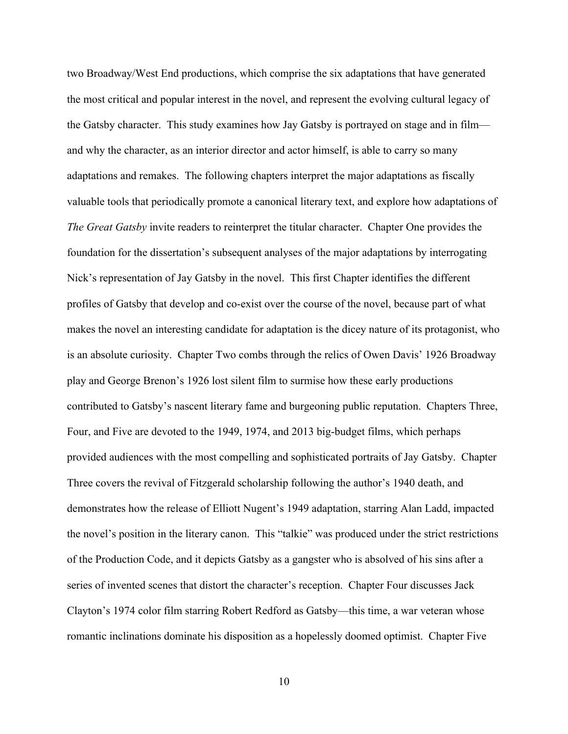two Broadway/West End productions, which comprise the six adaptations that have generated the most critical and popular interest in the novel, and represent the evolving cultural legacy of the Gatsby character. This study examines how Jay Gatsby is portrayed on stage and in film and why the character, as an interior director and actor himself, is able to carry so many adaptations and remakes. The following chapters interpret the major adaptations as fiscally valuable tools that periodically promote a canonical literary text, and explore how adaptations of *The Great Gatsby* invite readers to reinterpret the titular character. Chapter One provides the foundation for the dissertation's subsequent analyses of the major adaptations by interrogating Nick's representation of Jay Gatsby in the novel. This first Chapter identifies the different profiles of Gatsby that develop and co-exist over the course of the novel, because part of what makes the novel an interesting candidate for adaptation is the dicey nature of its protagonist, who is an absolute curiosity. Chapter Two combs through the relics of Owen Davis' 1926 Broadway play and George Brenon's 1926 lost silent film to surmise how these early productions contributed to Gatsby's nascent literary fame and burgeoning public reputation. Chapters Three, Four, and Five are devoted to the 1949, 1974, and 2013 big-budget films, which perhaps provided audiences with the most compelling and sophisticated portraits of Jay Gatsby. Chapter Three covers the revival of Fitzgerald scholarship following the author's 1940 death, and demonstrates how the release of Elliott Nugent's 1949 adaptation, starring Alan Ladd, impacted the novel's position in the literary canon. This "talkie" was produced under the strict restrictions of the Production Code, and it depicts Gatsby as a gangster who is absolved of his sins after a series of invented scenes that distort the character's reception. Chapter Four discusses Jack Clayton's 1974 color film starring Robert Redford as Gatsby—this time, a war veteran whose romantic inclinations dominate his disposition as a hopelessly doomed optimist. Chapter Five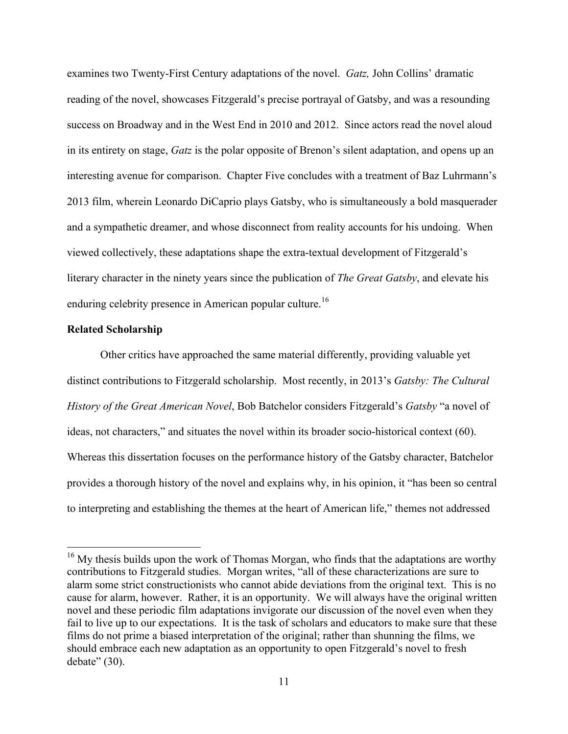examines two Twenty-First Century adaptations of the novel. *Gatz,* John Collins' dramatic reading of the novel, showcases Fitzgerald's precise portrayal of Gatsby, and was a resounding success on Broadway and in the West End in 2010 and 2012. Since actors read the novel aloud in its entirety on stage, *Gatz* is the polar opposite of Brenon's silent adaptation, and opens up an interesting avenue for comparison. Chapter Five concludes with a treatment of Baz Luhrmann's 2013 film, wherein Leonardo DiCaprio plays Gatsby, who is simultaneously a bold masquerader and a sympathetic dreamer, and whose disconnect from reality accounts for his undoing. When viewed collectively, these adaptations shape the extra-textual development of Fitzgerald's literary character in the ninety years since the publication of *The Great Gatsby*, and elevate his enduring celebrity presence in American popular culture.<sup>16</sup>

#### **Related Scholarship**

Other critics have approached the same material differently, providing valuable yet distinct contributions to Fitzgerald scholarship. Most recently, in 2013's *Gatsby: The Cultural History of the Great American Novel*, Bob Batchelor considers Fitzgerald's *Gatsby* "a novel of ideas, not characters," and situates the novel within its broader socio-historical context (60). Whereas this dissertation focuses on the performance history of the Gatsby character, Batchelor provides a thorough history of the novel and explains why, in his opinion, it "has been so central to interpreting and establishing the themes at the heart of American life," themes not addressed

<sup>&</sup>lt;sup>16</sup> My thesis builds upon the work of Thomas Morgan, who finds that the adaptations are worthy contributions to Fitzgerald studies. Morgan writes, "all of these characterizations are sure to alarm some strict constructionists who cannot abide deviations from the original text. This is no cause for alarm, however. Rather, it is an opportunity. We will always have the original written novel and these periodic film adaptations invigorate our discussion of the novel even when they fail to live up to our expectations. It is the task of scholars and educators to make sure that these films do not prime a biased interpretation of the original; rather than shunning the films, we should embrace each new adaptation as an opportunity to open Fitzgerald's novel to fresh debate" (30).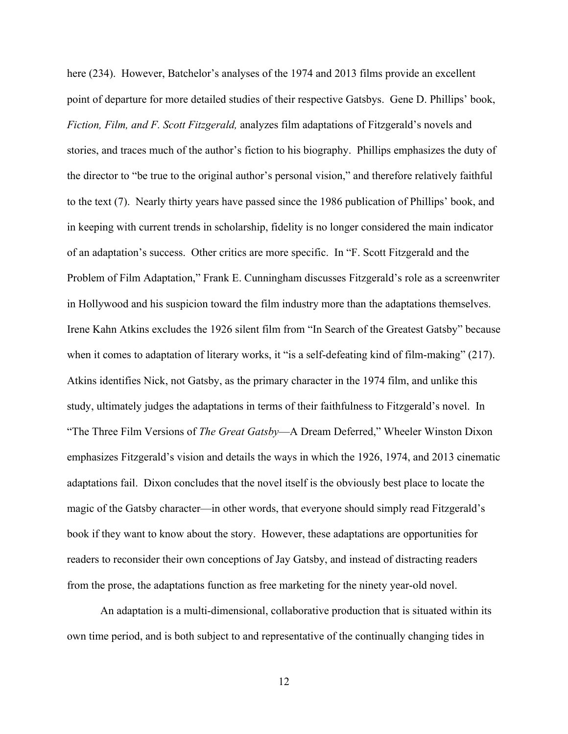here (234). However, Batchelor's analyses of the 1974 and 2013 films provide an excellent point of departure for more detailed studies of their respective Gatsbys. Gene D. Phillips' book, *Fiction, Film, and F. Scott Fitzgerald,* analyzes film adaptations of Fitzgerald's novels and stories, and traces much of the author's fiction to his biography. Phillips emphasizes the duty of the director to "be true to the original author's personal vision," and therefore relatively faithful to the text (7). Nearly thirty years have passed since the 1986 publication of Phillips' book, and in keeping with current trends in scholarship, fidelity is no longer considered the main indicator of an adaptation's success. Other critics are more specific. In "F. Scott Fitzgerald and the Problem of Film Adaptation," Frank E. Cunningham discusses Fitzgerald's role as a screenwriter in Hollywood and his suspicion toward the film industry more than the adaptations themselves. Irene Kahn Atkins excludes the 1926 silent film from "In Search of the Greatest Gatsby" because when it comes to adaptation of literary works, it "is a self-defeating kind of film-making" (217). Atkins identifies Nick, not Gatsby, as the primary character in the 1974 film, and unlike this study, ultimately judges the adaptations in terms of their faithfulness to Fitzgerald's novel. In "The Three Film Versions of *The Great Gatsby*—A Dream Deferred," Wheeler Winston Dixon emphasizes Fitzgerald's vision and details the ways in which the 1926, 1974, and 2013 cinematic adaptations fail. Dixon concludes that the novel itself is the obviously best place to locate the magic of the Gatsby character—in other words, that everyone should simply read Fitzgerald's book if they want to know about the story. However, these adaptations are opportunities for readers to reconsider their own conceptions of Jay Gatsby, and instead of distracting readers from the prose, the adaptations function as free marketing for the ninety year-old novel.

An adaptation is a multi-dimensional, collaborative production that is situated within its own time period, and is both subject to and representative of the continually changing tides in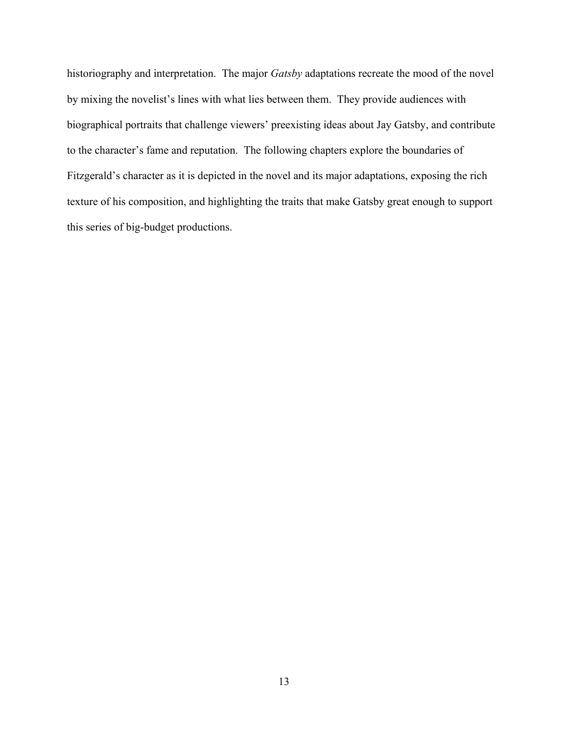historiography and interpretation. The major *Gatsby* adaptations recreate the mood of the novel by mixing the novelist's lines with what lies between them. They provide audiences with biographical portraits that challenge viewers' preexisting ideas about Jay Gatsby, and contribute to the character's fame and reputation. The following chapters explore the boundaries of Fitzgerald's character as it is depicted in the novel and its major adaptations, exposing the rich texture of his composition, and highlighting the traits that make Gatsby great enough to support this series of big-budget productions.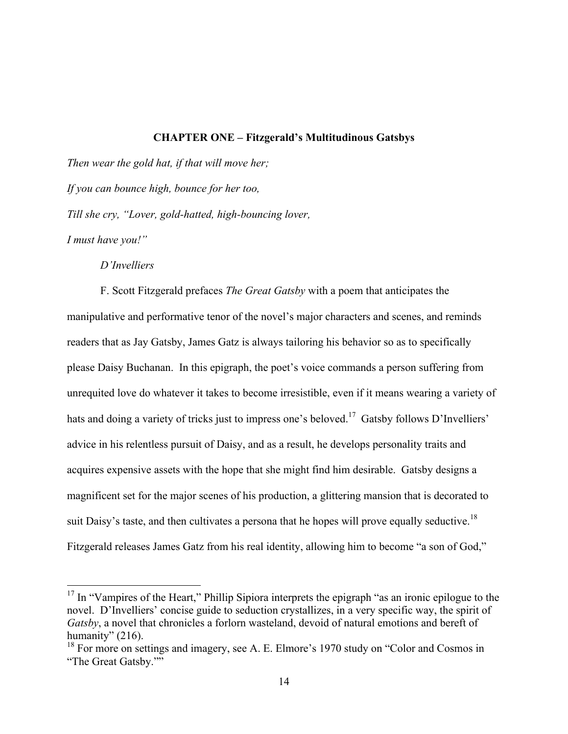### **CHAPTER ONE – Fitzgerald's Multitudinous Gatsbys**

*Then wear the gold hat, if that will move her; If you can bounce high, bounce for her too, Till she cry, "Lover, gold-hatted, high-bouncing lover, I must have you!"*

*D'Invelliers* 

F. Scott Fitzgerald prefaces *The Great Gatsby* with a poem that anticipates the manipulative and performative tenor of the novel's major characters and scenes, and reminds readers that as Jay Gatsby, James Gatz is always tailoring his behavior so as to specifically please Daisy Buchanan. In this epigraph, the poet's voice commands a person suffering from unrequited love do whatever it takes to become irresistible, even if it means wearing a variety of hats and doing a variety of tricks just to impress one's beloved.<sup>17</sup> Gatsby follows D'Invelliers' advice in his relentless pursuit of Daisy, and as a result, he develops personality traits and acquires expensive assets with the hope that she might find him desirable. Gatsby designs a magnificent set for the major scenes of his production, a glittering mansion that is decorated to suit Daisy's taste, and then cultivates a persona that he hopes will prove equally seductive.<sup>18</sup> Fitzgerald releases James Gatz from his real identity, allowing him to become "a son of God,"

<sup>&</sup>lt;sup>17</sup> In "Vampires of the Heart," Phillip Sipiora interprets the epigraph "as an ironic epilogue to the novel. D'Invelliers' concise guide to seduction crystallizes, in a very specific way, the spirit of *Gatsby*, a novel that chronicles a forlorn wasteland, devoid of natural emotions and bereft of humanity" (216).

 $18$  For more on settings and imagery, see A. E. Elmore's 1970 study on "Color and Cosmos in "The Great Gatsby.""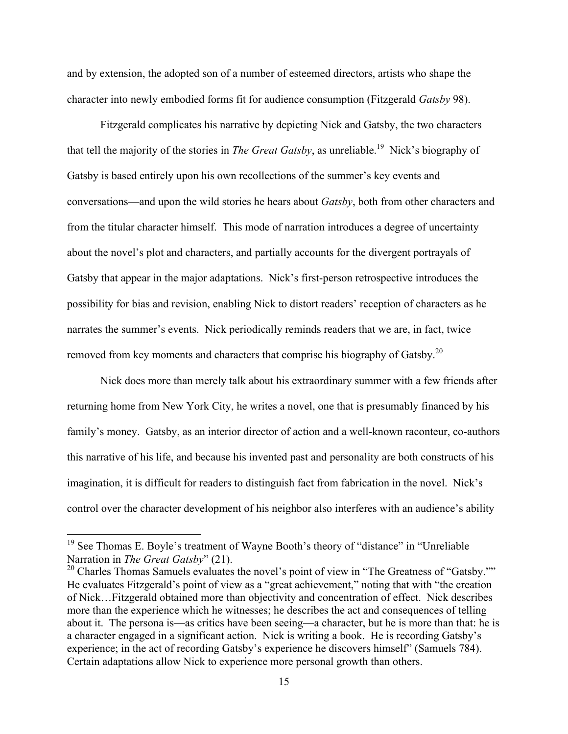and by extension, the adopted son of a number of esteemed directors, artists who shape the character into newly embodied forms fit for audience consumption (Fitzgerald *Gatsby* 98).

Fitzgerald complicates his narrative by depicting Nick and Gatsby, the two characters that tell the majority of the stories in *The Great Gatsby*, as unreliable.<sup>19</sup> Nick's biography of Gatsby is based entirely upon his own recollections of the summer's key events and conversations—and upon the wild stories he hears about *Gatsby*, both from other characters and from the titular character himself. This mode of narration introduces a degree of uncertainty about the novel's plot and characters, and partially accounts for the divergent portrayals of Gatsby that appear in the major adaptations. Nick's first-person retrospective introduces the possibility for bias and revision, enabling Nick to distort readers' reception of characters as he narrates the summer's events. Nick periodically reminds readers that we are, in fact, twice removed from key moments and characters that comprise his biography of Gatsby.<sup>20</sup>

Nick does more than merely talk about his extraordinary summer with a few friends after returning home from New York City, he writes a novel, one that is presumably financed by his family's money. Gatsby, as an interior director of action and a well-known raconteur, co-authors this narrative of his life, and because his invented past and personality are both constructs of his imagination, it is difficult for readers to distinguish fact from fabrication in the novel. Nick's control over the character development of his neighbor also interferes with an audience's ability

<sup>&</sup>lt;sup>19</sup> See Thomas E. Boyle's treatment of Wayne Booth's theory of "distance" in "Unreliable Narration in *The Great Gatsby*" (21).

<sup>&</sup>lt;sup>20</sup> Charles Thomas Samuels evaluates the novel's point of view in "The Greatness of "Gatsby."" He evaluates Fitzgerald's point of view as a "great achievement," noting that with "the creation of Nick…Fitzgerald obtained more than objectivity and concentration of effect. Nick describes more than the experience which he witnesses; he describes the act and consequences of telling about it. The persona is—as critics have been seeing—a character, but he is more than that: he is a character engaged in a significant action. Nick is writing a book. He is recording Gatsby's experience; in the act of recording Gatsby's experience he discovers himself" (Samuels 784). Certain adaptations allow Nick to experience more personal growth than others.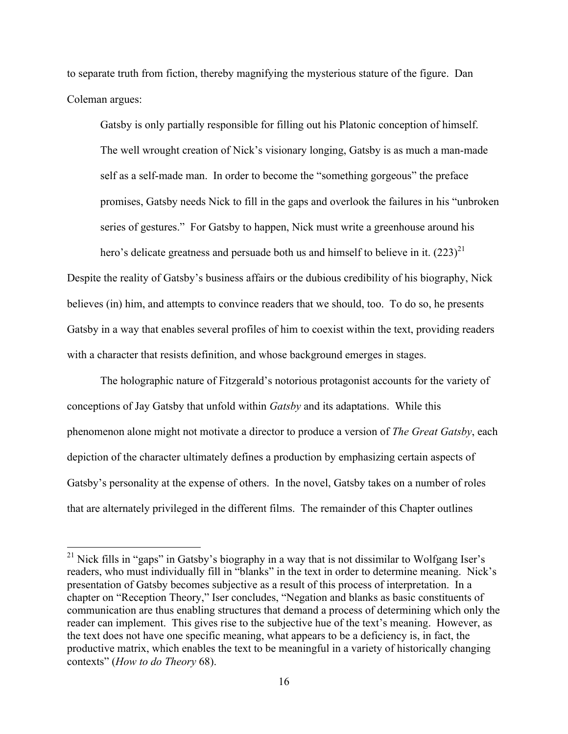to separate truth from fiction, thereby magnifying the mysterious stature of the figure. Dan Coleman argues:

Gatsby is only partially responsible for filling out his Platonic conception of himself. The well wrought creation of Nick's visionary longing, Gatsby is as much a man-made self as a self-made man. In order to become the "something gorgeous" the preface promises, Gatsby needs Nick to fill in the gaps and overlook the failures in his "unbroken series of gestures." For Gatsby to happen, Nick must write a greenhouse around his

hero's delicate greatness and persuade both us and himself to believe in it.  $(223)^{21}$ Despite the reality of Gatsby's business affairs or the dubious credibility of his biography, Nick believes (in) him, and attempts to convince readers that we should, too. To do so, he presents Gatsby in a way that enables several profiles of him to coexist within the text, providing readers with a character that resists definition, and whose background emerges in stages.

The holographic nature of Fitzgerald's notorious protagonist accounts for the variety of conceptions of Jay Gatsby that unfold within *Gatsby* and its adaptations. While this phenomenon alone might not motivate a director to produce a version of *The Great Gatsby*, each depiction of the character ultimately defines a production by emphasizing certain aspects of Gatsby's personality at the expense of others. In the novel, Gatsby takes on a number of roles that are alternately privileged in the different films. The remainder of this Chapter outlines

<sup>&</sup>lt;sup>21</sup> Nick fills in "gaps" in Gatsby's biography in a way that is not dissimilar to Wolfgang Iser's readers, who must individually fill in "blanks" in the text in order to determine meaning. Nick's presentation of Gatsby becomes subjective as a result of this process of interpretation. In a chapter on "Reception Theory," Iser concludes, "Negation and blanks as basic constituents of communication are thus enabling structures that demand a process of determining which only the reader can implement. This gives rise to the subjective hue of the text's meaning. However, as the text does not have one specific meaning, what appears to be a deficiency is, in fact, the productive matrix, which enables the text to be meaningful in a variety of historically changing contexts" (*How to do Theory* 68).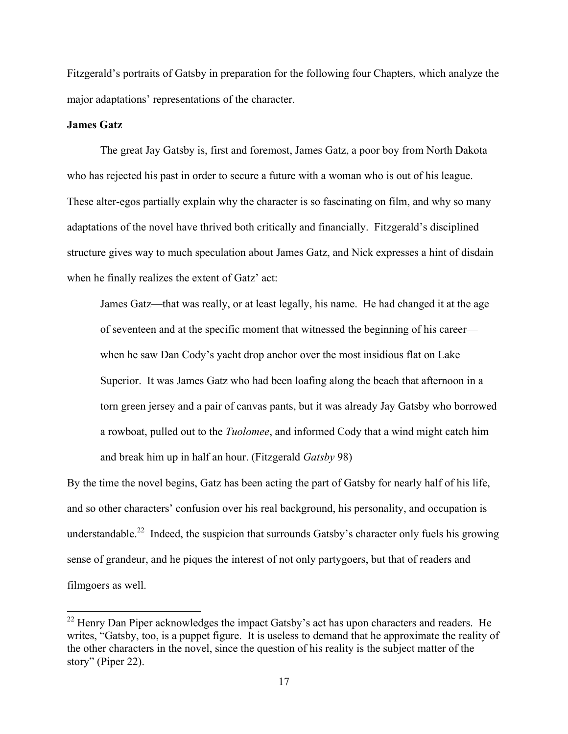Fitzgerald's portraits of Gatsby in preparation for the following four Chapters, which analyze the major adaptations' representations of the character.

#### **James Gatz**

The great Jay Gatsby is, first and foremost, James Gatz, a poor boy from North Dakota who has rejected his past in order to secure a future with a woman who is out of his league. These alter-egos partially explain why the character is so fascinating on film, and why so many adaptations of the novel have thrived both critically and financially.Fitzgerald's disciplined structure gives way to much speculation about James Gatz, and Nick expresses a hint of disdain when he finally realizes the extent of Gatz' act:

James Gatz—that was really, or at least legally, his name. He had changed it at the age of seventeen and at the specific moment that witnessed the beginning of his career when he saw Dan Cody's yacht drop anchor over the most insidious flat on Lake Superior. It was James Gatz who had been loafing along the beach that afternoon in a torn green jersey and a pair of canvas pants, but it was already Jay Gatsby who borrowed a rowboat, pulled out to the *Tuolomee*, and informed Cody that a wind might catch him and break him up in half an hour. (Fitzgerald *Gatsby* 98)

By the time the novel begins, Gatz has been acting the part of Gatsby for nearly half of his life, and so other characters' confusion over his real background, his personality, and occupation is understandable.<sup>22</sup> Indeed, the suspicion that surrounds Gatsby's character only fuels his growing sense of grandeur, and he piques the interest of not only partygoers, but that of readers and filmgoers as well.

<sup>&</sup>lt;sup>22</sup> Henry Dan Piper acknowledges the impact Gatsby's act has upon characters and readers. He writes, "Gatsby, too, is a puppet figure. It is useless to demand that he approximate the reality of the other characters in the novel, since the question of his reality is the subject matter of the story" (Piper 22).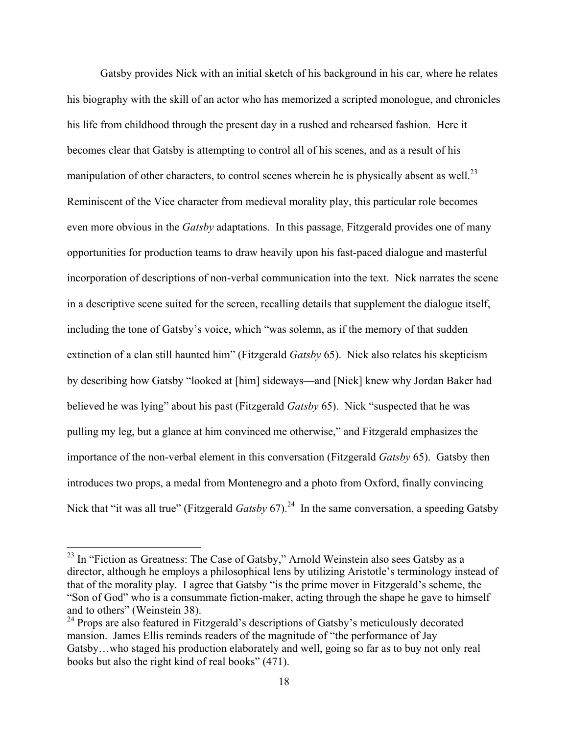Gatsby provides Nick with an initial sketch of his background in his car, where he relates his biography with the skill of an actor who has memorized a scripted monologue, and chronicles his life from childhood through the present day in a rushed and rehearsed fashion. Here it becomes clear that Gatsby is attempting to control all of his scenes, and as a result of his manipulation of other characters, to control scenes wherein he is physically absent as well.<sup>23</sup> Reminiscent of the Vice character from medieval morality play, this particular role becomes even more obvious in the *Gatsby* adaptations. In this passage, Fitzgerald provides one of many opportunities for production teams to draw heavily upon his fast-paced dialogue and masterful incorporation of descriptions of non-verbal communication into the text. Nick narrates the scene in a descriptive scene suited for the screen, recalling details that supplement the dialogue itself, including the tone of Gatsby's voice, which "was solemn, as if the memory of that sudden extinction of a clan still haunted him" (Fitzgerald *Gatsby* 65). Nick also relates his skepticism by describing how Gatsby "looked at [him] sideways—and [Nick] knew why Jordan Baker had believed he was lying" about his past (Fitzgerald *Gatsby* 65). Nick "suspected that he was pulling my leg, but a glance at him convinced me otherwise," and Fitzgerald emphasizes the importance of the non-verbal element in this conversation (Fitzgerald *Gatsby* 65). Gatsby then introduces two props, a medal from Montenegro and a photo from Oxford, finally convincing Nick that "it was all true" (Fitzgerald *Gatsby* 67).<sup>24</sup> In the same conversation, a speeding Gatsby

<sup>&</sup>lt;sup>23</sup> In "Fiction as Greatness: The Case of Gatsby," Arnold Weinstein also sees Gatsby as a director, although he employs a philosophical lens by utilizing Aristotle's terminology instead of that of the morality play. I agree that Gatsby "is the prime mover in Fitzgerald's scheme, the "Son of God" who is a consummate fiction-maker, acting through the shape he gave to himself and to others" (Weinstein 38).

<sup>&</sup>lt;sup>24</sup> Props are also featured in Fitzgerald's descriptions of Gatsby's meticulously decorated mansion. James Ellis reminds readers of the magnitude of "the performance of Jay Gatsby…who staged his production elaborately and well, going so far as to buy not only real books but also the right kind of real books" (471).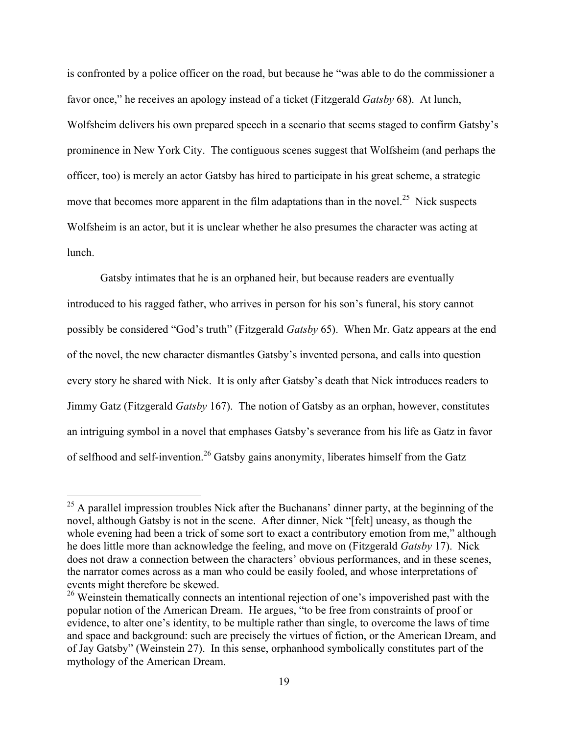is confronted by a police officer on the road, but because he "was able to do the commissioner a favor once," he receives an apology instead of a ticket (Fitzgerald *Gatsby* 68). At lunch, Wolfsheim delivers his own prepared speech in a scenario that seems staged to confirm Gatsby's prominence in New York City. The contiguous scenes suggest that Wolfsheim (and perhaps the officer, too) is merely an actor Gatsby has hired to participate in his great scheme, a strategic move that becomes more apparent in the film adaptations than in the novel.<sup>25</sup> Nick suspects Wolfsheim is an actor, but it is unclear whether he also presumes the character was acting at lunch.

Gatsby intimates that he is an orphaned heir, but because readers are eventually introduced to his ragged father, who arrives in person for his son's funeral, his story cannot possibly be considered "God's truth" (Fitzgerald *Gatsby* 65). When Mr. Gatz appears at the end of the novel, the new character dismantles Gatsby's invented persona, and calls into question every story he shared with Nick. It is only after Gatsby's death that Nick introduces readers to Jimmy Gatz (Fitzgerald *Gatsby* 167). The notion of Gatsby as an orphan, however, constitutes an intriguing symbol in a novel that emphases Gatsby's severance from his life as Gatz in favor of selfhood and self-invention.<sup>26</sup> Gatsby gains anonymity, liberates himself from the Gatz

 $25$  A parallel impression troubles Nick after the Buchanans' dinner party, at the beginning of the novel, although Gatsby is not in the scene. After dinner, Nick "[felt] uneasy, as though the whole evening had been a trick of some sort to exact a contributory emotion from me," although he does little more than acknowledge the feeling, and move on (Fitzgerald *Gatsby* 17). Nick does not draw a connection between the characters' obvious performances, and in these scenes, the narrator comes across as a man who could be easily fooled, and whose interpretations of events might therefore be skewed. 26 Weinstein thematically connects an intentional rejection of one's impoverished past with the

popular notion of the American Dream. He argues, "to be free from constraints of proof or evidence, to alter one's identity, to be multiple rather than single, to overcome the laws of time and space and background: such are precisely the virtues of fiction, or the American Dream, and of Jay Gatsby" (Weinstein 27). In this sense, orphanhood symbolically constitutes part of the mythology of the American Dream.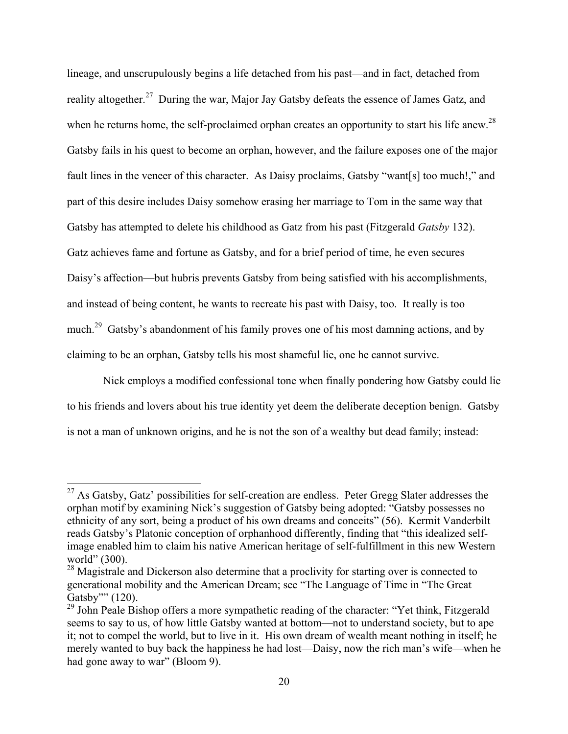lineage, and unscrupulously begins a life detached from his past—and in fact, detached from reality altogether.<sup>27</sup> During the war, Major Jay Gatsby defeats the essence of James Gatz, and when he returns home, the self-proclaimed orphan creates an opportunity to start his life anew.<sup>28</sup> Gatsby fails in his quest to become an orphan, however, and the failure exposes one of the major fault lines in the veneer of this character. As Daisy proclaims, Gatsby "want[s] too much!," and part of this desire includes Daisy somehow erasing her marriage to Tom in the same way that Gatsby has attempted to delete his childhood as Gatz from his past (Fitzgerald *Gatsby* 132). Gatz achieves fame and fortune as Gatsby, and for a brief period of time, he even secures Daisy's affection—but hubris prevents Gatsby from being satisfied with his accomplishments, and instead of being content, he wants to recreate his past with Daisy, too. It really is too much.29 Gatsby's abandonment of his family proves one of his most damning actions, and by claiming to be an orphan, Gatsby tells his most shameful lie, one he cannot survive.

Nick employs a modified confessional tone when finally pondering how Gatsby could lie to his friends and lovers about his true identity yet deem the deliberate deception benign. Gatsby is not a man of unknown origins, and he is not the son of a wealthy but dead family; instead:

 $27$  As Gatsby, Gatz' possibilities for self-creation are endless. Peter Gregg Slater addresses the orphan motif by examining Nick's suggestion of Gatsby being adopted: "Gatsby possesses no ethnicity of any sort, being a product of his own dreams and conceits" (56). Kermit Vanderbilt reads Gatsby's Platonic conception of orphanhood differently, finding that "this idealized selfimage enabled him to claim his native American heritage of self-fulfillment in this new Western world" (300).

<sup>&</sup>lt;sup>28</sup> Magistrale and Dickerson also determine that a proclivity for starting over is connected to generational mobility and the American Dream; see "The Language of Time in "The Great Gatsby"" (120).

<sup>&</sup>lt;sup>29</sup> John Peale Bishop offers a more sympathetic reading of the character: "Yet think, Fitzgerald seems to say to us, of how little Gatsby wanted at bottom—not to understand society, but to ape it; not to compel the world, but to live in it. His own dream of wealth meant nothing in itself; he merely wanted to buy back the happiness he had lost—Daisy, now the rich man's wife—when he had gone away to war" (Bloom 9).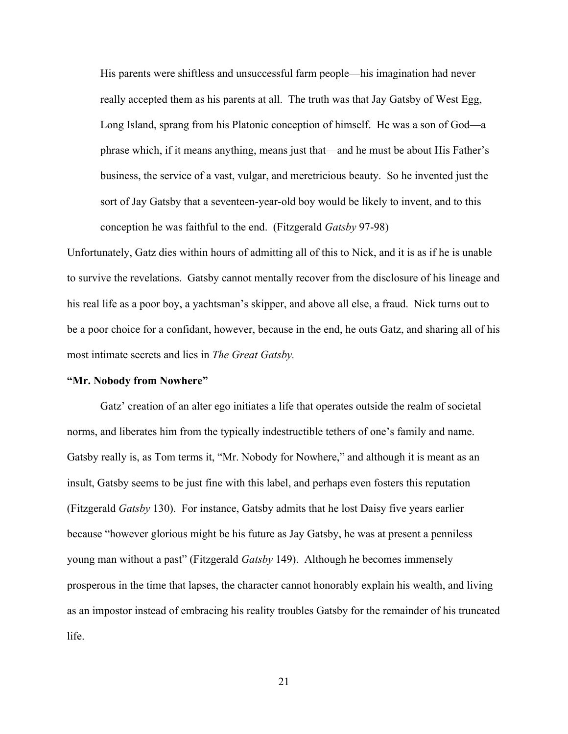His parents were shiftless and unsuccessful farm people—his imagination had never really accepted them as his parents at all. The truth was that Jay Gatsby of West Egg, Long Island, sprang from his Platonic conception of himself. He was a son of God—a phrase which, if it means anything, means just that—and he must be about His Father's business, the service of a vast, vulgar, and meretricious beauty. So he invented just the sort of Jay Gatsby that a seventeen-year-old boy would be likely to invent, and to this conception he was faithful to the end. (Fitzgerald *Gatsby* 97-98)

Unfortunately, Gatz dies within hours of admitting all of this to Nick, and it is as if he is unable to survive the revelations. Gatsby cannot mentally recover from the disclosure of his lineage and his real life as a poor boy, a yachtsman's skipper, and above all else, a fraud. Nick turns out to be a poor choice for a confidant, however, because in the end, he outs Gatz, and sharing all of his most intimate secrets and lies in *The Great Gatsby.*

#### **"Mr. Nobody from Nowhere"**

Gatz' creation of an alter ego initiates a life that operates outside the realm of societal norms, and liberates him from the typically indestructible tethers of one's family and name. Gatsby really is, as Tom terms it, "Mr. Nobody for Nowhere," and although it is meant as an insult, Gatsby seems to be just fine with this label, and perhaps even fosters this reputation (Fitzgerald *Gatsby* 130). For instance, Gatsby admits that he lost Daisy five years earlier because "however glorious might be his future as Jay Gatsby, he was at present a penniless young man without a past" (Fitzgerald *Gatsby* 149). Although he becomes immensely prosperous in the time that lapses, the character cannot honorably explain his wealth, and living as an impostor instead of embracing his reality troubles Gatsby for the remainder of his truncated life.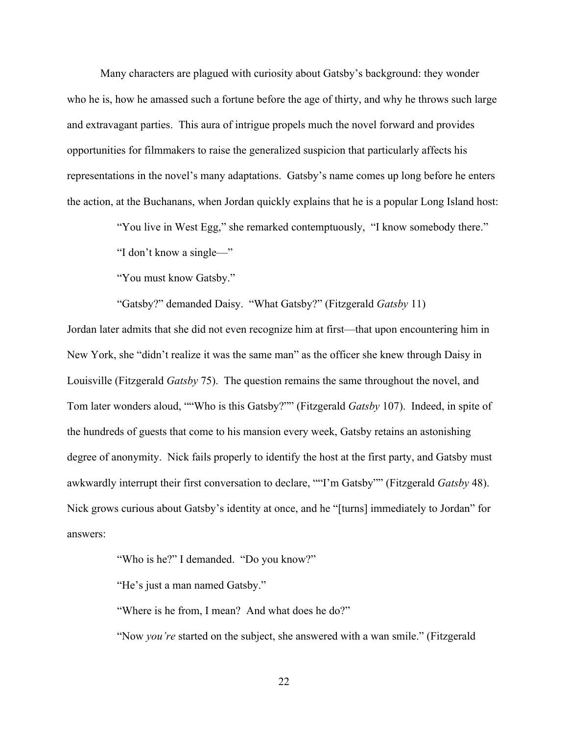Many characters are plagued with curiosity about Gatsby's background: they wonder who he is, how he amassed such a fortune before the age of thirty, and why he throws such large and extravagant parties. This aura of intrigue propels much the novel forward and provides opportunities for filmmakers to raise the generalized suspicion that particularly affects his representations in the novel's many adaptations. Gatsby's name comes up long before he enters the action, at the Buchanans, when Jordan quickly explains that he is a popular Long Island host:

"You live in West Egg," she remarked contemptuously, "I know somebody there."

"I don't know a single—"

"You must know Gatsby."

"Gatsby?" demanded Daisy. "What Gatsby?" (Fitzgerald *Gatsby* 11)

Jordan later admits that she did not even recognize him at first—that upon encountering him in New York, she "didn't realize it was the same man" as the officer she knew through Daisy in Louisville (Fitzgerald *Gatsby* 75). The question remains the same throughout the novel, and Tom later wonders aloud, ""Who is this Gatsby?"" (Fitzgerald *Gatsby* 107). Indeed, in spite of the hundreds of guests that come to his mansion every week, Gatsby retains an astonishing degree of anonymity. Nick fails properly to identify the host at the first party, and Gatsby must awkwardly interrupt their first conversation to declare, ""I'm Gatsby"" (Fitzgerald *Gatsby* 48). Nick grows curious about Gatsby's identity at once, and he "[turns] immediately to Jordan" for answers:

"Who is he?" I demanded. "Do you know?"

"He's just a man named Gatsby."

"Where is he from, I mean? And what does he do?"

"Now *you're* started on the subject, she answered with a wan smile." (Fitzgerald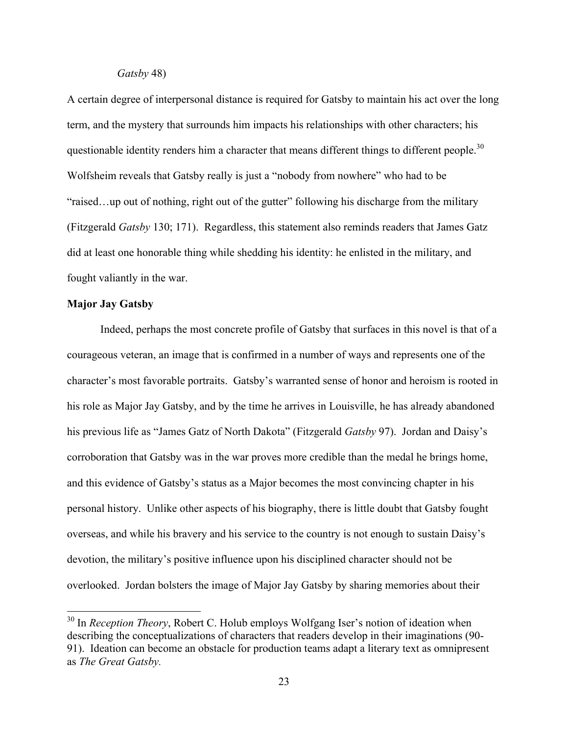#### *Gatsby* 48)

A certain degree of interpersonal distance is required for Gatsby to maintain his act over the long term, and the mystery that surrounds him impacts his relationships with other characters; his questionable identity renders him a character that means different things to different people.<sup>30</sup> Wolfsheim reveals that Gatsby really is just a "nobody from nowhere" who had to be "raised…up out of nothing, right out of the gutter" following his discharge from the military (Fitzgerald *Gatsby* 130; 171). Regardless, this statement also reminds readers that James Gatz did at least one honorable thing while shedding his identity: he enlisted in the military, and fought valiantly in the war.

### **Major Jay Gatsby**

Indeed, perhaps the most concrete profile of Gatsby that surfaces in this novel is that of a courageous veteran, an image that is confirmed in a number of ways and represents one of the character's most favorable portraits. Gatsby's warranted sense of honor and heroism is rooted in his role as Major Jay Gatsby, and by the time he arrives in Louisville, he has already abandoned his previous life as "James Gatz of North Dakota" (Fitzgerald *Gatsby* 97). Jordan and Daisy's corroboration that Gatsby was in the war proves more credible than the medal he brings home, and this evidence of Gatsby's status as a Major becomes the most convincing chapter in his personal history. Unlike other aspects of his biography, there is little doubt that Gatsby fought overseas, and while his bravery and his service to the country is not enough to sustain Daisy's devotion, the military's positive influence upon his disciplined character should not be overlooked. Jordan bolsters the image of Major Jay Gatsby by sharing memories about their

<sup>&</sup>lt;sup>30</sup> In *Reception Theory*, Robert C. Holub employs Wolfgang Iser's notion of ideation when describing the conceptualizations of characters that readers develop in their imaginations (90- 91). Ideation can become an obstacle for production teams adapt a literary text as omnipresent as *The Great Gatsby.*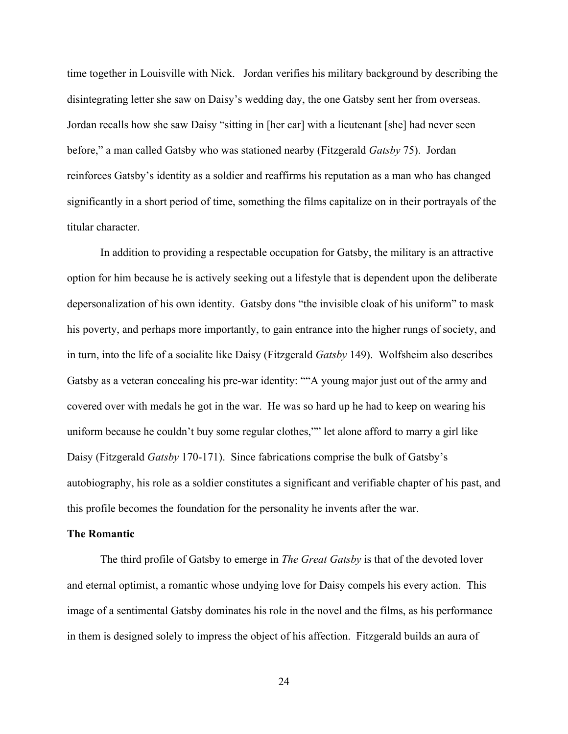time together in Louisville with Nick. Jordan verifies his military background by describing the disintegrating letter she saw on Daisy's wedding day, the one Gatsby sent her from overseas. Jordan recalls how she saw Daisy "sitting in [her car] with a lieutenant [she] had never seen before," a man called Gatsby who was stationed nearby (Fitzgerald *Gatsby* 75). Jordan reinforces Gatsby's identity as a soldier and reaffirms his reputation as a man who has changed significantly in a short period of time, something the films capitalize on in their portrayals of the titular character.

In addition to providing a respectable occupation for Gatsby, the military is an attractive option for him because he is actively seeking out a lifestyle that is dependent upon the deliberate depersonalization of his own identity. Gatsby dons "the invisible cloak of his uniform" to mask his poverty, and perhaps more importantly, to gain entrance into the higher rungs of society, and in turn, into the life of a socialite like Daisy (Fitzgerald *Gatsby* 149). Wolfsheim also describes Gatsby as a veteran concealing his pre-war identity: ""A young major just out of the army and covered over with medals he got in the war. He was so hard up he had to keep on wearing his uniform because he couldn't buy some regular clothes,"" let alone afford to marry a girl like Daisy (Fitzgerald *Gatsby* 170-171). Since fabrications comprise the bulk of Gatsby's autobiography, his role as a soldier constitutes a significant and verifiable chapter of his past, and this profile becomes the foundation for the personality he invents after the war.

#### **The Romantic**

The third profile of Gatsby to emerge in *The Great Gatsby* is that of the devoted lover and eternal optimist, a romantic whose undying love for Daisy compels his every action. This image of a sentimental Gatsby dominates his role in the novel and the films, as his performance in them is designed solely to impress the object of his affection. Fitzgerald builds an aura of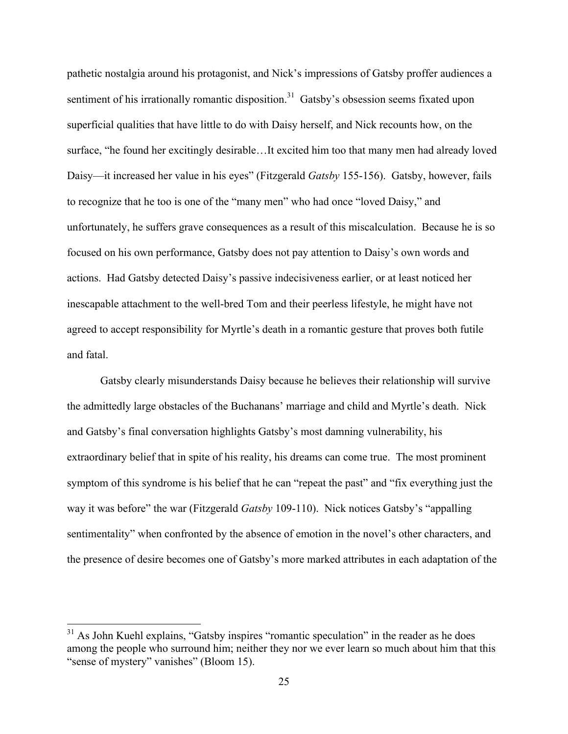pathetic nostalgia around his protagonist, and Nick's impressions of Gatsby proffer audiences a sentiment of his irrationally romantic disposition.<sup>31</sup> Gatsby's obsession seems fixated upon superficial qualities that have little to do with Daisy herself, and Nick recounts how, on the surface, "he found her excitingly desirable…It excited him too that many men had already loved Daisy—it increased her value in his eyes" (Fitzgerald *Gatsby* 155-156). Gatsby, however, fails to recognize that he too is one of the "many men" who had once "loved Daisy," and unfortunately, he suffers grave consequences as a result of this miscalculation. Because he is so focused on his own performance, Gatsby does not pay attention to Daisy's own words and actions. Had Gatsby detected Daisy's passive indecisiveness earlier, or at least noticed her inescapable attachment to the well-bred Tom and their peerless lifestyle, he might have not agreed to accept responsibility for Myrtle's death in a romantic gesture that proves both futile and fatal.

Gatsby clearly misunderstands Daisy because he believes their relationship will survive the admittedly large obstacles of the Buchanans' marriage and child and Myrtle's death. Nick and Gatsby's final conversation highlights Gatsby's most damning vulnerability, his extraordinary belief that in spite of his reality, his dreams can come true. The most prominent symptom of this syndrome is his belief that he can "repeat the past" and "fix everything just the way it was before" the war (Fitzgerald *Gatsby* 109-110). Nick notices Gatsby's "appalling sentimentality" when confronted by the absence of emotion in the novel's other characters, and the presence of desire becomes one of Gatsby's more marked attributes in each adaptation of the

 $31$  As John Kuehl explains, "Gatsby inspires "romantic speculation" in the reader as he does among the people who surround him; neither they nor we ever learn so much about him that this "sense of mystery" vanishes" (Bloom 15).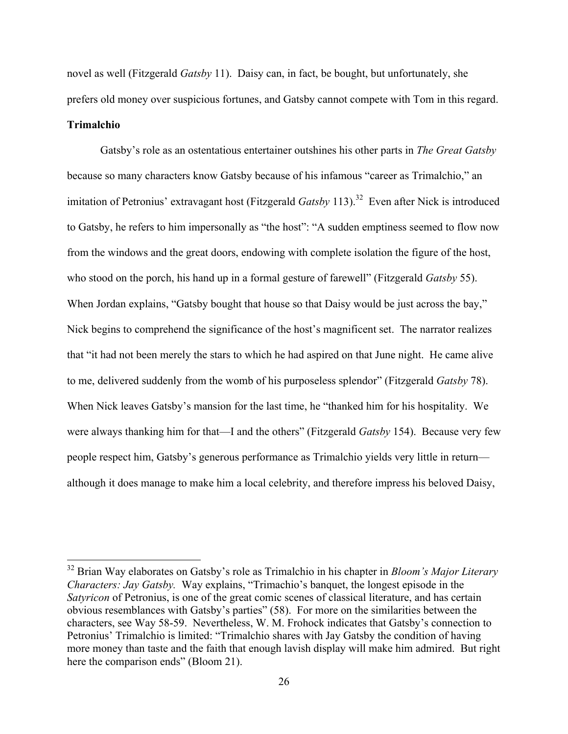novel as well (Fitzgerald *Gatsby* 11). Daisy can, in fact, be bought, but unfortunately, she prefers old money over suspicious fortunes, and Gatsby cannot compete with Tom in this regard.

# **Trimalchio**

Gatsby's role as an ostentatious entertainer outshines his other parts in *The Great Gatsby* because so many characters know Gatsby because of his infamous "career as Trimalchio," an imitation of Petronius' extravagant host (Fitzgerald *Gatsby* 113).<sup>32</sup> Even after Nick is introduced to Gatsby, he refers to him impersonally as "the host": "A sudden emptiness seemed to flow now from the windows and the great doors, endowing with complete isolation the figure of the host, who stood on the porch, his hand up in a formal gesture of farewell" (Fitzgerald *Gatsby* 55). When Jordan explains, "Gatsby bought that house so that Daisy would be just across the bay," Nick begins to comprehend the significance of the host's magnificent set. The narrator realizes that "it had not been merely the stars to which he had aspired on that June night. He came alive to me, delivered suddenly from the womb of his purposeless splendor" (Fitzgerald *Gatsby* 78). When Nick leaves Gatsby's mansion for the last time, he "thanked him for his hospitality. We were always thanking him for that—I and the others" (Fitzgerald *Gatsby* 154). Because very few people respect him, Gatsby's generous performance as Trimalchio yields very little in return although it does manage to make him a local celebrity, and therefore impress his beloved Daisy,

 <sup>32</sup> Brian Way elaborates on Gatsby's role as Trimalchio in his chapter in *Bloom's Major Literary Characters: Jay Gatsby.* Way explains, "Trimachio's banquet, the longest episode in the *Satyricon* of Petronius, is one of the great comic scenes of classical literature, and has certain obvious resemblances with Gatsby's parties" (58). For more on the similarities between the characters, see Way 58-59. Nevertheless, W. M. Frohock indicates that Gatsby's connection to Petronius' Trimalchio is limited: "Trimalchio shares with Jay Gatsby the condition of having more money than taste and the faith that enough lavish display will make him admired. But right here the comparison ends" (Bloom 21).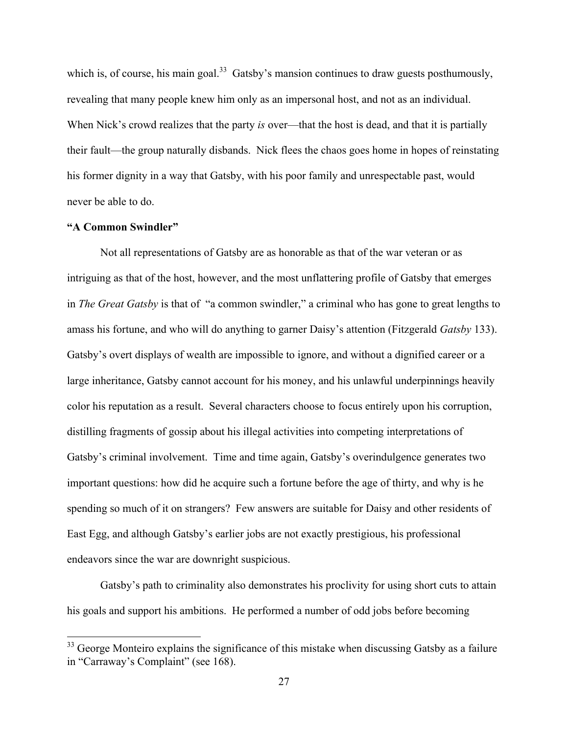which is, of course, his main goal.<sup>33</sup> Gatsby's mansion continues to draw guests posthumously, revealing that many people knew him only as an impersonal host, and not as an individual. When Nick's crowd realizes that the party *is* over—that the host is dead, and that it is partially their fault—the group naturally disbands. Nick flees the chaos goes home in hopes of reinstating his former dignity in a way that Gatsby, with his poor family and unrespectable past, would never be able to do.

### **"A Common Swindler"**

Not all representations of Gatsby are as honorable as that of the war veteran or as intriguing as that of the host, however, and the most unflattering profile of Gatsby that emerges in *The Great Gatsby* is that of "a common swindler," a criminal who has gone to great lengths to amass his fortune, and who will do anything to garner Daisy's attention (Fitzgerald *Gatsby* 133). Gatsby's overt displays of wealth are impossible to ignore, and without a dignified career or a large inheritance, Gatsby cannot account for his money, and his unlawful underpinnings heavily color his reputation as a result. Several characters choose to focus entirely upon his corruption, distilling fragments of gossip about his illegal activities into competing interpretations of Gatsby's criminal involvement. Time and time again, Gatsby's overindulgence generates two important questions: how did he acquire such a fortune before the age of thirty, and why is he spending so much of it on strangers? Few answers are suitable for Daisy and other residents of East Egg, and although Gatsby's earlier jobs are not exactly prestigious, his professional endeavors since the war are downright suspicious.

Gatsby's path to criminality also demonstrates his proclivity for using short cuts to attain his goals and support his ambitions. He performed a number of odd jobs before becoming

<sup>&</sup>lt;sup>33</sup> George Monteiro explains the significance of this mistake when discussing Gatsby as a failure in "Carraway's Complaint" (see 168).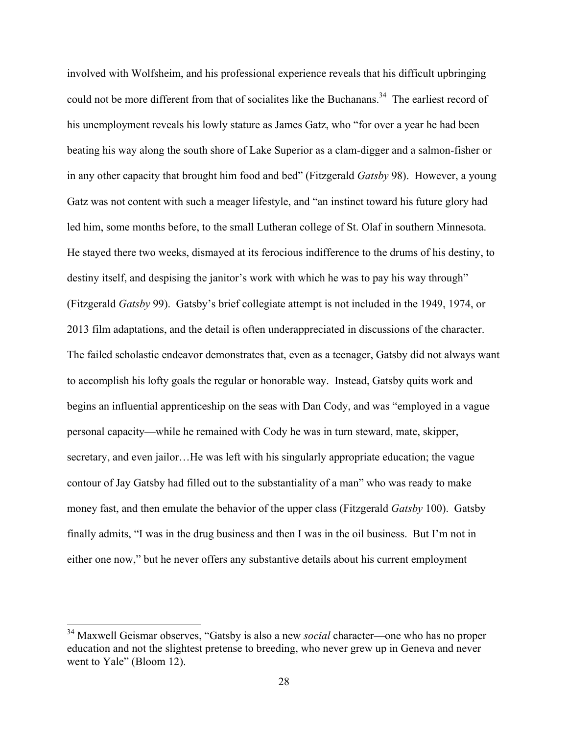involved with Wolfsheim, and his professional experience reveals that his difficult upbringing could not be more different from that of socialites like the Buchanans.<sup>34</sup> The earliest record of his unemployment reveals his lowly stature as James Gatz, who "for over a year he had been beating his way along the south shore of Lake Superior as a clam-digger and a salmon-fisher or in any other capacity that brought him food and bed" (Fitzgerald *Gatsby* 98). However, a young Gatz was not content with such a meager lifestyle, and "an instinct toward his future glory had led him, some months before, to the small Lutheran college of St. Olaf in southern Minnesota. He stayed there two weeks, dismayed at its ferocious indifference to the drums of his destiny, to destiny itself, and despising the janitor's work with which he was to pay his way through" (Fitzgerald *Gatsby* 99). Gatsby's brief collegiate attempt is not included in the 1949, 1974, or 2013 film adaptations, and the detail is often underappreciated in discussions of the character. The failed scholastic endeavor demonstrates that, even as a teenager, Gatsby did not always want to accomplish his lofty goals the regular or honorable way. Instead, Gatsby quits work and begins an influential apprenticeship on the seas with Dan Cody, and was "employed in a vague personal capacity—while he remained with Cody he was in turn steward, mate, skipper, secretary, and even jailor…He was left with his singularly appropriate education; the vague contour of Jay Gatsby had filled out to the substantiality of a man" who was ready to make money fast, and then emulate the behavior of the upper class (Fitzgerald *Gatsby* 100). Gatsby finally admits, "I was in the drug business and then I was in the oil business. But I'm not in either one now," but he never offers any substantive details about his current employment

 <sup>34</sup> Maxwell Geismar observes, "Gatsby is also a new *social* character—one who has no proper education and not the slightest pretense to breeding, who never grew up in Geneva and never went to Yale" (Bloom 12).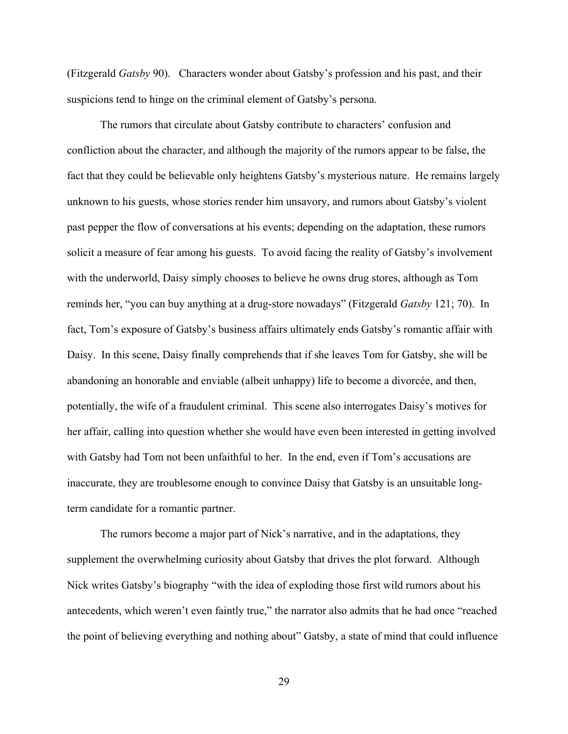(Fitzgerald *Gatsby* 90). Characters wonder about Gatsby's profession and his past, and their suspicions tend to hinge on the criminal element of Gatsby's persona.

The rumors that circulate about Gatsby contribute to characters' confusion and confliction about the character, and although the majority of the rumors appear to be false, the fact that they could be believable only heightens Gatsby's mysterious nature. He remains largely unknown to his guests, whose stories render him unsavory, and rumors about Gatsby's violent past pepper the flow of conversations at his events; depending on the adaptation, these rumors solicit a measure of fear among his guests. To avoid facing the reality of Gatsby's involvement with the underworld, Daisy simply chooses to believe he owns drug stores, although as Tom reminds her, "you can buy anything at a drug-store nowadays" (Fitzgerald *Gatsby* 121; 70). In fact, Tom's exposure of Gatsby's business affairs ultimately ends Gatsby's romantic affair with Daisy. In this scene, Daisy finally comprehends that if she leaves Tom for Gatsby, she will be abandoning an honorable and enviable (albeit unhappy) life to become a divorcée, and then, potentially, the wife of a fraudulent criminal. This scene also interrogates Daisy's motives for her affair, calling into question whether she would have even been interested in getting involved with Gatsby had Tom not been unfaithful to her. In the end, even if Tom's accusations are inaccurate, they are troublesome enough to convince Daisy that Gatsby is an unsuitable longterm candidate for a romantic partner.

The rumors become a major part of Nick's narrative, and in the adaptations, they supplement the overwhelming curiosity about Gatsby that drives the plot forward. Although Nick writes Gatsby's biography "with the idea of exploding those first wild rumors about his antecedents, which weren't even faintly true," the narrator also admits that he had once "reached the point of believing everything and nothing about" Gatsby, a state of mind that could influence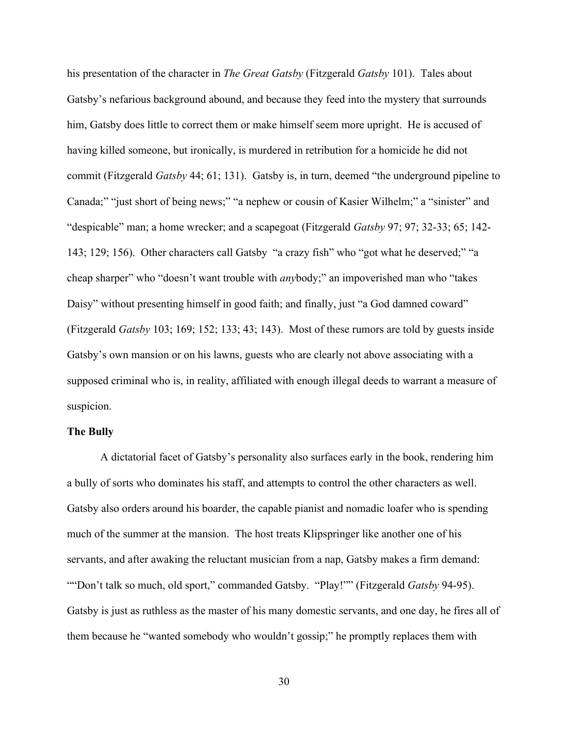his presentation of the character in *The Great Gatsby* (Fitzgerald *Gatsby* 101). Tales about Gatsby's nefarious background abound, and because they feed into the mystery that surrounds him, Gatsby does little to correct them or make himself seem more upright. He is accused of having killed someone, but ironically, is murdered in retribution for a homicide he did not commit (Fitzgerald *Gatsby* 44; 61; 131). Gatsby is, in turn, deemed "the underground pipeline to Canada;" "just short of being news;" "a nephew or cousin of Kasier Wilhelm;" a "sinister" and "despicable" man; a home wrecker; and a scapegoat (Fitzgerald *Gatsby* 97; 97; 32-33; 65; 142- 143; 129; 156). Other characters call Gatsby "a crazy fish" who "got what he deserved;" "a cheap sharper" who "doesn't want trouble with *any*body;" an impoverished man who "takes Daisy" without presenting himself in good faith; and finally, just "a God damned coward" (Fitzgerald *Gatsby* 103; 169; 152; 133; 43; 143). Most of these rumors are told by guests inside Gatsby's own mansion or on his lawns, guests who are clearly not above associating with a supposed criminal who is, in reality, affiliated with enough illegal deeds to warrant a measure of suspicion.

## **The Bully**

A dictatorial facet of Gatsby's personality also surfaces early in the book, rendering him a bully of sorts who dominates his staff, and attempts to control the other characters as well. Gatsby also orders around his boarder, the capable pianist and nomadic loafer who is spending much of the summer at the mansion. The host treats Klipspringer like another one of his servants, and after awaking the reluctant musician from a nap, Gatsby makes a firm demand: ""Don't talk so much, old sport," commanded Gatsby. "Play!"" (Fitzgerald *Gatsby* 94-95). Gatsby is just as ruthless as the master of his many domestic servants, and one day, he fires all of them because he "wanted somebody who wouldn't gossip;" he promptly replaces them with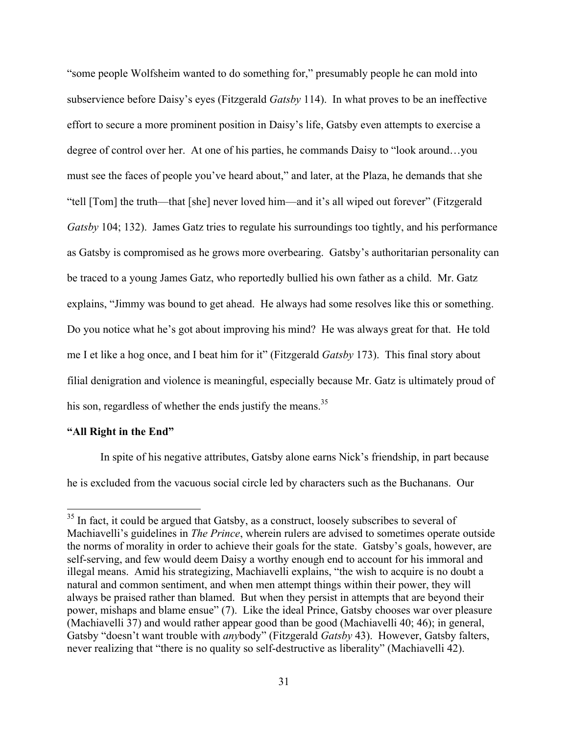"some people Wolfsheim wanted to do something for," presumably people he can mold into subservience before Daisy's eyes (Fitzgerald *Gatsby* 114). In what proves to be an ineffective effort to secure a more prominent position in Daisy's life, Gatsby even attempts to exercise a degree of control over her. At one of his parties, he commands Daisy to "look around…you must see the faces of people you've heard about," and later, at the Plaza, he demands that she "tell [Tom] the truth—that [she] never loved him—and it's all wiped out forever" (Fitzgerald *Gatsby* 104; 132). James Gatz tries to regulate his surroundings too tightly, and his performance as Gatsby is compromised as he grows more overbearing. Gatsby's authoritarian personality can be traced to a young James Gatz, who reportedly bullied his own father as a child. Mr. Gatz explains, "Jimmy was bound to get ahead. He always had some resolves like this or something. Do you notice what he's got about improving his mind? He was always great for that. He told me I et like a hog once, and I beat him for it" (Fitzgerald *Gatsby* 173). This final story about filial denigration and violence is meaningful, especially because Mr. Gatz is ultimately proud of his son, regardless of whether the ends justify the means.<sup>35</sup>

# **"All Right in the End"**

In spite of his negative attributes, Gatsby alone earns Nick's friendship, in part because he is excluded from the vacuous social circle led by characters such as the Buchanans. Our

 $35$  In fact, it could be argued that Gatsby, as a construct, loosely subscribes to several of Machiavelli's guidelines in *The Prince*, wherein rulers are advised to sometimes operate outside the norms of morality in order to achieve their goals for the state. Gatsby's goals, however, are self-serving, and few would deem Daisy a worthy enough end to account for his immoral and illegal means. Amid his strategizing, Machiavelli explains, "the wish to acquire is no doubt a natural and common sentiment, and when men attempt things within their power, they will always be praised rather than blamed. But when they persist in attempts that are beyond their power, mishaps and blame ensue" (7). Like the ideal Prince, Gatsby chooses war over pleasure (Machiavelli 37) and would rather appear good than be good (Machiavelli 40; 46); in general, Gatsby "doesn't want trouble with *any*body" (Fitzgerald *Gatsby* 43). However, Gatsby falters, never realizing that "there is no quality so self-destructive as liberality" (Machiavelli 42).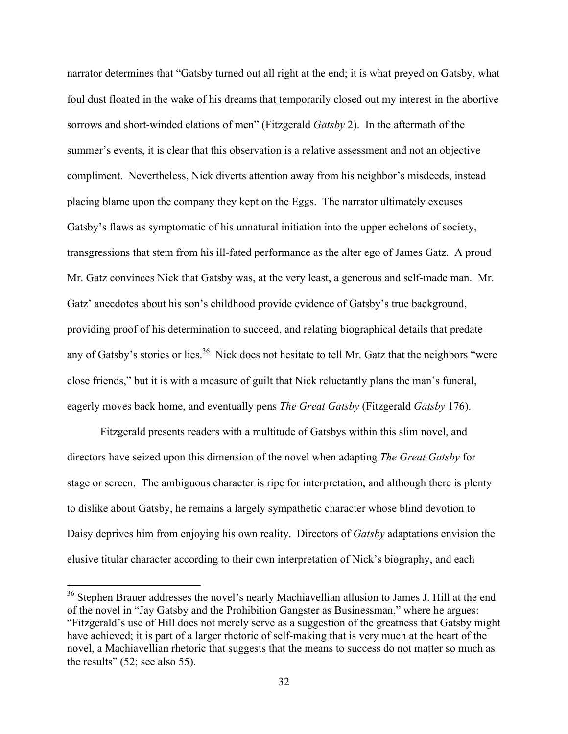narrator determines that "Gatsby turned out all right at the end; it is what preyed on Gatsby, what foul dust floated in the wake of his dreams that temporarily closed out my interest in the abortive sorrows and short-winded elations of men" (Fitzgerald *Gatsby* 2). In the aftermath of the summer's events, it is clear that this observation is a relative assessment and not an objective compliment. Nevertheless, Nick diverts attention away from his neighbor's misdeeds, instead placing blame upon the company they kept on the Eggs. The narrator ultimately excuses Gatsby's flaws as symptomatic of his unnatural initiation into the upper echelons of society, transgressions that stem from his ill-fated performance as the alter ego of James Gatz. A proud Mr. Gatz convinces Nick that Gatsby was, at the very least, a generous and self-made man. Mr. Gatz' anecdotes about his son's childhood provide evidence of Gatsby's true background, providing proof of his determination to succeed, and relating biographical details that predate any of Gatsby's stories or lies.<sup>36</sup> Nick does not hesitate to tell Mr. Gatz that the neighbors "were close friends," but it is with a measure of guilt that Nick reluctantly plans the man's funeral, eagerly moves back home, and eventually pens *The Great Gatsby* (Fitzgerald *Gatsby* 176).

Fitzgerald presents readers with a multitude of Gatsbys within this slim novel, and directors have seized upon this dimension of the novel when adapting *The Great Gatsby* for stage or screen. The ambiguous character is ripe for interpretation, and although there is plenty to dislike about Gatsby, he remains a largely sympathetic character whose blind devotion to Daisy deprives him from enjoying his own reality. Directors of *Gatsby* adaptations envision the elusive titular character according to their own interpretation of Nick's biography, and each

<sup>&</sup>lt;sup>36</sup> Stephen Brauer addresses the novel's nearly Machiavellian allusion to James J. Hill at the end of the novel in "Jay Gatsby and the Prohibition Gangster as Businessman," where he argues: "Fitzgerald's use of Hill does not merely serve as a suggestion of the greatness that Gatsby might have achieved; it is part of a larger rhetoric of self-making that is very much at the heart of the novel, a Machiavellian rhetoric that suggests that the means to success do not matter so much as the results" (52; see also 55).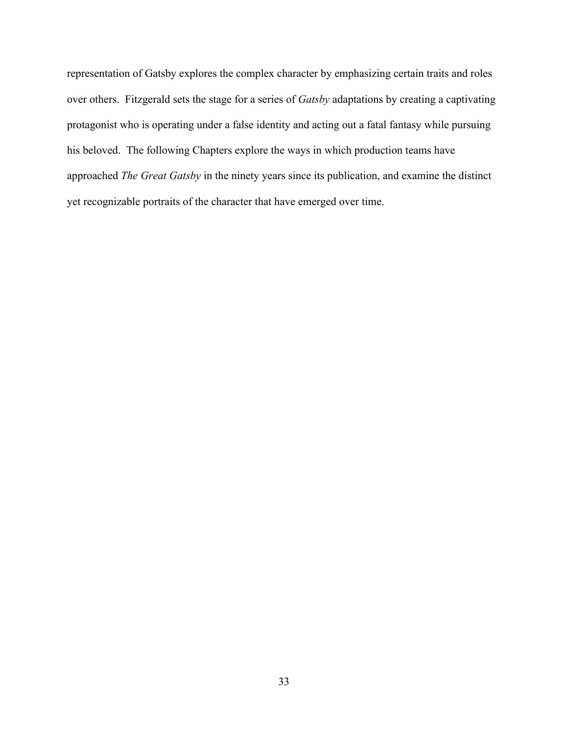representation of Gatsby explores the complex character by emphasizing certain traits and roles over others. Fitzgerald sets the stage for a series of *Gatsby* adaptations by creating a captivating protagonist who is operating under a false identity and acting out a fatal fantasy while pursuing his beloved. The following Chapters explore the ways in which production teams have approached *The Great Gatsby* in the ninety years since its publication, and examine the distinct yet recognizable portraits of the character that have emerged over time.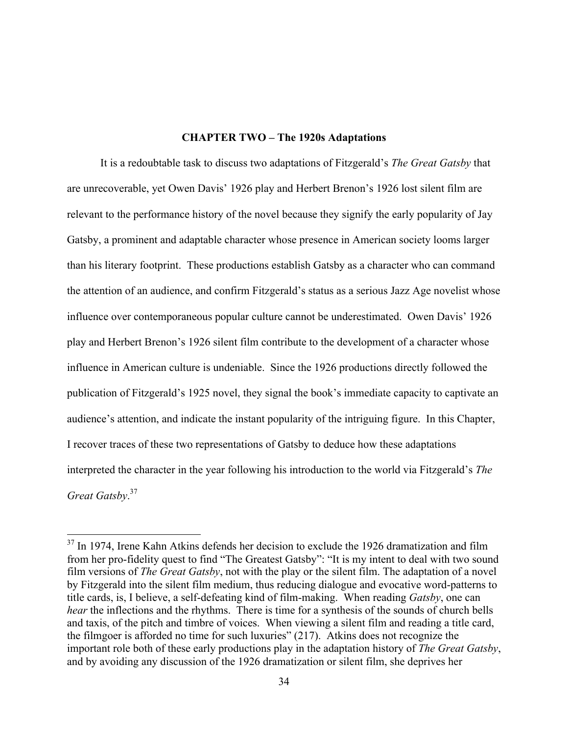## **CHAPTER TWO – The 1920s Adaptations**

It is a redoubtable task to discuss two adaptations of Fitzgerald's *The Great Gatsby* that are unrecoverable, yet Owen Davis' 1926 play and Herbert Brenon's 1926 lost silent film are relevant to the performance history of the novel because they signify the early popularity of Jay Gatsby, a prominent and adaptable character whose presence in American society looms larger than his literary footprint. These productions establish Gatsby as a character who can command the attention of an audience, and confirm Fitzgerald's status as a serious Jazz Age novelist whose influence over contemporaneous popular culture cannot be underestimated. Owen Davis' 1926 play and Herbert Brenon's 1926 silent film contribute to the development of a character whose influence in American culture is undeniable. Since the 1926 productions directly followed the publication of Fitzgerald's 1925 novel, they signal the book's immediate capacity to captivate an audience's attention, and indicate the instant popularity of the intriguing figure. In this Chapter, I recover traces of these two representations of Gatsby to deduce how these adaptations interpreted the character in the year following his introduction to the world via Fitzgerald's *The Great Gatsby*. 37

 $37$  In 1974, Irene Kahn Atkins defends her decision to exclude the 1926 dramatization and film from her pro-fidelity quest to find "The Greatest Gatsby": "It is my intent to deal with two sound film versions of *The Great Gatsby*, not with the play or the silent film. The adaptation of a novel by Fitzgerald into the silent film medium, thus reducing dialogue and evocative word-patterns to title cards, is, I believe, a self-defeating kind of film-making. When reading *Gatsby*, one can *hear* the inflections and the rhythms. There is time for a synthesis of the sounds of church bells and taxis, of the pitch and timbre of voices. When viewing a silent film and reading a title card, the filmgoer is afforded no time for such luxuries" (217). Atkins does not recognize the important role both of these early productions play in the adaptation history of *The Great Gatsby*, and by avoiding any discussion of the 1926 dramatization or silent film, she deprives her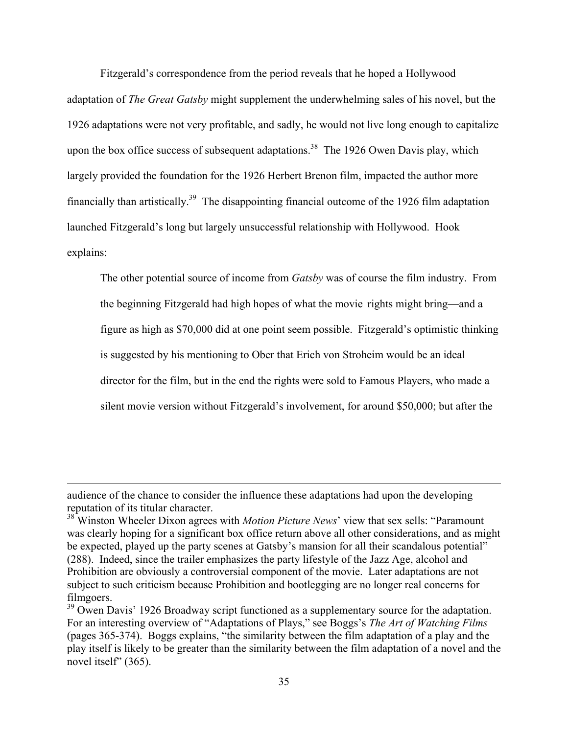Fitzgerald's correspondence from the period reveals that he hoped a Hollywood adaptation of *The Great Gatsby* might supplement the underwhelming sales of his novel, but the 1926 adaptations were not very profitable, and sadly, he would not live long enough to capitalize upon the box office success of subsequent adaptations.<sup>38</sup> The 1926 Owen Davis play, which largely provided the foundation for the 1926 Herbert Brenon film, impacted the author more financially than artistically.39 The disappointing financial outcome of the 1926 film adaptation launched Fitzgerald's long but largely unsuccessful relationship with Hollywood. Hook explains:

The other potential source of income from *Gatsby* was of course the film industry. From the beginning Fitzgerald had high hopes of what the movie rights might bring—and a figure as high as \$70,000 did at one point seem possible. Fitzgerald's optimistic thinking is suggested by his mentioning to Ober that Erich von Stroheim would be an ideal director for the film, but in the end the rights were sold to Famous Players, who made a silent movie version without Fitzgerald's involvement, for around \$50,000; but after the

audience of the chance to consider the influence these adaptations had upon the developing reputation of its titular character.

<sup>38</sup> Winston Wheeler Dixon agrees with *Motion Picture News*' view that sex sells: "Paramount was clearly hoping for a significant box office return above all other considerations, and as might be expected, played up the party scenes at Gatsby's mansion for all their scandalous potential" (288). Indeed, since the trailer emphasizes the party lifestyle of the Jazz Age, alcohol and Prohibition are obviously a controversial component of the movie. Later adaptations are not subject to such criticism because Prohibition and bootlegging are no longer real concerns for filmgoers.

<sup>&</sup>lt;sup>39</sup> Owen Davis' 1926 Broadway script functioned as a supplementary source for the adaptation. For an interesting overview of "Adaptations of Plays," see Boggs's *The Art of Watching Films* (pages 365-374). Boggs explains, "the similarity between the film adaptation of a play and the play itself is likely to be greater than the similarity between the film adaptation of a novel and the novel itself" (365).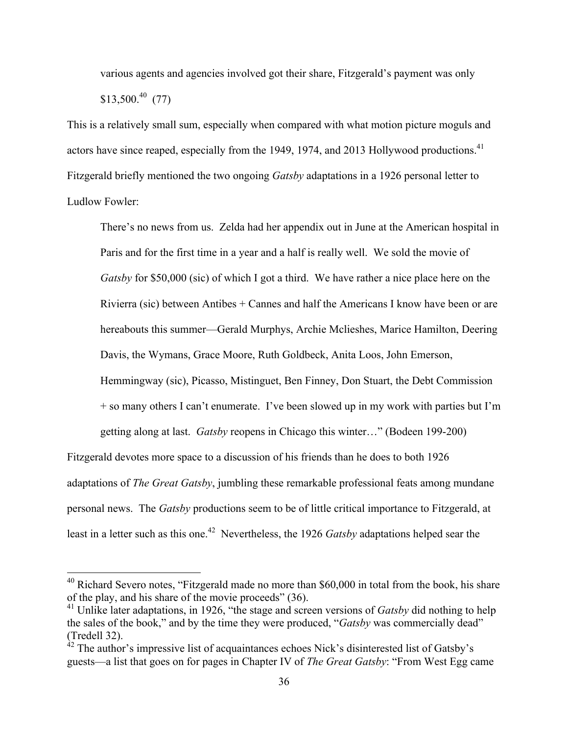various agents and agencies involved got their share, Fitzgerald's payment was only  $$13,500.<sup>40</sup>$  (77)

This is a relatively small sum, especially when compared with what motion picture moguls and actors have since reaped, especially from the 1949, 1974, and 2013 Hollywood productions.<sup>41</sup> Fitzgerald briefly mentioned the two ongoing *Gatsby* adaptations in a 1926 personal letter to Ludlow Fowler:

There's no news from us. Zelda had her appendix out in June at the American hospital in Paris and for the first time in a year and a half is really well. We sold the movie of *Gatsby* for \$50,000 (sic) of which I got a third. We have rather a nice place here on the Rivierra (sic) between Antibes + Cannes and half the Americans I know have been or are hereabouts this summer—Gerald Murphys, Archie Mclieshes, Marice Hamilton, Deering Davis, the Wymans, Grace Moore, Ruth Goldbeck, Anita Loos, John Emerson,

Hemmingway (sic), Picasso, Mistinguet, Ben Finney, Don Stuart, the Debt Commission

+ so many others I can't enumerate. I've been slowed up in my work with parties but I'm

getting along at last. *Gatsby* reopens in Chicago this winter…" (Bodeen 199-200)

Fitzgerald devotes more space to a discussion of his friends than he does to both 1926 adaptations of *The Great Gatsby*, jumbling these remarkable professional feats among mundane personal news. The *Gatsby* productions seem to be of little critical importance to Fitzgerald, at least in a letter such as this one.<sup>42</sup> Nevertheless, the 1926 *Gatsby* adaptations helped sear the

<sup>&</sup>lt;sup>40</sup> Richard Severo notes, "Fitzgerald made no more than \$60,000 in total from the book, his share of the play, and his share of the movie proceeds" (36).

<sup>41</sup> Unlike later adaptations, in 1926, "the stage and screen versions of *Gatsby* did nothing to help the sales of the book," and by the time they were produced, "*Gatsby* was commercially dead" (Tredell 32).

 $42$  The author's impressive list of acquaintances echoes Nick's disinterested list of Gatsby's guests—a list that goes on for pages in Chapter IV of *The Great Gatsby*: "From West Egg came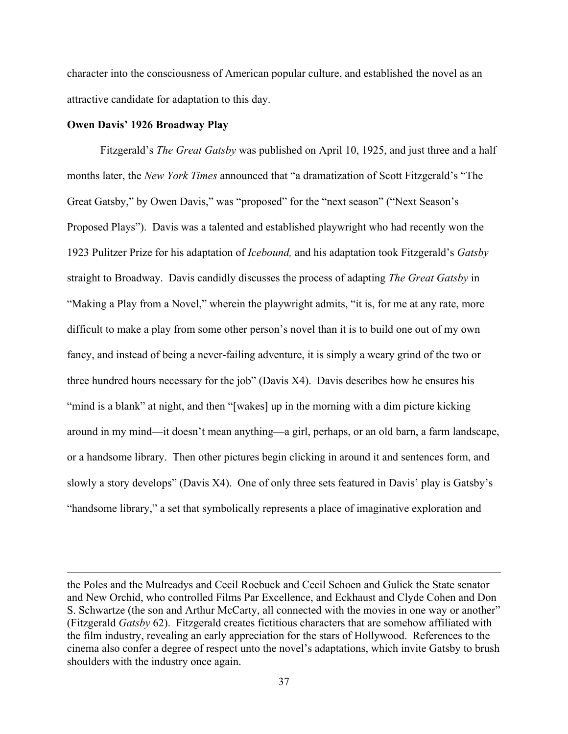character into the consciousness of American popular culture, and established the novel as an attractive candidate for adaptation to this day.

#### **Owen Davis' 1926 Broadway Play**

1

Fitzgerald's *The Great Gatsby* was published on April 10, 1925, and just three and a half months later, the *New York Times* announced that "a dramatization of Scott Fitzgerald's "The Great Gatsby," by Owen Davis," was "proposed" for the "next season" ("Next Season's Proposed Plays"). Davis was a talented and established playwright who had recently won the 1923 Pulitzer Prize for his adaptation of *Icebound,* and his adaptation took Fitzgerald's *Gatsby* straight to Broadway. Davis candidly discusses the process of adapting *The Great Gatsby* in "Making a Play from a Novel," wherein the playwright admits, "it is, for me at any rate, more difficult to make a play from some other person's novel than it is to build one out of my own fancy, and instead of being a never-failing adventure, it is simply a weary grind of the two or three hundred hours necessary for the job" (Davis X4). Davis describes how he ensures his "mind is a blank" at night, and then "[wakes] up in the morning with a dim picture kicking around in my mind—it doesn't mean anything—a girl, perhaps, or an old barn, a farm landscape, or a handsome library. Then other pictures begin clicking in around it and sentences form, and slowly a story develops" (Davis X4). One of only three sets featured in Davis' play is Gatsby's "handsome library," a set that symbolically represents a place of imaginative exploration and

the Poles and the Mulreadys and Cecil Roebuck and Cecil Schoen and Gulick the State senator and New Orchid, who controlled Films Par Excellence, and Eckhaust and Clyde Cohen and Don S. Schwartze (the son and Arthur McCarty, all connected with the movies in one way or another" (Fitzgerald *Gatsby* 62). Fitzgerald creates fictitious characters that are somehow affiliated with the film industry, revealing an early appreciation for the stars of Hollywood. References to the cinema also confer a degree of respect unto the novel's adaptations, which invite Gatsby to brush shoulders with the industry once again.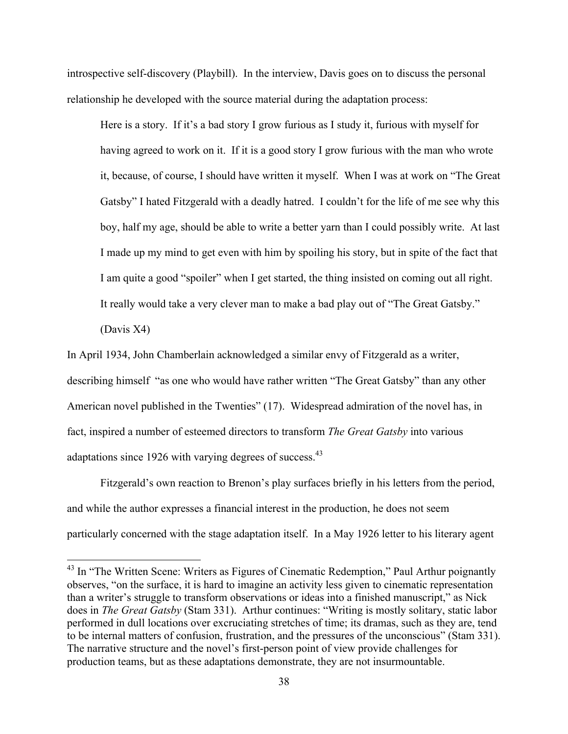introspective self-discovery (Playbill). In the interview, Davis goes on to discuss the personal relationship he developed with the source material during the adaptation process:

Here is a story. If it's a bad story I grow furious as I study it, furious with myself for having agreed to work on it. If it is a good story I grow furious with the man who wrote it, because, of course, I should have written it myself. When I was at work on "The Great Gatsby" I hated Fitzgerald with a deadly hatred. I couldn't for the life of me see why this boy, half my age, should be able to write a better yarn than I could possibly write. At last I made up my mind to get even with him by spoiling his story, but in spite of the fact that I am quite a good "spoiler" when I get started, the thing insisted on coming out all right. It really would take a very clever man to make a bad play out of "The Great Gatsby."

(Davis X4)

In April 1934, John Chamberlain acknowledged a similar envy of Fitzgerald as a writer, describing himself "as one who would have rather written "The Great Gatsby" than any other American novel published in the Twenties" (17). Widespread admiration of the novel has, in fact, inspired a number of esteemed directors to transform *The Great Gatsby* into various adaptations since 1926 with varying degrees of success.<sup>43</sup>

Fitzgerald's own reaction to Brenon's play surfaces briefly in his letters from the period, and while the author expresses a financial interest in the production, he does not seem particularly concerned with the stage adaptation itself. In a May 1926 letter to his literary agent

<sup>&</sup>lt;sup>43</sup> In "The Written Scene: Writers as Figures of Cinematic Redemption," Paul Arthur poignantly observes, "on the surface, it is hard to imagine an activity less given to cinematic representation than a writer's struggle to transform observations or ideas into a finished manuscript," as Nick does in *The Great Gatsby* (Stam 331). Arthur continues: "Writing is mostly solitary, static labor performed in dull locations over excruciating stretches of time; its dramas, such as they are, tend to be internal matters of confusion, frustration, and the pressures of the unconscious" (Stam 331). The narrative structure and the novel's first-person point of view provide challenges for production teams, but as these adaptations demonstrate, they are not insurmountable.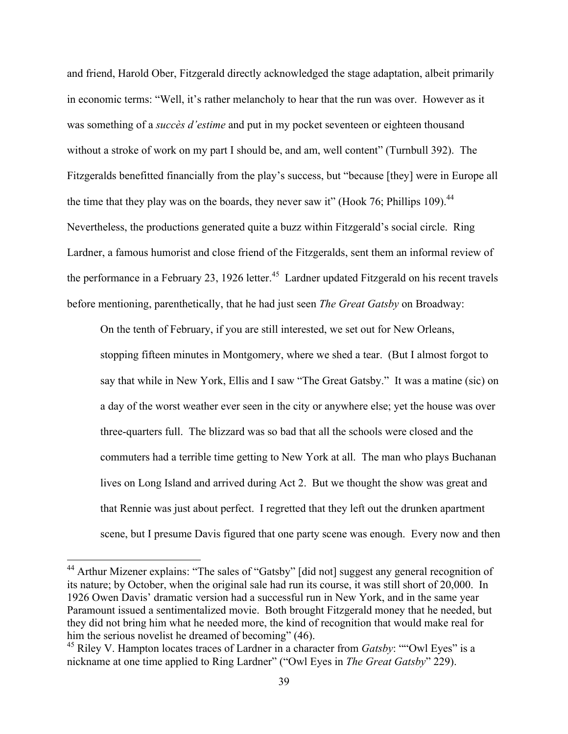and friend, Harold Ober, Fitzgerald directly acknowledged the stage adaptation, albeit primarily in economic terms: "Well, it's rather melancholy to hear that the run was over. However as it was something of a *succès d'estime* and put in my pocket seventeen or eighteen thousand without a stroke of work on my part I should be, and am, well content" (Turnbull 392). The Fitzgeralds benefitted financially from the play's success, but "because [they] were in Europe all the time that they play was on the boards, they never saw it" (Hook 76; Phillips 109).<sup>44</sup> Nevertheless, the productions generated quite a buzz within Fitzgerald's social circle. Ring Lardner, a famous humorist and close friend of the Fitzgeralds, sent them an informal review of the performance in a February 23, 1926 letter.<sup>45</sup> Lardner updated Fitzgerald on his recent travels before mentioning, parenthetically, that he had just seen *The Great Gatsby* on Broadway:

On the tenth of February, if you are still interested, we set out for New Orleans, stopping fifteen minutes in Montgomery, where we shed a tear. (But I almost forgot to say that while in New York, Ellis and I saw "The Great Gatsby." It was a matine (sic) on a day of the worst weather ever seen in the city or anywhere else; yet the house was over three-quarters full. The blizzard was so bad that all the schools were closed and the commuters had a terrible time getting to New York at all. The man who plays Buchanan lives on Long Island and arrived during Act 2. But we thought the show was great and that Rennie was just about perfect. I regretted that they left out the drunken apartment scene, but I presume Davis figured that one party scene was enough. Every now and then

 <sup>44</sup> Arthur Mizener explains: "The sales of "Gatsby" [did not] suggest any general recognition of its nature; by October, when the original sale had run its course, it was still short of 20,000. In 1926 Owen Davis' dramatic version had a successful run in New York, and in the same year Paramount issued a sentimentalized movie. Both brought Fitzgerald money that he needed, but they did not bring him what he needed more, the kind of recognition that would make real for him the serious novelist he dreamed of becoming" (46). <sup>45</sup> Riley V. Hampton locates traces of Lardner in a character from *Gatsby*: ""Owl Eyes" is a

nickname at one time applied to Ring Lardner" ("Owl Eyes in *The Great Gatsby*" 229).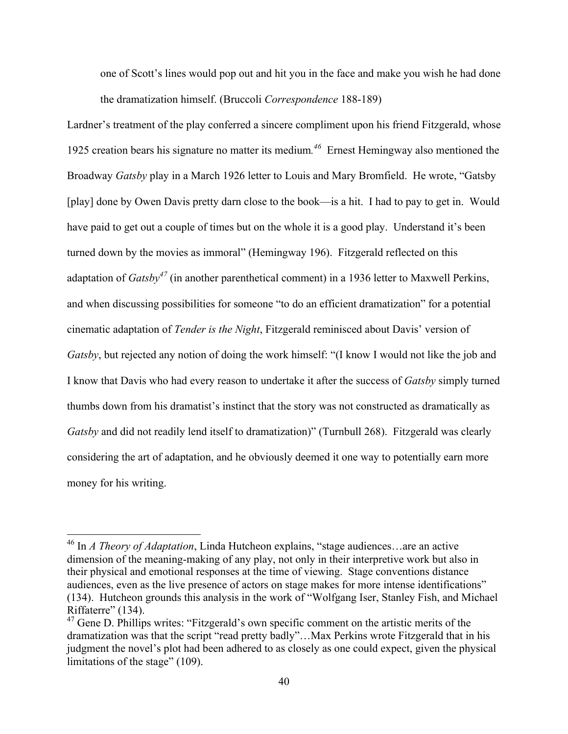one of Scott's lines would pop out and hit you in the face and make you wish he had done the dramatization himself. (Bruccoli *Correspondence* 188-189)

Lardner's treatment of the play conferred a sincere compliment upon his friend Fitzgerald, whose 1925 creation bears his signature no matter its medium*. <sup>46</sup>* Ernest Hemingway also mentioned the Broadway *Gatsby* play in a March 1926 letter to Louis and Mary Bromfield. He wrote, "Gatsby [play] done by Owen Davis pretty darn close to the book—is a hit. I had to pay to get in. Would have paid to get out a couple of times but on the whole it is a good play. Understand it's been turned down by the movies as immoral" (Hemingway 196). Fitzgerald reflected on this adaptation of *Gatsby<sup>47</sup>* (in another parenthetical comment) in a 1936 letter to Maxwell Perkins, and when discussing possibilities for someone "to do an efficient dramatization" for a potential cinematic adaptation of *Tender is the Night*, Fitzgerald reminisced about Davis' version of *Gatsby*, but rejected any notion of doing the work himself: "(I know I would not like the job and I know that Davis who had every reason to undertake it after the success of *Gatsby* simply turned thumbs down from his dramatist's instinct that the story was not constructed as dramatically as *Gatsby* and did not readily lend itself to dramatization)" (Turnbull 268). Fitzgerald was clearly considering the art of adaptation, and he obviously deemed it one way to potentially earn more money for his writing.

 <sup>46</sup> In *A Theory of Adaptation*, Linda Hutcheon explains, "stage audiences…are an active dimension of the meaning-making of any play, not only in their interpretive work but also in their physical and emotional responses at the time of viewing. Stage conventions distance audiences, even as the live presence of actors on stage makes for more intense identifications" (134). Hutcheon grounds this analysis in the work of "Wolfgang Iser, Stanley Fish, and Michael Riffaterre" (134).

<sup>&</sup>lt;sup>47</sup> Gene D. Phillips writes: "Fitzgerald's own specific comment on the artistic merits of the dramatization was that the script "read pretty badly"…Max Perkins wrote Fitzgerald that in his judgment the novel's plot had been adhered to as closely as one could expect, given the physical limitations of the stage" (109).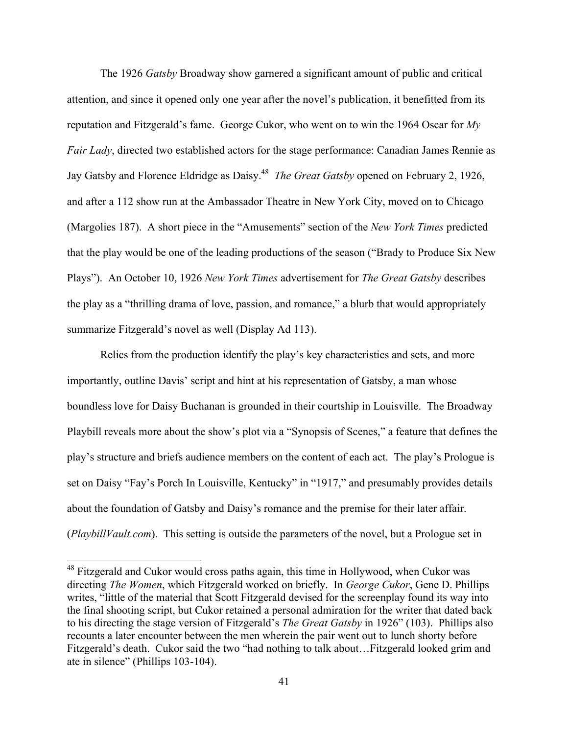The 1926 *Gatsby* Broadway show garnered a significant amount of public and critical attention, and since it opened only one year after the novel's publication, it benefitted from its reputation and Fitzgerald's fame. George Cukor, who went on to win the 1964 Oscar for *My Fair Lady*, directed two established actors for the stage performance: Canadian James Rennie as Jay Gatsby and Florence Eldridge as Daisy.48 *The Great Gatsby* opened on February 2, 1926, and after a 112 show run at the Ambassador Theatre in New York City, moved on to Chicago (Margolies 187). A short piece in the "Amusements" section of the *New York Times* predicted that the play would be one of the leading productions of the season ("Brady to Produce Six New Plays"). An October 10, 1926 *New York Times* advertisement for *The Great Gatsby* describes the play as a "thrilling drama of love, passion, and romance," a blurb that would appropriately summarize Fitzgerald's novel as well (Display Ad 113).

Relics from the production identify the play's key characteristics and sets, and more importantly, outline Davis' script and hint at his representation of Gatsby, a man whose boundless love for Daisy Buchanan is grounded in their courtship in Louisville. The Broadway Playbill reveals more about the show's plot via a "Synopsis of Scenes," a feature that defines the play's structure and briefs audience members on the content of each act. The play's Prologue is set on Daisy "Fay's Porch In Louisville, Kentucky" in "1917," and presumably provides details about the foundation of Gatsby and Daisy's romance and the premise for their later affair. (*PlaybillVault.com*). This setting is outside the parameters of the novel, but a Prologue set in

<sup>&</sup>lt;sup>48</sup> Fitzgerald and Cukor would cross paths again, this time in Hollywood, when Cukor was directing *The Women*, which Fitzgerald worked on briefly. In *George Cukor*, Gene D. Phillips writes, "little of the material that Scott Fitzgerald devised for the screenplay found its way into the final shooting script, but Cukor retained a personal admiration for the writer that dated back to his directing the stage version of Fitzgerald's *The Great Gatsby* in 1926" (103). Phillips also recounts a later encounter between the men wherein the pair went out to lunch shorty before Fitzgerald's death. Cukor said the two "had nothing to talk about…Fitzgerald looked grim and ate in silence" (Phillips 103-104).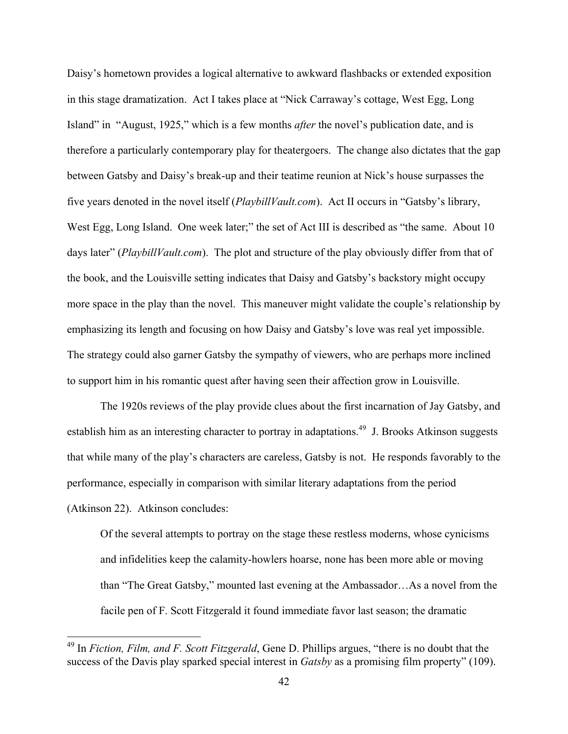Daisy's hometown provides a logical alternative to awkward flashbacks or extended exposition in this stage dramatization. Act I takes place at "Nick Carraway's cottage, West Egg, Long Island" in "August, 1925," which is a few months *after* the novel's publication date, and is therefore a particularly contemporary play for theatergoers. The change also dictates that the gap between Gatsby and Daisy's break-up and their teatime reunion at Nick's house surpasses the five years denoted in the novel itself (*PlaybillVault.com*). Act II occurs in "Gatsby's library, West Egg, Long Island. One week later;" the set of Act III is described as "the same. About 10 days later" (*PlaybillVault.com*). The plot and structure of the play obviously differ from that of the book, and the Louisville setting indicates that Daisy and Gatsby's backstory might occupy more space in the play than the novel. This maneuver might validate the couple's relationship by emphasizing its length and focusing on how Daisy and Gatsby's love was real yet impossible. The strategy could also garner Gatsby the sympathy of viewers, who are perhaps more inclined to support him in his romantic quest after having seen their affection grow in Louisville.

The 1920s reviews of the play provide clues about the first incarnation of Jay Gatsby, and establish him as an interesting character to portray in adaptations.<sup>49</sup> J. Brooks Atkinson suggests that while many of the play's characters are careless, Gatsby is not. He responds favorably to the performance, especially in comparison with similar literary adaptations from the period (Atkinson 22). Atkinson concludes:

Of the several attempts to portray on the stage these restless moderns, whose cynicisms and infidelities keep the calamity-howlers hoarse, none has been more able or moving than "The Great Gatsby," mounted last evening at the Ambassador…As a novel from the facile pen of F. Scott Fitzgerald it found immediate favor last season; the dramatic

 <sup>49</sup> In *Fiction, Film, and F. Scott Fitzgerald*, Gene D. Phillips argues, "there is no doubt that the success of the Davis play sparked special interest in *Gatsby* as a promising film property" (109).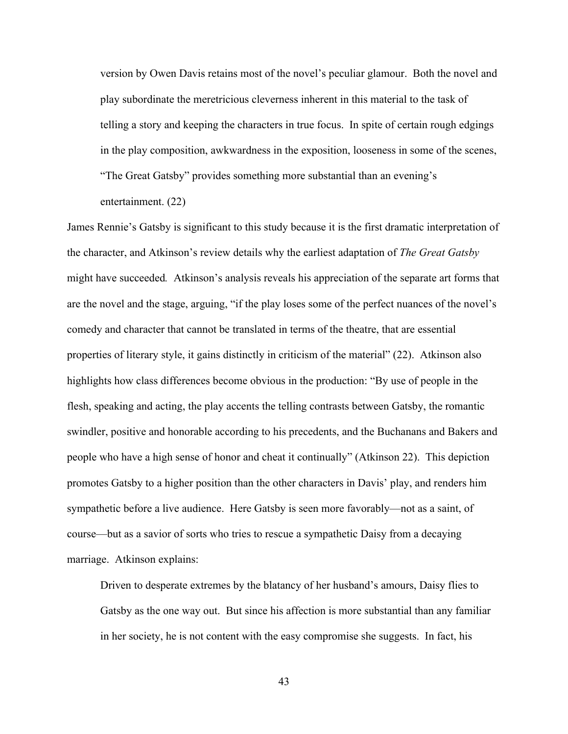version by Owen Davis retains most of the novel's peculiar glamour. Both the novel and play subordinate the meretricious cleverness inherent in this material to the task of telling a story and keeping the characters in true focus. In spite of certain rough edgings in the play composition, awkwardness in the exposition, looseness in some of the scenes, "The Great Gatsby" provides something more substantial than an evening's entertainment. (22)

James Rennie's Gatsby is significant to this study because it is the first dramatic interpretation of the character, and Atkinson's review details why the earliest adaptation of *The Great Gatsby*  might have succeeded*.* Atkinson's analysis reveals his appreciation of the separate art forms that are the novel and the stage, arguing, "if the play loses some of the perfect nuances of the novel's comedy and character that cannot be translated in terms of the theatre, that are essential properties of literary style, it gains distinctly in criticism of the material" (22). Atkinson also highlights how class differences become obvious in the production: "By use of people in the flesh, speaking and acting, the play accents the telling contrasts between Gatsby, the romantic swindler, positive and honorable according to his precedents, and the Buchanans and Bakers and people who have a high sense of honor and cheat it continually" (Atkinson 22). This depiction promotes Gatsby to a higher position than the other characters in Davis' play, and renders him sympathetic before a live audience. Here Gatsby is seen more favorably—not as a saint, of course—but as a savior of sorts who tries to rescue a sympathetic Daisy from a decaying marriage. Atkinson explains:

Driven to desperate extremes by the blatancy of her husband's amours, Daisy flies to Gatsby as the one way out. But since his affection is more substantial than any familiar in her society, he is not content with the easy compromise she suggests. In fact, his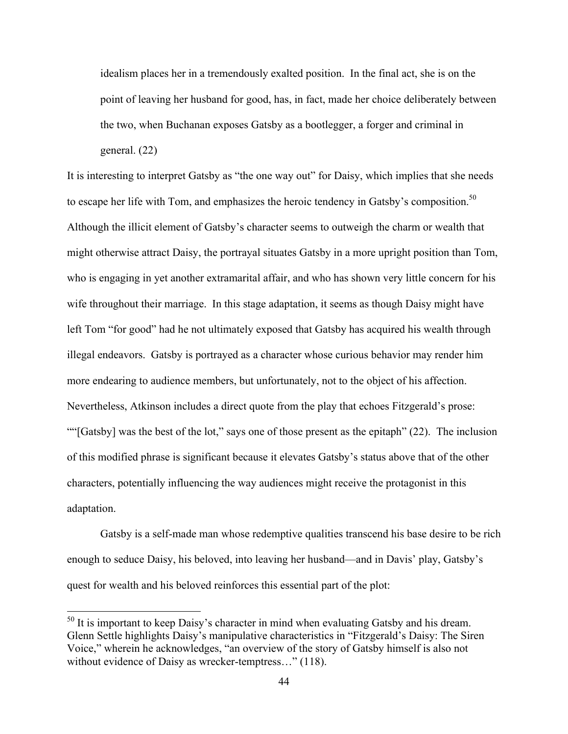idealism places her in a tremendously exalted position. In the final act, she is on the point of leaving her husband for good, has, in fact, made her choice deliberately between the two, when Buchanan exposes Gatsby as a bootlegger, a forger and criminal in general. (22)

It is interesting to interpret Gatsby as "the one way out" for Daisy, which implies that she needs to escape her life with Tom, and emphasizes the heroic tendency in Gatsby's composition.<sup>50</sup> Although the illicit element of Gatsby's character seems to outweigh the charm or wealth that might otherwise attract Daisy, the portrayal situates Gatsby in a more upright position than Tom, who is engaging in yet another extramarital affair, and who has shown very little concern for his wife throughout their marriage. In this stage adaptation, it seems as though Daisy might have left Tom "for good" had he not ultimately exposed that Gatsby has acquired his wealth through illegal endeavors. Gatsby is portrayed as a character whose curious behavior may render him more endearing to audience members, but unfortunately, not to the object of his affection. Nevertheless, Atkinson includes a direct quote from the play that echoes Fitzgerald's prose: ""[Gatsby] was the best of the lot," says one of those present as the epitaph" (22). The inclusion of this modified phrase is significant because it elevates Gatsby's status above that of the other characters, potentially influencing the way audiences might receive the protagonist in this adaptation.

Gatsby is a self-made man whose redemptive qualities transcend his base desire to be rich enough to seduce Daisy, his beloved, into leaving her husband—and in Davis' play, Gatsby's quest for wealth and his beloved reinforces this essential part of the plot:

 $50$  It is important to keep Daisy's character in mind when evaluating Gatsby and his dream. Glenn Settle highlights Daisy's manipulative characteristics in "Fitzgerald's Daisy: The Siren Voice," wherein he acknowledges, "an overview of the story of Gatsby himself is also not without evidence of Daisy as wrecker-temptress..." (118).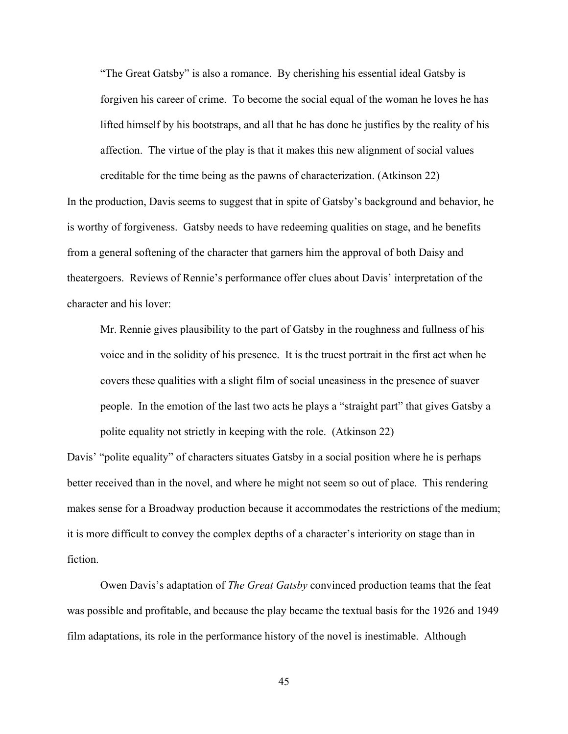"The Great Gatsby" is also a romance. By cherishing his essential ideal Gatsby is forgiven his career of crime. To become the social equal of the woman he loves he has lifted himself by his bootstraps, and all that he has done he justifies by the reality of his affection. The virtue of the play is that it makes this new alignment of social values creditable for the time being as the pawns of characterization. (Atkinson 22)

In the production, Davis seems to suggest that in spite of Gatsby's background and behavior, he is worthy of forgiveness. Gatsby needs to have redeeming qualities on stage, and he benefits from a general softening of the character that garners him the approval of both Daisy and theatergoers. Reviews of Rennie's performance offer clues about Davis' interpretation of the character and his lover:

Mr. Rennie gives plausibility to the part of Gatsby in the roughness and fullness of his voice and in the solidity of his presence. It is the truest portrait in the first act when he covers these qualities with a slight film of social uneasiness in the presence of suaver people. In the emotion of the last two acts he plays a "straight part" that gives Gatsby a polite equality not strictly in keeping with the role. (Atkinson 22)

Davis' "polite equality" of characters situates Gatsby in a social position where he is perhaps better received than in the novel, and where he might not seem so out of place. This rendering makes sense for a Broadway production because it accommodates the restrictions of the medium; it is more difficult to convey the complex depths of a character's interiority on stage than in fiction.

Owen Davis's adaptation of *The Great Gatsby* convinced production teams that the feat was possible and profitable, and because the play became the textual basis for the 1926 and 1949 film adaptations, its role in the performance history of the novel is inestimable. Although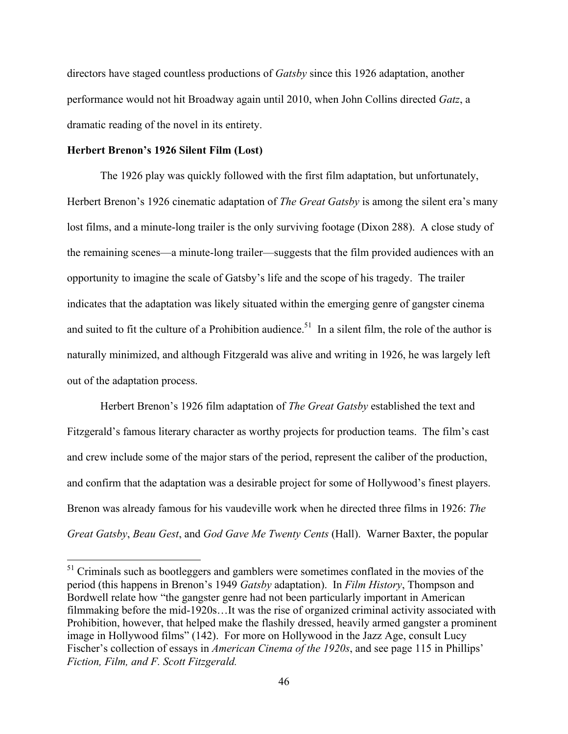directors have staged countless productions of *Gatsby* since this 1926 adaptation, another performance would not hit Broadway again until 2010, when John Collins directed *Gatz*, a dramatic reading of the novel in its entirety.

# **Herbert Brenon's 1926 Silent Film (Lost)**

The 1926 play was quickly followed with the first film adaptation, but unfortunately, Herbert Brenon's 1926 cinematic adaptation of *The Great Gatsby* is among the silent era's many lost films, and a minute-long trailer is the only surviving footage (Dixon 288). A close study of the remaining scenes—a minute-long trailer—suggests that the film provided audiences with an opportunity to imagine the scale of Gatsby's life and the scope of his tragedy. The trailer indicates that the adaptation was likely situated within the emerging genre of gangster cinema and suited to fit the culture of a Prohibition audience.<sup>51</sup> In a silent film, the role of the author is naturally minimized, and although Fitzgerald was alive and writing in 1926, he was largely left out of the adaptation process.

Herbert Brenon's 1926 film adaptation of *The Great Gatsby* established the text and Fitzgerald's famous literary character as worthy projects for production teams. The film's cast and crew include some of the major stars of the period, represent the caliber of the production, and confirm that the adaptation was a desirable project for some of Hollywood's finest players. Brenon was already famous for his vaudeville work when he directed three films in 1926: *The Great Gatsby*, *Beau Gest*, and *God Gave Me Twenty Cents* (Hall). Warner Baxter, the popular

<sup>&</sup>lt;sup>51</sup> Criminals such as bootleggers and gamblers were sometimes conflated in the movies of the period (this happens in Brenon's 1949 *Gatsby* adaptation). In *Film History*, Thompson and Bordwell relate how "the gangster genre had not been particularly important in American filmmaking before the mid-1920s…It was the rise of organized criminal activity associated with Prohibition, however, that helped make the flashily dressed, heavily armed gangster a prominent image in Hollywood films" (142). For more on Hollywood in the Jazz Age, consult Lucy Fischer's collection of essays in *American Cinema of the 1920s*, and see page 115 in Phillips' *Fiction, Film, and F. Scott Fitzgerald.*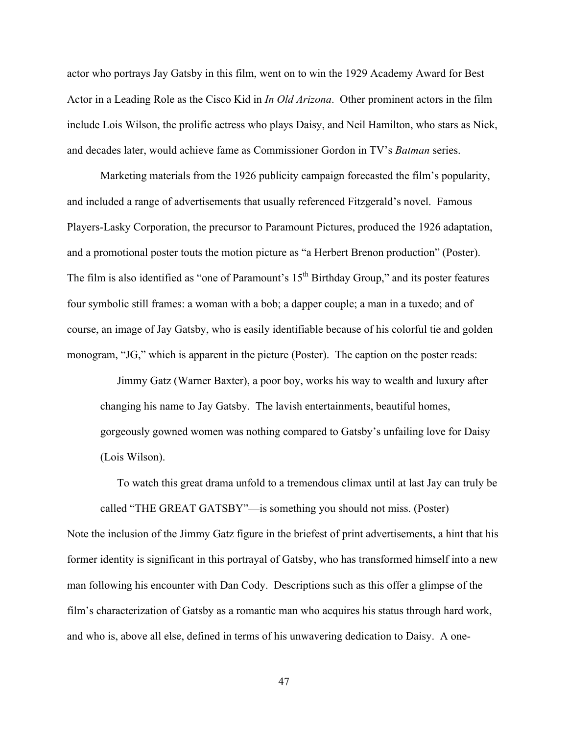actor who portrays Jay Gatsby in this film, went on to win the 1929 Academy Award for Best Actor in a Leading Role as the Cisco Kid in *In Old Arizona*. Other prominent actors in the film include Lois Wilson, the prolific actress who plays Daisy, and Neil Hamilton, who stars as Nick, and decades later, would achieve fame as Commissioner Gordon in TV's *Batman* series.

Marketing materials from the 1926 publicity campaign forecasted the film's popularity, and included a range of advertisements that usually referenced Fitzgerald's novel. Famous Players-Lasky Corporation, the precursor to Paramount Pictures, produced the 1926 adaptation, and a promotional poster touts the motion picture as "a Herbert Brenon production" (Poster). The film is also identified as "one of Paramount's  $15<sup>th</sup>$  Birthday Group," and its poster features four symbolic still frames: a woman with a bob; a dapper couple; a man in a tuxedo; and of course, an image of Jay Gatsby, who is easily identifiable because of his colorful tie and golden monogram, "JG," which is apparent in the picture (Poster). The caption on the poster reads:

Jimmy Gatz (Warner Baxter), a poor boy, works his way to wealth and luxury after changing his name to Jay Gatsby. The lavish entertainments, beautiful homes, gorgeously gowned women was nothing compared to Gatsby's unfailing love for Daisy (Lois Wilson).

To watch this great drama unfold to a tremendous climax until at last Jay can truly be called "THE GREAT GATSBY"—is something you should not miss. (Poster) Note the inclusion of the Jimmy Gatz figure in the briefest of print advertisements, a hint that his former identity is significant in this portrayal of Gatsby, who has transformed himself into a new man following his encounter with Dan Cody. Descriptions such as this offer a glimpse of the film's characterization of Gatsby as a romantic man who acquires his status through hard work, and who is, above all else, defined in terms of his unwavering dedication to Daisy. A one-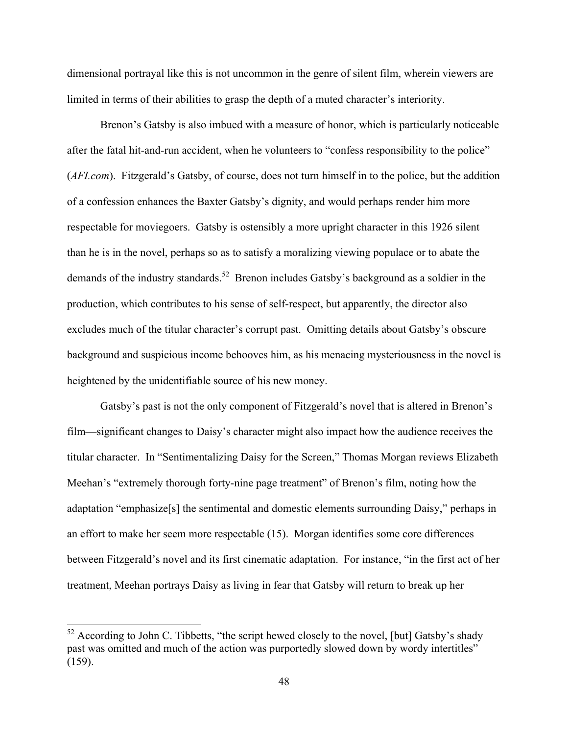dimensional portrayal like this is not uncommon in the genre of silent film, wherein viewers are limited in terms of their abilities to grasp the depth of a muted character's interiority.

Brenon's Gatsby is also imbued with a measure of honor, which is particularly noticeable after the fatal hit-and-run accident, when he volunteers to "confess responsibility to the police" (*AFI.com*). Fitzgerald's Gatsby, of course, does not turn himself in to the police, but the addition of a confession enhances the Baxter Gatsby's dignity, and would perhaps render him more respectable for moviegoers. Gatsby is ostensibly a more upright character in this 1926 silent than he is in the novel, perhaps so as to satisfy a moralizing viewing populace or to abate the demands of the industry standards.<sup>52</sup> Brenon includes Gatsby's background as a soldier in the production, which contributes to his sense of self-respect, but apparently, the director also excludes much of the titular character's corrupt past. Omitting details about Gatsby's obscure background and suspicious income behooves him, as his menacing mysteriousness in the novel is heightened by the unidentifiable source of his new money.

Gatsby's past is not the only component of Fitzgerald's novel that is altered in Brenon's film—significant changes to Daisy's character might also impact how the audience receives the titular character. In "Sentimentalizing Daisy for the Screen," Thomas Morgan reviews Elizabeth Meehan's "extremely thorough forty-nine page treatment" of Brenon's film, noting how the adaptation "emphasize[s] the sentimental and domestic elements surrounding Daisy," perhaps in an effort to make her seem more respectable (15). Morgan identifies some core differences between Fitzgerald's novel and its first cinematic adaptation. For instance, "in the first act of her treatment, Meehan portrays Daisy as living in fear that Gatsby will return to break up her

<sup>&</sup>lt;sup>52</sup> According to John C. Tibbetts, "the script hewed closely to the novel, [but] Gatsby's shady past was omitted and much of the action was purportedly slowed down by wordy intertitles" (159).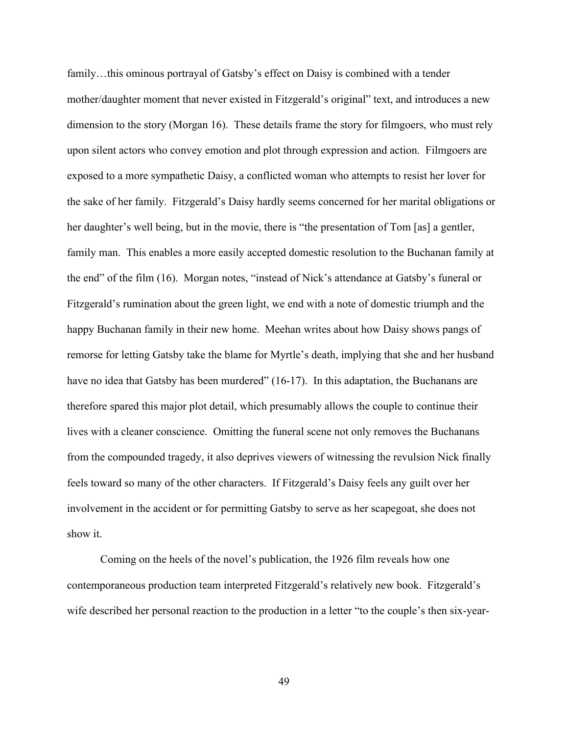family...this ominous portrayal of Gatsby's effect on Daisy is combined with a tender mother/daughter moment that never existed in Fitzgerald's original" text, and introduces a new dimension to the story (Morgan 16). These details frame the story for filmgoers, who must rely upon silent actors who convey emotion and plot through expression and action. Filmgoers are exposed to a more sympathetic Daisy, a conflicted woman who attempts to resist her lover for the sake of her family. Fitzgerald's Daisy hardly seems concerned for her marital obligations or her daughter's well being, but in the movie, there is "the presentation of Tom [as] a gentler, family man. This enables a more easily accepted domestic resolution to the Buchanan family at the end" of the film (16). Morgan notes, "instead of Nick's attendance at Gatsby's funeral or Fitzgerald's rumination about the green light, we end with a note of domestic triumph and the happy Buchanan family in their new home. Meehan writes about how Daisy shows pangs of remorse for letting Gatsby take the blame for Myrtle's death, implying that she and her husband have no idea that Gatsby has been murdered" (16-17). In this adaptation, the Buchanans are therefore spared this major plot detail, which presumably allows the couple to continue their lives with a cleaner conscience. Omitting the funeral scene not only removes the Buchanans from the compounded tragedy, it also deprives viewers of witnessing the revulsion Nick finally feels toward so many of the other characters. If Fitzgerald's Daisy feels any guilt over her involvement in the accident or for permitting Gatsby to serve as her scapegoat, she does not show it.

Coming on the heels of the novel's publication, the 1926 film reveals how one contemporaneous production team interpreted Fitzgerald's relatively new book. Fitzgerald's wife described her personal reaction to the production in a letter "to the couple's then six-year-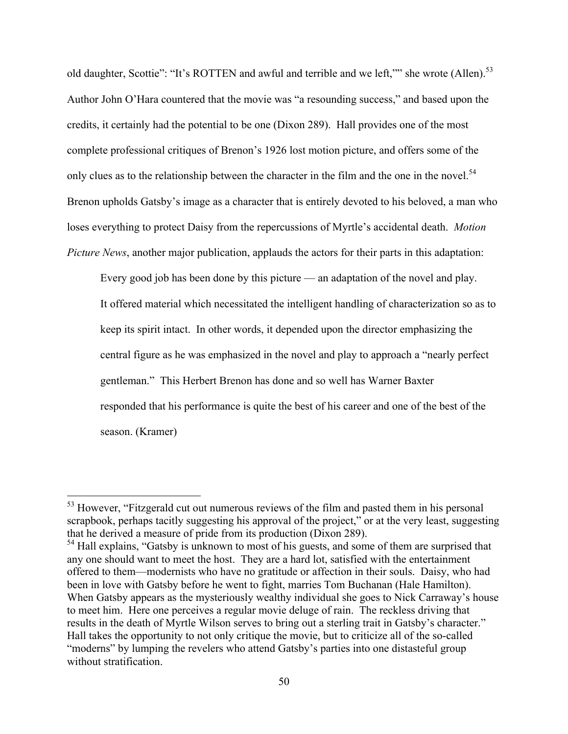old daughter, Scottie": "It's ROTTEN and awful and terrible and we left,"" she wrote (Allen).<sup>53</sup> Author John O'Hara countered that the movie was "a resounding success," and based upon the credits, it certainly had the potential to be one (Dixon 289). Hall provides one of the most complete professional critiques of Brenon's 1926 lost motion picture, and offers some of the only clues as to the relationship between the character in the film and the one in the novel.<sup>54</sup> Brenon upholds Gatsby's image as a character that is entirely devoted to his beloved, a man who loses everything to protect Daisy from the repercussions of Myrtle's accidental death. *Motion Picture News*, another major publication, applauds the actors for their parts in this adaptation:

Every good job has been done by this picture — an adaptation of the novel and play. It offered material which necessitated the intelligent handling of characterization so as to keep its spirit intact. In other words, it depended upon the director emphasizing the central figure as he was emphasized in the novel and play to approach a "nearly perfect gentleman." This Herbert Brenon has done and so well has Warner Baxter responded that his performance is quite the best of his career and one of the best of the season. (Kramer)

 $<sup>53</sup>$  However, "Fitzgerald cut out numerous reviews of the film and pasted them in his personal</sup> scrapbook, perhaps tacitly suggesting his approval of the project," or at the very least, suggesting that he derived a measure of pride from its production (Dixon 289).

<sup>&</sup>lt;sup>54</sup> Hall explains, "Gatsby is unknown to most of his guests, and some of them are surprised that any one should want to meet the host. They are a hard lot, satisfied with the entertainment offered to them—modernists who have no gratitude or affection in their souls. Daisy, who had been in love with Gatsby before he went to fight, marries Tom Buchanan (Hale Hamilton). When Gatsby appears as the mysteriously wealthy individual she goes to Nick Carraway's house to meet him. Here one perceives a regular movie deluge of rain. The reckless driving that results in the death of Myrtle Wilson serves to bring out a sterling trait in Gatsby's character." Hall takes the opportunity to not only critique the movie, but to criticize all of the so-called "moderns" by lumping the revelers who attend Gatsby's parties into one distasteful group without stratification.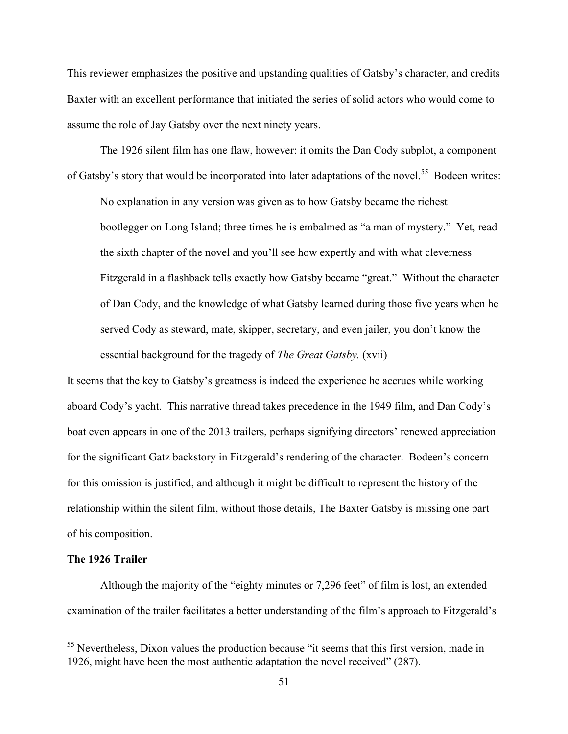This reviewer emphasizes the positive and upstanding qualities of Gatsby's character, and credits Baxter with an excellent performance that initiated the series of solid actors who would come to assume the role of Jay Gatsby over the next ninety years.

The 1926 silent film has one flaw, however: it omits the Dan Cody subplot, a component of Gatsby's story that would be incorporated into later adaptations of the novel.<sup>55</sup> Bodeen writes:

No explanation in any version was given as to how Gatsby became the richest bootlegger on Long Island; three times he is embalmed as "a man of mystery." Yet, read the sixth chapter of the novel and you'll see how expertly and with what cleverness Fitzgerald in a flashback tells exactly how Gatsby became "great." Without the character of Dan Cody, and the knowledge of what Gatsby learned during those five years when he served Cody as steward, mate, skipper, secretary, and even jailer, you don't know the essential background for the tragedy of *The Great Gatsby.* (xvii)

It seems that the key to Gatsby's greatness is indeed the experience he accrues while working aboard Cody's yacht. This narrative thread takes precedence in the 1949 film, and Dan Cody's boat even appears in one of the 2013 trailers, perhaps signifying directors' renewed appreciation for the significant Gatz backstory in Fitzgerald's rendering of the character. Bodeen's concern for this omission is justified, and although it might be difficult to represent the history of the relationship within the silent film, without those details, The Baxter Gatsby is missing one part of his composition.

## **The 1926 Trailer**

Although the majority of the "eighty minutes or 7,296 feet" of film is lost, an extended examination of the trailer facilitates a better understanding of the film's approach to Fitzgerald's

 $<sup>55</sup>$  Nevertheless. Dixon values the production because "it seems that this first version, made in</sup> 1926, might have been the most authentic adaptation the novel received" (287).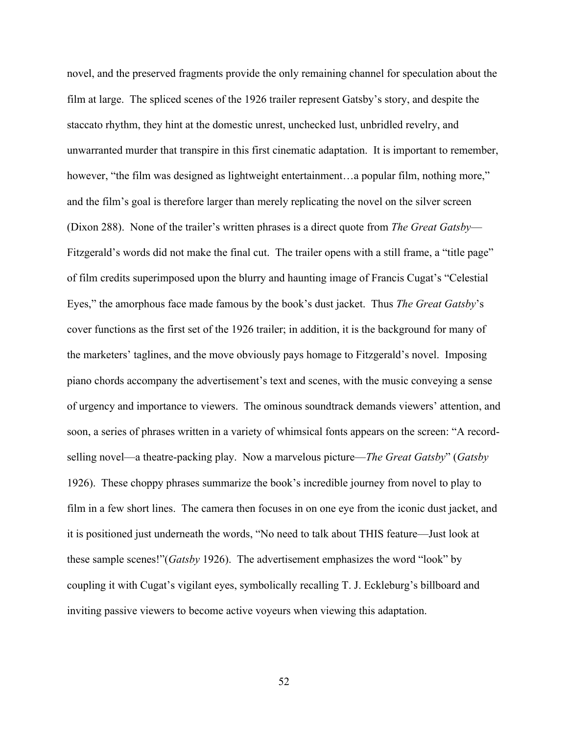novel, and the preserved fragments provide the only remaining channel for speculation about the film at large. The spliced scenes of the 1926 trailer represent Gatsby's story, and despite the staccato rhythm, they hint at the domestic unrest, unchecked lust, unbridled revelry, and unwarranted murder that transpire in this first cinematic adaptation. It is important to remember, however, "the film was designed as lightweight entertainment...a popular film, nothing more," and the film's goal is therefore larger than merely replicating the novel on the silver screen (Dixon 288). None of the trailer's written phrases is a direct quote from *The Great Gatsby*— Fitzgerald's words did not make the final cut. The trailer opens with a still frame, a "title page" of film credits superimposed upon the blurry and haunting image of Francis Cugat's "Celestial Eyes," the amorphous face made famous by the book's dust jacket. Thus *The Great Gatsby*'s cover functions as the first set of the 1926 trailer; in addition, it is the background for many of the marketers' taglines, and the move obviously pays homage to Fitzgerald's novel. Imposing piano chords accompany the advertisement's text and scenes, with the music conveying a sense of urgency and importance to viewers. The ominous soundtrack demands viewers' attention, and soon, a series of phrases written in a variety of whimsical fonts appears on the screen: "A recordselling novel—a theatre-packing play. Now a marvelous picture—*The Great Gatsby*" (*Gatsby* 1926). These choppy phrases summarize the book's incredible journey from novel to play to film in a few short lines. The camera then focuses in on one eye from the iconic dust jacket, and it is positioned just underneath the words, "No need to talk about THIS feature—Just look at these sample scenes!"(*Gatsby* 1926). The advertisement emphasizes the word "look" by coupling it with Cugat's vigilant eyes, symbolically recalling T. J. Eckleburg's billboard and inviting passive viewers to become active voyeurs when viewing this adaptation.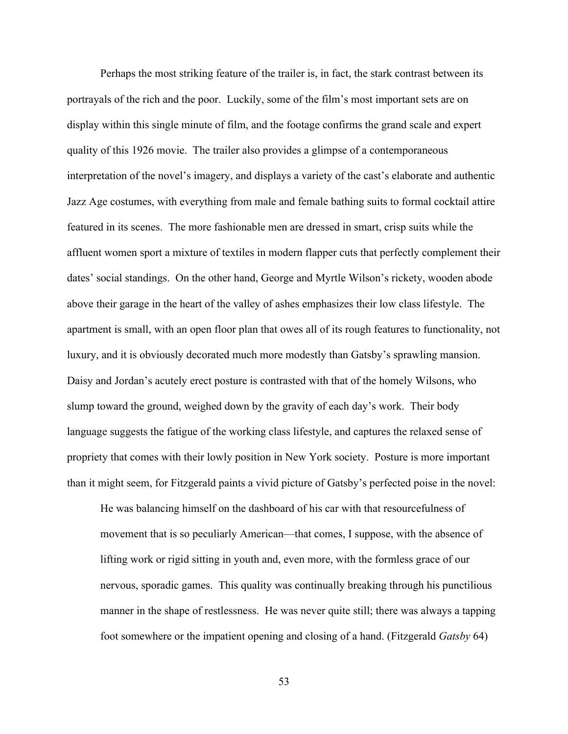Perhaps the most striking feature of the trailer is, in fact, the stark contrast between its portrayals of the rich and the poor. Luckily, some of the film's most important sets are on display within this single minute of film, and the footage confirms the grand scale and expert quality of this 1926 movie. The trailer also provides a glimpse of a contemporaneous interpretation of the novel's imagery, and displays a variety of the cast's elaborate and authentic Jazz Age costumes, with everything from male and female bathing suits to formal cocktail attire featured in its scenes. The more fashionable men are dressed in smart, crisp suits while the affluent women sport a mixture of textiles in modern flapper cuts that perfectly complement their dates' social standings. On the other hand, George and Myrtle Wilson's rickety, wooden abode above their garage in the heart of the valley of ashes emphasizes their low class lifestyle. The apartment is small, with an open floor plan that owes all of its rough features to functionality, not luxury, and it is obviously decorated much more modestly than Gatsby's sprawling mansion. Daisy and Jordan's acutely erect posture is contrasted with that of the homely Wilsons, who slump toward the ground, weighed down by the gravity of each day's work. Their body language suggests the fatigue of the working class lifestyle, and captures the relaxed sense of propriety that comes with their lowly position in New York society. Posture is more important than it might seem, for Fitzgerald paints a vivid picture of Gatsby's perfected poise in the novel:

He was balancing himself on the dashboard of his car with that resourcefulness of movement that is so peculiarly American—that comes, I suppose, with the absence of lifting work or rigid sitting in youth and, even more, with the formless grace of our nervous, sporadic games. This quality was continually breaking through his punctilious manner in the shape of restlessness. He was never quite still; there was always a tapping foot somewhere or the impatient opening and closing of a hand. (Fitzgerald *Gatsby* 64)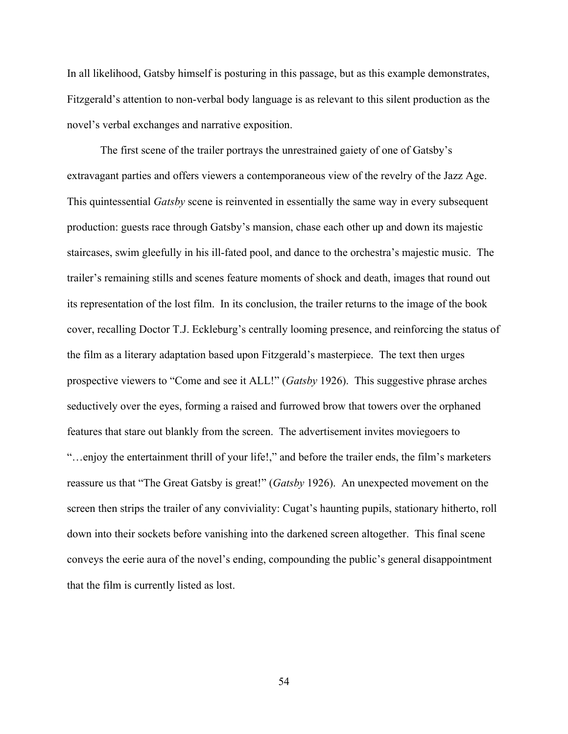In all likelihood, Gatsby himself is posturing in this passage, but as this example demonstrates, Fitzgerald's attention to non-verbal body language is as relevant to this silent production as the novel's verbal exchanges and narrative exposition.

The first scene of the trailer portrays the unrestrained gaiety of one of Gatsby's extravagant parties and offers viewers a contemporaneous view of the revelry of the Jazz Age. This quintessential *Gatsby* scene is reinvented in essentially the same way in every subsequent production: guests race through Gatsby's mansion, chase each other up and down its majestic staircases, swim gleefully in his ill-fated pool, and dance to the orchestra's majestic music. The trailer's remaining stills and scenes feature moments of shock and death, images that round out its representation of the lost film. In its conclusion, the trailer returns to the image of the book cover, recalling Doctor T.J. Eckleburg's centrally looming presence, and reinforcing the status of the film as a literary adaptation based upon Fitzgerald's masterpiece. The text then urges prospective viewers to "Come and see it ALL!" (*Gatsby* 1926). This suggestive phrase arches seductively over the eyes, forming a raised and furrowed brow that towers over the orphaned features that stare out blankly from the screen. The advertisement invites moviegoers to "…enjoy the entertainment thrill of your life!," and before the trailer ends, the film's marketers reassure us that "The Great Gatsby is great!" (*Gatsby* 1926). An unexpected movement on the screen then strips the trailer of any conviviality: Cugat's haunting pupils, stationary hitherto, roll down into their sockets before vanishing into the darkened screen altogether. This final scene conveys the eerie aura of the novel's ending, compounding the public's general disappointment that the film is currently listed as lost.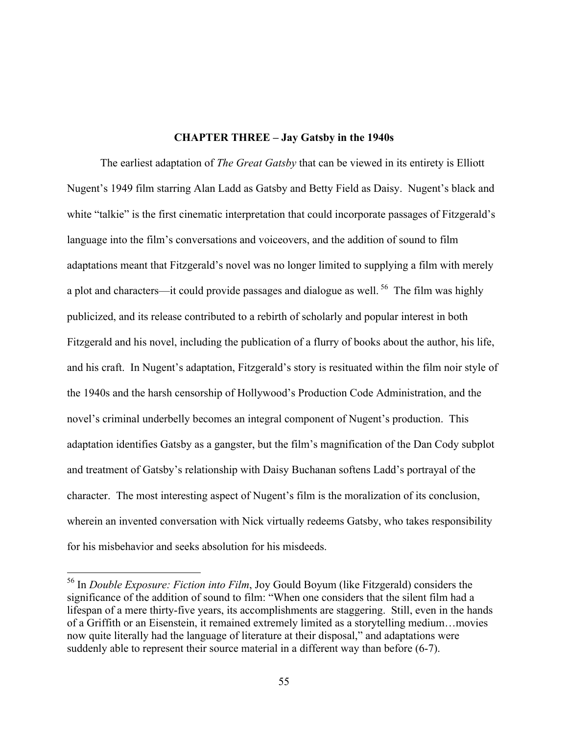### **CHAPTER THREE – Jay Gatsby in the 1940s**

The earliest adaptation of *The Great Gatsby* that can be viewed in its entirety is Elliott Nugent's 1949 film starring Alan Ladd as Gatsby and Betty Field as Daisy. Nugent's black and white "talkie" is the first cinematic interpretation that could incorporate passages of Fitzgerald's language into the film's conversations and voiceovers, and the addition of sound to film adaptations meant that Fitzgerald's novel was no longer limited to supplying a film with merely a plot and characters—it could provide passages and dialogue as well.<sup>56</sup> The film was highly publicized, and its release contributed to a rebirth of scholarly and popular interest in both Fitzgerald and his novel, including the publication of a flurry of books about the author, his life, and his craft. In Nugent's adaptation, Fitzgerald's story is resituated within the film noir style of the 1940s and the harsh censorship of Hollywood's Production Code Administration, and the novel's criminal underbelly becomes an integral component of Nugent's production. This adaptation identifies Gatsby as a gangster, but the film's magnification of the Dan Cody subplot and treatment of Gatsby's relationship with Daisy Buchanan softens Ladd's portrayal of the character. The most interesting aspect of Nugent's film is the moralization of its conclusion, wherein an invented conversation with Nick virtually redeems Gatsby, who takes responsibility for his misbehavior and seeks absolution for his misdeeds.

 <sup>56</sup> In *Double Exposure: Fiction into Film*, Joy Gould Boyum (like Fitzgerald) considers the significance of the addition of sound to film: "When one considers that the silent film had a lifespan of a mere thirty-five years, its accomplishments are staggering. Still, even in the hands of a Griffith or an Eisenstein, it remained extremely limited as a storytelling medium…movies now quite literally had the language of literature at their disposal," and adaptations were suddenly able to represent their source material in a different way than before (6-7).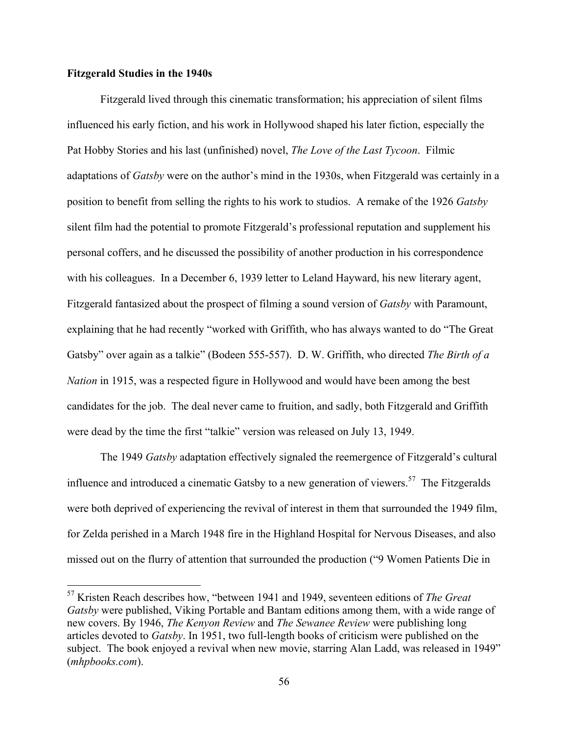## **Fitzgerald Studies in the 1940s**

Fitzgerald lived through this cinematic transformation; his appreciation of silent films influenced his early fiction, and his work in Hollywood shaped his later fiction, especially the Pat Hobby Stories and his last (unfinished) novel, *The Love of the Last Tycoon*. Filmic adaptations of *Gatsby* were on the author's mind in the 1930s, when Fitzgerald was certainly in a position to benefit from selling the rights to his work to studios. A remake of the 1926 *Gatsby*  silent film had the potential to promote Fitzgerald's professional reputation and supplement his personal coffers, and he discussed the possibility of another production in his correspondence with his colleagues. In a December 6, 1939 letter to Leland Hayward, his new literary agent, Fitzgerald fantasized about the prospect of filming a sound version of *Gatsby* with Paramount, explaining that he had recently "worked with Griffith, who has always wanted to do "The Great Gatsby" over again as a talkie" (Bodeen 555-557). D. W. Griffith, who directed *The Birth of a Nation* in 1915, was a respected figure in Hollywood and would have been among the best candidates for the job. The deal never came to fruition, and sadly, both Fitzgerald and Griffith were dead by the time the first "talkie" version was released on July 13, 1949.

The 1949 *Gatsby* adaptation effectively signaled the reemergence of Fitzgerald's cultural influence and introduced a cinematic Gatsby to a new generation of viewers.<sup>57</sup> The Fitzgeralds were both deprived of experiencing the revival of interest in them that surrounded the 1949 film, for Zelda perished in a March 1948 fire in the Highland Hospital for Nervous Diseases, and also missed out on the flurry of attention that surrounded the production ("9 Women Patients Die in

 <sup>57</sup> Kristen Reach describes how, "between 1941 and 1949, seventeen editions of *The Great Gatsby* were published, Viking Portable and Bantam editions among them, with a wide range of new covers. By 1946, *The Kenyon Review* and *The Sewanee Review* were publishing long articles devoted to *Gatsby*. In 1951, two full-length books of criticism were published on the subject. The book enjoyed a revival when new movie, starring Alan Ladd, was released in 1949" (*mhpbooks.com*).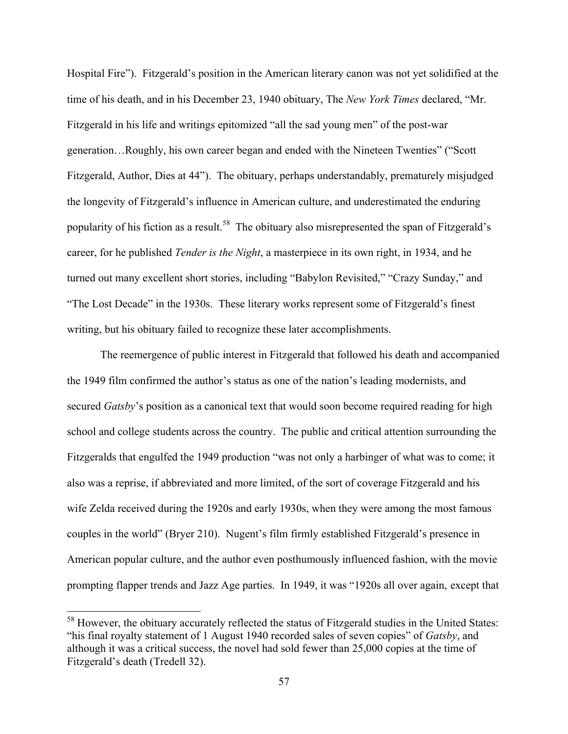Hospital Fire"). Fitzgerald's position in the American literary canon was not yet solidified at the time of his death, and in his December 23, 1940 obituary, The *New York Times* declared, "Mr. Fitzgerald in his life and writings epitomized "all the sad young men" of the post-war generation…Roughly, his own career began and ended with the Nineteen Twenties" ("Scott Fitzgerald, Author, Dies at 44"). The obituary, perhaps understandably, prematurely misjudged the longevity of Fitzgerald's influence in American culture, and underestimated the enduring popularity of his fiction as a result.<sup>58</sup> The obituary also misrepresented the span of Fitzgerald's career, for he published *Tender is the Night*, a masterpiece in its own right, in 1934, and he turned out many excellent short stories, including "Babylon Revisited," "Crazy Sunday," and "The Lost Decade" in the 1930s. These literary works represent some of Fitzgerald's finest writing, but his obituary failed to recognize these later accomplishments.

The reemergence of public interest in Fitzgerald that followed his death and accompanied the 1949 film confirmed the author's status as one of the nation's leading modernists, and secured *Gatsby*'s position as a canonical text that would soon become required reading for high school and college students across the country. The public and critical attention surrounding the Fitzgeralds that engulfed the 1949 production "was not only a harbinger of what was to come; it also was a reprise, if abbreviated and more limited, of the sort of coverage Fitzgerald and his wife Zelda received during the 1920s and early 1930s, when they were among the most famous couples in the world" (Bryer 210). Nugent's film firmly established Fitzgerald's presence in American popular culture, and the author even posthumously influenced fashion, with the movie prompting flapper trends and Jazz Age parties. In 1949, it was "1920s all over again, except that

<sup>&</sup>lt;sup>58</sup> However, the obituary accurately reflected the status of Fitzgerald studies in the United States: "his final royalty statement of 1 August 1940 recorded sales of seven copies" of *Gatsby*, and although it was a critical success, the novel had sold fewer than 25,000 copies at the time of Fitzgerald's death (Tredell 32).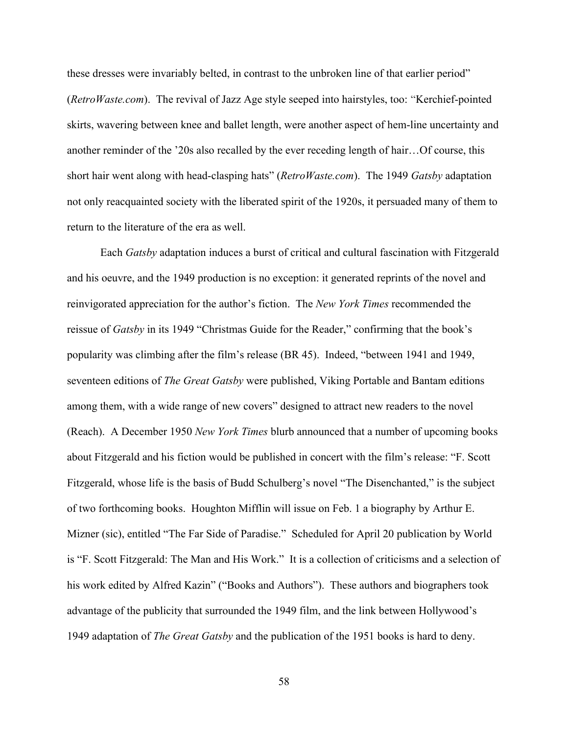these dresses were invariably belted, in contrast to the unbroken line of that earlier period" (*RetroWaste.com*). The revival of Jazz Age style seeped into hairstyles, too: "Kerchief-pointed skirts, wavering between knee and ballet length, were another aspect of hem-line uncertainty and another reminder of the '20s also recalled by the ever receding length of hair…Of course, this short hair went along with head-clasping hats" (*RetroWaste.com*). The 1949 *Gatsby* adaptation not only reacquainted society with the liberated spirit of the 1920s, it persuaded many of them to return to the literature of the era as well.

Each *Gatsby* adaptation induces a burst of critical and cultural fascination with Fitzgerald and his oeuvre, and the 1949 production is no exception: it generated reprints of the novel and reinvigorated appreciation for the author's fiction. The *New York Times* recommended the reissue of *Gatsby* in its 1949 "Christmas Guide for the Reader," confirming that the book's popularity was climbing after the film's release (BR 45). Indeed, "between 1941 and 1949, seventeen editions of *The Great Gatsby* were published, Viking Portable and Bantam editions among them, with a wide range of new covers" designed to attract new readers to the novel (Reach). A December 1950 *New York Times* blurb announced that a number of upcoming books about Fitzgerald and his fiction would be published in concert with the film's release: "F. Scott Fitzgerald, whose life is the basis of Budd Schulberg's novel "The Disenchanted," is the subject of two forthcoming books. Houghton Mifflin will issue on Feb. 1 a biography by Arthur E. Mizner (sic), entitled "The Far Side of Paradise." Scheduled for April 20 publication by World is "F. Scott Fitzgerald: The Man and His Work." It is a collection of criticisms and a selection of his work edited by Alfred Kazin" ("Books and Authors"). These authors and biographers took advantage of the publicity that surrounded the 1949 film, and the link between Hollywood's 1949 adaptation of *The Great Gatsby* and the publication of the 1951 books is hard to deny.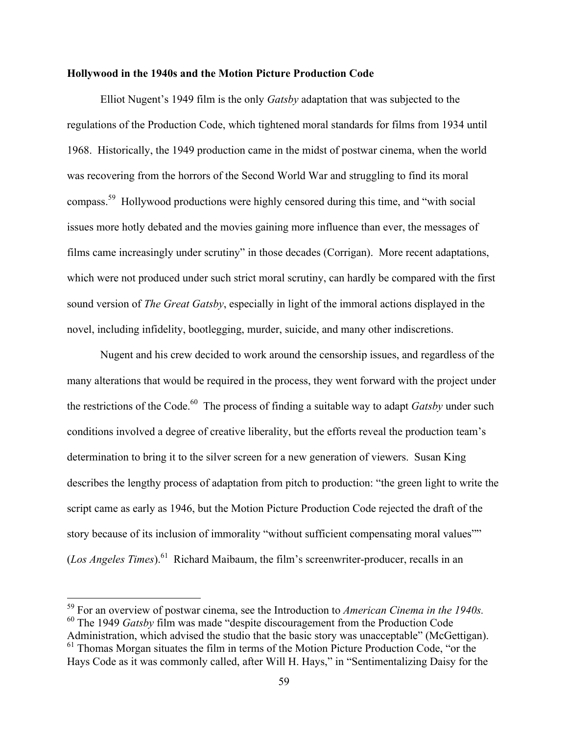#### **Hollywood in the 1940s and the Motion Picture Production Code**

Elliot Nugent's 1949 film is the only *Gatsby* adaptation that was subjected to the regulations of the Production Code, which tightened moral standards for films from 1934 until 1968. Historically, the 1949 production came in the midst of postwar cinema, when the world was recovering from the horrors of the Second World War and struggling to find its moral compass.59 Hollywood productions were highly censored during this time, and "with social issues more hotly debated and the movies gaining more influence than ever, the messages of films came increasingly under scrutiny" in those decades (Corrigan). More recent adaptations, which were not produced under such strict moral scrutiny, can hardly be compared with the first sound version of *The Great Gatsby*, especially in light of the immoral actions displayed in the novel, including infidelity, bootlegging, murder, suicide, and many other indiscretions.

Nugent and his crew decided to work around the censorship issues, and regardless of the many alterations that would be required in the process, they went forward with the project under the restrictions of the Code. <sup>60</sup> The process of finding a suitable way to adapt *Gatsby* under such conditions involved a degree of creative liberality, but the efforts reveal the production team's determination to bring it to the silver screen for a new generation of viewers. Susan King describes the lengthy process of adaptation from pitch to production: "the green light to write the script came as early as 1946, but the Motion Picture Production Code rejected the draft of the story because of its inclusion of immorality "without sufficient compensating moral values"" (*Los Angeles Times*).<sup>61</sup> Richard Maibaum, the film's screenwriter-producer, recalls in an

 <sup>59</sup> For an overview of postwar cinema, see the Introduction to *American Cinema in the 1940s.* <sup>60</sup> The 1949 *Gatsby* film was made "despite discouragement from the Production Code Administration, which advised the studio that the basic story was unacceptable" (McGettigan). <sup>61</sup> Thomas Morgan situates the film in terms of the Motion Picture Production Code, "or the Hays Code as it was commonly called, after Will H. Hays," in "Sentimentalizing Daisy for the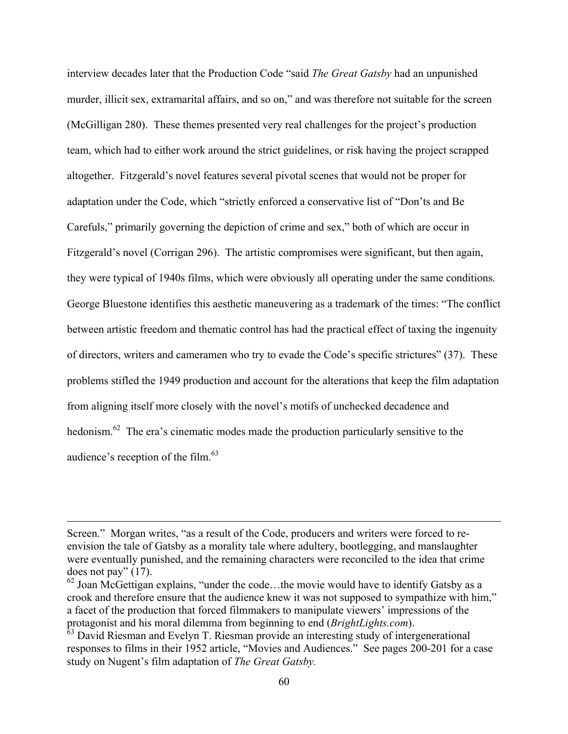interview decades later that the Production Code "said *The Great Gatsby* had an unpunished murder, illicit sex, extramarital affairs, and so on," and was therefore not suitable for the screen (McGilligan 280). These themes presented very real challenges for the project's production team, which had to either work around the strict guidelines, or risk having the project scrapped altogether. Fitzgerald's novel features several pivotal scenes that would not be proper for adaptation under the Code, which "strictly enforced a conservative list of "Don'ts and Be Carefuls," primarily governing the depiction of crime and sex," both of which are occur in Fitzgerald's novel (Corrigan 296). The artistic compromises were significant, but then again, they were typical of 1940s films, which were obviously all operating under the same conditions. George Bluestone identifies this aesthetic maneuvering as a trademark of the times: "The conflict between artistic freedom and thematic control has had the practical effect of taxing the ingenuity of directors, writers and cameramen who try to evade the Code's specific strictures" (37). These problems stifled the 1949 production and account for the alterations that keep the film adaptation from aligning itself more closely with the novel's motifs of unchecked decadence and hedonism.<sup>62</sup> The era's cinematic modes made the production particularly sensitive to the audience's reception of the film.<sup>63</sup>

Screen." Morgan writes, "as a result of the Code, producers and writers were forced to reenvision the tale of Gatsby as a morality tale where adultery, bootlegging, and manslaughter were eventually punished, and the remaining characters were reconciled to the idea that crime does not pay" (17).

 $62$  Joan McGettigan explains, "under the code...the movie would have to identify Gatsby as a crook and therefore ensure that the audience knew it was not supposed to sympathize with him," a facet of the production that forced filmmakers to manipulate viewers' impressions of the protagonist and his moral dilemma from beginning to end (*BrightLights.com*).

 $63$  David Riesman and Evelyn T. Riesman provide an interesting study of intergenerational responses to films in their 1952 article, "Movies and Audiences." See pages 200-201 for a case study on Nugent's film adaptation of *The Great Gatsby.*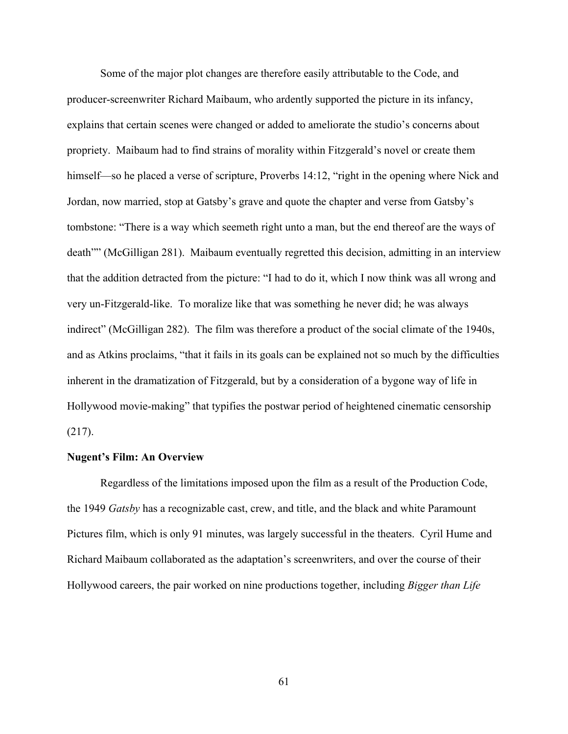Some of the major plot changes are therefore easily attributable to the Code, and producer-screenwriter Richard Maibaum, who ardently supported the picture in its infancy, explains that certain scenes were changed or added to ameliorate the studio's concerns about propriety. Maibaum had to find strains of morality within Fitzgerald's novel or create them himself—so he placed a verse of scripture, Proverbs 14:12, "right in the opening where Nick and Jordan, now married, stop at Gatsby's grave and quote the chapter and verse from Gatsby's tombstone: "There is a way which seemeth right unto a man, but the end thereof are the ways of death"" (McGilligan 281). Maibaum eventually regretted this decision, admitting in an interview that the addition detracted from the picture: "I had to do it, which I now think was all wrong and very un-Fitzgerald-like. To moralize like that was something he never did; he was always indirect" (McGilligan 282). The film was therefore a product of the social climate of the 1940s, and as Atkins proclaims, "that it fails in its goals can be explained not so much by the difficulties inherent in the dramatization of Fitzgerald, but by a consideration of a bygone way of life in Hollywood movie-making" that typifies the postwar period of heightened cinematic censorship (217).

## **Nugent's Film: An Overview**

Regardless of the limitations imposed upon the film as a result of the Production Code, the 1949 *Gatsby* has a recognizable cast, crew, and title, and the black and white Paramount Pictures film, which is only 91 minutes, was largely successful in the theaters. Cyril Hume and Richard Maibaum collaborated as the adaptation's screenwriters, and over the course of their Hollywood careers, the pair worked on nine productions together, including *Bigger than Life*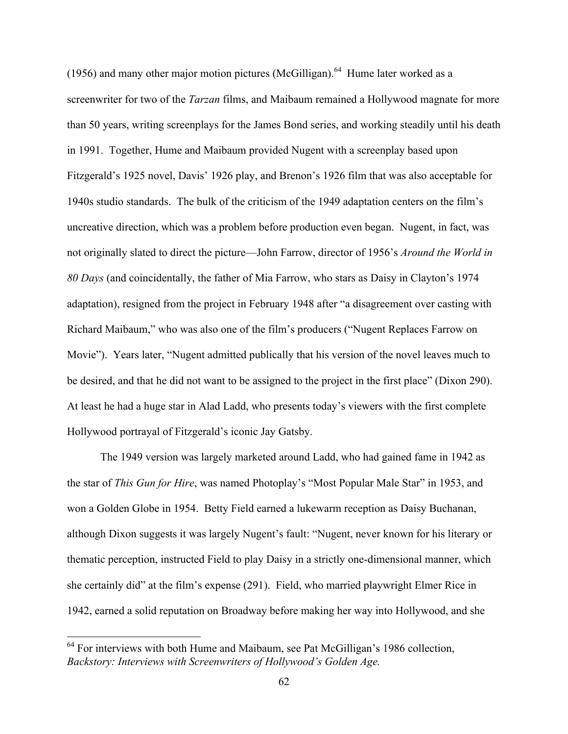(1956) and many other major motion pictures (McGilligan).<sup>64</sup> Hume later worked as a screenwriter for two of the *Tarzan* films, and Maibaum remained a Hollywood magnate for more than 50 years, writing screenplays for the James Bond series, and working steadily until his death in 1991. Together, Hume and Maibaum provided Nugent with a screenplay based upon Fitzgerald's 1925 novel, Davis' 1926 play, and Brenon's 1926 film that was also acceptable for 1940s studio standards. The bulk of the criticism of the 1949 adaptation centers on the film's uncreative direction, which was a problem before production even began. Nugent, in fact, was not originally slated to direct the picture—John Farrow, director of 1956's *Around the World in 80 Days* (and coincidentally, the father of Mia Farrow, who stars as Daisy in Clayton's 1974 adaptation), resigned from the project in February 1948 after "a disagreement over casting with Richard Maibaum," who was also one of the film's producers ("Nugent Replaces Farrow on Movie"). Years later, "Nugent admitted publically that his version of the novel leaves much to be desired, and that he did not want to be assigned to the project in the first place" (Dixon 290). At least he had a huge star in Alad Ladd, who presents today's viewers with the first complete Hollywood portrayal of Fitzgerald's iconic Jay Gatsby.

The 1949 version was largely marketed around Ladd, who had gained fame in 1942 as the star of *This Gun for Hire*, was named Photoplay's "Most Popular Male Star" in 1953, and won a Golden Globe in 1954. Betty Field earned a lukewarm reception as Daisy Buchanan, although Dixon suggests it was largely Nugent's fault: "Nugent, never known for his literary or thematic perception, instructed Field to play Daisy in a strictly one-dimensional manner, which she certainly did" at the film's expense (291). Field, who married playwright Elmer Rice in 1942, earned a solid reputation on Broadway before making her way into Hollywood, and she

<sup>&</sup>lt;sup>64</sup> For interviews with both Hume and Maibaum, see Pat McGilligan's 1986 collection, *Backstory: Interviews with Screenwriters of Hollywood's Golden Age.*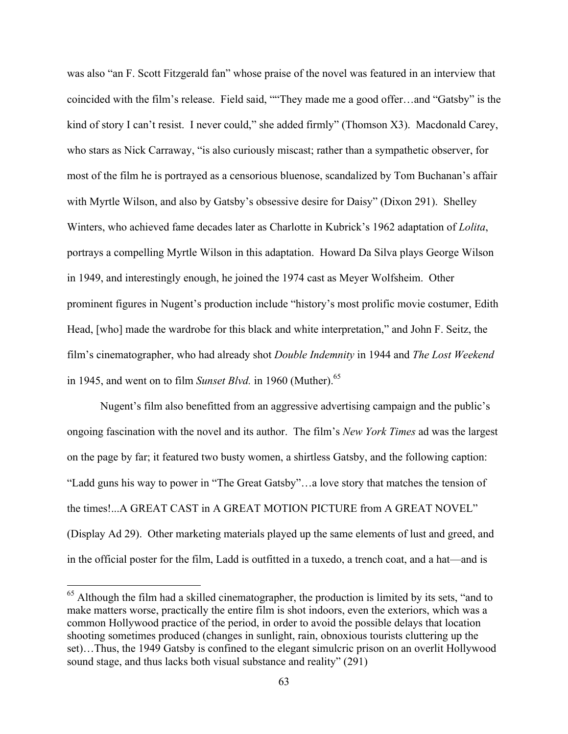was also "an F. Scott Fitzgerald fan" whose praise of the novel was featured in an interview that coincided with the film's release. Field said, ""They made me a good offer…and "Gatsby" is the kind of story I can't resist. I never could," she added firmly" (Thomson X3). Macdonald Carey, who stars as Nick Carraway, "is also curiously miscast; rather than a sympathetic observer, for most of the film he is portrayed as a censorious bluenose, scandalized by Tom Buchanan's affair with Myrtle Wilson, and also by Gatsby's obsessive desire for Daisy" (Dixon 291). Shelley Winters, who achieved fame decades later as Charlotte in Kubrick's 1962 adaptation of *Lolita*, portrays a compelling Myrtle Wilson in this adaptation. Howard Da Silva plays George Wilson in 1949, and interestingly enough, he joined the 1974 cast as Meyer Wolfsheim. Other prominent figures in Nugent's production include "history's most prolific movie costumer, Edith Head, [who] made the wardrobe for this black and white interpretation," and John F. Seitz, the film's cinematographer, who had already shot *Double Indemnity* in 1944 and *The Lost Weekend* in 1945, and went on to film *Sunset Blvd.* in 1960 (Muther).<sup>65</sup>

Nugent's film also benefitted from an aggressive advertising campaign and the public's ongoing fascination with the novel and its author. The film's *New York Times* ad was the largest on the page by far; it featured two busty women, a shirtless Gatsby, and the following caption: "Ladd guns his way to power in "The Great Gatsby"…a love story that matches the tension of the times!...A GREAT CAST in A GREAT MOTION PICTURE from A GREAT NOVEL" (Display Ad 29). Other marketing materials played up the same elements of lust and greed, and in the official poster for the film, Ladd is outfitted in a tuxedo, a trench coat, and a hat—and is

<sup>&</sup>lt;sup>65</sup> Although the film had a skilled cinematographer, the production is limited by its sets, "and to make matters worse, practically the entire film is shot indoors, even the exteriors, which was a common Hollywood practice of the period, in order to avoid the possible delays that location shooting sometimes produced (changes in sunlight, rain, obnoxious tourists cluttering up the set)…Thus, the 1949 Gatsby is confined to the elegant simulcric prison on an overlit Hollywood sound stage, and thus lacks both visual substance and reality" (291)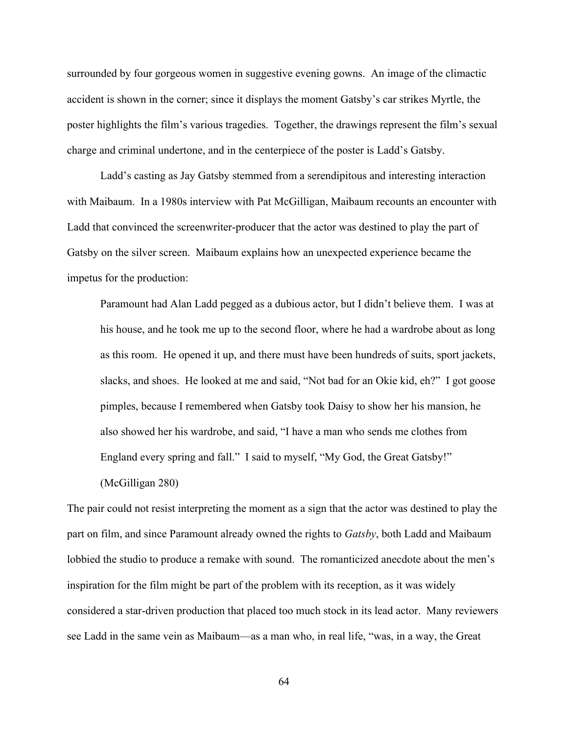surrounded by four gorgeous women in suggestive evening gowns. An image of the climactic accident is shown in the corner; since it displays the moment Gatsby's car strikes Myrtle, the poster highlights the film's various tragedies. Together, the drawings represent the film's sexual charge and criminal undertone, and in the centerpiece of the poster is Ladd's Gatsby.

Ladd's casting as Jay Gatsby stemmed from a serendipitous and interesting interaction with Maibaum. In a 1980s interview with Pat McGilligan, Maibaum recounts an encounter with Ladd that convinced the screenwriter-producer that the actor was destined to play the part of Gatsby on the silver screen. Maibaum explains how an unexpected experience became the impetus for the production:

Paramount had Alan Ladd pegged as a dubious actor, but I didn't believe them. I was at his house, and he took me up to the second floor, where he had a wardrobe about as long as this room. He opened it up, and there must have been hundreds of suits, sport jackets, slacks, and shoes. He looked at me and said, "Not bad for an Okie kid, eh?" I got goose pimples, because I remembered when Gatsby took Daisy to show her his mansion, he also showed her his wardrobe, and said, "I have a man who sends me clothes from England every spring and fall." I said to myself, "My God, the Great Gatsby!"

(McGilligan 280)

The pair could not resist interpreting the moment as a sign that the actor was destined to play the part on film, and since Paramount already owned the rights to *Gatsby*, both Ladd and Maibaum lobbied the studio to produce a remake with sound. The romanticized anecdote about the men's inspiration for the film might be part of the problem with its reception, as it was widely considered a star-driven production that placed too much stock in its lead actor. Many reviewers see Ladd in the same vein as Maibaum—as a man who, in real life, "was, in a way, the Great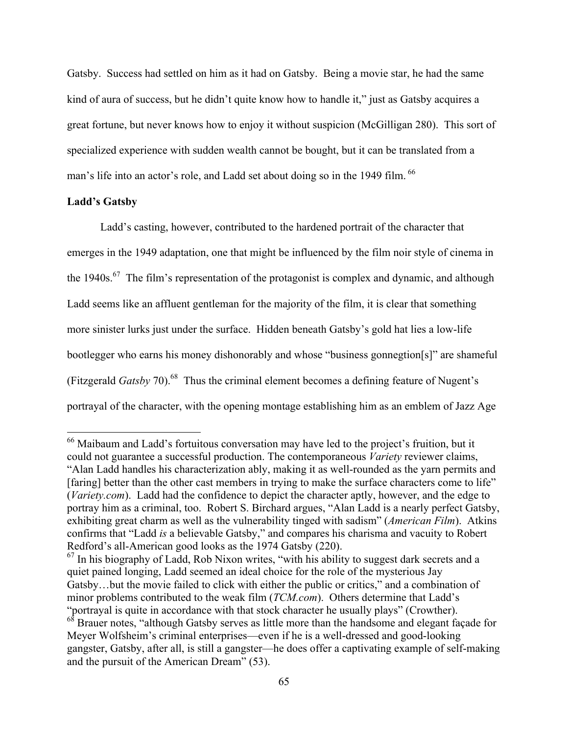Gatsby. Success had settled on him as it had on Gatsby. Being a movie star, he had the same kind of aura of success, but he didn't quite know how to handle it," just as Gatsby acquires a great fortune, but never knows how to enjoy it without suspicion (McGilligan 280). This sort of specialized experience with sudden wealth cannot be bought, but it can be translated from a man's life into an actor's role, and Ladd set about doing so in the 1949 film. <sup>66</sup>

#### **Ladd's Gatsby**

Ladd's casting, however, contributed to the hardened portrait of the character that emerges in the 1949 adaptation, one that might be influenced by the film noir style of cinema in the  $1940s$ <sup>67</sup>. The film's representation of the protagonist is complex and dynamic, and although Ladd seems like an affluent gentleman for the majority of the film, it is clear that something more sinister lurks just under the surface. Hidden beneath Gatsby's gold hat lies a low-life bootlegger who earns his money dishonorably and whose "business gonnegtion[s]" are shameful (Fitzgerald *Gatsby* 70). <sup>68</sup> Thus the criminal element becomes a defining feature of Nugent's portrayal of the character, with the opening montage establishing him as an emblem of Jazz Age

 <sup>66</sup> Maibaum and Ladd's fortuitous conversation may have led to the project's fruition, but it could not guarantee a successful production. The contemporaneous *Variety* reviewer claims, "Alan Ladd handles his characterization ably, making it as well-rounded as the yarn permits and [faring] better than the other cast members in trying to make the surface characters come to life" (*Variety.com*). Ladd had the confidence to depict the character aptly, however, and the edge to portray him as a criminal, too. Robert S. Birchard argues, "Alan Ladd is a nearly perfect Gatsby, exhibiting great charm as well as the vulnerability tinged with sadism" (*American Film*). Atkins confirms that "Ladd *is* a believable Gatsby," and compares his charisma and vacuity to Robert Redford's all-American good looks as the 1974 Gatsby (220).

 $67$  In his biography of Ladd, Rob Nixon writes, "with his ability to suggest dark secrets and a quiet pained longing, Ladd seemed an ideal choice for the role of the mysterious Jay Gatsby…but the movie failed to click with either the public or critics," and a combination of minor problems contributed to the weak film (*TCM.com*). Others determine that Ladd's "portrayal is quite in accordance with that stock character he usually plays" (Crowther). <sup>68</sup> Brauer notes, "although Gatsby serves as little more than the handsome and elegant façade for Meyer Wolfsheim's criminal enterprises—even if he is a well-dressed and good-looking gangster, Gatsby, after all, is still a gangster—he does offer a captivating example of self-making and the pursuit of the American Dream" (53).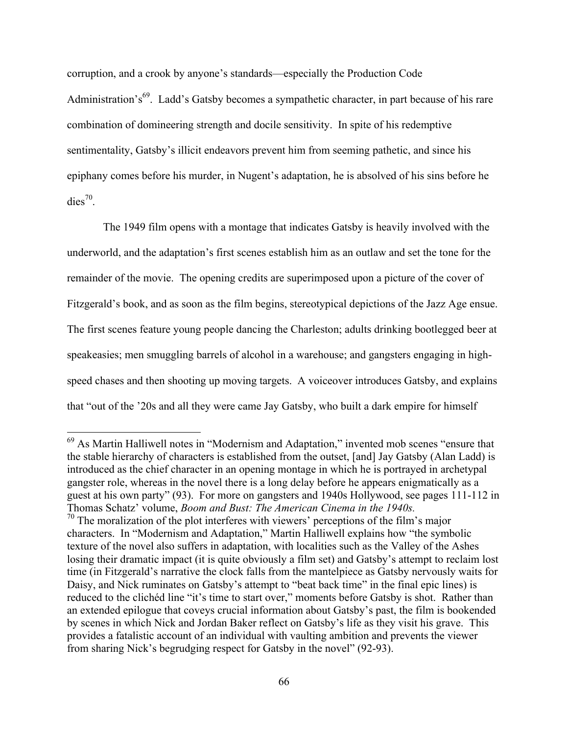corruption, and a crook by anyone's standards—especially the Production Code Administration's<sup>69</sup>. Ladd's Gatsby becomes a sympathetic character, in part because of his rare combination of domineering strength and docile sensitivity. In spite of his redemptive sentimentality, Gatsby's illicit endeavors prevent him from seeming pathetic, and since his epiphany comes before his murder, in Nugent's adaptation, he is absolved of his sins before he  $dies^{70}$ .

The 1949 film opens with a montage that indicates Gatsby is heavily involved with the underworld, and the adaptation's first scenes establish him as an outlaw and set the tone for the remainder of the movie. The opening credits are superimposed upon a picture of the cover of Fitzgerald's book, and as soon as the film begins, stereotypical depictions of the Jazz Age ensue. The first scenes feature young people dancing the Charleston; adults drinking bootlegged beer at speakeasies; men smuggling barrels of alcohol in a warehouse; and gangsters engaging in highspeed chases and then shooting up moving targets. A voiceover introduces Gatsby, and explains that "out of the '20s and all they were came Jay Gatsby, who built a dark empire for himself

 <sup>69</sup> As Martin Halliwell notes in "Modernism and Adaptation," invented mob scenes "ensure that the stable hierarchy of characters is established from the outset, [and] Jay Gatsby (Alan Ladd) is introduced as the chief character in an opening montage in which he is portrayed in archetypal gangster role, whereas in the novel there is a long delay before he appears enigmatically as a guest at his own party" (93). For more on gangsters and 1940s Hollywood, see pages 111-112 in Thomas Schatz' volume, *Boom and Bust: The American Cinema in the 1940s.*

 $70$  The moralization of the plot interferes with viewers' perceptions of the film's major characters. In "Modernism and Adaptation," Martin Halliwell explains how "the symbolic texture of the novel also suffers in adaptation, with localities such as the Valley of the Ashes losing their dramatic impact (it is quite obviously a film set) and Gatsby's attempt to reclaim lost time (in Fitzgerald's narrative the clock falls from the mantelpiece as Gatsby nervously waits for Daisy, and Nick ruminates on Gatsby's attempt to "beat back time" in the final epic lines) is reduced to the clichéd line "it's time to start over," moments before Gatsby is shot. Rather than an extended epilogue that coveys crucial information about Gatsby's past, the film is bookended by scenes in which Nick and Jordan Baker reflect on Gatsby's life as they visit his grave. This provides a fatalistic account of an individual with vaulting ambition and prevents the viewer from sharing Nick's begrudging respect for Gatsby in the novel" (92-93).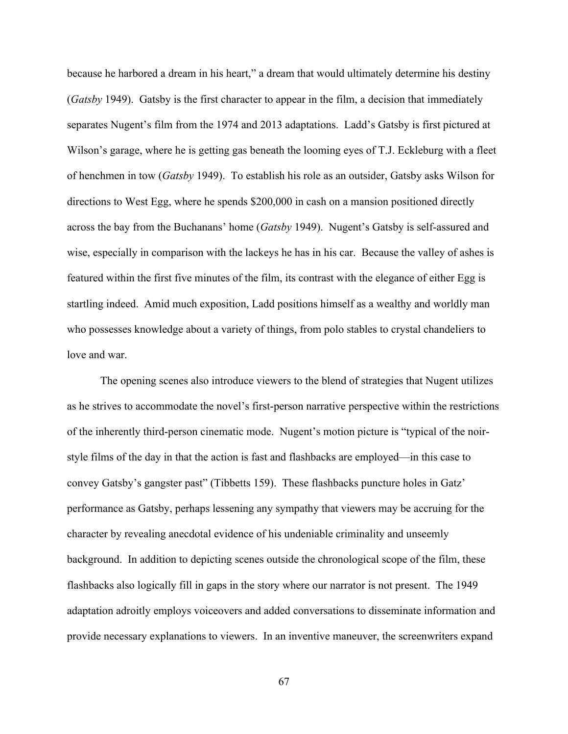because he harbored a dream in his heart," a dream that would ultimately determine his destiny (*Gatsby* 1949). Gatsby is the first character to appear in the film, a decision that immediately separates Nugent's film from the 1974 and 2013 adaptations. Ladd's Gatsby is first pictured at Wilson's garage, where he is getting gas beneath the looming eyes of T.J. Eckleburg with a fleet of henchmen in tow (*Gatsby* 1949). To establish his role as an outsider, Gatsby asks Wilson for directions to West Egg, where he spends \$200,000 in cash on a mansion positioned directly across the bay from the Buchanans' home (*Gatsby* 1949). Nugent's Gatsby is self-assured and wise, especially in comparison with the lackeys he has in his car. Because the valley of ashes is featured within the first five minutes of the film, its contrast with the elegance of either Egg is startling indeed. Amid much exposition, Ladd positions himself as a wealthy and worldly man who possesses knowledge about a variety of things, from polo stables to crystal chandeliers to love and war.

The opening scenes also introduce viewers to the blend of strategies that Nugent utilizes as he strives to accommodate the novel's first-person narrative perspective within the restrictions of the inherently third-person cinematic mode. Nugent's motion picture is "typical of the noirstyle films of the day in that the action is fast and flashbacks are employed—in this case to convey Gatsby's gangster past" (Tibbetts 159). These flashbacks puncture holes in Gatz' performance as Gatsby, perhaps lessening any sympathy that viewers may be accruing for the character by revealing anecdotal evidence of his undeniable criminality and unseemly background. In addition to depicting scenes outside the chronological scope of the film, these flashbacks also logically fill in gaps in the story where our narrator is not present. The 1949 adaptation adroitly employs voiceovers and added conversations to disseminate information and provide necessary explanations to viewers. In an inventive maneuver, the screenwriters expand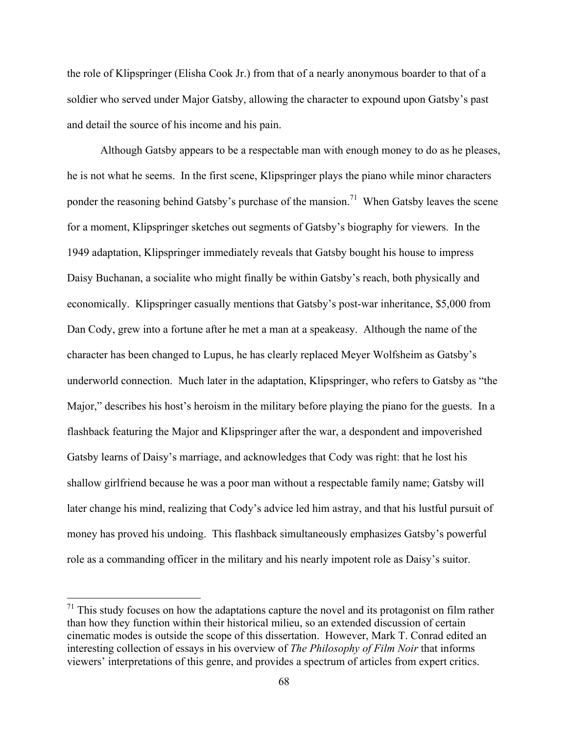the role of Klipspringer (Elisha Cook Jr.) from that of a nearly anonymous boarder to that of a soldier who served under Major Gatsby, allowing the character to expound upon Gatsby's past and detail the source of his income and his pain.

Although Gatsby appears to be a respectable man with enough money to do as he pleases, he is not what he seems. In the first scene, Klipspringer plays the piano while minor characters ponder the reasoning behind Gatsby's purchase of the mansion.<sup>71</sup> When Gatsby leaves the scene for a moment, Klipspringer sketches out segments of Gatsby's biography for viewers. In the 1949 adaptation, Klipspringer immediately reveals that Gatsby bought his house to impress Daisy Buchanan, a socialite who might finally be within Gatsby's reach, both physically and economically. Klipspringer casually mentions that Gatsby's post-war inheritance, \$5,000 from Dan Cody, grew into a fortune after he met a man at a speakeasy. Although the name of the character has been changed to Lupus, he has clearly replaced Meyer Wolfsheim as Gatsby's underworld connection. Much later in the adaptation, Klipspringer, who refers to Gatsby as "the Major," describes his host's heroism in the military before playing the piano for the guests. In a flashback featuring the Major and Klipspringer after the war, a despondent and impoverished Gatsby learns of Daisy's marriage, and acknowledges that Cody was right: that he lost his shallow girlfriend because he was a poor man without a respectable family name; Gatsby will later change his mind, realizing that Cody's advice led him astray, and that his lustful pursuit of money has proved his undoing. This flashback simultaneously emphasizes Gatsby's powerful role as a commanding officer in the military and his nearly impotent role as Daisy's suitor.

 $<sup>71</sup>$  This study focuses on how the adaptations capture the novel and its protagonist on film rather</sup> than how they function within their historical milieu, so an extended discussion of certain cinematic modes is outside the scope of this dissertation. However, Mark T. Conrad edited an interesting collection of essays in his overview of *The Philosophy of Film Noir* that informs viewers' interpretations of this genre, and provides a spectrum of articles from expert critics.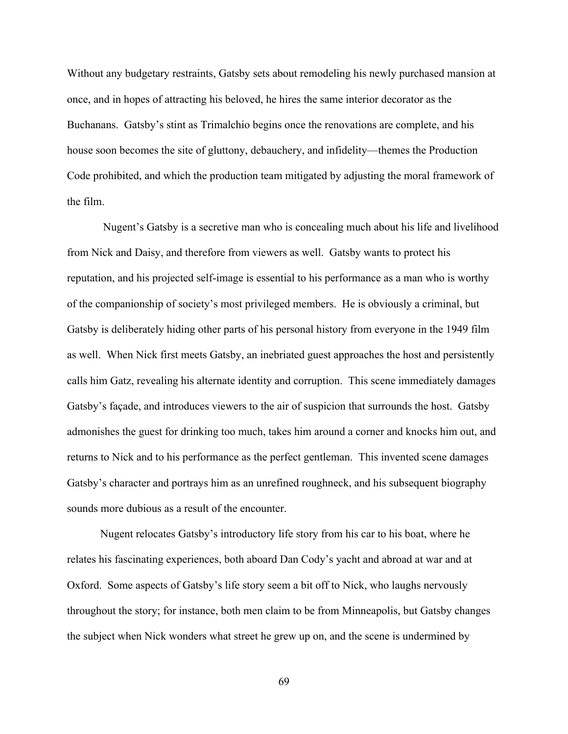Without any budgetary restraints, Gatsby sets about remodeling his newly purchased mansion at once, and in hopes of attracting his beloved, he hires the same interior decorator as the Buchanans. Gatsby's stint as Trimalchio begins once the renovations are complete, and his house soon becomes the site of gluttony, debauchery, and infidelity—themes the Production Code prohibited, and which the production team mitigated by adjusting the moral framework of the film.

Nugent's Gatsby is a secretive man who is concealing much about his life and livelihood from Nick and Daisy, and therefore from viewers as well. Gatsby wants to protect his reputation, and his projected self-image is essential to his performance as a man who is worthy of the companionship of society's most privileged members. He is obviously a criminal, but Gatsby is deliberately hiding other parts of his personal history from everyone in the 1949 film as well. When Nick first meets Gatsby, an inebriated guest approaches the host and persistently calls him Gatz, revealing his alternate identity and corruption. This scene immediately damages Gatsby's façade, and introduces viewers to the air of suspicion that surrounds the host. Gatsby admonishes the guest for drinking too much, takes him around a corner and knocks him out, and returns to Nick and to his performance as the perfect gentleman. This invented scene damages Gatsby's character and portrays him as an unrefined roughneck, and his subsequent biography sounds more dubious as a result of the encounter.

Nugent relocates Gatsby's introductory life story from his car to his boat, where he relates his fascinating experiences, both aboard Dan Cody's yacht and abroad at war and at Oxford. Some aspects of Gatsby's life story seem a bit off to Nick, who laughs nervously throughout the story; for instance, both men claim to be from Minneapolis, but Gatsby changes the subject when Nick wonders what street he grew up on, and the scene is undermined by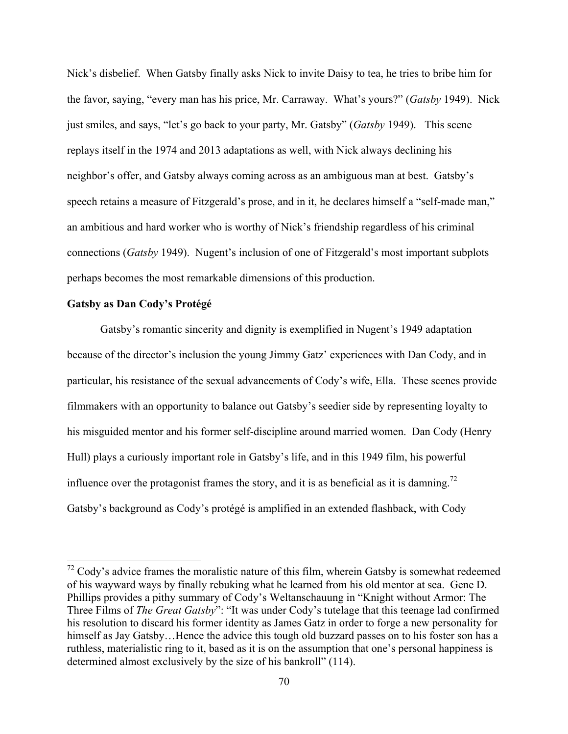Nick's disbelief. When Gatsby finally asks Nick to invite Daisy to tea, he tries to bribe him for the favor, saying, "every man has his price, Mr. Carraway. What's yours?" (*Gatsby* 1949). Nick just smiles, and says, "let's go back to your party, Mr. Gatsby" (*Gatsby* 1949). This scene replays itself in the 1974 and 2013 adaptations as well, with Nick always declining his neighbor's offer, and Gatsby always coming across as an ambiguous man at best. Gatsby's speech retains a measure of Fitzgerald's prose, and in it, he declares himself a "self-made man," an ambitious and hard worker who is worthy of Nick's friendship regardless of his criminal connections (*Gatsby* 1949). Nugent's inclusion of one of Fitzgerald's most important subplots perhaps becomes the most remarkable dimensions of this production.

# **Gatsby as Dan Cody's Protégé**

Gatsby's romantic sincerity and dignity is exemplified in Nugent's 1949 adaptation because of the director's inclusion the young Jimmy Gatz' experiences with Dan Cody, and in particular, his resistance of the sexual advancements of Cody's wife, Ella. These scenes provide filmmakers with an opportunity to balance out Gatsby's seedier side by representing loyalty to his misguided mentor and his former self-discipline around married women. Dan Cody (Henry Hull) plays a curiously important role in Gatsby's life, and in this 1949 film, his powerful influence over the protagonist frames the story, and it is as beneficial as it is damning.<sup>72</sup> Gatsby's background as Cody's protégé is amplified in an extended flashback, with Cody

 $72 \text{ Codv's}$  advice frames the moralistic nature of this film, wherein Gatsby is somewhat redeemed of his wayward ways by finally rebuking what he learned from his old mentor at sea. Gene D. Phillips provides a pithy summary of Cody's Weltanschauung in "Knight without Armor: The Three Films of *The Great Gatsby*": "It was under Cody's tutelage that this teenage lad confirmed his resolution to discard his former identity as James Gatz in order to forge a new personality for himself as Jay Gatsby...Hence the advice this tough old buzzard passes on to his foster son has a ruthless, materialistic ring to it, based as it is on the assumption that one's personal happiness is determined almost exclusively by the size of his bankroll" (114).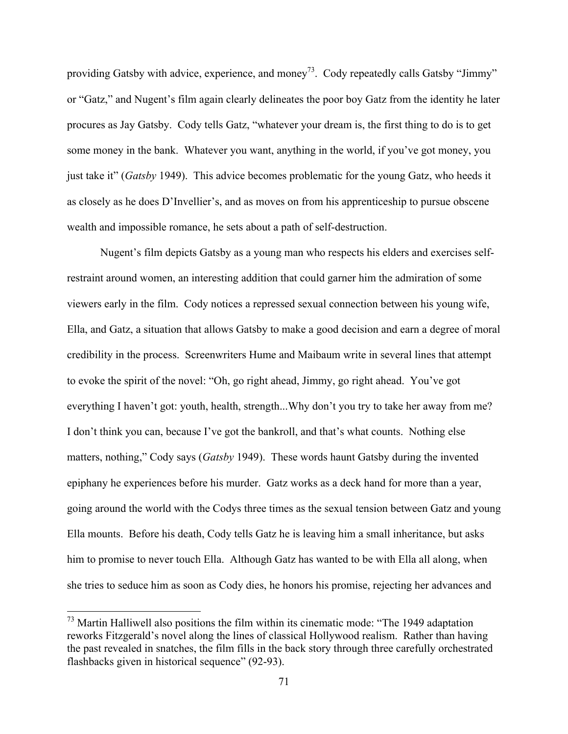providing Gatsby with advice, experience, and money<sup>73</sup>. Cody repeatedly calls Gatsby "Jimmy" or "Gatz," and Nugent's film again clearly delineates the poor boy Gatz from the identity he later procures as Jay Gatsby. Cody tells Gatz, "whatever your dream is, the first thing to do is to get some money in the bank. Whatever you want, anything in the world, if you've got money, you just take it" (*Gatsby* 1949). This advice becomes problematic for the young Gatz, who heeds it as closely as he does D'Invellier's, and as moves on from his apprenticeship to pursue obscene wealth and impossible romance, he sets about a path of self-destruction.

Nugent's film depicts Gatsby as a young man who respects his elders and exercises selfrestraint around women, an interesting addition that could garner him the admiration of some viewers early in the film. Cody notices a repressed sexual connection between his young wife, Ella, and Gatz, a situation that allows Gatsby to make a good decision and earn a degree of moral credibility in the process. Screenwriters Hume and Maibaum write in several lines that attempt to evoke the spirit of the novel: "Oh, go right ahead, Jimmy, go right ahead. You've got everything I haven't got: youth, health, strength...Why don't you try to take her away from me? I don't think you can, because I've got the bankroll, and that's what counts. Nothing else matters, nothing," Cody says (*Gatsby* 1949). These words haunt Gatsby during the invented epiphany he experiences before his murder. Gatz works as a deck hand for more than a year, going around the world with the Codys three times as the sexual tension between Gatz and young Ella mounts. Before his death, Cody tells Gatz he is leaving him a small inheritance, but asks him to promise to never touch Ella. Although Gatz has wanted to be with Ella all along, when she tries to seduce him as soon as Cody dies, he honors his promise, rejecting her advances and

 <sup>73</sup> Martin Halliwell also positions the film within its cinematic mode: "The 1949 adaptation reworks Fitzgerald's novel along the lines of classical Hollywood realism. Rather than having the past revealed in snatches, the film fills in the back story through three carefully orchestrated flashbacks given in historical sequence" (92-93).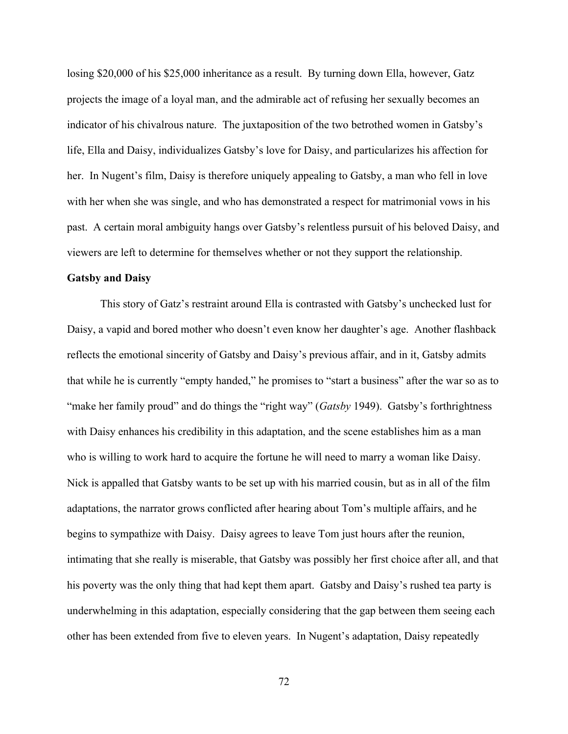losing \$20,000 of his \$25,000 inheritance as a result. By turning down Ella, however, Gatz projects the image of a loyal man, and the admirable act of refusing her sexually becomes an indicator of his chivalrous nature. The juxtaposition of the two betrothed women in Gatsby's life, Ella and Daisy, individualizes Gatsby's love for Daisy, and particularizes his affection for her. In Nugent's film, Daisy is therefore uniquely appealing to Gatsby, a man who fell in love with her when she was single, and who has demonstrated a respect for matrimonial vows in his past. A certain moral ambiguity hangs over Gatsby's relentless pursuit of his beloved Daisy, and viewers are left to determine for themselves whether or not they support the relationship.

# **Gatsby and Daisy**

This story of Gatz's restraint around Ella is contrasted with Gatsby's unchecked lust for Daisy, a vapid and bored mother who doesn't even know her daughter's age. Another flashback reflects the emotional sincerity of Gatsby and Daisy's previous affair, and in it, Gatsby admits that while he is currently "empty handed," he promises to "start a business" after the war so as to "make her family proud" and do things the "right way" (*Gatsby* 1949). Gatsby's forthrightness with Daisy enhances his credibility in this adaptation, and the scene establishes him as a man who is willing to work hard to acquire the fortune he will need to marry a woman like Daisy. Nick is appalled that Gatsby wants to be set up with his married cousin, but as in all of the film adaptations, the narrator grows conflicted after hearing about Tom's multiple affairs, and he begins to sympathize with Daisy. Daisy agrees to leave Tom just hours after the reunion, intimating that she really is miserable, that Gatsby was possibly her first choice after all, and that his poverty was the only thing that had kept them apart. Gatsby and Daisy's rushed tea party is underwhelming in this adaptation, especially considering that the gap between them seeing each other has been extended from five to eleven years. In Nugent's adaptation, Daisy repeatedly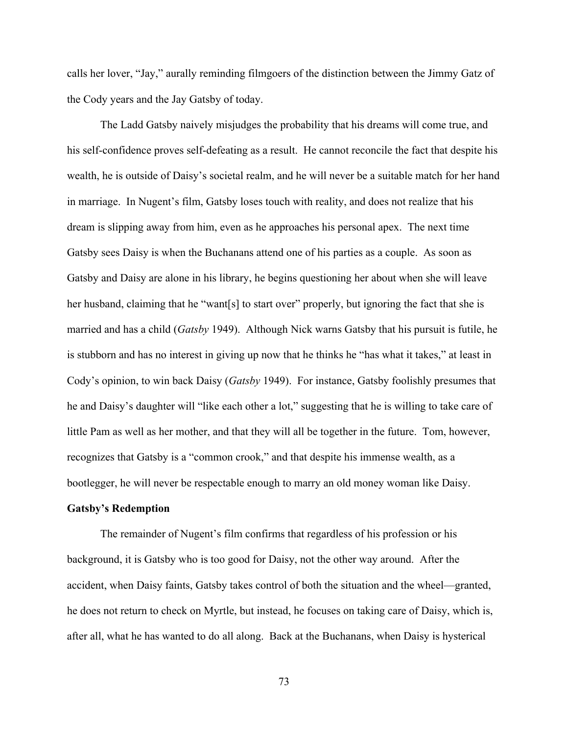calls her lover, "Jay," aurally reminding filmgoers of the distinction between the Jimmy Gatz of the Cody years and the Jay Gatsby of today.

The Ladd Gatsby naively misjudges the probability that his dreams will come true, and his self-confidence proves self-defeating as a result. He cannot reconcile the fact that despite his wealth, he is outside of Daisy's societal realm, and he will never be a suitable match for her hand in marriage. In Nugent's film, Gatsby loses touch with reality, and does not realize that his dream is slipping away from him, even as he approaches his personal apex. The next time Gatsby sees Daisy is when the Buchanans attend one of his parties as a couple. As soon as Gatsby and Daisy are alone in his library, he begins questioning her about when she will leave her husband, claiming that he "want[s] to start over" properly, but ignoring the fact that she is married and has a child (*Gatsby* 1949). Although Nick warns Gatsby that his pursuit is futile, he is stubborn and has no interest in giving up now that he thinks he "has what it takes," at least in Cody's opinion, to win back Daisy (*Gatsby* 1949). For instance, Gatsby foolishly presumes that he and Daisy's daughter will "like each other a lot," suggesting that he is willing to take care of little Pam as well as her mother, and that they will all be together in the future. Tom, however, recognizes that Gatsby is a "common crook," and that despite his immense wealth, as a bootlegger, he will never be respectable enough to marry an old money woman like Daisy.

#### **Gatsby's Redemption**

The remainder of Nugent's film confirms that regardless of his profession or his background, it is Gatsby who is too good for Daisy, not the other way around. After the accident, when Daisy faints, Gatsby takes control of both the situation and the wheel—granted, he does not return to check on Myrtle, but instead, he focuses on taking care of Daisy, which is, after all, what he has wanted to do all along. Back at the Buchanans, when Daisy is hysterical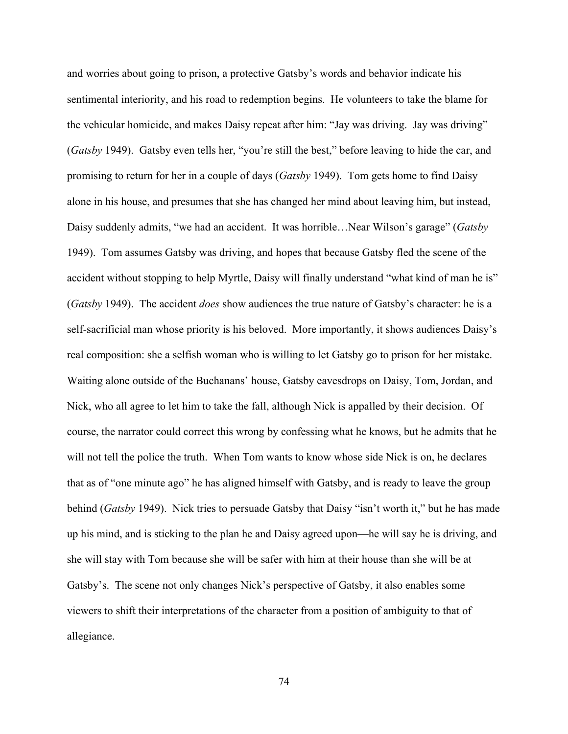and worries about going to prison, a protective Gatsby's words and behavior indicate his sentimental interiority, and his road to redemption begins. He volunteers to take the blame for the vehicular homicide, and makes Daisy repeat after him: "Jay was driving. Jay was driving" (*Gatsby* 1949). Gatsby even tells her, "you're still the best," before leaving to hide the car, and promising to return for her in a couple of days (*Gatsby* 1949). Tom gets home to find Daisy alone in his house, and presumes that she has changed her mind about leaving him, but instead, Daisy suddenly admits, "we had an accident. It was horrible…Near Wilson's garage" (*Gatsby* 1949). Tom assumes Gatsby was driving, and hopes that because Gatsby fled the scene of the accident without stopping to help Myrtle, Daisy will finally understand "what kind of man he is" (*Gatsby* 1949). The accident *does* show audiences the true nature of Gatsby's character: he is a self-sacrificial man whose priority is his beloved. More importantly, it shows audiences Daisy's real composition: she a selfish woman who is willing to let Gatsby go to prison for her mistake. Waiting alone outside of the Buchanans' house, Gatsby eavesdrops on Daisy, Tom, Jordan, and Nick, who all agree to let him to take the fall, although Nick is appalled by their decision. Of course, the narrator could correct this wrong by confessing what he knows, but he admits that he will not tell the police the truth. When Tom wants to know whose side Nick is on, he declares that as of "one minute ago" he has aligned himself with Gatsby, and is ready to leave the group behind (*Gatsby* 1949). Nick tries to persuade Gatsby that Daisy "isn't worth it," but he has made up his mind, and is sticking to the plan he and Daisy agreed upon—he will say he is driving, and she will stay with Tom because she will be safer with him at their house than she will be at Gatsby's. The scene not only changes Nick's perspective of Gatsby, it also enables some viewers to shift their interpretations of the character from a position of ambiguity to that of allegiance.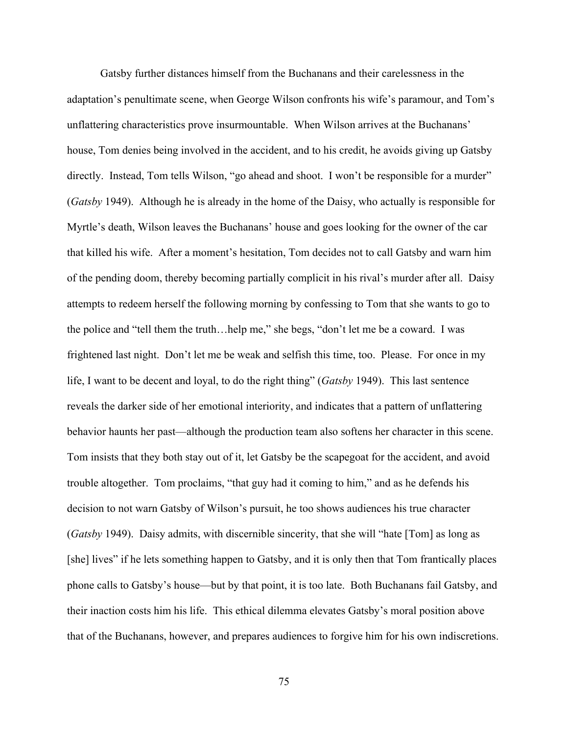Gatsby further distances himself from the Buchanans and their carelessness in the adaptation's penultimate scene, when George Wilson confronts his wife's paramour, and Tom's unflattering characteristics prove insurmountable. When Wilson arrives at the Buchanans' house, Tom denies being involved in the accident, and to his credit, he avoids giving up Gatsby directly. Instead, Tom tells Wilson, "go ahead and shoot. I won't be responsible for a murder" (*Gatsby* 1949). Although he is already in the home of the Daisy, who actually is responsible for Myrtle's death, Wilson leaves the Buchanans' house and goes looking for the owner of the car that killed his wife. After a moment's hesitation, Tom decides not to call Gatsby and warn him of the pending doom, thereby becoming partially complicit in his rival's murder after all. Daisy attempts to redeem herself the following morning by confessing to Tom that she wants to go to the police and "tell them the truth…help me," she begs, "don't let me be a coward. I was frightened last night. Don't let me be weak and selfish this time, too. Please. For once in my life, I want to be decent and loyal, to do the right thing" (*Gatsby* 1949). This last sentence reveals the darker side of her emotional interiority, and indicates that a pattern of unflattering behavior haunts her past—although the production team also softens her character in this scene. Tom insists that they both stay out of it, let Gatsby be the scapegoat for the accident, and avoid trouble altogether. Tom proclaims, "that guy had it coming to him," and as he defends his decision to not warn Gatsby of Wilson's pursuit, he too shows audiences his true character (*Gatsby* 1949). Daisy admits, with discernible sincerity, that she will "hate [Tom] as long as [she] lives" if he lets something happen to Gatsby, and it is only then that Tom frantically places phone calls to Gatsby's house—but by that point, it is too late. Both Buchanans fail Gatsby, and their inaction costs him his life. This ethical dilemma elevates Gatsby's moral position above that of the Buchanans, however, and prepares audiences to forgive him for his own indiscretions.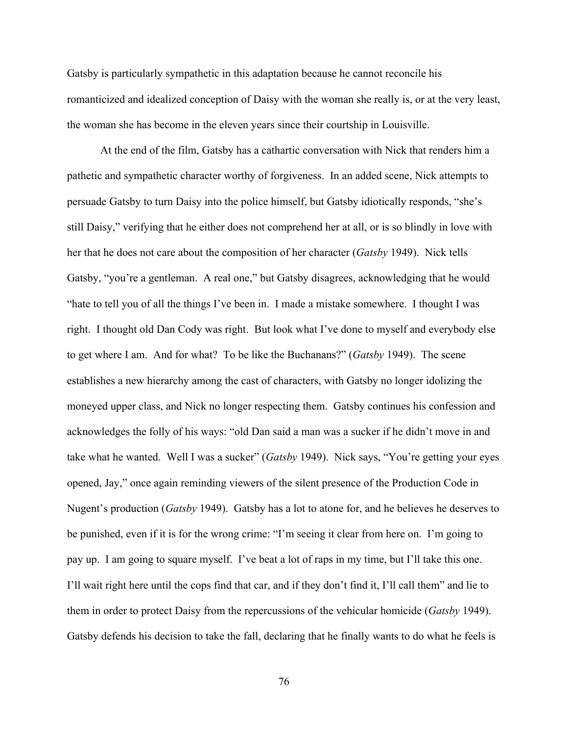Gatsby is particularly sympathetic in this adaptation because he cannot reconcile his romanticized and idealized conception of Daisy with the woman she really is, or at the very least, the woman she has become in the eleven years since their courtship in Louisville.

At the end of the film, Gatsby has a cathartic conversation with Nick that renders him a pathetic and sympathetic character worthy of forgiveness. In an added scene, Nick attempts to persuade Gatsby to turn Daisy into the police himself, but Gatsby idiotically responds, "she's still Daisy," verifying that he either does not comprehend her at all, or is so blindly in love with her that he does not care about the composition of her character (*Gatsby* 1949). Nick tells Gatsby, "you're a gentleman. A real one," but Gatsby disagrees, acknowledging that he would "hate to tell you of all the things I've been in. I made a mistake somewhere. I thought I was right. I thought old Dan Cody was right. But look what I've done to myself and everybody else to get where I am. And for what? To be like the Buchanans?" (*Gatsby* 1949). The scene establishes a new hierarchy among the cast of characters, with Gatsby no longer idolizing the moneyed upper class, and Nick no longer respecting them. Gatsby continues his confession and acknowledges the folly of his ways: "old Dan said a man was a sucker if he didn't move in and take what he wanted. Well I was a sucker" (*Gatsby* 1949). Nick says, "You're getting your eyes opened, Jay," once again reminding viewers of the silent presence of the Production Code in Nugent's production (*Gatsby* 1949). Gatsby has a lot to atone for, and he believes he deserves to be punished, even if it is for the wrong crime: "I'm seeing it clear from here on. I'm going to pay up. I am going to square myself. I've beat a lot of raps in my time, but I'll take this one. I'll wait right here until the cops find that car, and if they don't find it, I'll call them" and lie to them in order to protect Daisy from the repercussions of the vehicular homicide (*Gatsby* 1949). Gatsby defends his decision to take the fall, declaring that he finally wants to do what he feels is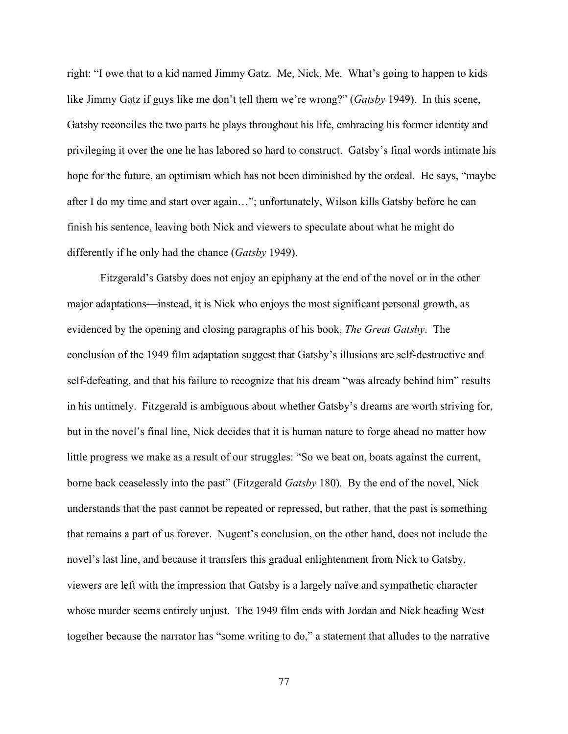right: "I owe that to a kid named Jimmy Gatz. Me, Nick, Me. What's going to happen to kids like Jimmy Gatz if guys like me don't tell them we're wrong?" (*Gatsby* 1949). In this scene, Gatsby reconciles the two parts he plays throughout his life, embracing his former identity and privileging it over the one he has labored so hard to construct. Gatsby's final words intimate his hope for the future, an optimism which has not been diminished by the ordeal. He says, "maybe after I do my time and start over again…"; unfortunately, Wilson kills Gatsby before he can finish his sentence, leaving both Nick and viewers to speculate about what he might do differently if he only had the chance (*Gatsby* 1949).

Fitzgerald's Gatsby does not enjoy an epiphany at the end of the novel or in the other major adaptations—instead, it is Nick who enjoys the most significant personal growth, as evidenced by the opening and closing paragraphs of his book, *The Great Gatsby*. The conclusion of the 1949 film adaptation suggest that Gatsby's illusions are self-destructive and self-defeating, and that his failure to recognize that his dream "was already behind him" results in his untimely. Fitzgerald is ambiguous about whether Gatsby's dreams are worth striving for, but in the novel's final line, Nick decides that it is human nature to forge ahead no matter how little progress we make as a result of our struggles: "So we beat on, boats against the current, borne back ceaselessly into the past" (Fitzgerald *Gatsby* 180). By the end of the novel, Nick understands that the past cannot be repeated or repressed, but rather, that the past is something that remains a part of us forever. Nugent's conclusion, on the other hand, does not include the novel's last line, and because it transfers this gradual enlightenment from Nick to Gatsby, viewers are left with the impression that Gatsby is a largely naïve and sympathetic character whose murder seems entirely unjust. The 1949 film ends with Jordan and Nick heading West together because the narrator has "some writing to do," a statement that alludes to the narrative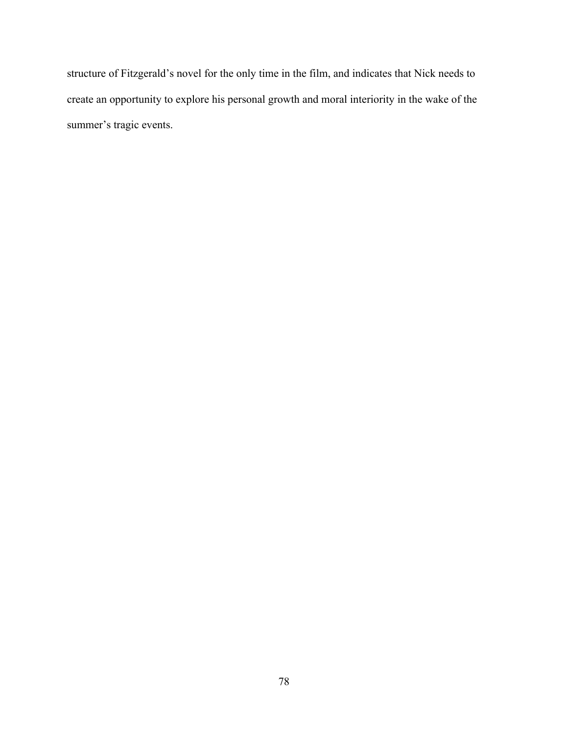structure of Fitzgerald's novel for the only time in the film, and indicates that Nick needs to create an opportunity to explore his personal growth and moral interiority in the wake of the summer's tragic events.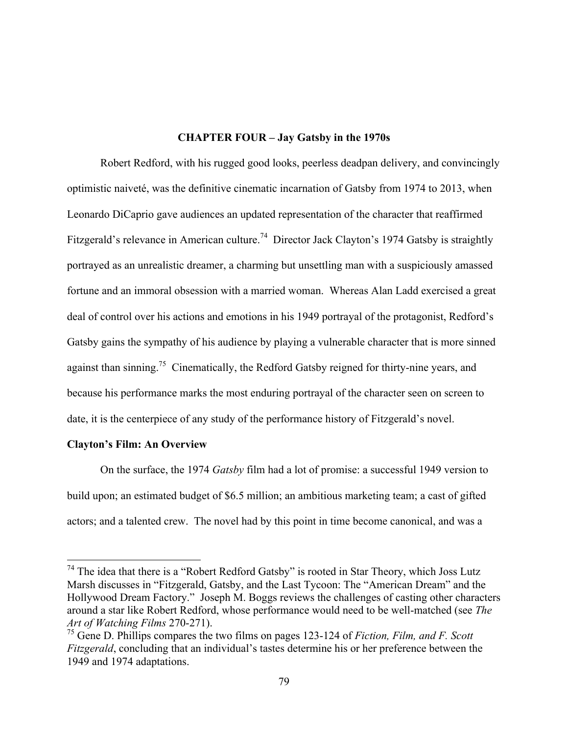# **CHAPTER FOUR – Jay Gatsby in the 1970s**

Robert Redford, with his rugged good looks, peerless deadpan delivery, and convincingly optimistic naiveté, was the definitive cinematic incarnation of Gatsby from 1974 to 2013, when Leonardo DiCaprio gave audiences an updated representation of the character that reaffirmed Fitzgerald's relevance in American culture.<sup>74</sup> Director Jack Clayton's 1974 Gatsby is straightly portrayed as an unrealistic dreamer, a charming but unsettling man with a suspiciously amassed fortune and an immoral obsession with a married woman. Whereas Alan Ladd exercised a great deal of control over his actions and emotions in his 1949 portrayal of the protagonist, Redford's Gatsby gains the sympathy of his audience by playing a vulnerable character that is more sinned against than sinning.<sup>75</sup> Cinematically, the Redford Gatsby reigned for thirty-nine years, and because his performance marks the most enduring portrayal of the character seen on screen to date, it is the centerpiece of any study of the performance history of Fitzgerald's novel.

#### **Clayton's Film: An Overview**

On the surface, the 1974 *Gatsby* film had a lot of promise: a successful 1949 version to build upon; an estimated budget of \$6.5 million; an ambitious marketing team; a cast of gifted actors; and a talented crew. The novel had by this point in time become canonical, and was a

 $74$  The idea that there is a "Robert Redford Gatsby" is rooted in Star Theory, which Joss Lutz Marsh discusses in "Fitzgerald, Gatsby, and the Last Tycoon: The "American Dream" and the Hollywood Dream Factory." Joseph M. Boggs reviews the challenges of casting other characters around a star like Robert Redford, whose performance would need to be well-matched (see *The Art of Watching Films* 270-271).

<sup>75</sup> Gene D. Phillips compares the two films on pages 123-124 of *Fiction, Film, and F. Scott Fitzgerald*, concluding that an individual's tastes determine his or her preference between the 1949 and 1974 adaptations.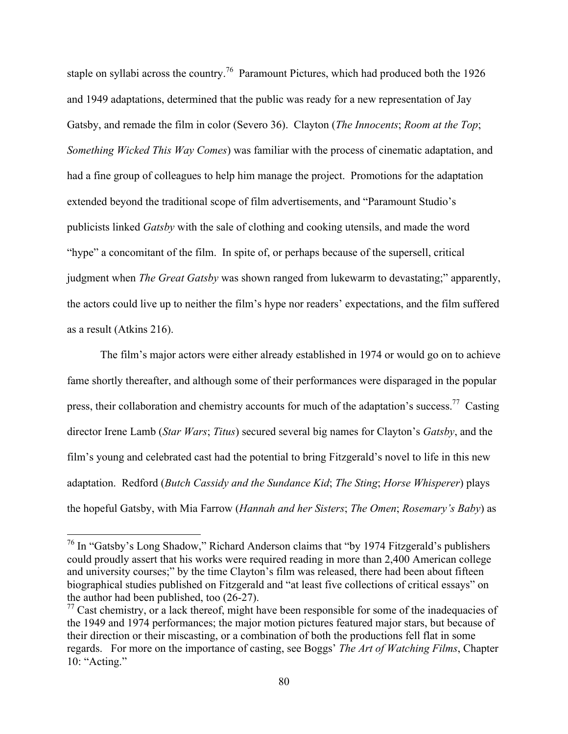staple on syllabi across the country.<sup>76</sup> Paramount Pictures, which had produced both the 1926 and 1949 adaptations, determined that the public was ready for a new representation of Jay Gatsby, and remade the film in color (Severo 36). Clayton (*The Innocents*; *Room at the Top*; *Something Wicked This Way Comes*) was familiar with the process of cinematic adaptation, and had a fine group of colleagues to help him manage the project. Promotions for the adaptation extended beyond the traditional scope of film advertisements, and "Paramount Studio's publicists linked *Gatsby* with the sale of clothing and cooking utensils, and made the word "hype" a concomitant of the film. In spite of, or perhaps because of the supersell, critical judgment when *The Great Gatsby* was shown ranged from lukewarm to devastating;" apparently, the actors could live up to neither the film's hype nor readers' expectations, and the film suffered as a result (Atkins 216).

The film's major actors were either already established in 1974 or would go on to achieve fame shortly thereafter, and although some of their performances were disparaged in the popular press, their collaboration and chemistry accounts for much of the adaptation's success.<sup>77</sup> Casting director Irene Lamb (*Star Wars*; *Titus*) secured several big names for Clayton's *Gatsby*, and the film's young and celebrated cast had the potential to bring Fitzgerald's novel to life in this new adaptation. Redford (*Butch Cassidy and the Sundance Kid*; *The Sting*; *Horse Whisperer*) plays the hopeful Gatsby, with Mia Farrow (*Hannah and her Sisters*; *The Omen*; *Rosemary's Baby*) as

<sup>&</sup>lt;sup>76</sup> In "Gatsby's Long Shadow," Richard Anderson claims that "by 1974 Fitzgerald's publishers could proudly assert that his works were required reading in more than 2,400 American college and university courses;" by the time Clayton's film was released, there had been about fifteen biographical studies published on Fitzgerald and "at least five collections of critical essays" on the author had been published, too (26-27).

 $77$  Cast chemistry, or a lack thereof, might have been responsible for some of the inadequacies of the 1949 and 1974 performances; the major motion pictures featured major stars, but because of their direction or their miscasting, or a combination of both the productions fell flat in some regards. For more on the importance of casting, see Boggs' *The Art of Watching Films*, Chapter 10: "Acting."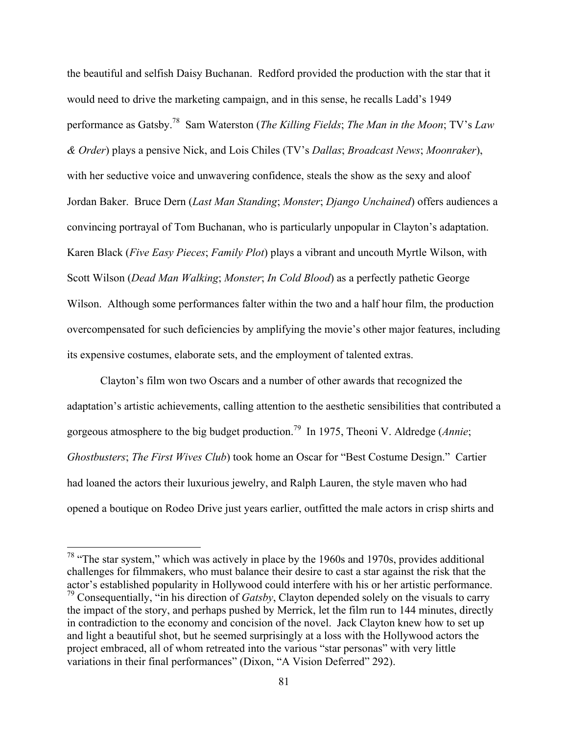the beautiful and selfish Daisy Buchanan. Redford provided the production with the star that it would need to drive the marketing campaign, and in this sense, he recalls Ladd's 1949 performance as Gatsby.78 Sam Waterston (*The Killing Fields*; *The Man in the Moon*; TV's *Law & Order*) plays a pensive Nick, and Lois Chiles (TV's *Dallas*; *Broadcast News*; *Moonraker*), with her seductive voice and unwavering confidence, steals the show as the sexy and aloof Jordan Baker. Bruce Dern (*Last Man Standing*; *Monster*; *Django Unchained*) offers audiences a convincing portrayal of Tom Buchanan, who is particularly unpopular in Clayton's adaptation. Karen Black (*Five Easy Pieces*; *Family Plot*) plays a vibrant and uncouth Myrtle Wilson, with Scott Wilson (*Dead Man Walking*; *Monster*; *In Cold Blood*) as a perfectly pathetic George Wilson. Although some performances falter within the two and a half hour film, the production overcompensated for such deficiencies by amplifying the movie's other major features, including its expensive costumes, elaborate sets, and the employment of talented extras.

Clayton's film won two Oscars and a number of other awards that recognized the adaptation's artistic achievements, calling attention to the aesthetic sensibilities that contributed a gorgeous atmosphere to the big budget production.79 In 1975, Theoni V. Aldredge (*Annie*; *Ghostbusters*; *The First Wives Club*) took home an Oscar for "Best Costume Design." Cartier had loaned the actors their luxurious jewelry, and Ralph Lauren, the style maven who had opened a boutique on Rodeo Drive just years earlier, outfitted the male actors in crisp shirts and

<sup>&</sup>lt;sup>78</sup> "The star system," which was actively in place by the 1960s and 1970s, provides additional challenges for filmmakers, who must balance their desire to cast a star against the risk that the actor's established popularity in Hollywood could interfere with his or her artistic performance. <sup>79</sup> Consequentially, "in his direction of *Gatsby*, Clayton depended solely on the visuals to carry the impact of the story, and perhaps pushed by Merrick, let the film run to 144 minutes, directly in contradiction to the economy and concision of the novel. Jack Clayton knew how to set up and light a beautiful shot, but he seemed surprisingly at a loss with the Hollywood actors the project embraced, all of whom retreated into the various "star personas" with very little variations in their final performances" (Dixon, "A Vision Deferred" 292).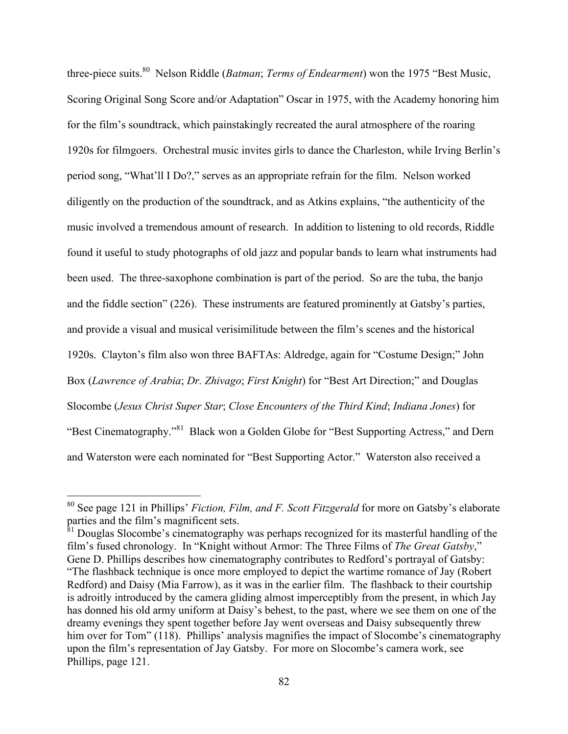three-piece suits.80 Nelson Riddle (*Batman*; *Terms of Endearment*) won the 1975 "Best Music, Scoring Original Song Score and/or Adaptation" Oscar in 1975, with the Academy honoring him for the film's soundtrack, which painstakingly recreated the aural atmosphere of the roaring 1920s for filmgoers. Orchestral music invites girls to dance the Charleston, while Irving Berlin's period song, "What'll I Do?," serves as an appropriate refrain for the film. Nelson worked diligently on the production of the soundtrack, and as Atkins explains, "the authenticity of the music involved a tremendous amount of research. In addition to listening to old records, Riddle found it useful to study photographs of old jazz and popular bands to learn what instruments had been used. The three-saxophone combination is part of the period. So are the tuba, the banjo and the fiddle section" (226). These instruments are featured prominently at Gatsby's parties, and provide a visual and musical verisimilitude between the film's scenes and the historical 1920s. Clayton's film also won three BAFTAs: Aldredge, again for "Costume Design;" John Box (*Lawrence of Arabia*; *Dr. Zhivago*; *First Knight*) for "Best Art Direction;" and Douglas Slocombe (*Jesus Christ Super Star*; *Close Encounters of the Third Kind*; *Indiana Jones*) for "Best Cinematography."<sup>81</sup> Black won a Golden Globe for "Best Supporting Actress," and Dern and Waterston were each nominated for "Best Supporting Actor." Waterston also received a

 <sup>80</sup> See page 121 in Phillips' *Fiction, Film, and F. Scott Fitzgerald* for more on Gatsby's elaborate parties and the film's magnificent sets.

 $\frac{\delta}{\delta}$  Douglas Slocombe's cinematography was perhaps recognized for its masterful handling of the film's fused chronology. In "Knight without Armor: The Three Films of *The Great Gatsby*," Gene D. Phillips describes how cinematography contributes to Redford's portrayal of Gatsby: "The flashback technique is once more employed to depict the wartime romance of Jay (Robert Redford) and Daisy (Mia Farrow), as it was in the earlier film. The flashback to their courtship is adroitly introduced by the camera gliding almost imperceptibly from the present, in which Jay has donned his old army uniform at Daisy's behest, to the past, where we see them on one of the dreamy evenings they spent together before Jay went overseas and Daisy subsequently threw him over for Tom" (118). Phillips' analysis magnifies the impact of Slocombe's cinematography upon the film's representation of Jay Gatsby. For more on Slocombe's camera work, see Phillips, page 121.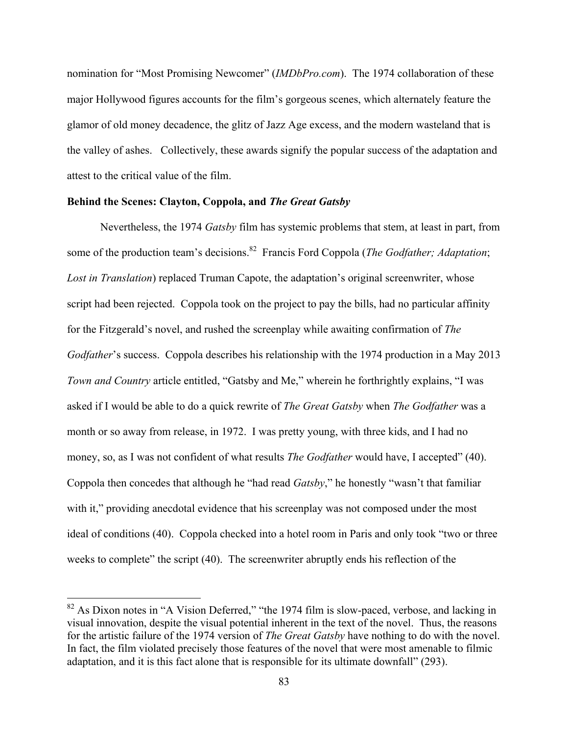nomination for "Most Promising Newcomer" (*IMDbPro.com*). The 1974 collaboration of these major Hollywood figures accounts for the film's gorgeous scenes, which alternately feature the glamor of old money decadence, the glitz of Jazz Age excess, and the modern wasteland that is the valley of ashes. Collectively, these awards signify the popular success of the adaptation and attest to the critical value of the film.

## **Behind the Scenes: Clayton, Coppola, and** *The Great Gatsby*

Nevertheless, the 1974 *Gatsby* film has systemic problems that stem, at least in part, from some of the production team's decisions. 82 Francis Ford Coppola (*The Godfather; Adaptation*; *Lost in Translation*) replaced Truman Capote, the adaptation's original screenwriter, whose script had been rejected. Coppola took on the project to pay the bills, had no particular affinity for the Fitzgerald's novel, and rushed the screenplay while awaiting confirmation of *The Godfather*'s success. Coppola describes his relationship with the 1974 production in a May 2013 *Town and Country* article entitled, "Gatsby and Me," wherein he forthrightly explains, "I was asked if I would be able to do a quick rewrite of *The Great Gatsby* when *The Godfather* was a month or so away from release, in 1972. I was pretty young, with three kids, and I had no money, so, as I was not confident of what results *The Godfather* would have, I accepted" (40). Coppola then concedes that although he "had read *Gatsby*," he honestly "wasn't that familiar with it," providing anecdotal evidence that his screenplay was not composed under the most ideal of conditions (40). Coppola checked into a hotel room in Paris and only took "two or three weeks to complete" the script (40). The screenwriter abruptly ends his reflection of the

<sup>&</sup>lt;sup>82</sup> As Dixon notes in "A Vision Deferred," "the 1974 film is slow-paced, verbose, and lacking in visual innovation, despite the visual potential inherent in the text of the novel. Thus, the reasons for the artistic failure of the 1974 version of *The Great Gatsby* have nothing to do with the novel. In fact, the film violated precisely those features of the novel that were most amenable to filmic adaptation, and it is this fact alone that is responsible for its ultimate downfall" (293).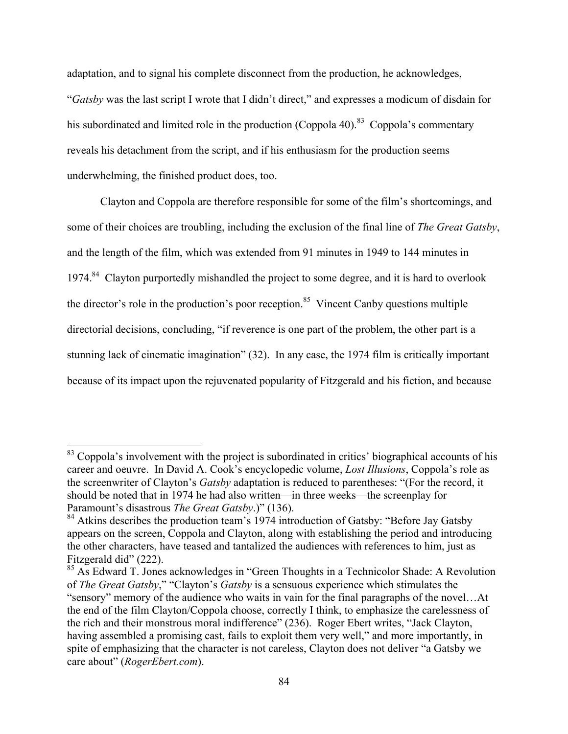adaptation, and to signal his complete disconnect from the production, he acknowledges, "*Gatsby* was the last script I wrote that I didn't direct," and expresses a modicum of disdain for his subordinated and limited role in the production (Coppola 40).<sup>83</sup> Coppola's commentary reveals his detachment from the script, and if his enthusiasm for the production seems underwhelming, the finished product does, too.

Clayton and Coppola are therefore responsible for some of the film's shortcomings, and some of their choices are troubling, including the exclusion of the final line of *The Great Gatsby*, and the length of the film, which was extended from 91 minutes in 1949 to 144 minutes in 1974.<sup>84</sup> Clayton purportedly mishandled the project to some degree, and it is hard to overlook the director's role in the production's poor reception.<sup>85</sup> Vincent Canby questions multiple directorial decisions, concluding, "if reverence is one part of the problem, the other part is a stunning lack of cinematic imagination" (32). In any case, the 1974 film is critically important because of its impact upon the rejuvenated popularity of Fitzgerald and his fiction, and because

<sup>&</sup>lt;sup>83</sup> Coppola's involvement with the project is subordinated in critics' biographical accounts of his career and oeuvre. In David A. Cook's encyclopedic volume, *Lost Illusions*, Coppola's role as the screenwriter of Clayton's *Gatsby* adaptation is reduced to parentheses: "(For the record, it should be noted that in 1974 he had also written—in three weeks—the screenplay for Paramount's disastrous *The Great Gatsby*.)" (136).

<sup>&</sup>lt;sup>84</sup> Atkins describes the production team's 1974 introduction of Gatsby: "Before Jay Gatsby" appears on the screen, Coppola and Clayton, along with establishing the period and introducing the other characters, have teased and tantalized the audiences with references to him, just as Fitzgerald did" (222).

<sup>&</sup>lt;sup>85</sup> As Edward T. Jones acknowledges in "Green Thoughts in a Technicolor Shade: A Revolution of *The Great Gatsby*," "Clayton's *Gatsby* is a sensuous experience which stimulates the "sensory" memory of the audience who waits in vain for the final paragraphs of the novel…At the end of the film Clayton/Coppola choose, correctly I think, to emphasize the carelessness of the rich and their monstrous moral indifference" (236). Roger Ebert writes, "Jack Clayton, having assembled a promising cast, fails to exploit them very well," and more importantly, in spite of emphasizing that the character is not careless, Clayton does not deliver "a Gatsby we care about" (*RogerEbert.com*).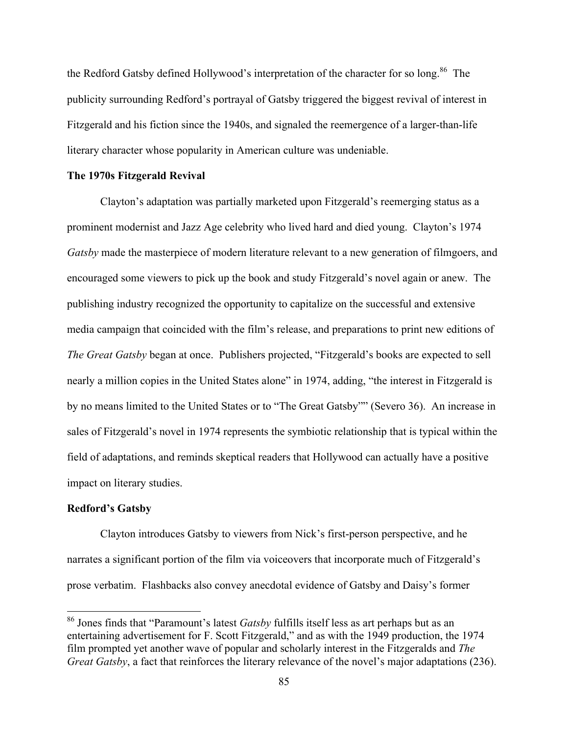the Redford Gatsby defined Hollywood's interpretation of the character for so long.<sup>86</sup> The publicity surrounding Redford's portrayal of Gatsby triggered the biggest revival of interest in Fitzgerald and his fiction since the 1940s, and signaled the reemergence of a larger-than-life literary character whose popularity in American culture was undeniable.

## **The 1970s Fitzgerald Revival**

Clayton's adaptation was partially marketed upon Fitzgerald's reemerging status as a prominent modernist and Jazz Age celebrity who lived hard and died young. Clayton's 1974 *Gatsby* made the masterpiece of modern literature relevant to a new generation of filmgoers, and encouraged some viewers to pick up the book and study Fitzgerald's novel again or anew. The publishing industry recognized the opportunity to capitalize on the successful and extensive media campaign that coincided with the film's release, and preparations to print new editions of *The Great Gatsby* began at once. Publishers projected, "Fitzgerald's books are expected to sell nearly a million copies in the United States alone" in 1974, adding, "the interest in Fitzgerald is by no means limited to the United States or to "The Great Gatsby"" (Severo 36). An increase in sales of Fitzgerald's novel in 1974 represents the symbiotic relationship that is typical within the field of adaptations, and reminds skeptical readers that Hollywood can actually have a positive impact on literary studies.

## **Redford's Gatsby**

Clayton introduces Gatsby to viewers from Nick's first-person perspective, and he narrates a significant portion of the film via voiceovers that incorporate much of Fitzgerald's prose verbatim. Flashbacks also convey anecdotal evidence of Gatsby and Daisy's former

 <sup>86</sup> Jones finds that "Paramount's latest *Gatsby* fulfills itself less as art perhaps but as an entertaining advertisement for F. Scott Fitzgerald," and as with the 1949 production, the 1974 film prompted yet another wave of popular and scholarly interest in the Fitzgeralds and *The Great Gatsby*, a fact that reinforces the literary relevance of the novel's major adaptations (236).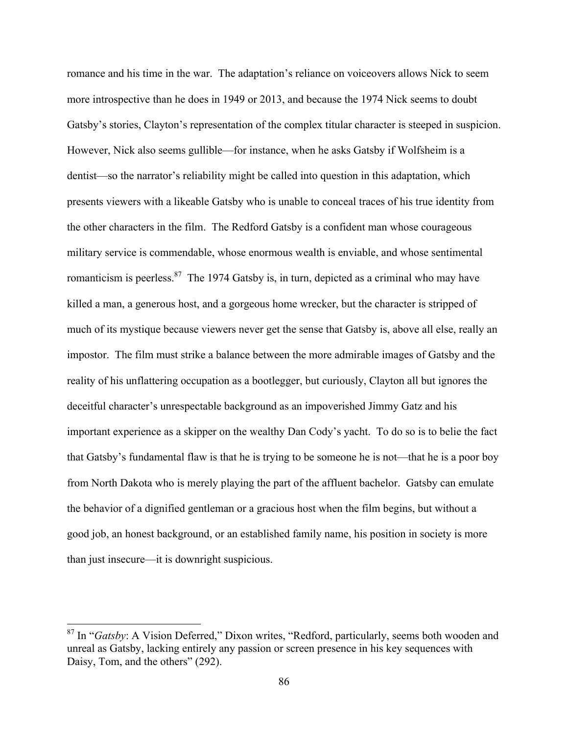romance and his time in the war. The adaptation's reliance on voiceovers allows Nick to seem more introspective than he does in 1949 or 2013, and because the 1974 Nick seems to doubt Gatsby's stories, Clayton's representation of the complex titular character is steeped in suspicion. However, Nick also seems gullible—for instance, when he asks Gatsby if Wolfsheim is a dentist—so the narrator's reliability might be called into question in this adaptation, which presents viewers with a likeable Gatsby who is unable to conceal traces of his true identity from the other characters in the film. The Redford Gatsby is a confident man whose courageous military service is commendable, whose enormous wealth is enviable, and whose sentimental romanticism is peerless.<sup>87</sup> The 1974 Gatsby is, in turn, depicted as a criminal who may have killed a man, a generous host, and a gorgeous home wrecker, but the character is stripped of much of its mystique because viewers never get the sense that Gatsby is, above all else, really an impostor. The film must strike a balance between the more admirable images of Gatsby and the reality of his unflattering occupation as a bootlegger, but curiously, Clayton all but ignores the deceitful character's unrespectable background as an impoverished Jimmy Gatz and his important experience as a skipper on the wealthy Dan Cody's yacht. To do so is to belie the fact that Gatsby's fundamental flaw is that he is trying to be someone he is not—that he is a poor boy from North Dakota who is merely playing the part of the affluent bachelor. Gatsby can emulate the behavior of a dignified gentleman or a gracious host when the film begins, but without a good job, an honest background, or an established family name, his position in society is more than just insecure—it is downright suspicious.

<sup>&</sup>lt;sup>87</sup> In "*Gatsby*: A Vision Deferred," Dixon writes, "Redford, particularly, seems both wooden and unreal as Gatsby, lacking entirely any passion or screen presence in his key sequences with Daisy, Tom, and the others" (292).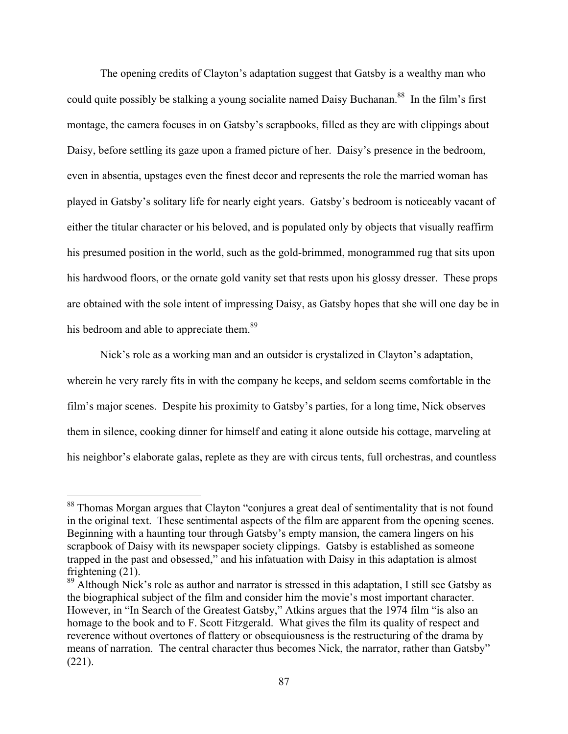The opening credits of Clayton's adaptation suggest that Gatsby is a wealthy man who could quite possibly be stalking a young socialite named Daisy Buchanan.<sup>88</sup> In the film's first montage, the camera focuses in on Gatsby's scrapbooks, filled as they are with clippings about Daisy, before settling its gaze upon a framed picture of her. Daisy's presence in the bedroom, even in absentia, upstages even the finest decor and represents the role the married woman has played in Gatsby's solitary life for nearly eight years. Gatsby's bedroom is noticeably vacant of either the titular character or his beloved, and is populated only by objects that visually reaffirm his presumed position in the world, such as the gold-brimmed, monogrammed rug that sits upon his hardwood floors, or the ornate gold vanity set that rests upon his glossy dresser. These props are obtained with the sole intent of impressing Daisy, as Gatsby hopes that she will one day be in his bedroom and able to appreciate them.<sup>89</sup>

Nick's role as a working man and an outsider is crystalized in Clayton's adaptation, wherein he very rarely fits in with the company he keeps, and seldom seems comfortable in the film's major scenes. Despite his proximity to Gatsby's parties, for a long time, Nick observes them in silence, cooking dinner for himself and eating it alone outside his cottage, marveling at his neighbor's elaborate galas, replete as they are with circus tents, full orchestras, and countless

<sup>88</sup> Thomas Morgan argues that Clayton "conjures a great deal of sentimentality that is not found in the original text. These sentimental aspects of the film are apparent from the opening scenes. Beginning with a haunting tour through Gatsby's empty mansion, the camera lingers on his scrapbook of Daisy with its newspaper society clippings. Gatsby is established as someone trapped in the past and obsessed," and his infatuation with Daisy in this adaptation is almost frightening (21).

<sup>&</sup>lt;sup>89</sup> Although Nick's role as author and narrator is stressed in this adaptation, I still see Gatsby as the biographical subject of the film and consider him the movie's most important character. However, in "In Search of the Greatest Gatsby," Atkins argues that the 1974 film "is also an homage to the book and to F. Scott Fitzgerald. What gives the film its quality of respect and reverence without overtones of flattery or obsequiousness is the restructuring of the drama by means of narration. The central character thus becomes Nick, the narrator, rather than Gatsby" (221).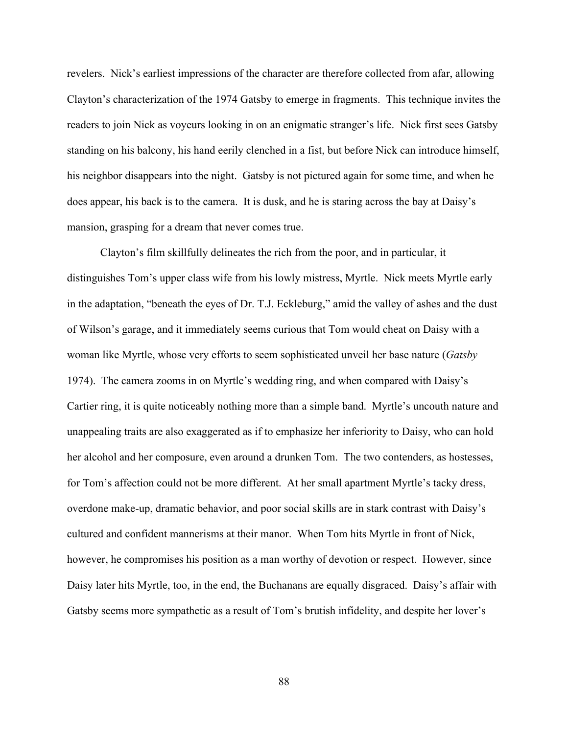revelers. Nick's earliest impressions of the character are therefore collected from afar, allowing Clayton's characterization of the 1974 Gatsby to emerge in fragments. This technique invites the readers to join Nick as voyeurs looking in on an enigmatic stranger's life. Nick first sees Gatsby standing on his balcony, his hand eerily clenched in a fist, but before Nick can introduce himself, his neighbor disappears into the night. Gatsby is not pictured again for some time, and when he does appear, his back is to the camera. It is dusk, and he is staring across the bay at Daisy's mansion, grasping for a dream that never comes true.

Clayton's film skillfully delineates the rich from the poor, and in particular, it distinguishes Tom's upper class wife from his lowly mistress, Myrtle. Nick meets Myrtle early in the adaptation, "beneath the eyes of Dr. T.J. Eckleburg," amid the valley of ashes and the dust of Wilson's garage, and it immediately seems curious that Tom would cheat on Daisy with a woman like Myrtle, whose very efforts to seem sophisticated unveil her base nature (*Gatsby* 1974). The camera zooms in on Myrtle's wedding ring, and when compared with Daisy's Cartier ring, it is quite noticeably nothing more than a simple band. Myrtle's uncouth nature and unappealing traits are also exaggerated as if to emphasize her inferiority to Daisy, who can hold her alcohol and her composure, even around a drunken Tom. The two contenders, as hostesses, for Tom's affection could not be more different. At her small apartment Myrtle's tacky dress, overdone make-up, dramatic behavior, and poor social skills are in stark contrast with Daisy's cultured and confident mannerisms at their manor. When Tom hits Myrtle in front of Nick, however, he compromises his position as a man worthy of devotion or respect. However, since Daisy later hits Myrtle, too, in the end, the Buchanans are equally disgraced. Daisy's affair with Gatsby seems more sympathetic as a result of Tom's brutish infidelity, and despite her lover's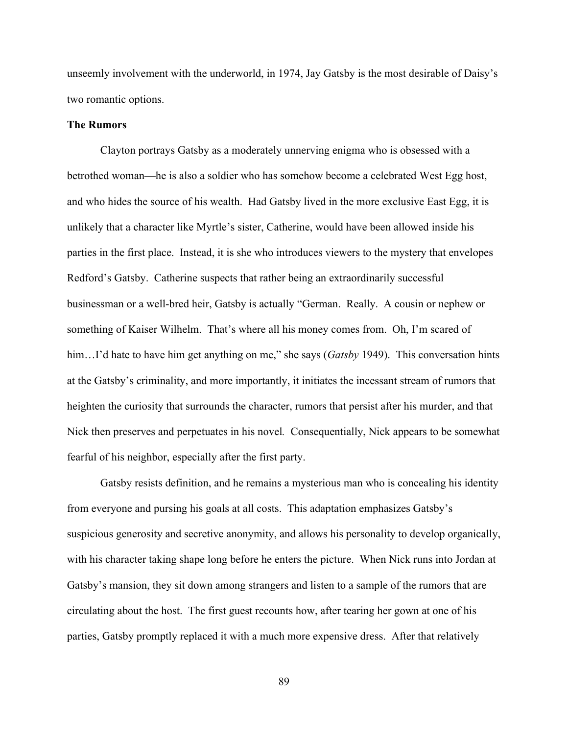unseemly involvement with the underworld, in 1974, Jay Gatsby is the most desirable of Daisy's two romantic options.

#### **The Rumors**

Clayton portrays Gatsby as a moderately unnerving enigma who is obsessed with a betrothed woman—he is also a soldier who has somehow become a celebrated West Egg host, and who hides the source of his wealth. Had Gatsby lived in the more exclusive East Egg, it is unlikely that a character like Myrtle's sister, Catherine, would have been allowed inside his parties in the first place. Instead, it is she who introduces viewers to the mystery that envelopes Redford's Gatsby. Catherine suspects that rather being an extraordinarily successful businessman or a well-bred heir, Gatsby is actually "German. Really. A cousin or nephew or something of Kaiser Wilhelm. That's where all his money comes from. Oh, I'm scared of him…I'd hate to have him get anything on me," she says (*Gatsby* 1949). This conversation hints at the Gatsby's criminality, and more importantly, it initiates the incessant stream of rumors that heighten the curiosity that surrounds the character, rumors that persist after his murder, and that Nick then preserves and perpetuates in his novel*.* Consequentially, Nick appears to be somewhat fearful of his neighbor, especially after the first party.

Gatsby resists definition, and he remains a mysterious man who is concealing his identity from everyone and pursing his goals at all costs. This adaptation emphasizes Gatsby's suspicious generosity and secretive anonymity, and allows his personality to develop organically, with his character taking shape long before he enters the picture. When Nick runs into Jordan at Gatsby's mansion, they sit down among strangers and listen to a sample of the rumors that are circulating about the host. The first guest recounts how, after tearing her gown at one of his parties, Gatsby promptly replaced it with a much more expensive dress. After that relatively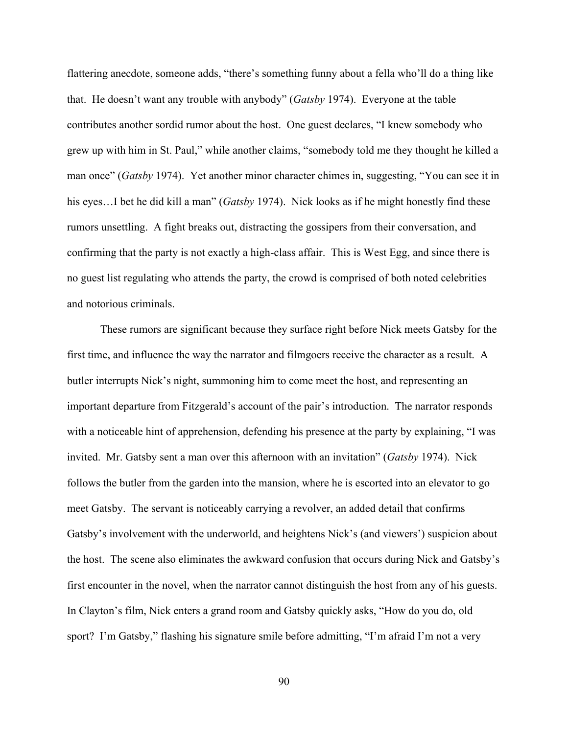flattering anecdote, someone adds, "there's something funny about a fella who'll do a thing like that. He doesn't want any trouble with anybody" (*Gatsby* 1974). Everyone at the table contributes another sordid rumor about the host. One guest declares, "I knew somebody who grew up with him in St. Paul," while another claims, "somebody told me they thought he killed a man once" (*Gatsby* 1974). Yet another minor character chimes in, suggesting, "You can see it in his eyes…I bet he did kill a man" (*Gatsby* 1974). Nick looks as if he might honestly find these rumors unsettling. A fight breaks out, distracting the gossipers from their conversation, and confirming that the party is not exactly a high-class affair. This is West Egg, and since there is no guest list regulating who attends the party, the crowd is comprised of both noted celebrities and notorious criminals.

These rumors are significant because they surface right before Nick meets Gatsby for the first time, and influence the way the narrator and filmgoers receive the character as a result. A butler interrupts Nick's night, summoning him to come meet the host, and representing an important departure from Fitzgerald's account of the pair's introduction. The narrator responds with a noticeable hint of apprehension, defending his presence at the party by explaining, "I was invited. Mr. Gatsby sent a man over this afternoon with an invitation" (*Gatsby* 1974). Nick follows the butler from the garden into the mansion, where he is escorted into an elevator to go meet Gatsby. The servant is noticeably carrying a revolver, an added detail that confirms Gatsby's involvement with the underworld, and heightens Nick's (and viewers') suspicion about the host. The scene also eliminates the awkward confusion that occurs during Nick and Gatsby's first encounter in the novel, when the narrator cannot distinguish the host from any of his guests. In Clayton's film, Nick enters a grand room and Gatsby quickly asks, "How do you do, old sport? I'm Gatsby," flashing his signature smile before admitting, "I'm afraid I'm not a very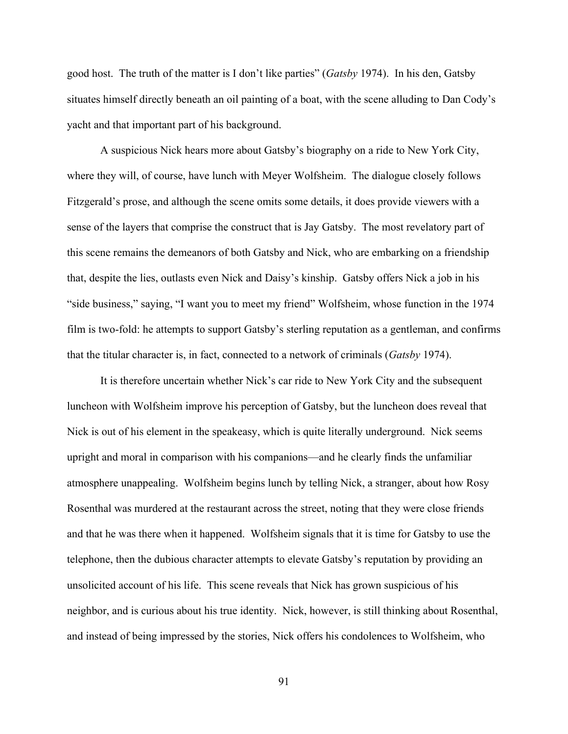good host. The truth of the matter is I don't like parties" (*Gatsby* 1974). In his den, Gatsby situates himself directly beneath an oil painting of a boat, with the scene alluding to Dan Cody's yacht and that important part of his background.

A suspicious Nick hears more about Gatsby's biography on a ride to New York City, where they will, of course, have lunch with Meyer Wolfsheim. The dialogue closely follows Fitzgerald's prose, and although the scene omits some details, it does provide viewers with a sense of the layers that comprise the construct that is Jay Gatsby. The most revelatory part of this scene remains the demeanors of both Gatsby and Nick, who are embarking on a friendship that, despite the lies, outlasts even Nick and Daisy's kinship. Gatsby offers Nick a job in his "side business," saying, "I want you to meet my friend" Wolfsheim, whose function in the 1974 film is two-fold: he attempts to support Gatsby's sterling reputation as a gentleman, and confirms that the titular character is, in fact, connected to a network of criminals (*Gatsby* 1974).

It is therefore uncertain whether Nick's car ride to New York City and the subsequent luncheon with Wolfsheim improve his perception of Gatsby, but the luncheon does reveal that Nick is out of his element in the speakeasy, which is quite literally underground. Nick seems upright and moral in comparison with his companions—and he clearly finds the unfamiliar atmosphere unappealing. Wolfsheim begins lunch by telling Nick, a stranger, about how Rosy Rosenthal was murdered at the restaurant across the street, noting that they were close friends and that he was there when it happened. Wolfsheim signals that it is time for Gatsby to use the telephone, then the dubious character attempts to elevate Gatsby's reputation by providing an unsolicited account of his life. This scene reveals that Nick has grown suspicious of his neighbor, and is curious about his true identity. Nick, however, is still thinking about Rosenthal, and instead of being impressed by the stories, Nick offers his condolences to Wolfsheim, who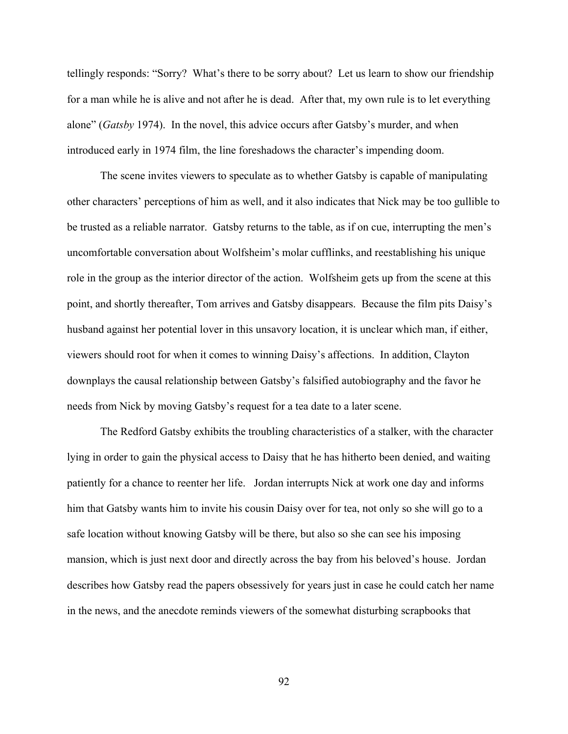tellingly responds: "Sorry? What's there to be sorry about? Let us learn to show our friendship for a man while he is alive and not after he is dead. After that, my own rule is to let everything alone" (*Gatsby* 1974). In the novel, this advice occurs after Gatsby's murder, and when introduced early in 1974 film, the line foreshadows the character's impending doom.

The scene invites viewers to speculate as to whether Gatsby is capable of manipulating other characters' perceptions of him as well, and it also indicates that Nick may be too gullible to be trusted as a reliable narrator. Gatsby returns to the table, as if on cue, interrupting the men's uncomfortable conversation about Wolfsheim's molar cufflinks, and reestablishing his unique role in the group as the interior director of the action. Wolfsheim gets up from the scene at this point, and shortly thereafter, Tom arrives and Gatsby disappears. Because the film pits Daisy's husband against her potential lover in this unsavory location, it is unclear which man, if either, viewers should root for when it comes to winning Daisy's affections. In addition, Clayton downplays the causal relationship between Gatsby's falsified autobiography and the favor he needs from Nick by moving Gatsby's request for a tea date to a later scene.

The Redford Gatsby exhibits the troubling characteristics of a stalker, with the character lying in order to gain the physical access to Daisy that he has hitherto been denied, and waiting patiently for a chance to reenter her life. Jordan interrupts Nick at work one day and informs him that Gatsby wants him to invite his cousin Daisy over for tea, not only so she will go to a safe location without knowing Gatsby will be there, but also so she can see his imposing mansion, which is just next door and directly across the bay from his beloved's house. Jordan describes how Gatsby read the papers obsessively for years just in case he could catch her name in the news, and the anecdote reminds viewers of the somewhat disturbing scrapbooks that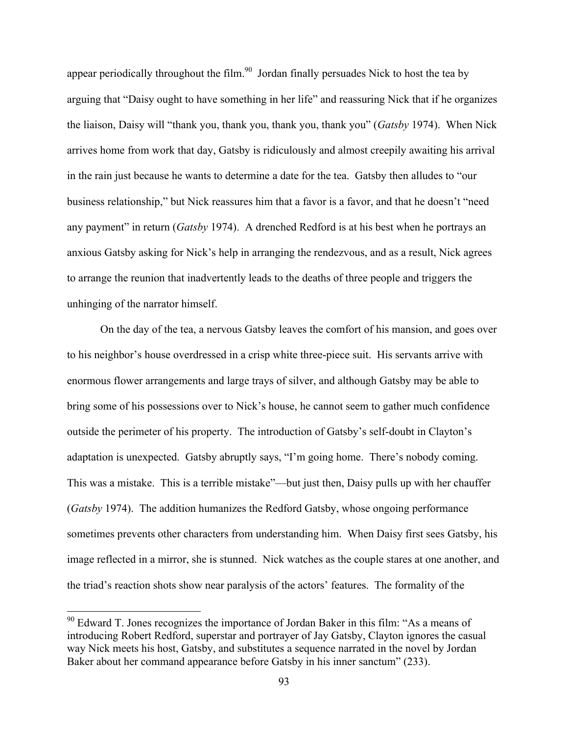appear periodically throughout the film.<sup>90</sup> Jordan finally persuades Nick to host the tea by arguing that "Daisy ought to have something in her life" and reassuring Nick that if he organizes the liaison, Daisy will "thank you, thank you, thank you, thank you" (*Gatsby* 1974). When Nick arrives home from work that day, Gatsby is ridiculously and almost creepily awaiting his arrival in the rain just because he wants to determine a date for the tea. Gatsby then alludes to "our business relationship," but Nick reassures him that a favor is a favor, and that he doesn't "need any payment" in return (*Gatsby* 1974). A drenched Redford is at his best when he portrays an anxious Gatsby asking for Nick's help in arranging the rendezvous, and as a result, Nick agrees to arrange the reunion that inadvertently leads to the deaths of three people and triggers the unhinging of the narrator himself.

On the day of the tea, a nervous Gatsby leaves the comfort of his mansion, and goes over to his neighbor's house overdressed in a crisp white three-piece suit. His servants arrive with enormous flower arrangements and large trays of silver, and although Gatsby may be able to bring some of his possessions over to Nick's house, he cannot seem to gather much confidence outside the perimeter of his property. The introduction of Gatsby's self-doubt in Clayton's adaptation is unexpected. Gatsby abruptly says, "I'm going home. There's nobody coming. This was a mistake. This is a terrible mistake"—but just then, Daisy pulls up with her chauffer (*Gatsby* 1974). The addition humanizes the Redford Gatsby, whose ongoing performance sometimes prevents other characters from understanding him. When Daisy first sees Gatsby, his image reflected in a mirror, she is stunned. Nick watches as the couple stares at one another, and the triad's reaction shots show near paralysis of the actors' features. The formality of the

<sup>&</sup>lt;sup>90</sup> Edward T. Jones recognizes the importance of Jordan Baker in this film: "As a means of introducing Robert Redford, superstar and portrayer of Jay Gatsby, Clayton ignores the casual way Nick meets his host, Gatsby, and substitutes a sequence narrated in the novel by Jordan Baker about her command appearance before Gatsby in his inner sanctum" (233).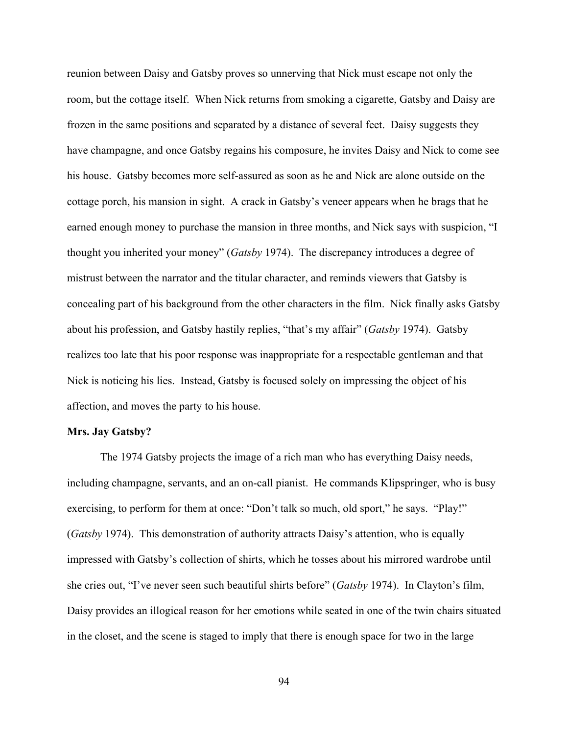reunion between Daisy and Gatsby proves so unnerving that Nick must escape not only the room, but the cottage itself. When Nick returns from smoking a cigarette, Gatsby and Daisy are frozen in the same positions and separated by a distance of several feet. Daisy suggests they have champagne, and once Gatsby regains his composure, he invites Daisy and Nick to come see his house. Gatsby becomes more self-assured as soon as he and Nick are alone outside on the cottage porch, his mansion in sight. A crack in Gatsby's veneer appears when he brags that he earned enough money to purchase the mansion in three months, and Nick says with suspicion, "I thought you inherited your money" (*Gatsby* 1974). The discrepancy introduces a degree of mistrust between the narrator and the titular character, and reminds viewers that Gatsby is concealing part of his background from the other characters in the film. Nick finally asks Gatsby about his profession, and Gatsby hastily replies, "that's my affair" (*Gatsby* 1974). Gatsby realizes too late that his poor response was inappropriate for a respectable gentleman and that Nick is noticing his lies. Instead, Gatsby is focused solely on impressing the object of his affection, and moves the party to his house.

#### **Mrs. Jay Gatsby?**

The 1974 Gatsby projects the image of a rich man who has everything Daisy needs, including champagne, servants, and an on-call pianist. He commands Klipspringer, who is busy exercising, to perform for them at once: "Don't talk so much, old sport," he says. "Play!" (*Gatsby* 1974). This demonstration of authority attracts Daisy's attention, who is equally impressed with Gatsby's collection of shirts, which he tosses about his mirrored wardrobe until she cries out, "I've never seen such beautiful shirts before" (*Gatsby* 1974). In Clayton's film, Daisy provides an illogical reason for her emotions while seated in one of the twin chairs situated in the closet, and the scene is staged to imply that there is enough space for two in the large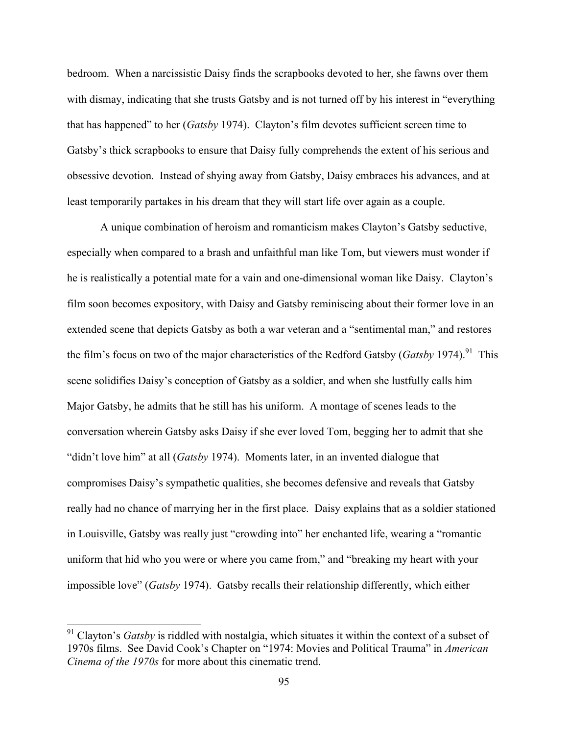bedroom. When a narcissistic Daisy finds the scrapbooks devoted to her, she fawns over them with dismay, indicating that she trusts Gatsby and is not turned off by his interest in "everything that has happened" to her (*Gatsby* 1974). Clayton's film devotes sufficient screen time to Gatsby's thick scrapbooks to ensure that Daisy fully comprehends the extent of his serious and obsessive devotion. Instead of shying away from Gatsby, Daisy embraces his advances, and at least temporarily partakes in his dream that they will start life over again as a couple.

A unique combination of heroism and romanticism makes Clayton's Gatsby seductive, especially when compared to a brash and unfaithful man like Tom, but viewers must wonder if he is realistically a potential mate for a vain and one-dimensional woman like Daisy. Clayton's film soon becomes expository, with Daisy and Gatsby reminiscing about their former love in an extended scene that depicts Gatsby as both a war veteran and a "sentimental man," and restores the film's focus on two of the major characteristics of the Redford Gatsby (*Gatsby* 1974).<sup>91</sup> This scene solidifies Daisy's conception of Gatsby as a soldier, and when she lustfully calls him Major Gatsby, he admits that he still has his uniform. A montage of scenes leads to the conversation wherein Gatsby asks Daisy if she ever loved Tom, begging her to admit that she "didn't love him" at all (*Gatsby* 1974). Moments later, in an invented dialogue that compromises Daisy's sympathetic qualities, she becomes defensive and reveals that Gatsby really had no chance of marrying her in the first place. Daisy explains that as a soldier stationed in Louisville, Gatsby was really just "crowding into" her enchanted life, wearing a "romantic uniform that hid who you were or where you came from," and "breaking my heart with your impossible love" (*Gatsby* 1974). Gatsby recalls their relationship differently, which either

<sup>&</sup>lt;sup>91</sup> Clayton's *Gatsby* is riddled with nostalgia, which situates it within the context of a subset of 1970s films. See David Cook's Chapter on "1974: Movies and Political Trauma" in *American Cinema of the 1970s* for more about this cinematic trend.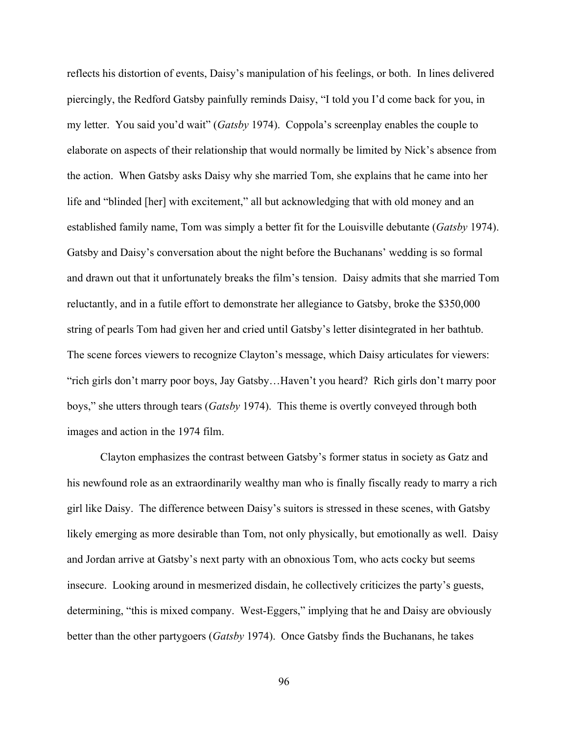reflects his distortion of events, Daisy's manipulation of his feelings, or both. In lines delivered piercingly, the Redford Gatsby painfully reminds Daisy, "I told you I'd come back for you, in my letter. You said you'd wait" (*Gatsby* 1974). Coppola's screenplay enables the couple to elaborate on aspects of their relationship that would normally be limited by Nick's absence from the action. When Gatsby asks Daisy why she married Tom, she explains that he came into her life and "blinded [her] with excitement," all but acknowledging that with old money and an established family name, Tom was simply a better fit for the Louisville debutante (*Gatsby* 1974). Gatsby and Daisy's conversation about the night before the Buchanans' wedding is so formal and drawn out that it unfortunately breaks the film's tension. Daisy admits that she married Tom reluctantly, and in a futile effort to demonstrate her allegiance to Gatsby, broke the \$350,000 string of pearls Tom had given her and cried until Gatsby's letter disintegrated in her bathtub. The scene forces viewers to recognize Clayton's message, which Daisy articulates for viewers: "rich girls don't marry poor boys, Jay Gatsby…Haven't you heard? Rich girls don't marry poor boys," she utters through tears (*Gatsby* 1974). This theme is overtly conveyed through both images and action in the 1974 film.

Clayton emphasizes the contrast between Gatsby's former status in society as Gatz and his newfound role as an extraordinarily wealthy man who is finally fiscally ready to marry a rich girl like Daisy. The difference between Daisy's suitors is stressed in these scenes, with Gatsby likely emerging as more desirable than Tom, not only physically, but emotionally as well. Daisy and Jordan arrive at Gatsby's next party with an obnoxious Tom, who acts cocky but seems insecure. Looking around in mesmerized disdain, he collectively criticizes the party's guests, determining, "this is mixed company. West-Eggers," implying that he and Daisy are obviously better than the other partygoers (*Gatsby* 1974). Once Gatsby finds the Buchanans, he takes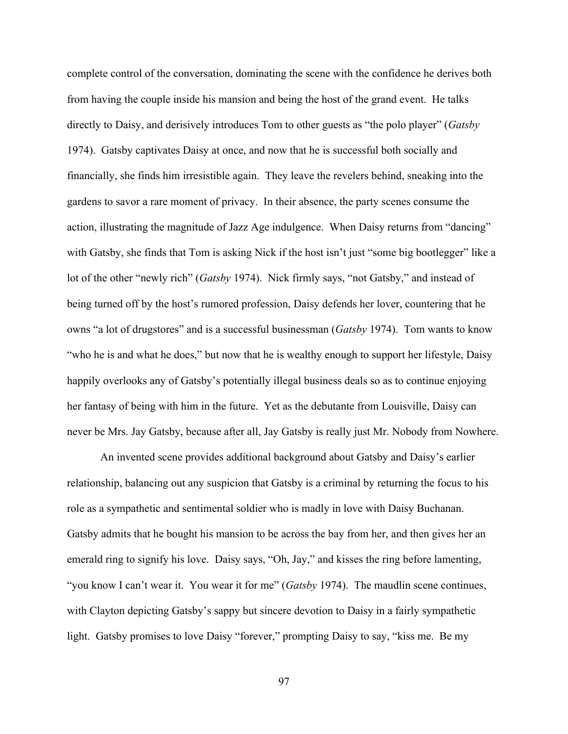complete control of the conversation, dominating the scene with the confidence he derives both from having the couple inside his mansion and being the host of the grand event. He talks directly to Daisy, and derisively introduces Tom to other guests as "the polo player" (*Gatsby*  1974). Gatsby captivates Daisy at once, and now that he is successful both socially and financially, she finds him irresistible again. They leave the revelers behind, sneaking into the gardens to savor a rare moment of privacy. In their absence, the party scenes consume the action, illustrating the magnitude of Jazz Age indulgence. When Daisy returns from "dancing" with Gatsby, she finds that Tom is asking Nick if the host isn't just "some big bootlegger" like a lot of the other "newly rich" (*Gatsby* 1974). Nick firmly says, "not Gatsby," and instead of being turned off by the host's rumored profession, Daisy defends her lover, countering that he owns "a lot of drugstores" and is a successful businessman (*Gatsby* 1974). Tom wants to know "who he is and what he does," but now that he is wealthy enough to support her lifestyle, Daisy happily overlooks any of Gatsby's potentially illegal business deals so as to continue enjoying her fantasy of being with him in the future. Yet as the debutante from Louisville, Daisy can never be Mrs. Jay Gatsby, because after all, Jay Gatsby is really just Mr. Nobody from Nowhere.

An invented scene provides additional background about Gatsby and Daisy's earlier relationship, balancing out any suspicion that Gatsby is a criminal by returning the focus to his role as a sympathetic and sentimental soldier who is madly in love with Daisy Buchanan. Gatsby admits that he bought his mansion to be across the bay from her, and then gives her an emerald ring to signify his love. Daisy says, "Oh, Jay," and kisses the ring before lamenting, "you know I can't wear it. You wear it for me" (*Gatsby* 1974). The maudlin scene continues, with Clayton depicting Gatsby's sappy but sincere devotion to Daisy in a fairly sympathetic light. Gatsby promises to love Daisy "forever," prompting Daisy to say, "kiss me. Be my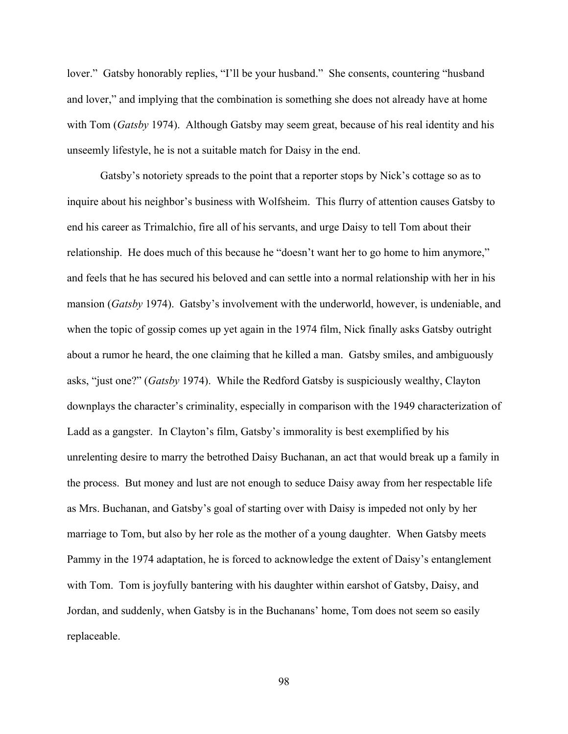lover." Gatsby honorably replies, "I'll be your husband." She consents, countering "husband and lover," and implying that the combination is something she does not already have at home with Tom (*Gatsby* 1974). Although Gatsby may seem great, because of his real identity and his unseemly lifestyle, he is not a suitable match for Daisy in the end.

Gatsby's notoriety spreads to the point that a reporter stops by Nick's cottage so as to inquire about his neighbor's business with Wolfsheim. This flurry of attention causes Gatsby to end his career as Trimalchio, fire all of his servants, and urge Daisy to tell Tom about their relationship. He does much of this because he "doesn't want her to go home to him anymore," and feels that he has secured his beloved and can settle into a normal relationship with her in his mansion (*Gatsby* 1974). Gatsby's involvement with the underworld, however, is undeniable, and when the topic of gossip comes up yet again in the 1974 film, Nick finally asks Gatsby outright about a rumor he heard, the one claiming that he killed a man. Gatsby smiles, and ambiguously asks, "just one?" (*Gatsby* 1974). While the Redford Gatsby is suspiciously wealthy, Clayton downplays the character's criminality, especially in comparison with the 1949 characterization of Ladd as a gangster. In Clayton's film, Gatsby's immorality is best exemplified by his unrelenting desire to marry the betrothed Daisy Buchanan, an act that would break up a family in the process. But money and lust are not enough to seduce Daisy away from her respectable life as Mrs. Buchanan, and Gatsby's goal of starting over with Daisy is impeded not only by her marriage to Tom, but also by her role as the mother of a young daughter. When Gatsby meets Pammy in the 1974 adaptation, he is forced to acknowledge the extent of Daisy's entanglement with Tom. Tom is joyfully bantering with his daughter within earshot of Gatsby, Daisy, and Jordan, and suddenly, when Gatsby is in the Buchanans' home, Tom does not seem so easily replaceable.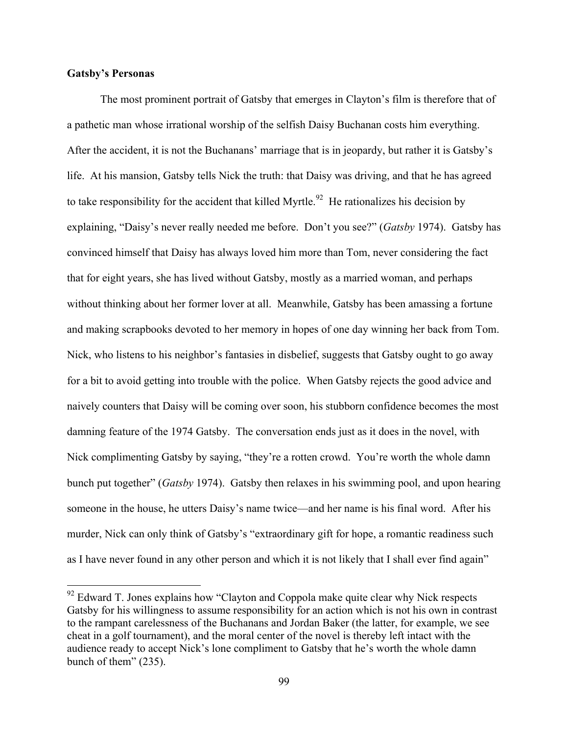# **Gatsby's Personas**

The most prominent portrait of Gatsby that emerges in Clayton's film is therefore that of a pathetic man whose irrational worship of the selfish Daisy Buchanan costs him everything. After the accident, it is not the Buchanans' marriage that is in jeopardy, but rather it is Gatsby's life. At his mansion, Gatsby tells Nick the truth: that Daisy was driving, and that he has agreed to take responsibility for the accident that killed Myrtle.<sup>92</sup> He rationalizes his decision by explaining, "Daisy's never really needed me before. Don't you see?" (*Gatsby* 1974). Gatsby has convinced himself that Daisy has always loved him more than Tom, never considering the fact that for eight years, she has lived without Gatsby, mostly as a married woman, and perhaps without thinking about her former lover at all. Meanwhile, Gatsby has been amassing a fortune and making scrapbooks devoted to her memory in hopes of one day winning her back from Tom. Nick, who listens to his neighbor's fantasies in disbelief, suggests that Gatsby ought to go away for a bit to avoid getting into trouble with the police. When Gatsby rejects the good advice and naively counters that Daisy will be coming over soon, his stubborn confidence becomes the most damning feature of the 1974 Gatsby. The conversation ends just as it does in the novel, with Nick complimenting Gatsby by saying, "they're a rotten crowd. You're worth the whole damn bunch put together" (*Gatsby* 1974). Gatsby then relaxes in his swimming pool, and upon hearing someone in the house, he utters Daisy's name twice—and her name is his final word. After his murder, Nick can only think of Gatsby's "extraordinary gift for hope, a romantic readiness such as I have never found in any other person and which it is not likely that I shall ever find again"

 $92$  Edward T. Jones explains how "Clayton and Coppola make quite clear why Nick respects Gatsby for his willingness to assume responsibility for an action which is not his own in contrast to the rampant carelessness of the Buchanans and Jordan Baker (the latter, for example, we see cheat in a golf tournament), and the moral center of the novel is thereby left intact with the audience ready to accept Nick's lone compliment to Gatsby that he's worth the whole damn bunch of them" (235).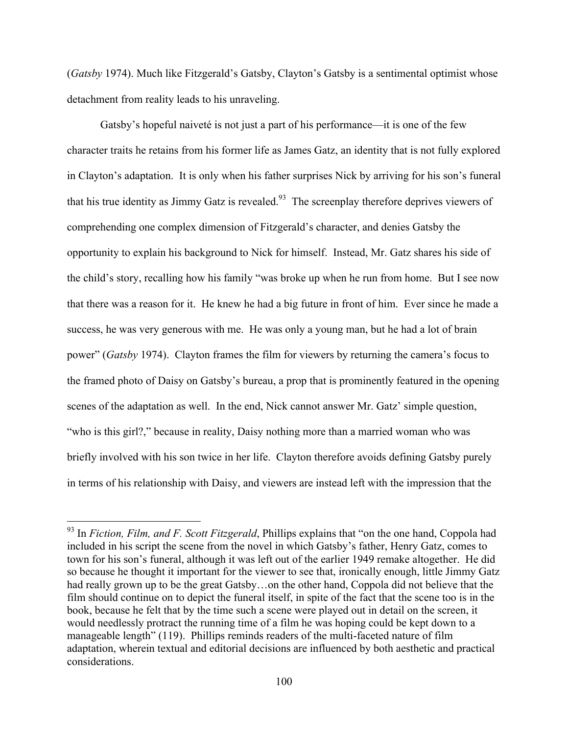(*Gatsby* 1974). Much like Fitzgerald's Gatsby, Clayton's Gatsby is a sentimental optimist whose detachment from reality leads to his unraveling.

Gatsby's hopeful naiveté is not just a part of his performance—it is one of the few character traits he retains from his former life as James Gatz, an identity that is not fully explored in Clayton's adaptation. It is only when his father surprises Nick by arriving for his son's funeral that his true identity as Jimmy Gatz is revealed.<sup>93</sup> The screenplay therefore deprives viewers of comprehending one complex dimension of Fitzgerald's character, and denies Gatsby the opportunity to explain his background to Nick for himself. Instead, Mr. Gatz shares his side of the child's story, recalling how his family "was broke up when he run from home. But I see now that there was a reason for it. He knew he had a big future in front of him. Ever since he made a success, he was very generous with me. He was only a young man, but he had a lot of brain power" (*Gatsby* 1974). Clayton frames the film for viewers by returning the camera's focus to the framed photo of Daisy on Gatsby's bureau, a prop that is prominently featured in the opening scenes of the adaptation as well. In the end, Nick cannot answer Mr. Gatz' simple question, "who is this girl?," because in reality, Daisy nothing more than a married woman who was briefly involved with his son twice in her life. Clayton therefore avoids defining Gatsby purely in terms of his relationship with Daisy, and viewers are instead left with the impression that the

 <sup>93</sup> In *Fiction, Film, and F. Scott Fitzgerald*, Phillips explains that "on the one hand, Coppola had included in his script the scene from the novel in which Gatsby's father, Henry Gatz, comes to town for his son's funeral, although it was left out of the earlier 1949 remake altogether. He did so because he thought it important for the viewer to see that, ironically enough, little Jimmy Gatz had really grown up to be the great Gatsby...on the other hand, Coppola did not believe that the film should continue on to depict the funeral itself, in spite of the fact that the scene too is in the book, because he felt that by the time such a scene were played out in detail on the screen, it would needlessly protract the running time of a film he was hoping could be kept down to a manageable length" (119). Phillips reminds readers of the multi-faceted nature of film adaptation, wherein textual and editorial decisions are influenced by both aesthetic and practical considerations.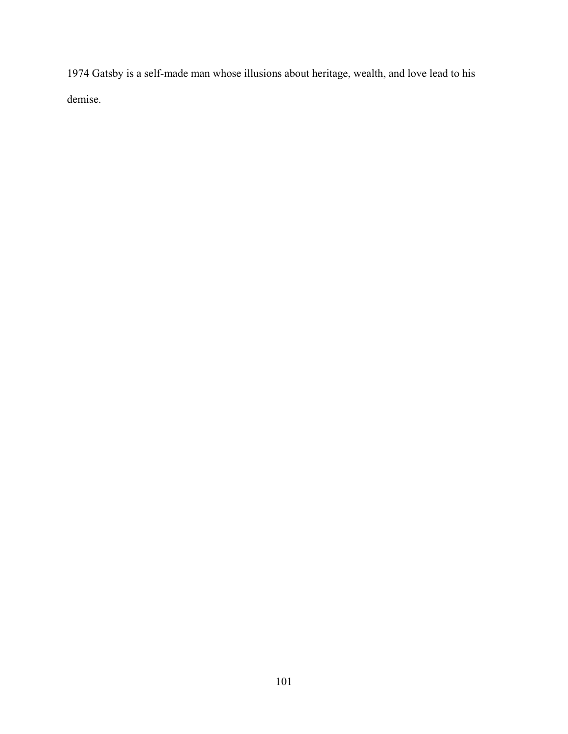1974 Gatsby is a self-made man whose illusions about heritage, wealth, and love lead to his demise.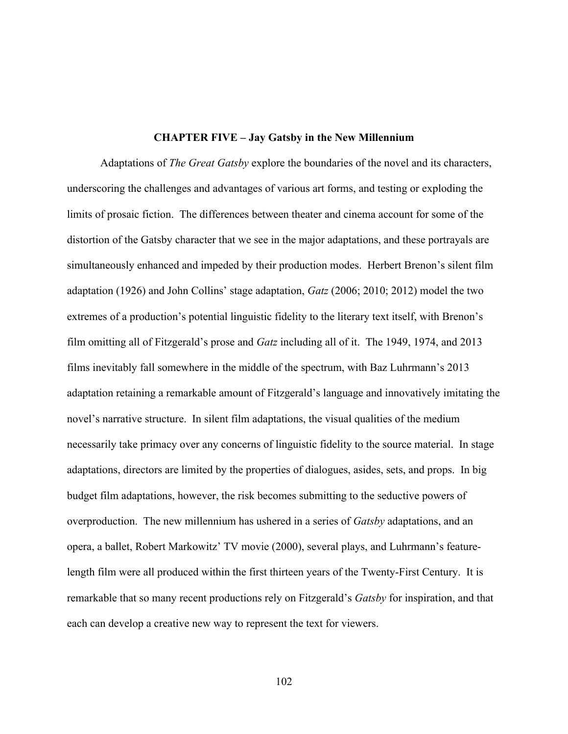#### **CHAPTER FIVE – Jay Gatsby in the New Millennium**

Adaptations of *The Great Gatsby* explore the boundaries of the novel and its characters, underscoring the challenges and advantages of various art forms, and testing or exploding the limits of prosaic fiction. The differences between theater and cinema account for some of the distortion of the Gatsby character that we see in the major adaptations, and these portrayals are simultaneously enhanced and impeded by their production modes. Herbert Brenon's silent film adaptation (1926) and John Collins' stage adaptation, *Gatz* (2006; 2010; 2012) model the two extremes of a production's potential linguistic fidelity to the literary text itself, with Brenon's film omitting all of Fitzgerald's prose and *Gatz* including all of it. The 1949, 1974, and 2013 films inevitably fall somewhere in the middle of the spectrum, with Baz Luhrmann's 2013 adaptation retaining a remarkable amount of Fitzgerald's language and innovatively imitating the novel's narrative structure. In silent film adaptations, the visual qualities of the medium necessarily take primacy over any concerns of linguistic fidelity to the source material. In stage adaptations, directors are limited by the properties of dialogues, asides, sets, and props. In big budget film adaptations, however, the risk becomes submitting to the seductive powers of overproduction. The new millennium has ushered in a series of *Gatsby* adaptations, and an opera, a ballet, Robert Markowitz' TV movie (2000), several plays, and Luhrmann's featurelength film were all produced within the first thirteen years of the Twenty-First Century. It is remarkable that so many recent productions rely on Fitzgerald's *Gatsby* for inspiration, and that each can develop a creative new way to represent the text for viewers.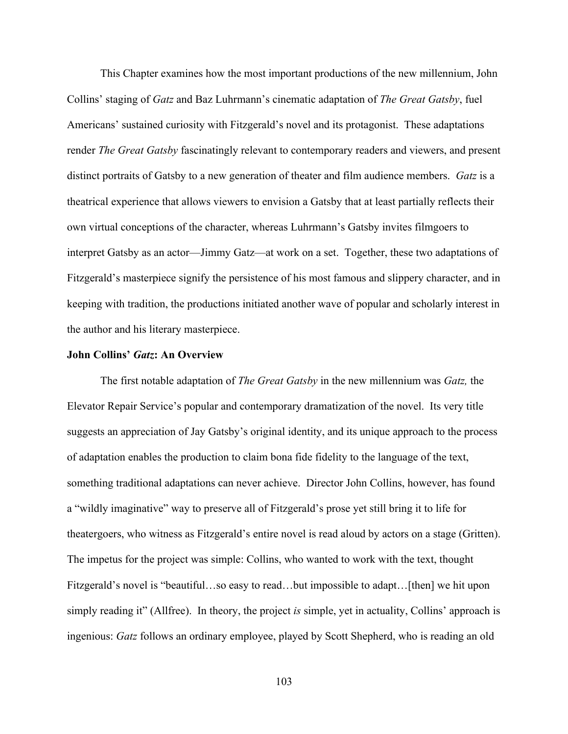This Chapter examines how the most important productions of the new millennium, John Collins' staging of *Gatz* and Baz Luhrmann's cinematic adaptation of *The Great Gatsby*, fuel Americans' sustained curiosity with Fitzgerald's novel and its protagonist. These adaptations render *The Great Gatsby* fascinatingly relevant to contemporary readers and viewers, and present distinct portraits of Gatsby to a new generation of theater and film audience members. *Gatz* is a theatrical experience that allows viewers to envision a Gatsby that at least partially reflects their own virtual conceptions of the character, whereas Luhrmann's Gatsby invites filmgoers to interpret Gatsby as an actor—Jimmy Gatz—at work on a set. Together, these two adaptations of Fitzgerald's masterpiece signify the persistence of his most famous and slippery character, and in keeping with tradition, the productions initiated another wave of popular and scholarly interest in the author and his literary masterpiece.

#### **John Collins'** *Gatz***: An Overview**

The first notable adaptation of *The Great Gatsby* in the new millennium was *Gatz,* the Elevator Repair Service's popular and contemporary dramatization of the novel. Its very title suggests an appreciation of Jay Gatsby's original identity, and its unique approach to the process of adaptation enables the production to claim bona fide fidelity to the language of the text, something traditional adaptations can never achieve. Director John Collins, however, has found a "wildly imaginative" way to preserve all of Fitzgerald's prose yet still bring it to life for theatergoers, who witness as Fitzgerald's entire novel is read aloud by actors on a stage (Gritten). The impetus for the project was simple: Collins, who wanted to work with the text, thought Fitzgerald's novel is "beautiful…so easy to read…but impossible to adapt…[then] we hit upon simply reading it" (Allfree). In theory, the project *is* simple, yet in actuality, Collins' approach is ingenious: *Gatz* follows an ordinary employee, played by Scott Shepherd, who is reading an old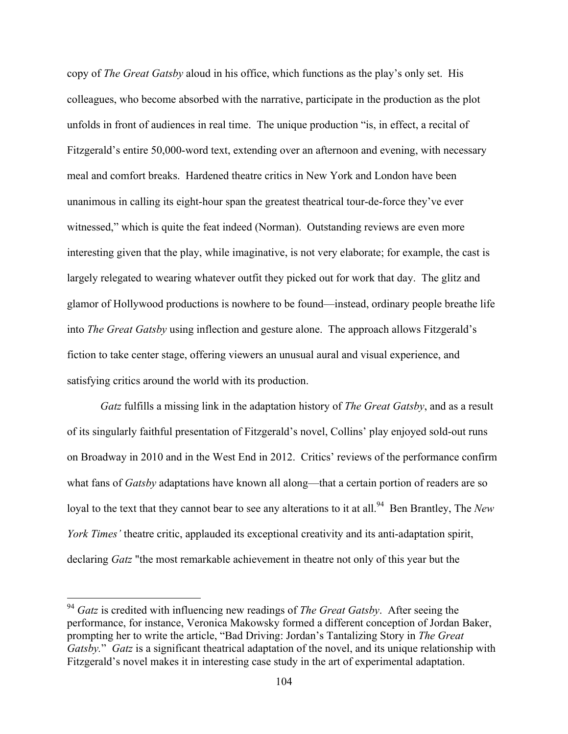copy of *The Great Gatsby* aloud in his office, which functions as the play's only set. His colleagues, who become absorbed with the narrative, participate in the production as the plot unfolds in front of audiences in real time. The unique production "is, in effect, a recital of Fitzgerald's entire 50,000-word text, extending over an afternoon and evening, with necessary meal and comfort breaks. Hardened theatre critics in New York and London have been unanimous in calling its eight-hour span the greatest theatrical tour-de-force they've ever witnessed," which is quite the feat indeed (Norman). Outstanding reviews are even more interesting given that the play, while imaginative, is not very elaborate; for example, the cast is largely relegated to wearing whatever outfit they picked out for work that day. The glitz and glamor of Hollywood productions is nowhere to be found—instead, ordinary people breathe life into *The Great Gatsby* using inflection and gesture alone. The approach allows Fitzgerald's fiction to take center stage, offering viewers an unusual aural and visual experience, and satisfying critics around the world with its production.

*Gatz* fulfills a missing link in the adaptation history of *The Great Gatsby*, and as a result of its singularly faithful presentation of Fitzgerald's novel, Collins' play enjoyed sold-out runs on Broadway in 2010 and in the West End in 2012. Critics' reviews of the performance confirm what fans of *Gatsby* adaptations have known all along—that a certain portion of readers are so loyal to the text that they cannot bear to see any alterations to it at all.<sup>94</sup> Ben Brantley, The *New York Times'* theatre critic, applauded its exceptional creativity and its anti-adaptation spirit, declaring *Gatz* "the most remarkable achievement in theatre not only of this year but the

 <sup>94</sup> *Gatz* is credited with influencing new readings of *The Great Gatsby*. After seeing the performance, for instance, Veronica Makowsky formed a different conception of Jordan Baker, prompting her to write the article, "Bad Driving: Jordan's Tantalizing Story in *The Great Gatsby.*" *Gatz* is a significant theatrical adaptation of the novel, and its unique relationship with Fitzgerald's novel makes it in interesting case study in the art of experimental adaptation.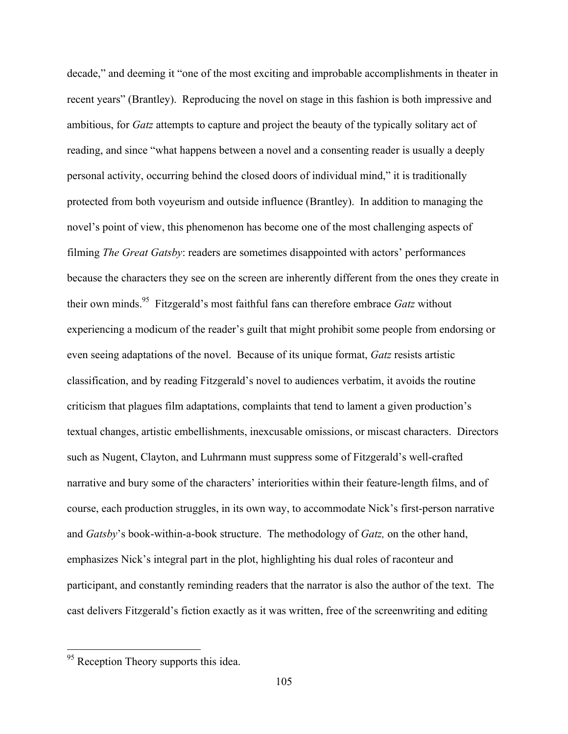decade," and deeming it "one of the most exciting and improbable accomplishments in theater in recent years" (Brantley). Reproducing the novel on stage in this fashion is both impressive and ambitious, for *Gatz* attempts to capture and project the beauty of the typically solitary act of reading, and since "what happens between a novel and a consenting reader is usually a deeply personal activity, occurring behind the closed doors of individual mind," it is traditionally protected from both voyeurism and outside influence (Brantley). In addition to managing the novel's point of view, this phenomenon has become one of the most challenging aspects of filming *The Great Gatsby*: readers are sometimes disappointed with actors' performances because the characters they see on the screen are inherently different from the ones they create in their own minds.95 Fitzgerald's most faithful fans can therefore embrace *Gatz* without experiencing a modicum of the reader's guilt that might prohibit some people from endorsing or even seeing adaptations of the novel. Because of its unique format, *Gatz* resists artistic classification, and by reading Fitzgerald's novel to audiences verbatim, it avoids the routine criticism that plagues film adaptations, complaints that tend to lament a given production's textual changes, artistic embellishments, inexcusable omissions, or miscast characters. Directors such as Nugent, Clayton, and Luhrmann must suppress some of Fitzgerald's well-crafted narrative and bury some of the characters' interiorities within their feature-length films, and of course, each production struggles, in its own way, to accommodate Nick's first-person narrative and *Gatsby*'s book-within-a-book structure. The methodology of *Gatz,* on the other hand, emphasizes Nick's integral part in the plot, highlighting his dual roles of raconteur and participant, and constantly reminding readers that the narrator is also the author of the text. The cast delivers Fitzgerald's fiction exactly as it was written, free of the screenwriting and editing

<sup>&</sup>lt;sup>95</sup> Reception Theory supports this idea.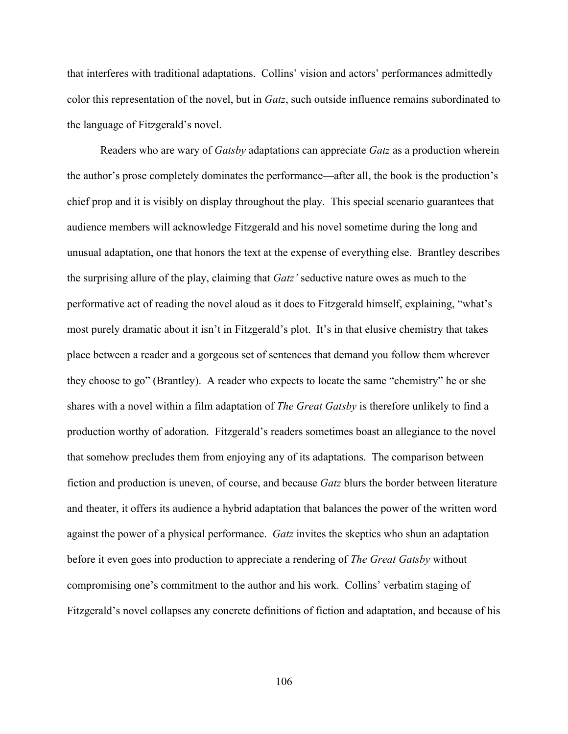that interferes with traditional adaptations. Collins' vision and actors' performances admittedly color this representation of the novel, but in *Gatz*, such outside influence remains subordinated to the language of Fitzgerald's novel.

Readers who are wary of *Gatsby* adaptations can appreciate *Gatz* as a production wherein the author's prose completely dominates the performance—after all, the book is the production's chief prop and it is visibly on display throughout the play. This special scenario guarantees that audience members will acknowledge Fitzgerald and his novel sometime during the long and unusual adaptation, one that honors the text at the expense of everything else. Brantley describes the surprising allure of the play, claiming that *Gatz'* seductive nature owes as much to the performative act of reading the novel aloud as it does to Fitzgerald himself, explaining, "what's most purely dramatic about it isn't in Fitzgerald's plot. It's in that elusive chemistry that takes place between a reader and a gorgeous set of sentences that demand you follow them wherever they choose to go" (Brantley). A reader who expects to locate the same "chemistry" he or she shares with a novel within a film adaptation of *The Great Gatsby* is therefore unlikely to find a production worthy of adoration. Fitzgerald's readers sometimes boast an allegiance to the novel that somehow precludes them from enjoying any of its adaptations. The comparison between fiction and production is uneven, of course, and because *Gatz* blurs the border between literature and theater, it offers its audience a hybrid adaptation that balances the power of the written word against the power of a physical performance. *Gatz* invites the skeptics who shun an adaptation before it even goes into production to appreciate a rendering of *The Great Gatsby* without compromising one's commitment to the author and his work. Collins' verbatim staging of Fitzgerald's novel collapses any concrete definitions of fiction and adaptation, and because of his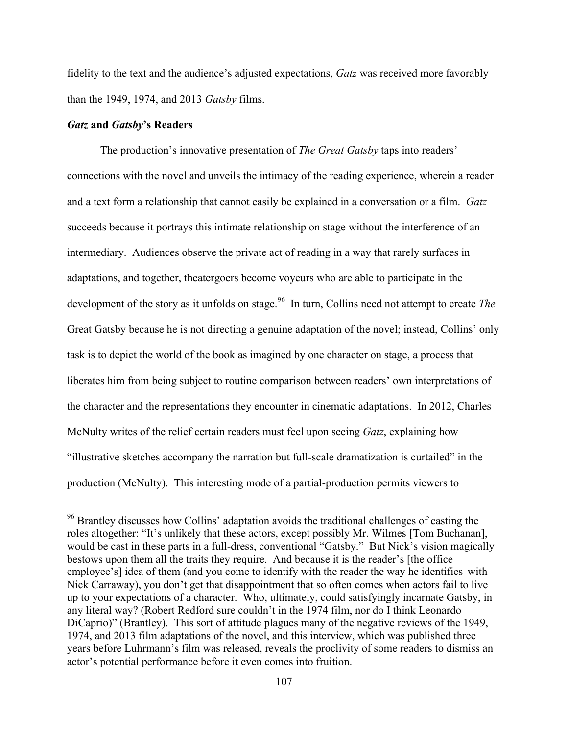fidelity to the text and the audience's adjusted expectations, *Gatz* was received more favorably than the 1949, 1974, and 2013 *Gatsby* films.

## *Gatz* **and** *Gatsby***'s Readers**

The production's innovative presentation of *The Great Gatsby* taps into readers' connections with the novel and unveils the intimacy of the reading experience, wherein a reader and a text form a relationship that cannot easily be explained in a conversation or a film. *Gatz* succeeds because it portrays this intimate relationship on stage without the interference of an intermediary. Audiences observe the private act of reading in a way that rarely surfaces in adaptations, and together, theatergoers become voyeurs who are able to participate in the development of the story as it unfolds on stage.<sup>96</sup> In turn, Collins need not attempt to create *The* Great Gatsby because he is not directing a genuine adaptation of the novel; instead, Collins' only task is to depict the world of the book as imagined by one character on stage, a process that liberates him from being subject to routine comparison between readers' own interpretations of the character and the representations they encounter in cinematic adaptations. In 2012, Charles McNulty writes of the relief certain readers must feel upon seeing *Gatz*, explaining how "illustrative sketches accompany the narration but full-scale dramatization is curtailed" in the production (McNulty). This interesting mode of a partial-production permits viewers to

<sup>&</sup>lt;sup>96</sup> Brantley discusses how Collins' adaptation avoids the traditional challenges of casting the roles altogether: "It's unlikely that these actors, except possibly Mr. Wilmes [Tom Buchanan], would be cast in these parts in a full-dress, conventional "Gatsby." But Nick's vision magically bestows upon them all the traits they require. And because it is the reader's [the office employee's] idea of them (and you come to identify with the reader the way he identifies with Nick Carraway), you don't get that disappointment that so often comes when actors fail to live up to your expectations of a character. Who, ultimately, could satisfyingly incarnate Gatsby, in any literal way? (Robert Redford sure couldn't in the 1974 film, nor do I think Leonardo DiCaprio)" (Brantley). This sort of attitude plagues many of the negative reviews of the 1949, 1974, and 2013 film adaptations of the novel, and this interview, which was published three years before Luhrmann's film was released, reveals the proclivity of some readers to dismiss an actor's potential performance before it even comes into fruition.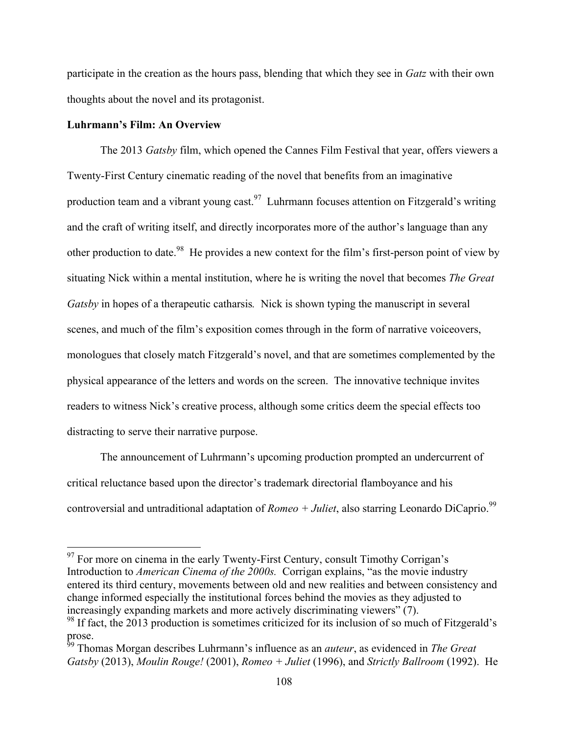participate in the creation as the hours pass, blending that which they see in *Gatz* with their own thoughts about the novel and its protagonist.

# **Luhrmann's Film: An Overview**

The 2013 *Gatsby* film, which opened the Cannes Film Festival that year, offers viewers a Twenty-First Century cinematic reading of the novel that benefits from an imaginative production team and a vibrant young cast.<sup>97</sup> Luhrmann focuses attention on Fitzgerald's writing and the craft of writing itself, and directly incorporates more of the author's language than any other production to date.<sup>98</sup> He provides a new context for the film's first-person point of view by situating Nick within a mental institution, where he is writing the novel that becomes *The Great Gatsby* in hopes of a therapeutic catharsis*.* Nick is shown typing the manuscript in several scenes, and much of the film's exposition comes through in the form of narrative voiceovers, monologues that closely match Fitzgerald's novel, and that are sometimes complemented by the physical appearance of the letters and words on the screen. The innovative technique invites readers to witness Nick's creative process, although some critics deem the special effects too distracting to serve their narrative purpose.

The announcement of Luhrmann's upcoming production prompted an undercurrent of critical reluctance based upon the director's trademark directorial flamboyance and his controversial and untraditional adaptation of *Romeo + Juliet*, also starring Leonardo DiCaprio.<sup>99</sup>

 $97$  For more on cinema in the early Twenty-First Century, consult Timothy Corrigan's Introduction to *American Cinema of the 2000s.* Corrigan explains, "as the movie industry entered its third century, movements between old and new realities and between consistency and change informed especially the institutional forces behind the movies as they adjusted to increasingly expanding markets and more actively discriminating viewers" (7). <sup>98</sup> If fact, the 2013 production is sometimes criticized for its inclusion of so much of Fitzgerald's prose.

<sup>99</sup> Thomas Morgan describes Luhrmann's influence as an *auteur*, as evidenced in *The Great Gatsby* (2013), *Moulin Rouge!* (2001), *Romeo + Juliet* (1996), and *Strictly Ballroom* (1992). He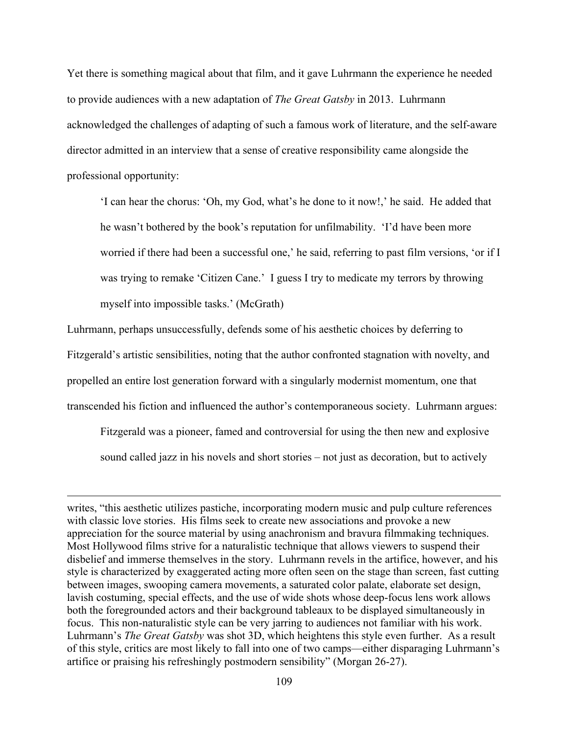Yet there is something magical about that film, and it gave Luhrmann the experience he needed to provide audiences with a new adaptation of *The Great Gatsby* in 2013. Luhrmann acknowledged the challenges of adapting of such a famous work of literature, and the self-aware director admitted in an interview that a sense of creative responsibility came alongside the professional opportunity:

'I can hear the chorus: 'Oh, my God, what's he done to it now!,' he said. He added that he wasn't bothered by the book's reputation for unfilmability. 'I'd have been more worried if there had been a successful one,' he said, referring to past film versions, 'or if I was trying to remake 'Citizen Cane.' I guess I try to medicate my terrors by throwing myself into impossible tasks.' (McGrath)

Luhrmann, perhaps unsuccessfully, defends some of his aesthetic choices by deferring to Fitzgerald's artistic sensibilities, noting that the author confronted stagnation with novelty, and propelled an entire lost generation forward with a singularly modernist momentum, one that transcended his fiction and influenced the author's contemporaneous society. Luhrmann argues:

Fitzgerald was a pioneer, famed and controversial for using the then new and explosive sound called jazz in his novels and short stories – not just as decoration, but to actively

<u>.</u>

writes, "this aesthetic utilizes pastiche, incorporating modern music and pulp culture references with classic love stories. His films seek to create new associations and provoke a new appreciation for the source material by using anachronism and bravura filmmaking techniques. Most Hollywood films strive for a naturalistic technique that allows viewers to suspend their disbelief and immerse themselves in the story. Luhrmann revels in the artifice, however, and his style is characterized by exaggerated acting more often seen on the stage than screen, fast cutting between images, swooping camera movements, a saturated color palate, elaborate set design, lavish costuming, special effects, and the use of wide shots whose deep-focus lens work allows both the foregrounded actors and their background tableaux to be displayed simultaneously in focus. This non-naturalistic style can be very jarring to audiences not familiar with his work. Luhrmann's *The Great Gatsby* was shot 3D, which heightens this style even further. As a result of this style, critics are most likely to fall into one of two camps—either disparaging Luhrmann's artifice or praising his refreshingly postmodern sensibility" (Morgan 26-27).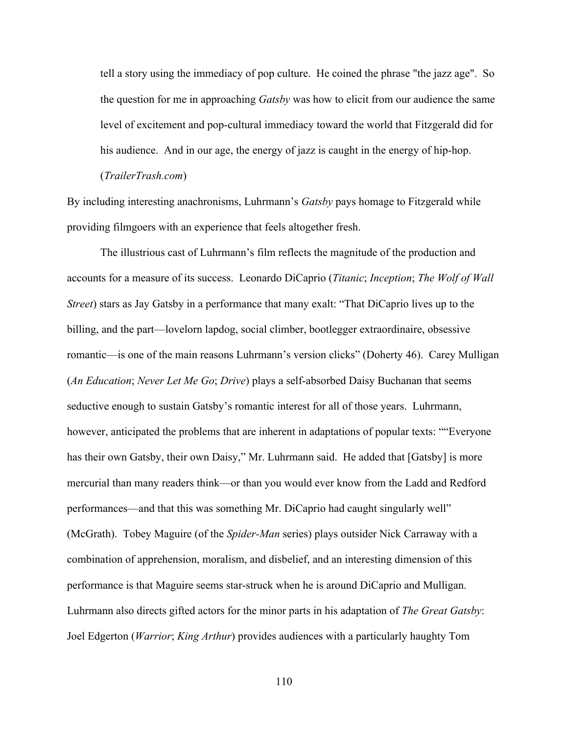tell a story using the immediacy of pop culture. He coined the phrase "the jazz age". So the question for me in approaching *Gatsby* was how to elicit from our audience the same level of excitement and pop-cultural immediacy toward the world that Fitzgerald did for his audience. And in our age, the energy of jazz is caught in the energy of hip-hop.

# (*TrailerTrash.com*)

By including interesting anachronisms, Luhrmann's *Gatsby* pays homage to Fitzgerald while providing filmgoers with an experience that feels altogether fresh.

The illustrious cast of Luhrmann's film reflects the magnitude of the production and accounts for a measure of its success. Leonardo DiCaprio (*Titanic*; *Inception*; *The Wolf of Wall Street*) stars as Jay Gatsby in a performance that many exalt: "That DiCaprio lives up to the billing, and the part—lovelorn lapdog, social climber, bootlegger extraordinaire, obsessive romantic—is one of the main reasons Luhrmann's version clicks" (Doherty 46). Carey Mulligan (*An Education*; *Never Let Me Go*; *Drive*) plays a self-absorbed Daisy Buchanan that seems seductive enough to sustain Gatsby's romantic interest for all of those years. Luhrmann, however, anticipated the problems that are inherent in adaptations of popular texts: ""Everyone has their own Gatsby, their own Daisy," Mr. Luhrmann said. He added that [Gatsby] is more mercurial than many readers think—or than you would ever know from the Ladd and Redford performances—and that this was something Mr. DiCaprio had caught singularly well" (McGrath). Tobey Maguire (of the *Spider-Man* series) plays outsider Nick Carraway with a combination of apprehension, moralism, and disbelief, and an interesting dimension of this performance is that Maguire seems star-struck when he is around DiCaprio and Mulligan. Luhrmann also directs gifted actors for the minor parts in his adaptation of *The Great Gatsby*: Joel Edgerton (*Warrior*; *King Arthur*) provides audiences with a particularly haughty Tom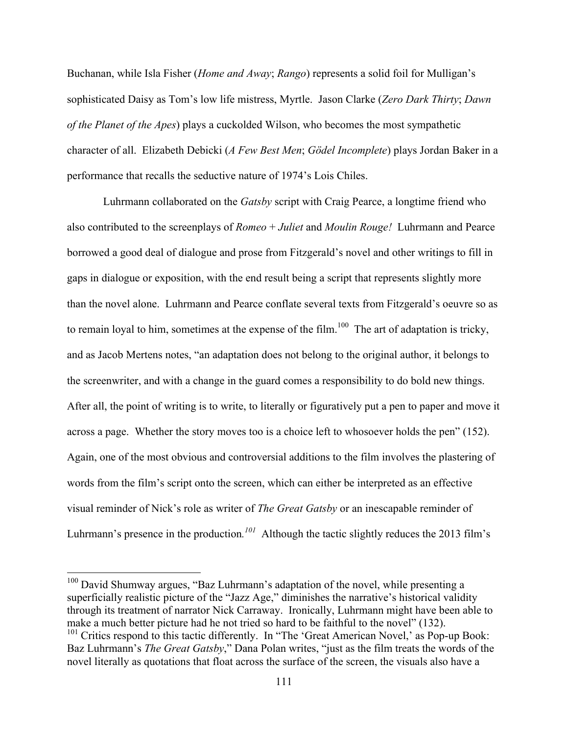Buchanan, while Isla Fisher (*Home and Away*; *Rango*) represents a solid foil for Mulligan's sophisticated Daisy as Tom's low life mistress, Myrtle. Jason Clarke (*Zero Dark Thirty*; *Dawn of the Planet of the Apes*) plays a cuckolded Wilson, who becomes the most sympathetic character of all. Elizabeth Debicki (*A Few Best Men*; *Gödel Incomplete*) plays Jordan Baker in a performance that recalls the seductive nature of 1974's Lois Chiles.

Luhrmann collaborated on the *Gatsby* script with Craig Pearce, a longtime friend who also contributed to the screenplays of *Romeo* + *Juliet* and *Moulin Rouge!* Luhrmann and Pearce borrowed a good deal of dialogue and prose from Fitzgerald's novel and other writings to fill in gaps in dialogue or exposition, with the end result being a script that represents slightly more than the novel alone. Luhrmann and Pearce conflate several texts from Fitzgerald's oeuvre so as to remain loyal to him, sometimes at the expense of the film.<sup>100</sup> The art of adaptation is tricky, and as Jacob Mertens notes, "an adaptation does not belong to the original author, it belongs to the screenwriter, and with a change in the guard comes a responsibility to do bold new things. After all, the point of writing is to write, to literally or figuratively put a pen to paper and move it across a page. Whether the story moves too is a choice left to whosoever holds the pen" (152). Again, one of the most obvious and controversial additions to the film involves the plastering of words from the film's script onto the screen, which can either be interpreted as an effective visual reminder of Nick's role as writer of *The Great Gatsby* or an inescapable reminder of Luhrmann's presence in the production.<sup>101</sup> Although the tactic slightly reduces the 2013 film's

<sup>&</sup>lt;sup>100</sup> David Shumway argues, "Baz Luhrmann's adaptation of the novel, while presenting a superficially realistic picture of the "Jazz Age," diminishes the narrative's historical validity through its treatment of narrator Nick Carraway. Ironically, Luhrmann might have been able to make a much better picture had he not tried so hard to be faithful to the novel" (132). <sup>101</sup> Critics respond to this tactic differently. In "The 'Great American Novel,' as Pop-up Book: Baz Luhrmann's *The Great Gatsby*," Dana Polan writes, "just as the film treats the words of the novel literally as quotations that float across the surface of the screen, the visuals also have a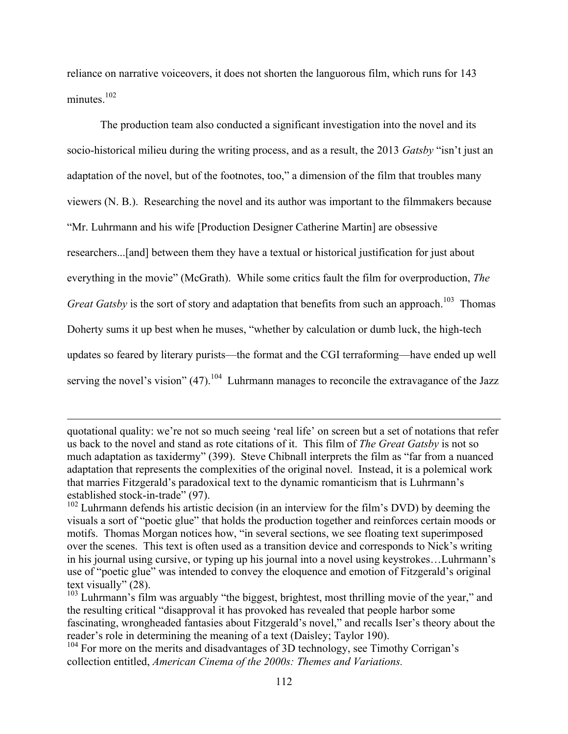reliance on narrative voiceovers, it does not shorten the languorous film, which runs for 143 minutes.<sup>102</sup>

The production team also conducted a significant investigation into the novel and its socio-historical milieu during the writing process, and as a result, the 2013 *Gatsby* "isn't just an adaptation of the novel, but of the footnotes, too," a dimension of the film that troubles many viewers (N. B.). Researching the novel and its author was important to the filmmakers because "Mr. Luhrmann and his wife [Production Designer Catherine Martin] are obsessive researchers...[and] between them they have a textual or historical justification for just about everything in the movie" (McGrath). While some critics fault the film for overproduction, *The Great Gatsby* is the sort of story and adaptation that benefits from such an approach.<sup>103</sup> Thomas Doherty sums it up best when he muses, "whether by calculation or dumb luck, the high-tech updates so feared by literary purists—the format and the CGI terraforming—have ended up well serving the novel's vision"  $(47)$ .<sup>104</sup> Luhrmann manages to reconcile the extravagance of the Jazz

<u>.</u>

quotational quality: we're not so much seeing 'real life' on screen but a set of notations that refer us back to the novel and stand as rote citations of it. This film of *The Great Gatsby* is not so much adaptation as taxidermy" (399). Steve Chibnall interprets the film as "far from a nuanced adaptation that represents the complexities of the original novel. Instead, it is a polemical work that marries Fitzgerald's paradoxical text to the dynamic romanticism that is Luhrmann's established stock-in-trade" (97).

 $102$  Luhrmann defends his artistic decision (in an interview for the film's DVD) by deeming the visuals a sort of "poetic glue" that holds the production together and reinforces certain moods or motifs. Thomas Morgan notices how, "in several sections, we see floating text superimposed over the scenes. This text is often used as a transition device and corresponds to Nick's writing in his journal using cursive, or typing up his journal into a novel using keystrokes…Luhrmann's use of "poetic glue" was intended to convey the eloquence and emotion of Fitzgerald's original text visually" (28).

<sup>&</sup>lt;sup>103</sup> Luhrmann's film was arguably "the biggest, brightest, most thrilling movie of the year," and the resulting critical "disapproval it has provoked has revealed that people harbor some fascinating, wrongheaded fantasies about Fitzgerald's novel," and recalls Iser's theory about the reader's role in determining the meaning of a text (Daisley; Taylor 190).

 $104$  For more on the merits and disadvantages of 3D technology, see Timothy Corrigan's collection entitled, *American Cinema of the 2000s: Themes and Variations.*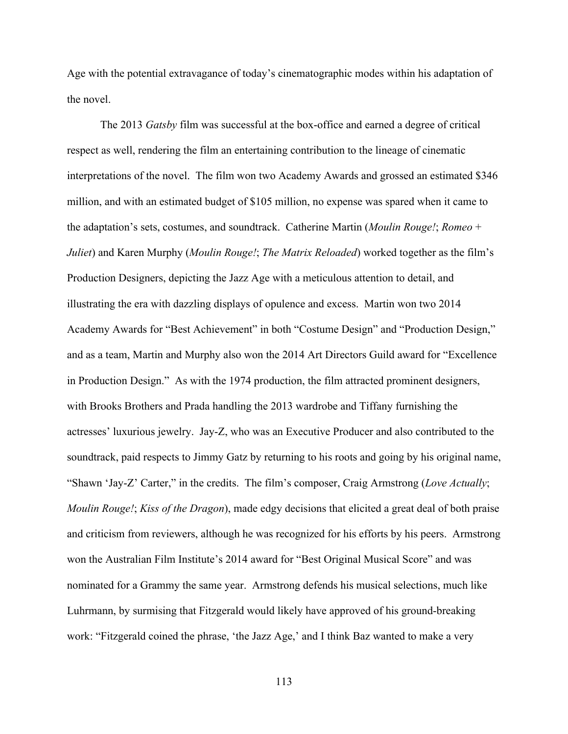Age with the potential extravagance of today's cinematographic modes within his adaptation of the novel.

The 2013 *Gatsby* film was successful at the box-office and earned a degree of critical respect as well, rendering the film an entertaining contribution to the lineage of cinematic interpretations of the novel. The film won two Academy Awards and grossed an estimated \$346 million, and with an estimated budget of \$105 million, no expense was spared when it came to the adaptation's sets, costumes, and soundtrack. Catherine Martin (*Moulin Rouge!*; *Romeo* + *Juliet*) and Karen Murphy (*Moulin Rouge!*; *The Matrix Reloaded*) worked together as the film's Production Designers, depicting the Jazz Age with a meticulous attention to detail, and illustrating the era with dazzling displays of opulence and excess. Martin won two 2014 Academy Awards for "Best Achievement" in both "Costume Design" and "Production Design," and as a team, Martin and Murphy also won the 2014 Art Directors Guild award for "Excellence in Production Design." As with the 1974 production, the film attracted prominent designers, with Brooks Brothers and Prada handling the 2013 wardrobe and Tiffany furnishing the actresses' luxurious jewelry. Jay-Z, who was an Executive Producer and also contributed to the soundtrack, paid respects to Jimmy Gatz by returning to his roots and going by his original name, "Shawn 'Jay-Z' Carter," in the credits. The film's composer, Craig Armstrong (*Love Actually*; *Moulin Rouge!*; *Kiss of the Dragon*), made edgy decisions that elicited a great deal of both praise and criticism from reviewers, although he was recognized for his efforts by his peers. Armstrong won the Australian Film Institute's 2014 award for "Best Original Musical Score" and was nominated for a Grammy the same year. Armstrong defends his musical selections, much like Luhrmann, by surmising that Fitzgerald would likely have approved of his ground-breaking work: "Fitzgerald coined the phrase, 'the Jazz Age,' and I think Baz wanted to make a very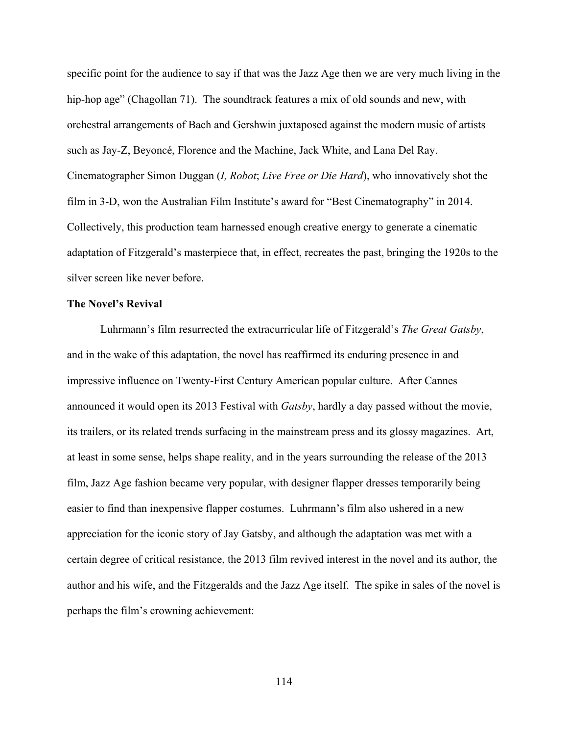specific point for the audience to say if that was the Jazz Age then we are very much living in the hip-hop age" (Chagollan 71). The soundtrack features a mix of old sounds and new, with orchestral arrangements of Bach and Gershwin juxtaposed against the modern music of artists such as Jay-Z, Beyoncé, Florence and the Machine, Jack White, and Lana Del Ray. Cinematographer Simon Duggan (*I, Robot*; *Live Free or Die Hard*), who innovatively shot the film in 3-D, won the Australian Film Institute's award for "Best Cinematography" in 2014. Collectively, this production team harnessed enough creative energy to generate a cinematic adaptation of Fitzgerald's masterpiece that, in effect, recreates the past, bringing the 1920s to the silver screen like never before.

## **The Novel's Revival**

Luhrmann's film resurrected the extracurricular life of Fitzgerald's *The Great Gatsby*, and in the wake of this adaptation, the novel has reaffirmed its enduring presence in and impressive influence on Twenty-First Century American popular culture. After Cannes announced it would open its 2013 Festival with *Gatsby*, hardly a day passed without the movie, its trailers, or its related trends surfacing in the mainstream press and its glossy magazines. Art, at least in some sense, helps shape reality, and in the years surrounding the release of the 2013 film, Jazz Age fashion became very popular, with designer flapper dresses temporarily being easier to find than inexpensive flapper costumes. Luhrmann's film also ushered in a new appreciation for the iconic story of Jay Gatsby, and although the adaptation was met with a certain degree of critical resistance, the 2013 film revived interest in the novel and its author, the author and his wife, and the Fitzgeralds and the Jazz Age itself. The spike in sales of the novel is perhaps the film's crowning achievement: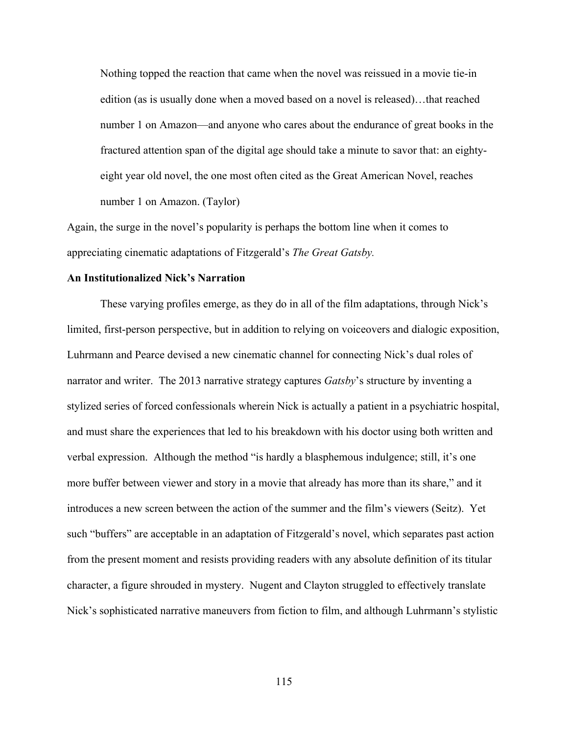Nothing topped the reaction that came when the novel was reissued in a movie tie-in edition (as is usually done when a moved based on a novel is released)...that reached number 1 on Amazon—and anyone who cares about the endurance of great books in the fractured attention span of the digital age should take a minute to savor that: an eightyeight year old novel, the one most often cited as the Great American Novel, reaches number 1 on Amazon. (Taylor)

Again, the surge in the novel's popularity is perhaps the bottom line when it comes to appreciating cinematic adaptations of Fitzgerald's *The Great Gatsby.*

### **An Institutionalized Nick's Narration**

These varying profiles emerge, as they do in all of the film adaptations, through Nick's limited, first-person perspective, but in addition to relying on voiceovers and dialogic exposition, Luhrmann and Pearce devised a new cinematic channel for connecting Nick's dual roles of narrator and writer. The 2013 narrative strategy captures *Gatsby*'s structure by inventing a stylized series of forced confessionals wherein Nick is actually a patient in a psychiatric hospital, and must share the experiences that led to his breakdown with his doctor using both written and verbal expression. Although the method "is hardly a blasphemous indulgence; still, it's one more buffer between viewer and story in a movie that already has more than its share," and it introduces a new screen between the action of the summer and the film's viewers (Seitz). Yet such "buffers" are acceptable in an adaptation of Fitzgerald's novel, which separates past action from the present moment and resists providing readers with any absolute definition of its titular character, a figure shrouded in mystery. Nugent and Clayton struggled to effectively translate Nick's sophisticated narrative maneuvers from fiction to film, and although Luhrmann's stylistic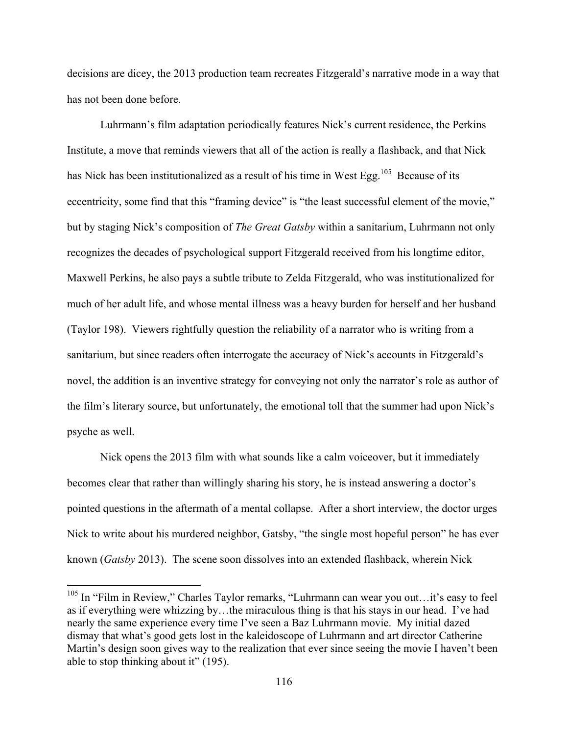decisions are dicey, the 2013 production team recreates Fitzgerald's narrative mode in a way that has not been done before.

Luhrmann's film adaptation periodically features Nick's current residence, the Perkins Institute, a move that reminds viewers that all of the action is really a flashback, and that Nick has Nick has been institutionalized as a result of his time in West Egg.<sup>105</sup> Because of its eccentricity, some find that this "framing device" is "the least successful element of the movie," but by staging Nick's composition of *The Great Gatsby* within a sanitarium, Luhrmann not only recognizes the decades of psychological support Fitzgerald received from his longtime editor, Maxwell Perkins, he also pays a subtle tribute to Zelda Fitzgerald, who was institutionalized for much of her adult life, and whose mental illness was a heavy burden for herself and her husband (Taylor 198). Viewers rightfully question the reliability of a narrator who is writing from a sanitarium, but since readers often interrogate the accuracy of Nick's accounts in Fitzgerald's novel, the addition is an inventive strategy for conveying not only the narrator's role as author of the film's literary source, but unfortunately, the emotional toll that the summer had upon Nick's psyche as well.

Nick opens the 2013 film with what sounds like a calm voiceover, but it immediately becomes clear that rather than willingly sharing his story, he is instead answering a doctor's pointed questions in the aftermath of a mental collapse. After a short interview, the doctor urges Nick to write about his murdered neighbor, Gatsby, "the single most hopeful person" he has ever known (*Gatsby* 2013). The scene soon dissolves into an extended flashback, wherein Nick

<sup>&</sup>lt;sup>105</sup> In "Film in Review," Charles Taylor remarks, "Luhrmann can wear you out...it's easy to feel as if everything were whizzing by…the miraculous thing is that his stays in our head. I've had nearly the same experience every time I've seen a Baz Luhrmann movie. My initial dazed dismay that what's good gets lost in the kaleidoscope of Luhrmann and art director Catherine Martin's design soon gives way to the realization that ever since seeing the movie I haven't been able to stop thinking about it" (195).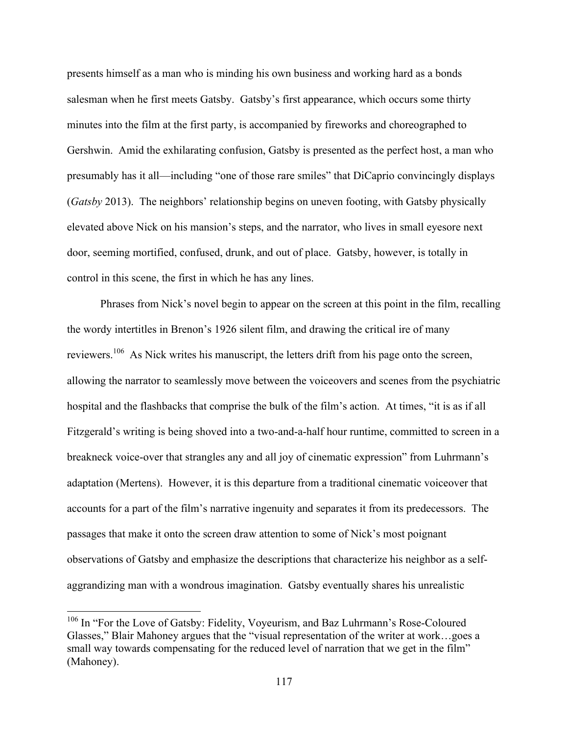presents himself as a man who is minding his own business and working hard as a bonds salesman when he first meets Gatsby. Gatsby's first appearance, which occurs some thirty minutes into the film at the first party, is accompanied by fireworks and choreographed to Gershwin. Amid the exhilarating confusion, Gatsby is presented as the perfect host, a man who presumably has it all—including "one of those rare smiles" that DiCaprio convincingly displays (*Gatsby* 2013). The neighbors' relationship begins on uneven footing, with Gatsby physically elevated above Nick on his mansion's steps, and the narrator, who lives in small eyesore next door, seeming mortified, confused, drunk, and out of place. Gatsby, however, is totally in control in this scene, the first in which he has any lines.

Phrases from Nick's novel begin to appear on the screen at this point in the film, recalling the wordy intertitles in Brenon's 1926 silent film, and drawing the critical ire of many reviewers.<sup>106</sup> As Nick writes his manuscript, the letters drift from his page onto the screen, allowing the narrator to seamlessly move between the voiceovers and scenes from the psychiatric hospital and the flashbacks that comprise the bulk of the film's action. At times, "it is as if all Fitzgerald's writing is being shoved into a two-and-a-half hour runtime, committed to screen in a breakneck voice-over that strangles any and all joy of cinematic expression" from Luhrmann's adaptation (Mertens). However, it is this departure from a traditional cinematic voiceover that accounts for a part of the film's narrative ingenuity and separates it from its predecessors. The passages that make it onto the screen draw attention to some of Nick's most poignant observations of Gatsby and emphasize the descriptions that characterize his neighbor as a selfaggrandizing man with a wondrous imagination. Gatsby eventually shares his unrealistic

<sup>&</sup>lt;sup>106</sup> In "For the Love of Gatsby: Fidelity, Voyeurism, and Baz Luhrmann's Rose-Coloured Glasses," Blair Mahoney argues that the "visual representation of the writer at work…goes a small way towards compensating for the reduced level of narration that we get in the film" (Mahoney).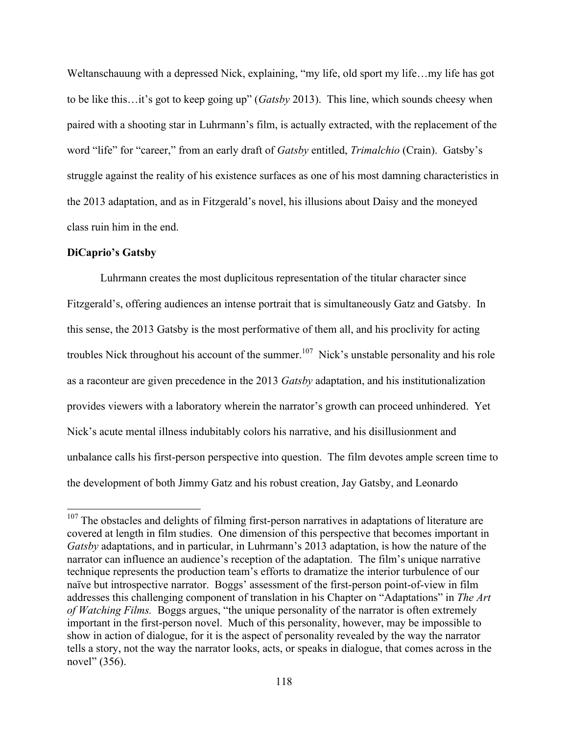Weltanschauung with a depressed Nick, explaining, "my life, old sport my life…my life has got to be like this…it's got to keep going up" (*Gatsby* 2013). This line, which sounds cheesy when paired with a shooting star in Luhrmann's film, is actually extracted, with the replacement of the word "life" for "career," from an early draft of *Gatsby* entitled, *Trimalchio* (Crain). Gatsby's struggle against the reality of his existence surfaces as one of his most damning characteristics in the 2013 adaptation, and as in Fitzgerald's novel, his illusions about Daisy and the moneyed class ruin him in the end.

## **DiCaprio's Gatsby**

Luhrmann creates the most duplicitous representation of the titular character since Fitzgerald's, offering audiences an intense portrait that is simultaneously Gatz and Gatsby. In this sense, the 2013 Gatsby is the most performative of them all, and his proclivity for acting troubles Nick throughout his account of the summer.<sup>107</sup> Nick's unstable personality and his role as a raconteur are given precedence in the 2013 *Gatsby* adaptation, and his institutionalization provides viewers with a laboratory wherein the narrator's growth can proceed unhindered. Yet Nick's acute mental illness indubitably colors his narrative, and his disillusionment and unbalance calls his first-person perspective into question. The film devotes ample screen time to the development of both Jimmy Gatz and his robust creation, Jay Gatsby, and Leonardo

<sup>&</sup>lt;sup>107</sup> The obstacles and delights of filming first-person narratives in adaptations of literature are covered at length in film studies. One dimension of this perspective that becomes important in *Gatsby* adaptations, and in particular, in Luhrmann's 2013 adaptation, is how the nature of the narrator can influence an audience's reception of the adaptation. The film's unique narrative technique represents the production team's efforts to dramatize the interior turbulence of our naïve but introspective narrator. Boggs' assessment of the first-person point-of-view in film addresses this challenging component of translation in his Chapter on "Adaptations" in *The Art of Watching Films.* Boggs argues, "the unique personality of the narrator is often extremely important in the first-person novel. Much of this personality, however, may be impossible to show in action of dialogue, for it is the aspect of personality revealed by the way the narrator tells a story, not the way the narrator looks, acts, or speaks in dialogue, that comes across in the novel" (356).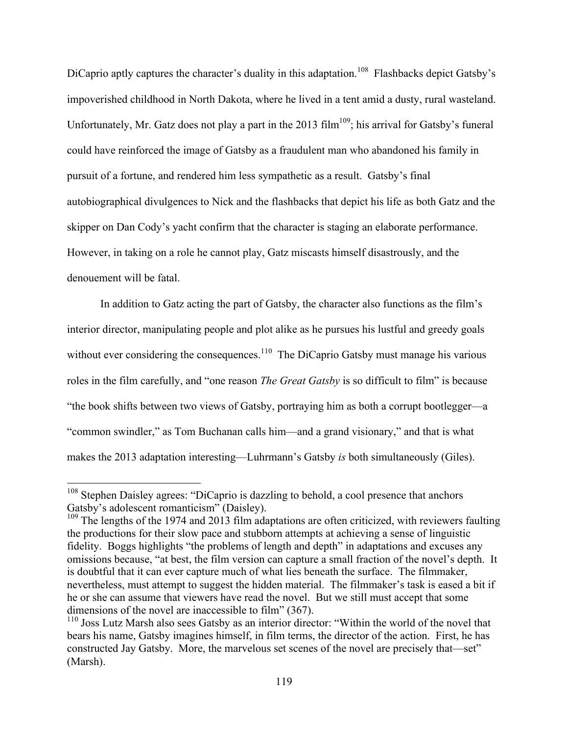DiCaprio aptly captures the character's duality in this adaptation.<sup>108</sup> Flashbacks depict Gatsby's impoverished childhood in North Dakota, where he lived in a tent amid a dusty, rural wasteland. Unfortunately, Mr. Gatz does not play a part in the  $2013$  film<sup>109</sup>; his arrival for Gatsby's funeral could have reinforced the image of Gatsby as a fraudulent man who abandoned his family in pursuit of a fortune, and rendered him less sympathetic as a result. Gatsby's final autobiographical divulgences to Nick and the flashbacks that depict his life as both Gatz and the skipper on Dan Cody's yacht confirm that the character is staging an elaborate performance. However, in taking on a role he cannot play, Gatz miscasts himself disastrously, and the denouement will be fatal.

In addition to Gatz acting the part of Gatsby, the character also functions as the film's interior director, manipulating people and plot alike as he pursues his lustful and greedy goals without ever considering the consequences.<sup>110</sup> The DiCaprio Gatsby must manage his various roles in the film carefully, and "one reason *The Great Gatsby* is so difficult to film" is because "the book shifts between two views of Gatsby, portraying him as both a corrupt bootlegger—a "common swindler," as Tom Buchanan calls him—and a grand visionary," and that is what makes the 2013 adaptation interesting—Luhrmann's Gatsby *is* both simultaneously (Giles).

<sup>&</sup>lt;sup>108</sup> Stephen Daisley agrees: "DiCaprio is dazzling to behold, a cool presence that anchors Gatsby's adolescent romanticism" (Daisley).

 $109$  The lengths of the 1974 and 2013 film adaptations are often criticized, with reviewers faulting the productions for their slow pace and stubborn attempts at achieving a sense of linguistic fidelity. Boggs highlights "the problems of length and depth" in adaptations and excuses any omissions because, "at best, the film version can capture a small fraction of the novel's depth. It is doubtful that it can ever capture much of what lies beneath the surface. The filmmaker, nevertheless, must attempt to suggest the hidden material. The filmmaker's task is eased a bit if he or she can assume that viewers have read the novel. But we still must accept that some dimensions of the novel are inaccessible to film" (367).

<sup>&</sup>lt;sup>110</sup> Joss Lutz Marsh also sees Gatsby as an interior director: "Within the world of the novel that bears his name, Gatsby imagines himself, in film terms, the director of the action. First, he has constructed Jay Gatsby. More, the marvelous set scenes of the novel are precisely that—set" (Marsh).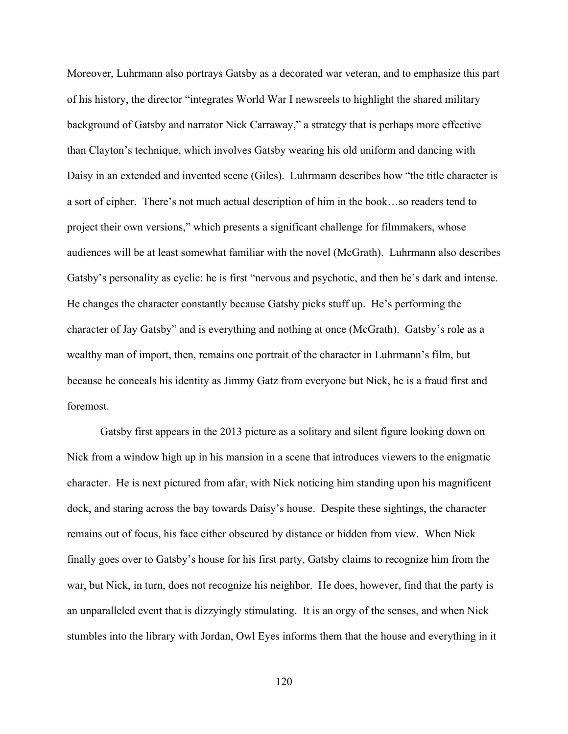Moreover, Luhrmann also portrays Gatsby as a decorated war veteran, and to emphasize this part of his history, the director "integrates World War I newsreels to highlight the shared military background of Gatsby and narrator Nick Carraway," a strategy that is perhaps more effective than Clayton's technique, which involves Gatsby wearing his old uniform and dancing with Daisy in an extended and invented scene (Giles). Luhrmann describes how "the title character is a sort of cipher. There's not much actual description of him in the book…so readers tend to project their own versions," which presents a significant challenge for filmmakers, whose audiences will be at least somewhat familiar with the novel (McGrath). Luhrmann also describes Gatsby's personality as cyclic: he is first "nervous and psychotic, and then he's dark and intense. He changes the character constantly because Gatsby picks stuff up. He's performing the character of Jay Gatsby" and is everything and nothing at once (McGrath). Gatsby's role as a wealthy man of import, then, remains one portrait of the character in Luhrmann's film, but because he conceals his identity as Jimmy Gatz from everyone but Nick, he is a fraud first and foremost.

Gatsby first appears in the 2013 picture as a solitary and silent figure looking down on Nick from a window high up in his mansion in a scene that introduces viewers to the enigmatic character. He is next pictured from afar, with Nick noticing him standing upon his magnificent dock, and staring across the bay towards Daisy's house. Despite these sightings, the character remains out of focus, his face either obscured by distance or hidden from view. When Nick finally goes over to Gatsby's house for his first party, Gatsby claims to recognize him from the war, but Nick, in turn, does not recognize his neighbor. He does, however, find that the party is an unparalleled event that is dizzyingly stimulating. It is an orgy of the senses, and when Nick stumbles into the library with Jordan, Owl Eyes informs them that the house and everything in it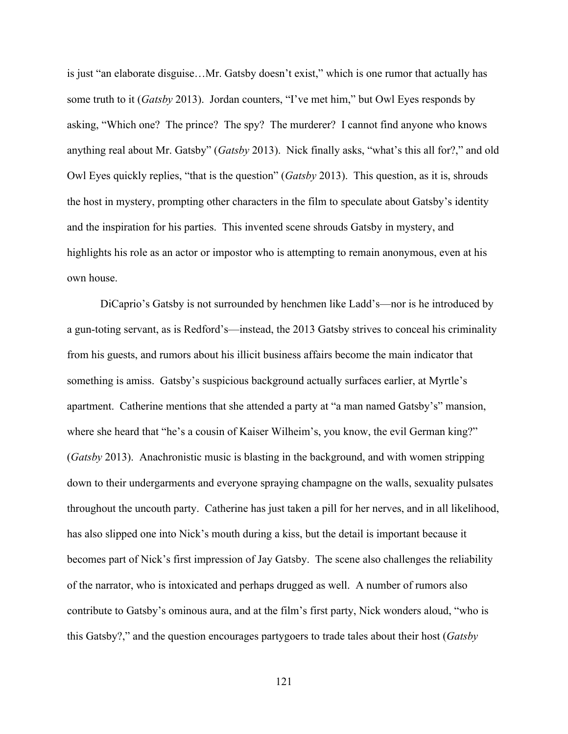is just "an elaborate disguise…Mr. Gatsby doesn't exist," which is one rumor that actually has some truth to it (*Gatsby* 2013). Jordan counters, "I've met him," but Owl Eyes responds by asking, "Which one? The prince? The spy? The murderer? I cannot find anyone who knows anything real about Mr. Gatsby" (*Gatsby* 2013). Nick finally asks, "what's this all for?," and old Owl Eyes quickly replies, "that is the question" (*Gatsby* 2013). This question, as it is, shrouds the host in mystery, prompting other characters in the film to speculate about Gatsby's identity and the inspiration for his parties. This invented scene shrouds Gatsby in mystery, and highlights his role as an actor or impostor who is attempting to remain anonymous, even at his own house.

DiCaprio's Gatsby is not surrounded by henchmen like Ladd's—nor is he introduced by a gun-toting servant, as is Redford's—instead, the 2013 Gatsby strives to conceal his criminality from his guests, and rumors about his illicit business affairs become the main indicator that something is amiss. Gatsby's suspicious background actually surfaces earlier, at Myrtle's apartment. Catherine mentions that she attended a party at "a man named Gatsby's" mansion, where she heard that "he's a cousin of Kaiser Wilheim's, you know, the evil German king?" (*Gatsby* 2013). Anachronistic music is blasting in the background, and with women stripping down to their undergarments and everyone spraying champagne on the walls, sexuality pulsates throughout the uncouth party. Catherine has just taken a pill for her nerves, and in all likelihood, has also slipped one into Nick's mouth during a kiss, but the detail is important because it becomes part of Nick's first impression of Jay Gatsby. The scene also challenges the reliability of the narrator, who is intoxicated and perhaps drugged as well. A number of rumors also contribute to Gatsby's ominous aura, and at the film's first party, Nick wonders aloud, "who is this Gatsby?," and the question encourages partygoers to trade tales about their host (*Gatsby*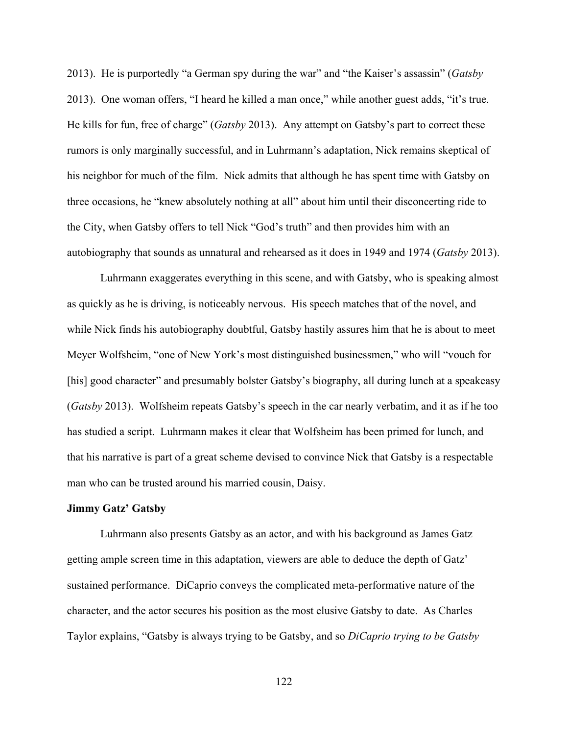2013). He is purportedly "a German spy during the war" and "the Kaiser's assassin" (*Gatsby*  2013). One woman offers, "I heard he killed a man once," while another guest adds, "it's true. He kills for fun, free of charge" (*Gatsby* 2013). Any attempt on Gatsby's part to correct these rumors is only marginally successful, and in Luhrmann's adaptation, Nick remains skeptical of his neighbor for much of the film. Nick admits that although he has spent time with Gatsby on three occasions, he "knew absolutely nothing at all" about him until their disconcerting ride to the City, when Gatsby offers to tell Nick "God's truth" and then provides him with an autobiography that sounds as unnatural and rehearsed as it does in 1949 and 1974 (*Gatsby* 2013).

Luhrmann exaggerates everything in this scene, and with Gatsby, who is speaking almost as quickly as he is driving, is noticeably nervous. His speech matches that of the novel, and while Nick finds his autobiography doubtful, Gatsby hastily assures him that he is about to meet Meyer Wolfsheim, "one of New York's most distinguished businessmen," who will "vouch for [his] good character" and presumably bolster Gatsby's biography, all during lunch at a speakeasy (*Gatsby* 2013). Wolfsheim repeats Gatsby's speech in the car nearly verbatim, and it as if he too has studied a script. Luhrmann makes it clear that Wolfsheim has been primed for lunch, and that his narrative is part of a great scheme devised to convince Nick that Gatsby is a respectable man who can be trusted around his married cousin, Daisy.

# **Jimmy Gatz' Gatsby**

Luhrmann also presents Gatsby as an actor, and with his background as James Gatz getting ample screen time in this adaptation, viewers are able to deduce the depth of Gatz' sustained performance. DiCaprio conveys the complicated meta-performative nature of the character, and the actor secures his position as the most elusive Gatsby to date. As Charles Taylor explains, "Gatsby is always trying to be Gatsby, and so *DiCaprio trying to be Gatsby*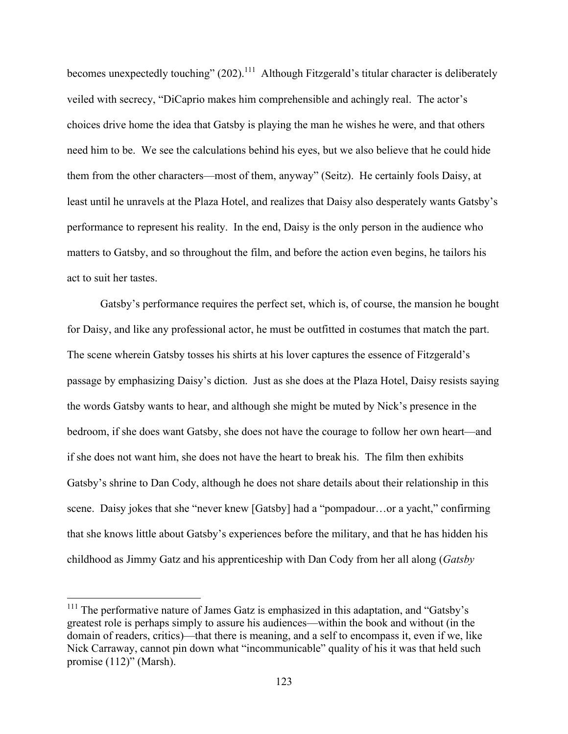becomes unexpectedly touching"  $(202)$ <sup>111</sup> Although Fitzgerald's titular character is deliberately veiled with secrecy, "DiCaprio makes him comprehensible and achingly real. The actor's choices drive home the idea that Gatsby is playing the man he wishes he were, and that others need him to be. We see the calculations behind his eyes, but we also believe that he could hide them from the other characters—most of them, anyway" (Seitz). He certainly fools Daisy, at least until he unravels at the Plaza Hotel, and realizes that Daisy also desperately wants Gatsby's performance to represent his reality. In the end, Daisy is the only person in the audience who matters to Gatsby, and so throughout the film, and before the action even begins, he tailors his act to suit her tastes.

Gatsby's performance requires the perfect set, which is, of course, the mansion he bought for Daisy, and like any professional actor, he must be outfitted in costumes that match the part. The scene wherein Gatsby tosses his shirts at his lover captures the essence of Fitzgerald's passage by emphasizing Daisy's diction. Just as she does at the Plaza Hotel, Daisy resists saying the words Gatsby wants to hear, and although she might be muted by Nick's presence in the bedroom, if she does want Gatsby, she does not have the courage to follow her own heart—and if she does not want him, she does not have the heart to break his. The film then exhibits Gatsby's shrine to Dan Cody, although he does not share details about their relationship in this scene. Daisy jokes that she "never knew [Gatsby] had a "pompadour…or a yacht," confirming that she knows little about Gatsby's experiences before the military, and that he has hidden his childhood as Jimmy Gatz and his apprenticeship with Dan Cody from her all along (*Gatsby* 

<sup>&</sup>lt;sup>111</sup> The performative nature of James Gatz is emphasized in this adaptation, and "Gatsby's greatest role is perhaps simply to assure his audiences—within the book and without (in the domain of readers, critics)—that there is meaning, and a self to encompass it, even if we, like Nick Carraway, cannot pin down what "incommunicable" quality of his it was that held such promise (112)" (Marsh).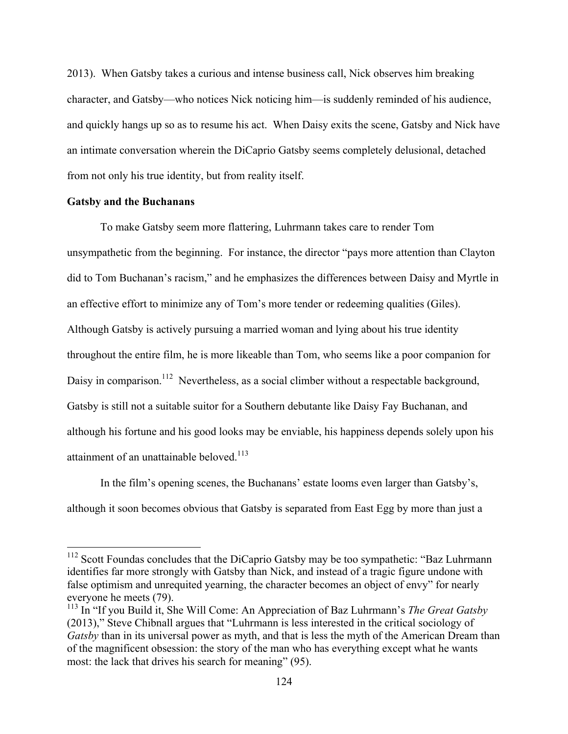2013). When Gatsby takes a curious and intense business call, Nick observes him breaking character, and Gatsby—who notices Nick noticing him—is suddenly reminded of his audience, and quickly hangs up so as to resume his act. When Daisy exits the scene, Gatsby and Nick have an intimate conversation wherein the DiCaprio Gatsby seems completely delusional, detached from not only his true identity, but from reality itself.

## **Gatsby and the Buchanans**

To make Gatsby seem more flattering, Luhrmann takes care to render Tom unsympathetic from the beginning. For instance, the director "pays more attention than Clayton did to Tom Buchanan's racism," and he emphasizes the differences between Daisy and Myrtle in an effective effort to minimize any of Tom's more tender or redeeming qualities (Giles). Although Gatsby is actively pursuing a married woman and lying about his true identity throughout the entire film, he is more likeable than Tom, who seems like a poor companion for Daisy in comparison.<sup>112</sup> Nevertheless, as a social climber without a respectable background, Gatsby is still not a suitable suitor for a Southern debutante like Daisy Fay Buchanan, and although his fortune and his good looks may be enviable, his happiness depends solely upon his attainment of an unattainable beloved.<sup>113</sup>

In the film's opening scenes, the Buchanans' estate looms even larger than Gatsby's, although it soon becomes obvious that Gatsby is separated from East Egg by more than just a

<sup>&</sup>lt;sup>112</sup> Scott Foundas concludes that the DiCaprio Gatsby may be too sympathetic: "Baz Luhrmann identifies far more strongly with Gatsby than Nick, and instead of a tragic figure undone with false optimism and unrequited yearning, the character becomes an object of envy" for nearly everyone he meets (79).

<sup>113</sup> In "If you Build it, She Will Come: An Appreciation of Baz Luhrmann's *The Great Gatsby* (2013)," Steve Chibnall argues that "Luhrmann is less interested in the critical sociology of *Gatsby* than in its universal power as myth, and that is less the myth of the American Dream than of the magnificent obsession: the story of the man who has everything except what he wants most: the lack that drives his search for meaning" (95).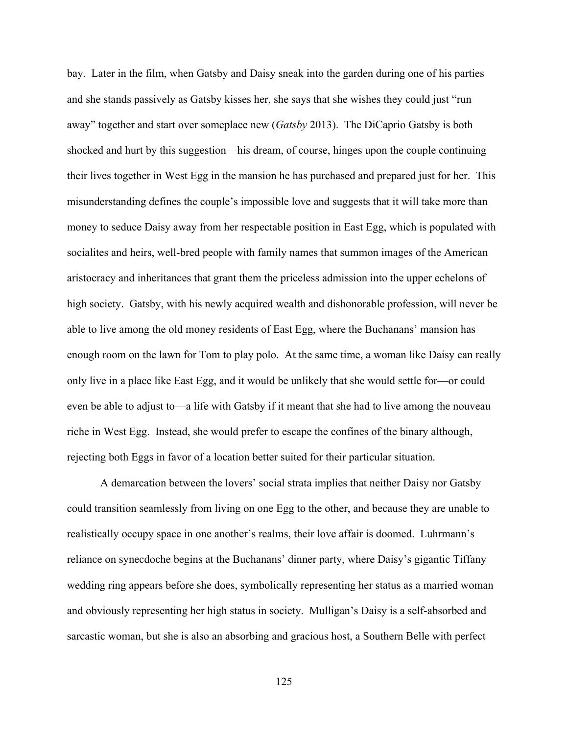bay. Later in the film, when Gatsby and Daisy sneak into the garden during one of his parties and she stands passively as Gatsby kisses her, she says that she wishes they could just "run away" together and start over someplace new (*Gatsby* 2013). The DiCaprio Gatsby is both shocked and hurt by this suggestion—his dream, of course, hinges upon the couple continuing their lives together in West Egg in the mansion he has purchased and prepared just for her. This misunderstanding defines the couple's impossible love and suggests that it will take more than money to seduce Daisy away from her respectable position in East Egg, which is populated with socialites and heirs, well-bred people with family names that summon images of the American aristocracy and inheritances that grant them the priceless admission into the upper echelons of high society. Gatsby, with his newly acquired wealth and dishonorable profession, will never be able to live among the old money residents of East Egg, where the Buchanans' mansion has enough room on the lawn for Tom to play polo. At the same time, a woman like Daisy can really only live in a place like East Egg, and it would be unlikely that she would settle for—or could even be able to adjust to—a life with Gatsby if it meant that she had to live among the nouveau riche in West Egg. Instead, she would prefer to escape the confines of the binary although, rejecting both Eggs in favor of a location better suited for their particular situation.

A demarcation between the lovers' social strata implies that neither Daisy nor Gatsby could transition seamlessly from living on one Egg to the other, and because they are unable to realistically occupy space in one another's realms, their love affair is doomed. Luhrmann's reliance on synecdoche begins at the Buchanans' dinner party, where Daisy's gigantic Tiffany wedding ring appears before she does, symbolically representing her status as a married woman and obviously representing her high status in society. Mulligan's Daisy is a self-absorbed and sarcastic woman, but she is also an absorbing and gracious host, a Southern Belle with perfect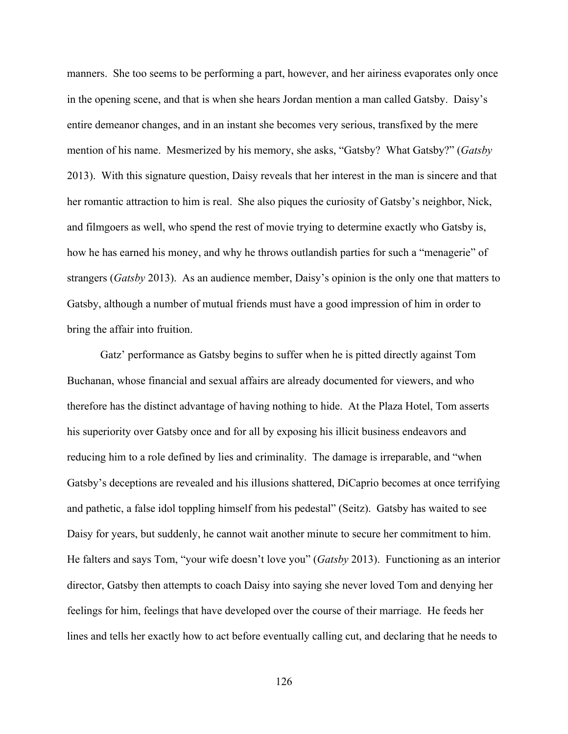manners. She too seems to be performing a part, however, and her airiness evaporates only once in the opening scene, and that is when she hears Jordan mention a man called Gatsby. Daisy's entire demeanor changes, and in an instant she becomes very serious, transfixed by the mere mention of his name. Mesmerized by his memory, she asks, "Gatsby? What Gatsby?" (*Gatsby* 2013). With this signature question, Daisy reveals that her interest in the man is sincere and that her romantic attraction to him is real. She also piques the curiosity of Gatsby's neighbor, Nick, and filmgoers as well, who spend the rest of movie trying to determine exactly who Gatsby is, how he has earned his money, and why he throws outlandish parties for such a "menagerie" of strangers (*Gatsby* 2013). As an audience member, Daisy's opinion is the only one that matters to Gatsby, although a number of mutual friends must have a good impression of him in order to bring the affair into fruition.

Gatz' performance as Gatsby begins to suffer when he is pitted directly against Tom Buchanan, whose financial and sexual affairs are already documented for viewers, and who therefore has the distinct advantage of having nothing to hide. At the Plaza Hotel, Tom asserts his superiority over Gatsby once and for all by exposing his illicit business endeavors and reducing him to a role defined by lies and criminality. The damage is irreparable, and "when Gatsby's deceptions are revealed and his illusions shattered, DiCaprio becomes at once terrifying and pathetic, a false idol toppling himself from his pedestal" (Seitz). Gatsby has waited to see Daisy for years, but suddenly, he cannot wait another minute to secure her commitment to him. He falters and says Tom, "your wife doesn't love you" (*Gatsby* 2013). Functioning as an interior director, Gatsby then attempts to coach Daisy into saying she never loved Tom and denying her feelings for him, feelings that have developed over the course of their marriage. He feeds her lines and tells her exactly how to act before eventually calling cut, and declaring that he needs to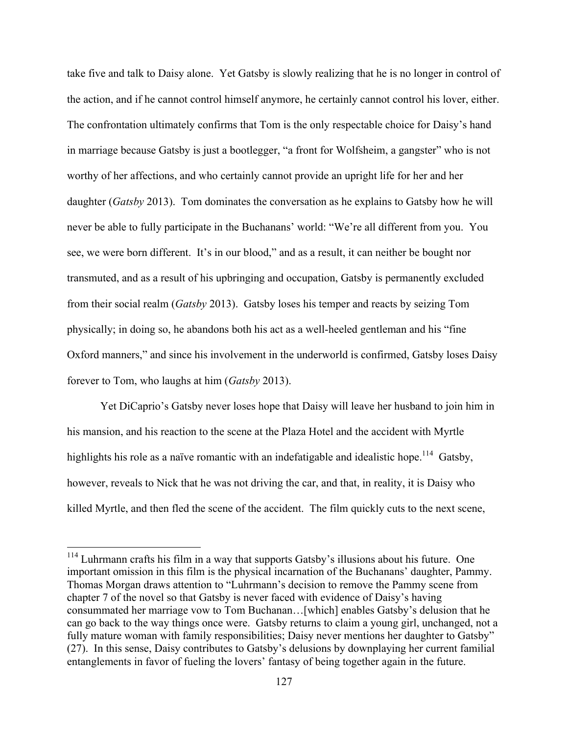take five and talk to Daisy alone. Yet Gatsby is slowly realizing that he is no longer in control of the action, and if he cannot control himself anymore, he certainly cannot control his lover, either. The confrontation ultimately confirms that Tom is the only respectable choice for Daisy's hand in marriage because Gatsby is just a bootlegger, "a front for Wolfsheim, a gangster" who is not worthy of her affections, and who certainly cannot provide an upright life for her and her daughter (*Gatsby* 2013). Tom dominates the conversation as he explains to Gatsby how he will never be able to fully participate in the Buchanans' world: "We're all different from you. You see, we were born different. It's in our blood," and as a result, it can neither be bought nor transmuted, and as a result of his upbringing and occupation, Gatsby is permanently excluded from their social realm (*Gatsby* 2013). Gatsby loses his temper and reacts by seizing Tom physically; in doing so, he abandons both his act as a well-heeled gentleman and his "fine Oxford manners," and since his involvement in the underworld is confirmed, Gatsby loses Daisy forever to Tom, who laughs at him (*Gatsby* 2013).

Yet DiCaprio's Gatsby never loses hope that Daisy will leave her husband to join him in his mansion, and his reaction to the scene at the Plaza Hotel and the accident with Myrtle highlights his role as a naïve romantic with an indefatigable and idealistic hope.<sup>114</sup> Gatsby, however, reveals to Nick that he was not driving the car, and that, in reality, it is Daisy who killed Myrtle, and then fled the scene of the accident. The film quickly cuts to the next scene,

<sup>&</sup>lt;sup>114</sup> Luhrmann crafts his film in a way that supports Gatsby's illusions about his future. One important omission in this film is the physical incarnation of the Buchanans' daughter, Pammy. Thomas Morgan draws attention to "Luhrmann's decision to remove the Pammy scene from chapter 7 of the novel so that Gatsby is never faced with evidence of Daisy's having consummated her marriage vow to Tom Buchanan…[which] enables Gatsby's delusion that he can go back to the way things once were. Gatsby returns to claim a young girl, unchanged, not a fully mature woman with family responsibilities; Daisy never mentions her daughter to Gatsby" (27). In this sense, Daisy contributes to Gatsby's delusions by downplaying her current familial entanglements in favor of fueling the lovers' fantasy of being together again in the future.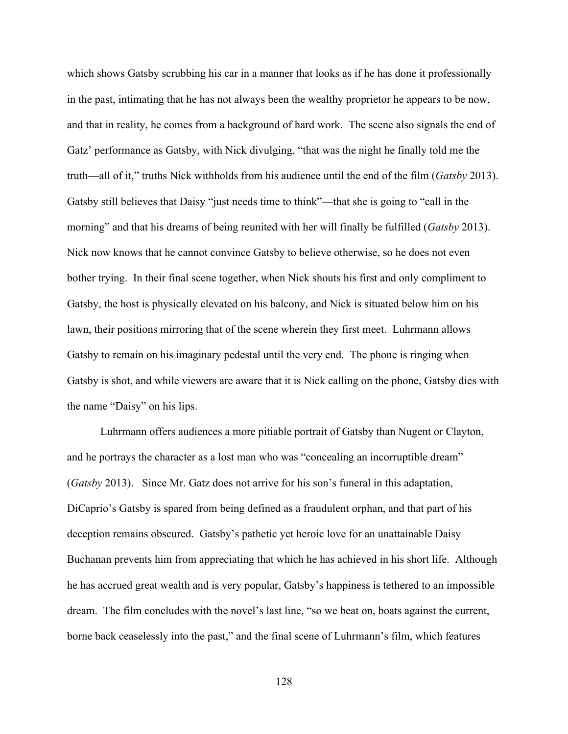which shows Gatsby scrubbing his car in a manner that looks as if he has done it professionally in the past, intimating that he has not always been the wealthy proprietor he appears to be now, and that in reality, he comes from a background of hard work. The scene also signals the end of Gatz' performance as Gatsby, with Nick divulging, "that was the night he finally told me the truth—all of it," truths Nick withholds from his audience until the end of the film (*Gatsby* 2013). Gatsby still believes that Daisy "just needs time to think"—that she is going to "call in the morning" and that his dreams of being reunited with her will finally be fulfilled (*Gatsby* 2013). Nick now knows that he cannot convince Gatsby to believe otherwise, so he does not even bother trying. In their final scene together, when Nick shouts his first and only compliment to Gatsby, the host is physically elevated on his balcony, and Nick is situated below him on his lawn, their positions mirroring that of the scene wherein they first meet. Luhrmann allows Gatsby to remain on his imaginary pedestal until the very end. The phone is ringing when Gatsby is shot, and while viewers are aware that it is Nick calling on the phone, Gatsby dies with the name "Daisy" on his lips.

Luhrmann offers audiences a more pitiable portrait of Gatsby than Nugent or Clayton, and he portrays the character as a lost man who was "concealing an incorruptible dream" (*Gatsby* 2013). Since Mr. Gatz does not arrive for his son's funeral in this adaptation, DiCaprio's Gatsby is spared from being defined as a fraudulent orphan, and that part of his deception remains obscured. Gatsby's pathetic yet heroic love for an unattainable Daisy Buchanan prevents him from appreciating that which he has achieved in his short life. Although he has accrued great wealth and is very popular, Gatsby's happiness is tethered to an impossible dream. The film concludes with the novel's last line, "so we beat on, boats against the current, borne back ceaselessly into the past," and the final scene of Luhrmann's film, which features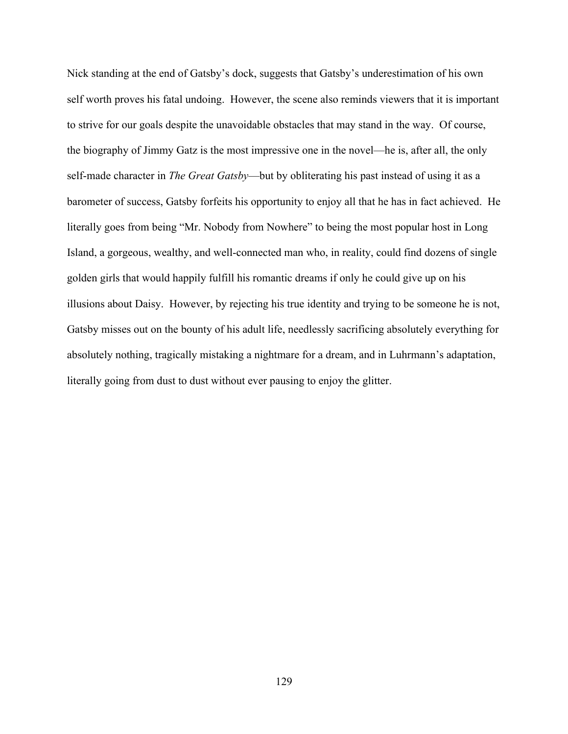Nick standing at the end of Gatsby's dock, suggests that Gatsby's underestimation of his own self worth proves his fatal undoing. However, the scene also reminds viewers that it is important to strive for our goals despite the unavoidable obstacles that may stand in the way. Of course, the biography of Jimmy Gatz is the most impressive one in the novel—he is, after all, the only self-made character in *The Great Gatsby*—but by obliterating his past instead of using it as a barometer of success, Gatsby forfeits his opportunity to enjoy all that he has in fact achieved. He literally goes from being "Mr. Nobody from Nowhere" to being the most popular host in Long Island, a gorgeous, wealthy, and well-connected man who, in reality, could find dozens of single golden girls that would happily fulfill his romantic dreams if only he could give up on his illusions about Daisy. However, by rejecting his true identity and trying to be someone he is not, Gatsby misses out on the bounty of his adult life, needlessly sacrificing absolutely everything for absolutely nothing, tragically mistaking a nightmare for a dream, and in Luhrmann's adaptation, literally going from dust to dust without ever pausing to enjoy the glitter.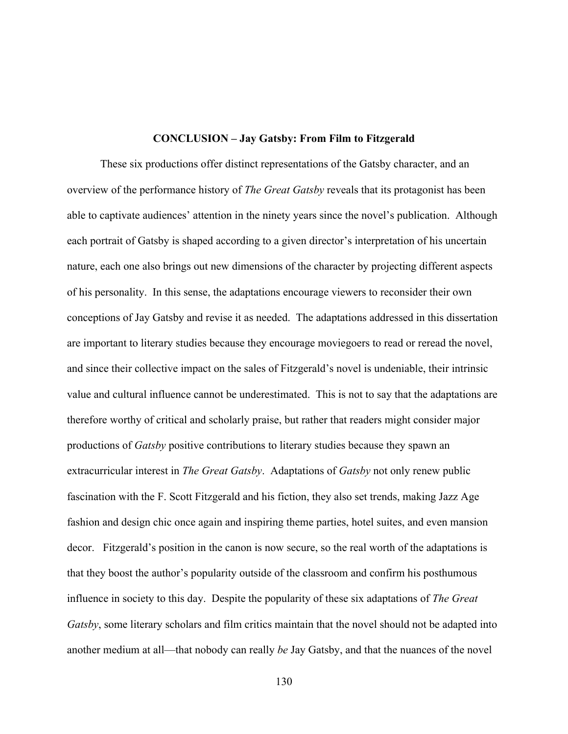#### **CONCLUSION – Jay Gatsby: From Film to Fitzgerald**

These six productions offer distinct representations of the Gatsby character, and an overview of the performance history of *The Great Gatsby* reveals that its protagonist has been able to captivate audiences' attention in the ninety years since the novel's publication. Although each portrait of Gatsby is shaped according to a given director's interpretation of his uncertain nature, each one also brings out new dimensions of the character by projecting different aspects of his personality. In this sense, the adaptations encourage viewers to reconsider their own conceptions of Jay Gatsby and revise it as needed. The adaptations addressed in this dissertation are important to literary studies because they encourage moviegoers to read or reread the novel, and since their collective impact on the sales of Fitzgerald's novel is undeniable, their intrinsic value and cultural influence cannot be underestimated. This is not to say that the adaptations are therefore worthy of critical and scholarly praise, but rather that readers might consider major productions of *Gatsby* positive contributions to literary studies because they spawn an extracurricular interest in *The Great Gatsby*. Adaptations of *Gatsby* not only renew public fascination with the F. Scott Fitzgerald and his fiction, they also set trends, making Jazz Age fashion and design chic once again and inspiring theme parties, hotel suites, and even mansion decor. Fitzgerald's position in the canon is now secure, so the real worth of the adaptations is that they boost the author's popularity outside of the classroom and confirm his posthumous influence in society to this day. Despite the popularity of these six adaptations of *The Great Gatsby*, some literary scholars and film critics maintain that the novel should not be adapted into another medium at all—that nobody can really *be* Jay Gatsby, and that the nuances of the novel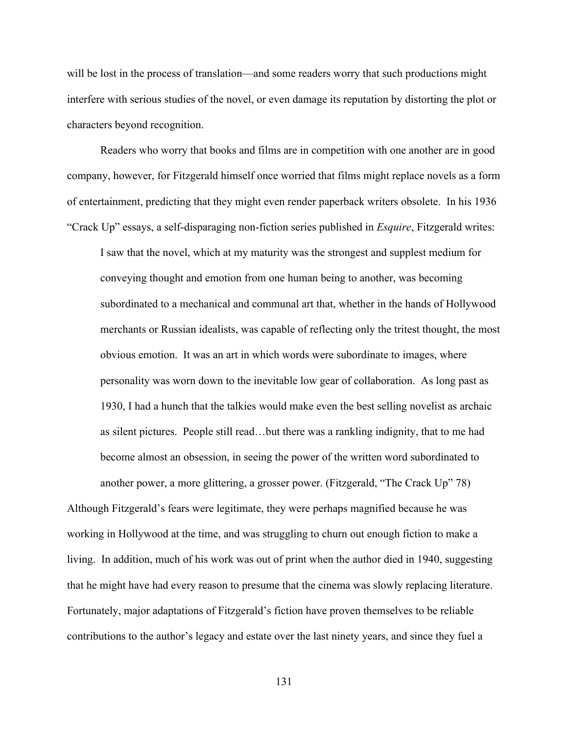will be lost in the process of translation—and some readers worry that such productions might interfere with serious studies of the novel, or even damage its reputation by distorting the plot or characters beyond recognition.

Readers who worry that books and films are in competition with one another are in good company, however, for Fitzgerald himself once worried that films might replace novels as a form of entertainment, predicting that they might even render paperback writers obsolete. In his 1936 "Crack Up" essays, a self-disparaging non-fiction series published in *Esquire*, Fitzgerald writes:

I saw that the novel, which at my maturity was the strongest and supplest medium for conveying thought and emotion from one human being to another, was becoming subordinated to a mechanical and communal art that, whether in the hands of Hollywood merchants or Russian idealists, was capable of reflecting only the tritest thought, the most obvious emotion. It was an art in which words were subordinate to images, where personality was worn down to the inevitable low gear of collaboration. As long past as 1930, I had a hunch that the talkies would make even the best selling novelist as archaic as silent pictures. People still read…but there was a rankling indignity, that to me had become almost an obsession, in seeing the power of the written word subordinated to another power, a more glittering, a grosser power. (Fitzgerald, "The Crack Up" 78)

Although Fitzgerald's fears were legitimate, they were perhaps magnified because he was working in Hollywood at the time, and was struggling to churn out enough fiction to make a living. In addition, much of his work was out of print when the author died in 1940, suggesting that he might have had every reason to presume that the cinema was slowly replacing literature. Fortunately, major adaptations of Fitzgerald's fiction have proven themselves to be reliable contributions to the author's legacy and estate over the last ninety years, and since they fuel a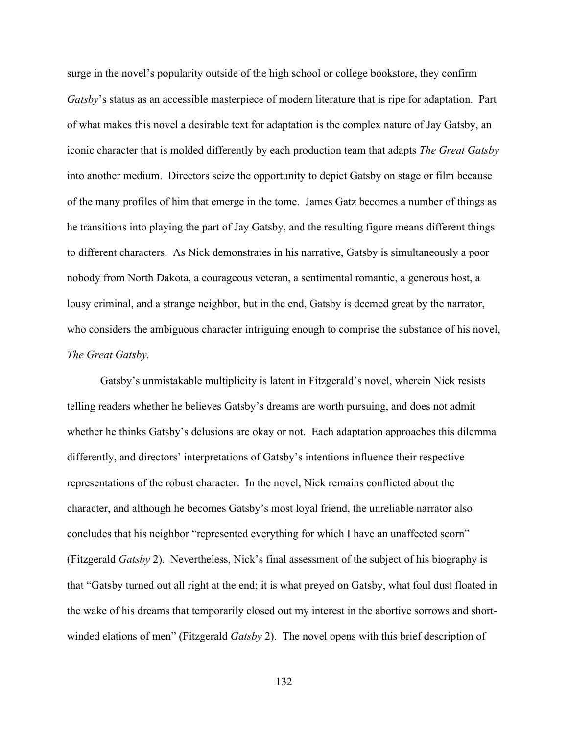surge in the novel's popularity outside of the high school or college bookstore, they confirm *Gatsby*'s status as an accessible masterpiece of modern literature that is ripe for adaptation. Part of what makes this novel a desirable text for adaptation is the complex nature of Jay Gatsby, an iconic character that is molded differently by each production team that adapts *The Great Gatsby* into another medium. Directors seize the opportunity to depict Gatsby on stage or film because of the many profiles of him that emerge in the tome. James Gatz becomes a number of things as he transitions into playing the part of Jay Gatsby, and the resulting figure means different things to different characters. As Nick demonstrates in his narrative, Gatsby is simultaneously a poor nobody from North Dakota, a courageous veteran, a sentimental romantic, a generous host, a lousy criminal, and a strange neighbor, but in the end, Gatsby is deemed great by the narrator, who considers the ambiguous character intriguing enough to comprise the substance of his novel, *The Great Gatsby.*

Gatsby's unmistakable multiplicity is latent in Fitzgerald's novel, wherein Nick resists telling readers whether he believes Gatsby's dreams are worth pursuing, and does not admit whether he thinks Gatsby's delusions are okay or not. Each adaptation approaches this dilemma differently, and directors' interpretations of Gatsby's intentions influence their respective representations of the robust character. In the novel, Nick remains conflicted about the character, and although he becomes Gatsby's most loyal friend, the unreliable narrator also concludes that his neighbor "represented everything for which I have an unaffected scorn" (Fitzgerald *Gatsby* 2). Nevertheless, Nick's final assessment of the subject of his biography is that "Gatsby turned out all right at the end; it is what preyed on Gatsby, what foul dust floated in the wake of his dreams that temporarily closed out my interest in the abortive sorrows and shortwinded elations of men" (Fitzgerald *Gatsby* 2). The novel opens with this brief description of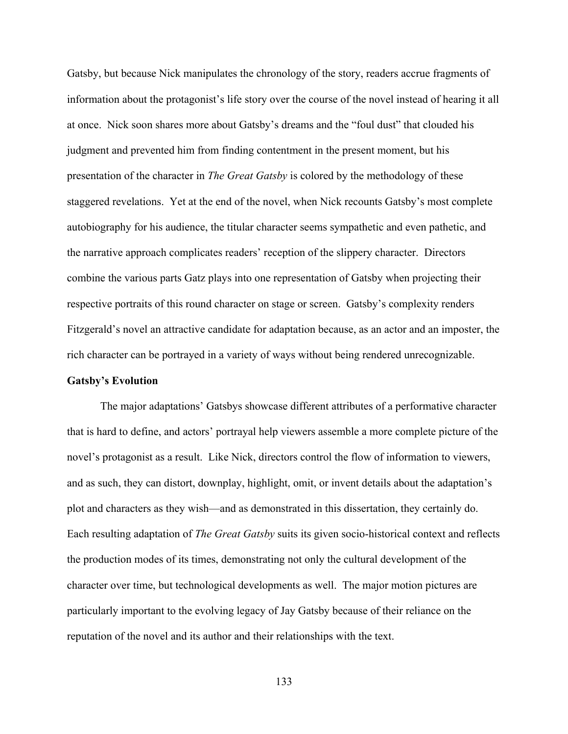Gatsby, but because Nick manipulates the chronology of the story, readers accrue fragments of information about the protagonist's life story over the course of the novel instead of hearing it all at once. Nick soon shares more about Gatsby's dreams and the "foul dust" that clouded his judgment and prevented him from finding contentment in the present moment, but his presentation of the character in *The Great Gatsby* is colored by the methodology of these staggered revelations. Yet at the end of the novel, when Nick recounts Gatsby's most complete autobiography for his audience, the titular character seems sympathetic and even pathetic, and the narrative approach complicates readers' reception of the slippery character. Directors combine the various parts Gatz plays into one representation of Gatsby when projecting their respective portraits of this round character on stage or screen. Gatsby's complexity renders Fitzgerald's novel an attractive candidate for adaptation because, as an actor and an imposter, the rich character can be portrayed in a variety of ways without being rendered unrecognizable.

## **Gatsby's Evolution**

The major adaptations' Gatsbys showcase different attributes of a performative character that is hard to define, and actors' portrayal help viewers assemble a more complete picture of the novel's protagonist as a result. Like Nick, directors control the flow of information to viewers, and as such, they can distort, downplay, highlight, omit, or invent details about the adaptation's plot and characters as they wish—and as demonstrated in this dissertation, they certainly do. Each resulting adaptation of *The Great Gatsby* suits its given socio-historical context and reflects the production modes of its times, demonstrating not only the cultural development of the character over time, but technological developments as well. The major motion pictures are particularly important to the evolving legacy of Jay Gatsby because of their reliance on the reputation of the novel and its author and their relationships with the text.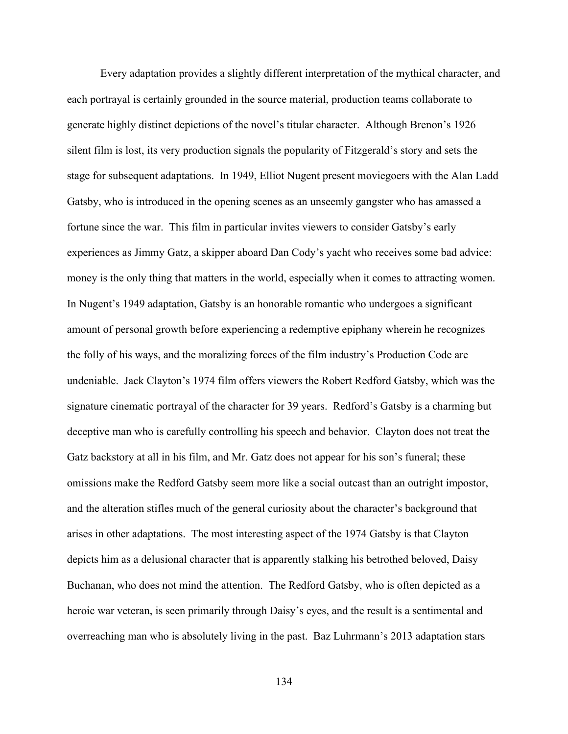Every adaptation provides a slightly different interpretation of the mythical character, and each portrayal is certainly grounded in the source material, production teams collaborate to generate highly distinct depictions of the novel's titular character. Although Brenon's 1926 silent film is lost, its very production signals the popularity of Fitzgerald's story and sets the stage for subsequent adaptations. In 1949, Elliot Nugent present moviegoers with the Alan Ladd Gatsby, who is introduced in the opening scenes as an unseemly gangster who has amassed a fortune since the war. This film in particular invites viewers to consider Gatsby's early experiences as Jimmy Gatz, a skipper aboard Dan Cody's yacht who receives some bad advice: money is the only thing that matters in the world, especially when it comes to attracting women. In Nugent's 1949 adaptation, Gatsby is an honorable romantic who undergoes a significant amount of personal growth before experiencing a redemptive epiphany wherein he recognizes the folly of his ways, and the moralizing forces of the film industry's Production Code are undeniable. Jack Clayton's 1974 film offers viewers the Robert Redford Gatsby, which was the signature cinematic portrayal of the character for 39 years. Redford's Gatsby is a charming but deceptive man who is carefully controlling his speech and behavior. Clayton does not treat the Gatz backstory at all in his film, and Mr. Gatz does not appear for his son's funeral; these omissions make the Redford Gatsby seem more like a social outcast than an outright impostor, and the alteration stifles much of the general curiosity about the character's background that arises in other adaptations. The most interesting aspect of the 1974 Gatsby is that Clayton depicts him as a delusional character that is apparently stalking his betrothed beloved, Daisy Buchanan, who does not mind the attention. The Redford Gatsby, who is often depicted as a heroic war veteran, is seen primarily through Daisy's eyes, and the result is a sentimental and overreaching man who is absolutely living in the past. Baz Luhrmann's 2013 adaptation stars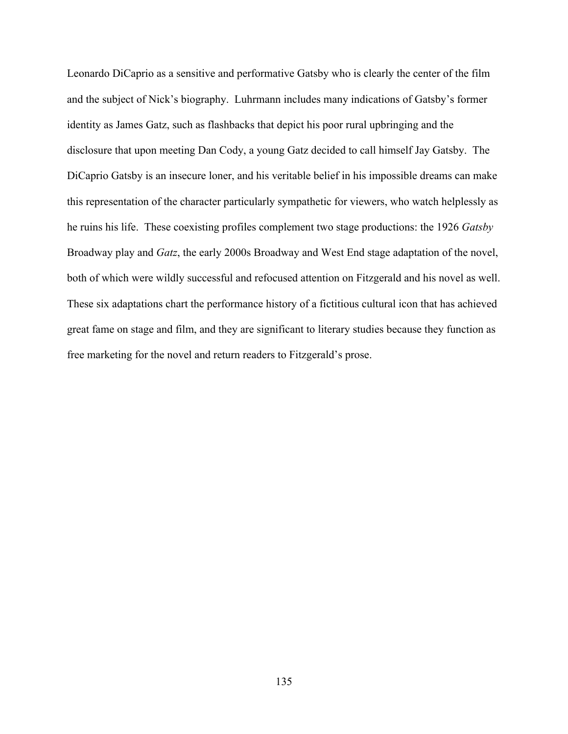Leonardo DiCaprio as a sensitive and performative Gatsby who is clearly the center of the film and the subject of Nick's biography. Luhrmann includes many indications of Gatsby's former identity as James Gatz, such as flashbacks that depict his poor rural upbringing and the disclosure that upon meeting Dan Cody, a young Gatz decided to call himself Jay Gatsby. The DiCaprio Gatsby is an insecure loner, and his veritable belief in his impossible dreams can make this representation of the character particularly sympathetic for viewers, who watch helplessly as he ruins his life. These coexisting profiles complement two stage productions: the 1926 *Gatsby*  Broadway play and *Gatz*, the early 2000s Broadway and West End stage adaptation of the novel, both of which were wildly successful and refocused attention on Fitzgerald and his novel as well. These six adaptations chart the performance history of a fictitious cultural icon that has achieved great fame on stage and film, and they are significant to literary studies because they function as free marketing for the novel and return readers to Fitzgerald's prose.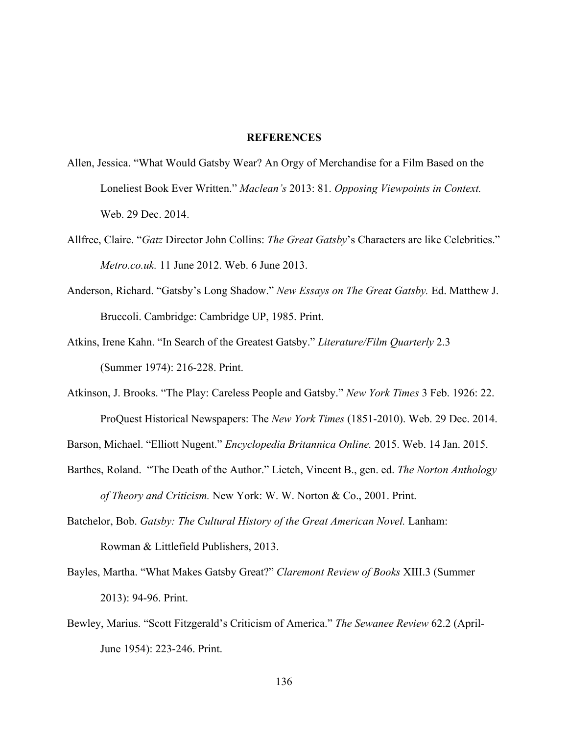#### **REFERENCES**

- Allen, Jessica. "What Would Gatsby Wear? An Orgy of Merchandise for a Film Based on the Loneliest Book Ever Written." *Maclean's* 2013: 81. *Opposing Viewpoints in Context.*  Web. 29 Dec. 2014.
- Allfree, Claire. "*Gatz* Director John Collins: *The Great Gatsby*'s Characters are like Celebrities." *Metro.co.uk.* 11 June 2012. Web. 6 June 2013.
- Anderson, Richard. "Gatsby's Long Shadow." *New Essays on The Great Gatsby.* Ed. Matthew J. Bruccoli. Cambridge: Cambridge UP, 1985. Print.
- Atkins, Irene Kahn. "In Search of the Greatest Gatsby." *Literature/Film Quarterly* 2.3 (Summer 1974): 216-228. Print.
- Atkinson, J. Brooks. "The Play: Careless People and Gatsby." *New York Times* 3 Feb. 1926: 22. ProQuest Historical Newspapers: The *New York Times* (1851-2010). Web. 29 Dec. 2014.

Barson, Michael. "Elliott Nugent." *Encyclopedia Britannica Online.* 2015. Web. 14 Jan. 2015.

- Barthes, Roland. "The Death of the Author." Lietch, Vincent B., gen. ed. *The Norton Anthology of Theory and Criticism.* New York: W. W. Norton & Co., 2001. Print.
- Batchelor, Bob. *Gatsby: The Cultural History of the Great American Novel.* Lanham: Rowman & Littlefield Publishers, 2013.
- Bayles, Martha. "What Makes Gatsby Great?" *Claremont Review of Books* XIII.3 (Summer 2013): 94-96. Print.
- Bewley, Marius. "Scott Fitzgerald's Criticism of America." *The Sewanee Review* 62.2 (April-June 1954): 223-246. Print.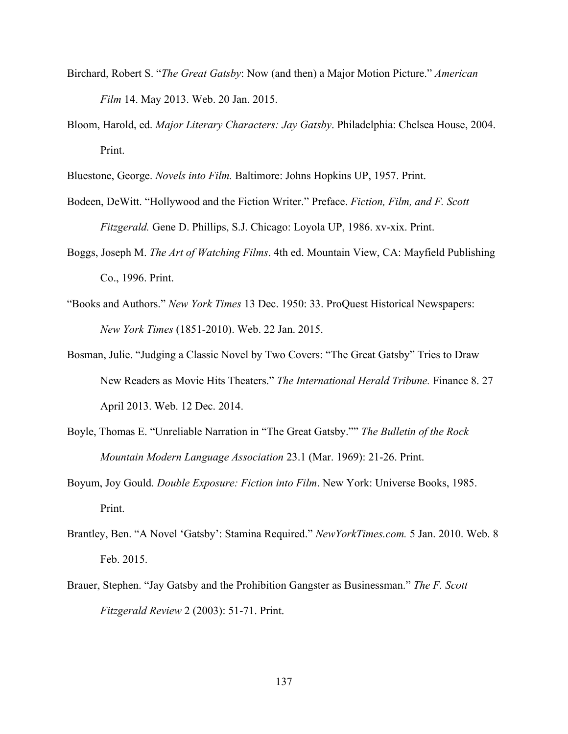- Birchard, Robert S. "*The Great Gatsby*: Now (and then) a Major Motion Picture." *American Film* 14. May 2013. Web. 20 Jan. 2015.
- Bloom, Harold, ed. *Major Literary Characters: Jay Gatsby*. Philadelphia: Chelsea House, 2004. Print.

Bluestone, George. *Novels into Film.* Baltimore: Johns Hopkins UP, 1957. Print.

- Bodeen, DeWitt. "Hollywood and the Fiction Writer." Preface. *Fiction, Film, and F. Scott Fitzgerald.* Gene D. Phillips, S.J. Chicago: Loyola UP, 1986. xv-xix. Print.
- Boggs, Joseph M. *The Art of Watching Films*. 4th ed. Mountain View, CA: Mayfield Publishing Co., 1996. Print.
- "Books and Authors." *New York Times* 13 Dec. 1950: 33. ProQuest Historical Newspapers: *New York Times* (1851-2010). Web. 22 Jan. 2015.
- Bosman, Julie. "Judging a Classic Novel by Two Covers: "The Great Gatsby" Tries to Draw New Readers as Movie Hits Theaters." *The International Herald Tribune.* Finance 8. 27 April 2013. Web. 12 Dec. 2014.
- Boyle, Thomas E. "Unreliable Narration in "The Great Gatsby."" *The Bulletin of the Rock Mountain Modern Language Association* 23.1 (Mar. 1969): 21-26. Print.
- Boyum, Joy Gould. *Double Exposure: Fiction into Film*. New York: Universe Books, 1985. Print.
- Brantley, Ben. "A Novel 'Gatsby': Stamina Required." *NewYorkTimes.com.* 5 Jan. 2010. Web. 8 Feb. 2015.
- Brauer, Stephen. "Jay Gatsby and the Prohibition Gangster as Businessman." *The F. Scott Fitzgerald Review* 2 (2003): 51-71. Print.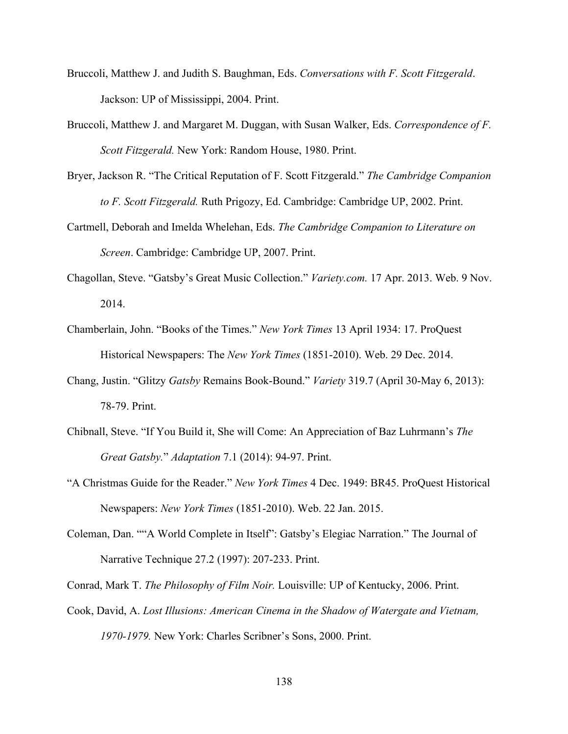- Bruccoli, Matthew J. and Judith S. Baughman, Eds. *Conversations with F. Scott Fitzgerald*. Jackson: UP of Mississippi, 2004. Print.
- Bruccoli, Matthew J. and Margaret M. Duggan, with Susan Walker, Eds. *Correspondence of F. Scott Fitzgerald.* New York: Random House, 1980. Print.
- Bryer, Jackson R. "The Critical Reputation of F. Scott Fitzgerald." *The Cambridge Companion to F. Scott Fitzgerald.* Ruth Prigozy, Ed. Cambridge: Cambridge UP, 2002. Print.
- Cartmell, Deborah and Imelda Whelehan, Eds. *The Cambridge Companion to Literature on Screen*. Cambridge: Cambridge UP, 2007. Print.
- Chagollan, Steve. "Gatsby's Great Music Collection." *Variety.com.* 17 Apr. 2013. Web. 9 Nov. 2014.
- Chamberlain, John. "Books of the Times." *New York Times* 13 April 1934: 17. ProQuest Historical Newspapers: The *New York Times* (1851-2010). Web. 29 Dec. 2014.
- Chang, Justin. "Glitzy *Gatsby* Remains Book-Bound." *Variety* 319.7 (April 30-May 6, 2013): 78-79. Print.
- Chibnall, Steve. "If You Build it, She will Come: An Appreciation of Baz Luhrmann's *The Great Gatsby.*" *Adaptation* 7.1 (2014): 94-97. Print.
- "A Christmas Guide for the Reader." *New York Times* 4 Dec. 1949: BR45. ProQuest Historical Newspapers: *New York Times* (1851-2010). Web. 22 Jan. 2015.
- Coleman, Dan. ""A World Complete in Itself": Gatsby's Elegiac Narration." The Journal of Narrative Technique 27.2 (1997): 207-233. Print.
- Conrad, Mark T. *The Philosophy of Film Noir.* Louisville: UP of Kentucky, 2006. Print.
- Cook, David, A. *Lost Illusions: American Cinema in the Shadow of Watergate and Vietnam, 1970-1979.* New York: Charles Scribner's Sons, 2000. Print.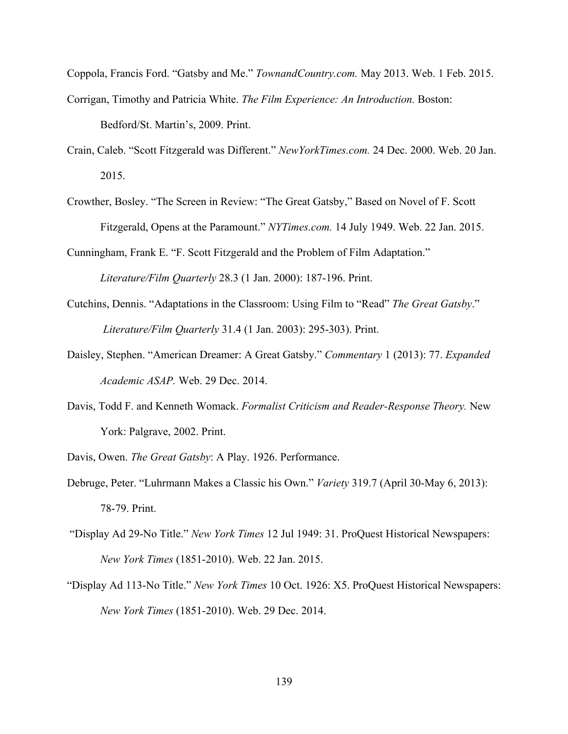Coppola, Francis Ford. "Gatsby and Me." *TownandCountry.com.* May 2013. Web. 1 Feb. 2015.

- Corrigan, Timothy and Patricia White. *The Film Experience: An Introduction.* Boston: Bedford/St. Martin's, 2009. Print.
- Crain, Caleb. "Scott Fitzgerald was Different." *NewYorkTimes.com.* 24 Dec. 2000. Web. 20 Jan. 2015.
- Crowther, Bosley. "The Screen in Review: "The Great Gatsby," Based on Novel of F. Scott Fitzgerald, Opens at the Paramount." *NYTimes.com.* 14 July 1949. Web. 22 Jan. 2015.
- Cunningham, Frank E. "F. Scott Fitzgerald and the Problem of Film Adaptation." *Literature/Film Quarterly* 28.3 (1 Jan. 2000): 187-196. Print.
- Cutchins, Dennis. "Adaptations in the Classroom: Using Film to "Read" *The Great Gatsby*." *Literature/Film Quarterly* 31.4 (1 Jan. 2003): 295-303). Print.
- Daisley, Stephen. "American Dreamer: A Great Gatsby." *Commentary* 1 (2013): 77. *Expanded Academic ASAP.* Web. 29 Dec. 2014.
- Davis, Todd F. and Kenneth Womack. *Formalist Criticism and Reader-Response Theory.* New York: Palgrave, 2002. Print.
- Davis, Owen. *The Great Gatsby*: A Play. 1926. Performance.
- Debruge, Peter. "Luhrmann Makes a Classic his Own." *Variety* 319.7 (April 30-May 6, 2013): 78-79. Print.
- "Display Ad 29-No Title." *New York Times* 12 Jul 1949: 31. ProQuest Historical Newspapers: *New York Times* (1851-2010). Web. 22 Jan. 2015.
- "Display Ad 113-No Title." *New York Times* 10 Oct. 1926: X5. ProQuest Historical Newspapers: *New York Times* (1851-2010). Web. 29 Dec. 2014.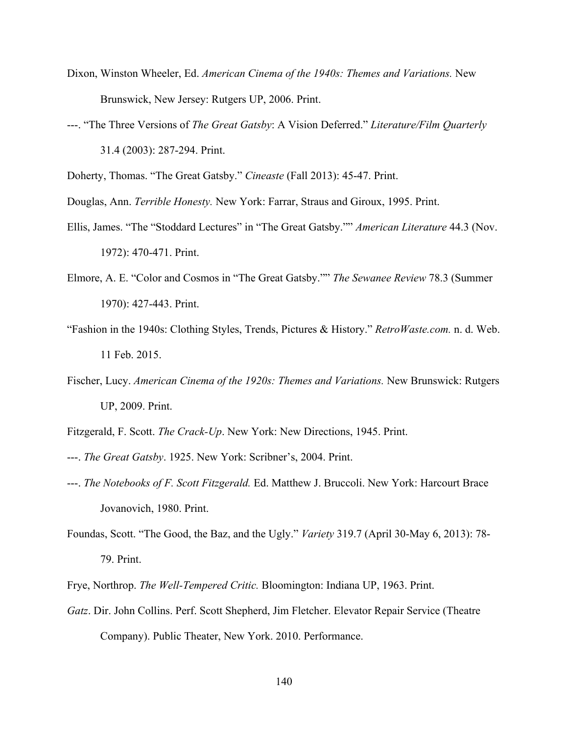- Dixon, Winston Wheeler, Ed. *American Cinema of the 1940s: Themes and Variations.* New Brunswick, New Jersey: Rutgers UP, 2006. Print.
- ---. "The Three Versions of *The Great Gatsby*: A Vision Deferred." *Literature/Film Quarterly*  31.4 (2003): 287-294. Print.

Doherty, Thomas. "The Great Gatsby." *Cineaste* (Fall 2013): 45-47. Print.

Douglas, Ann. *Terrible Honesty.* New York: Farrar, Straus and Giroux, 1995. Print.

- Ellis, James. "The "Stoddard Lectures" in "The Great Gatsby."" *American Literature* 44.3 (Nov. 1972): 470-471. Print.
- Elmore, A. E. "Color and Cosmos in "The Great Gatsby."" *The Sewanee Review* 78.3 (Summer 1970): 427-443. Print.
- "Fashion in the 1940s: Clothing Styles, Trends, Pictures & History." *RetroWaste.com.* n. d. Web. 11 Feb. 2015.
- Fischer, Lucy. *American Cinema of the 1920s: Themes and Variations.* New Brunswick: Rutgers UP, 2009. Print.
- Fitzgerald, F. Scott. *The Crack-Up*. New York: New Directions, 1945. Print.
- ---. *The Great Gatsby*. 1925. New York: Scribner's, 2004. Print.
- ---. *The Notebooks of F. Scott Fitzgerald.* Ed. Matthew J. Bruccoli. New York: Harcourt Brace Jovanovich, 1980. Print.
- Foundas, Scott. "The Good, the Baz, and the Ugly." *Variety* 319.7 (April 30-May 6, 2013): 78- 79. Print.
- Frye, Northrop. *The Well-Tempered Critic.* Bloomington: Indiana UP, 1963. Print.
- *Gatz*. Dir. John Collins. Perf. Scott Shepherd, Jim Fletcher. Elevator Repair Service (Theatre Company). Public Theater, New York. 2010. Performance.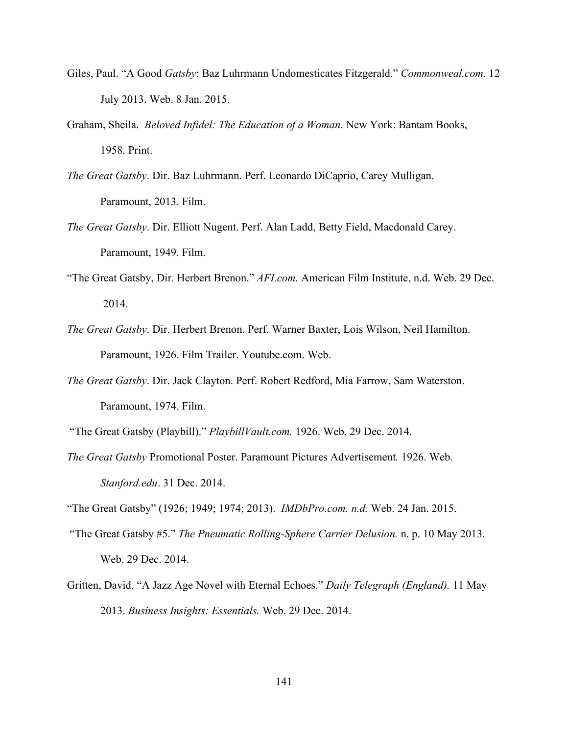- Giles, Paul. "A Good *Gatsby*: Baz Luhrmann Undomesticates Fitzgerald." *Commonweal.com.* 12 July 2013. Web. 8 Jan. 2015.
- Graham, Sheila. *Beloved Infidel: The Education of a Woman*. New York: Bantam Books, 1958. Print.
- *The Great Gatsby*. Dir. Baz Luhrmann. Perf. Leonardo DiCaprio, Carey Mulligan. Paramount, 2013. Film.
- *The Great Gatsby*. Dir. Elliott Nugent. Perf. Alan Ladd, Betty Field, Macdonald Carey. Paramount, 1949. Film.
- "The Great Gatsby, Dir. Herbert Brenon." *AFI.com.* American Film Institute, n.d. Web. 29 Dec. 2014.
- *The Great Gatsby*. Dir. Herbert Brenon. Perf. Warner Baxter, Lois Wilson, Neil Hamilton. Paramount, 1926. Film Trailer. Youtube.com. Web.
- *The Great Gatsby*. Dir. Jack Clayton. Perf. Robert Redford, Mia Farrow, Sam Waterston. Paramount, 1974. Film.
- "The Great Gatsby (Playbill)." *PlaybillVault.com.* 1926. Web. 29 Dec. 2014.
- *The Great Gatsby* Promotional Poster. Paramount Pictures Advertisement*.* 1926. Web. *Stanford.edu*. 31 Dec. 2014.
- "The Great Gatsby" (1926; 1949; 1974; 2013). *IMDbPro.com. n.d.* Web. 24 Jan. 2015.
- "The Great Gatsby #5." *The Pneumatic Rolling-Sphere Carrier Delusion.* n. p. 10 May 2013. Web. 29 Dec. 2014.
- Gritten, David. "A Jazz Age Novel with Eternal Echoes." *Daily Telegraph (England).* 11 May 2013. *Business Insights: Essentials.* Web. 29 Dec. 2014.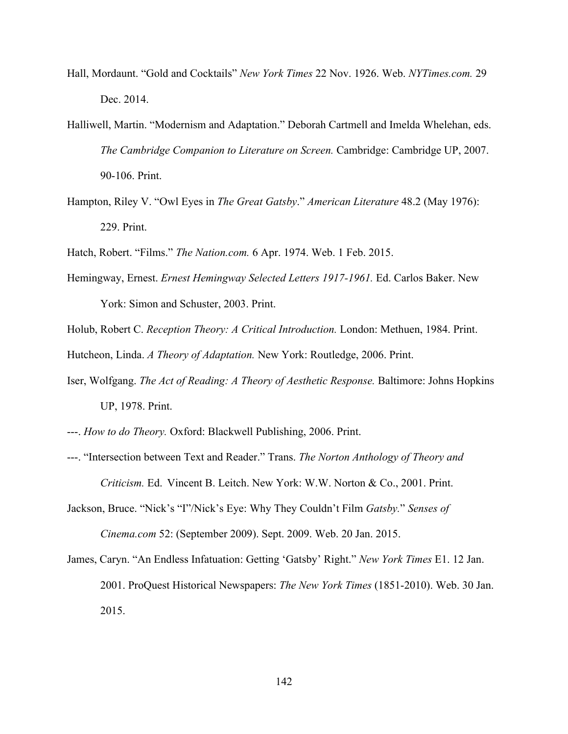- Hall, Mordaunt. "Gold and Cocktails" *New York Times* 22 Nov. 1926. Web. *NYTimes.com.* 29 Dec. 2014.
- Halliwell, Martin. "Modernism and Adaptation." Deborah Cartmell and Imelda Whelehan, eds. *The Cambridge Companion to Literature on Screen.* Cambridge: Cambridge UP, 2007. 90-106. Print.
- Hampton, Riley V. "Owl Eyes in *The Great Gatsby*." *American Literature* 48.2 (May 1976): 229. Print.
- Hatch, Robert. "Films." *The Nation.com.* 6 Apr. 1974. Web. 1 Feb. 2015.
- Hemingway, Ernest. *Ernest Hemingway Selected Letters 1917-1961.* Ed. Carlos Baker. New York: Simon and Schuster, 2003. Print.
- Holub, Robert C. *Reception Theory: A Critical Introduction.* London: Methuen, 1984. Print.

Hutcheon, Linda. *A Theory of Adaptation.* New York: Routledge, 2006. Print.

- Iser, Wolfgang. *The Act of Reading: A Theory of Aesthetic Response.* Baltimore: Johns Hopkins UP, 1978. Print.
- ---. *How to do Theory.* Oxford: Blackwell Publishing, 2006. Print.
- ---. "Intersection between Text and Reader." Trans. *The Norton Anthology of Theory and Criticism.* Ed. Vincent B. Leitch. New York: W.W. Norton & Co., 2001. Print.
- Jackson, Bruce. "Nick's "I"/Nick's Eye: Why They Couldn't Film *Gatsby.*" *Senses of Cinema.com* 52: (September 2009). Sept. 2009. Web. 20 Jan. 2015.
- James, Caryn. "An Endless Infatuation: Getting 'Gatsby' Right." *New York Times* E1. 12 Jan. 2001. ProQuest Historical Newspapers: *The New York Times* (1851-2010). Web. 30 Jan. 2015.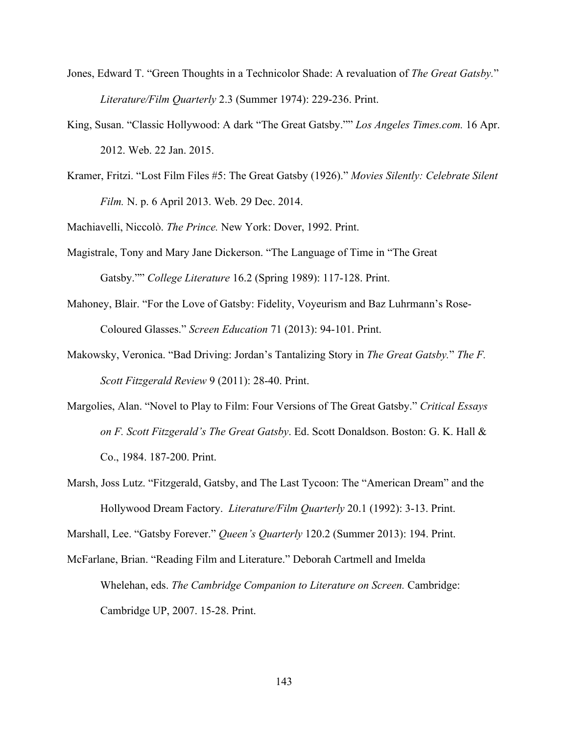- Jones, Edward T. "Green Thoughts in a Technicolor Shade: A revaluation of *The Great Gatsby.*" *Literature/Film Quarterly* 2.3 (Summer 1974): 229-236. Print.
- King, Susan. "Classic Hollywood: A dark "The Great Gatsby."" *Los Angeles Times.com.* 16 Apr. 2012. Web. 22 Jan. 2015.
- Kramer, Fritzi. "Lost Film Files #5: The Great Gatsby (1926)." *Movies Silently: Celebrate Silent Film.* N. p. 6 April 2013. Web. 29 Dec. 2014.

Machiavelli, Niccolò. *The Prince.* New York: Dover, 1992. Print.

- Magistrale, Tony and Mary Jane Dickerson. "The Language of Time in "The Great Gatsby."" *College Literature* 16.2 (Spring 1989): 117-128. Print.
- Mahoney, Blair. "For the Love of Gatsby: Fidelity, Voyeurism and Baz Luhrmann's Rose-Coloured Glasses." *Screen Education* 71 (2013): 94-101. Print.
- Makowsky, Veronica. "Bad Driving: Jordan's Tantalizing Story in *The Great Gatsby.*" *The F. Scott Fitzgerald Review* 9 (2011): 28-40. Print.
- Margolies, Alan. "Novel to Play to Film: Four Versions of The Great Gatsby." *Critical Essays on F. Scott Fitzgerald's The Great Gatsby*. Ed. Scott Donaldson. Boston: G. K. Hall & Co., 1984. 187-200. Print.
- Marsh, Joss Lutz. "Fitzgerald, Gatsby, and The Last Tycoon: The "American Dream" and the Hollywood Dream Factory. *Literature/Film Quarterly* 20.1 (1992): 3-13. Print.

Marshall, Lee. "Gatsby Forever." *Queen's Quarterly* 120.2 (Summer 2013): 194. Print.

McFarlane, Brian. "Reading Film and Literature." Deborah Cartmell and Imelda Whelehan, eds. *The Cambridge Companion to Literature on Screen.* Cambridge: Cambridge UP, 2007. 15-28. Print.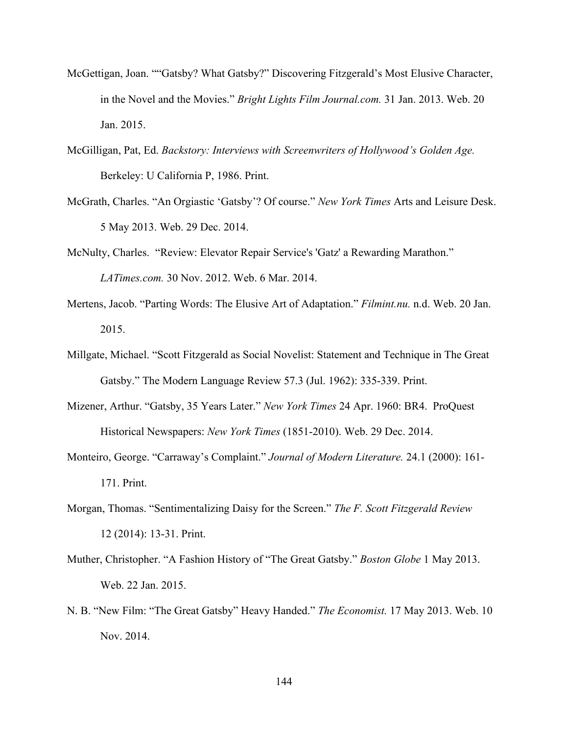- McGettigan, Joan. ""Gatsby? What Gatsby?" Discovering Fitzgerald's Most Elusive Character, in the Novel and the Movies." *Bright Lights Film Journal.com.* 31 Jan. 2013. Web. 20 Jan. 2015.
- McGilligan, Pat, Ed. *Backstory: Interviews with Screenwriters of Hollywood's Golden Age.* Berkeley: U California P, 1986. Print.
- McGrath, Charles. "An Orgiastic 'Gatsby'? Of course." *New York Times* Arts and Leisure Desk. 5 May 2013. Web. 29 Dec. 2014.
- McNulty, Charles. "Review: Elevator Repair Service's 'Gatz' a Rewarding Marathon." *LATimes.com.* 30 Nov. 2012. Web. 6 Mar. 2014.
- Mertens, Jacob. "Parting Words: The Elusive Art of Adaptation." *Filmint.nu.* n.d. Web. 20 Jan. 2015.
- Millgate, Michael. "Scott Fitzgerald as Social Novelist: Statement and Technique in The Great Gatsby." The Modern Language Review 57.3 (Jul. 1962): 335-339. Print.
- Mizener, Arthur. "Gatsby, 35 Years Later." *New York Times* 24 Apr. 1960: BR4. ProQuest Historical Newspapers: *New York Times* (1851-2010). Web. 29 Dec. 2014.
- Monteiro, George. "Carraway's Complaint." *Journal of Modern Literature.* 24.1 (2000): 161- 171. Print.
- Morgan, Thomas. "Sentimentalizing Daisy for the Screen." *The F. Scott Fitzgerald Review* 12 (2014): 13-31. Print.
- Muther, Christopher. "A Fashion History of "The Great Gatsby." *Boston Globe* 1 May 2013. Web. 22 Jan. 2015.
- N. B. "New Film: "The Great Gatsby" Heavy Handed." *The Economist.* 17 May 2013. Web. 10 Nov. 2014.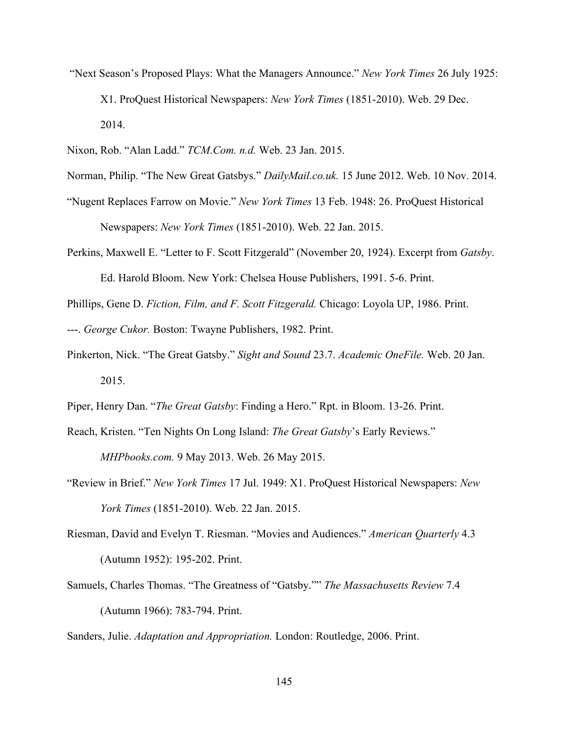"Next Season's Proposed Plays: What the Managers Announce." *New York Times* 26 July 1925:

X1. ProQuest Historical Newspapers: *New York Times* (1851-2010). Web. 29 Dec. 2014.

Nixon, Rob. "Alan Ladd." *TCM.Com. n.d.* Web. 23 Jan. 2015.

Norman, Philip. "The New Great Gatsbys." *DailyMail.co.uk.* 15 June 2012. Web. 10 Nov. 2014.

- "Nugent Replaces Farrow on Movie." *New York Times* 13 Feb. 1948: 26. ProQuest Historical Newspapers: *New York Times* (1851-2010). Web. 22 Jan. 2015.
- Perkins, Maxwell E. "Letter to F. Scott Fitzgerald" (November 20, 1924). Excerpt from *Gatsby*. Ed. Harold Bloom. New York: Chelsea House Publishers, 1991. 5-6. Print.

Phillips, Gene D. *Fiction, Film, and F. Scott Fitzgerald.* Chicago: Loyola UP, 1986. Print.

---. *George Cukor.* Boston: Twayne Publishers, 1982. Print.

Pinkerton, Nick. "The Great Gatsby." *Sight and Sound* 23.7. *Academic OneFile.* Web. 20 Jan. 2015.

Piper, Henry Dan. "*The Great Gatsby*: Finding a Hero." Rpt. in Bloom. 13-26. Print.

Reach, Kristen. "Ten Nights On Long Island: *The Great Gatsby*'s Early Reviews."

*MHPbooks.com.* 9 May 2013. Web. 26 May 2015.

- "Review in Brief." *New York Times* 17 Jul. 1949: X1. ProQuest Historical Newspapers: *New York Times* (1851-2010). Web. 22 Jan. 2015.
- Riesman, David and Evelyn T. Riesman. "Movies and Audiences." *American Quarterly* 4.3 (Autumn 1952): 195-202. Print.
- Samuels, Charles Thomas. "The Greatness of "Gatsby."" *The Massachusetts Review* 7.4 (Autumn 1966): 783-794. Print.

Sanders, Julie. *Adaptation and Appropriation.* London: Routledge, 2006. Print.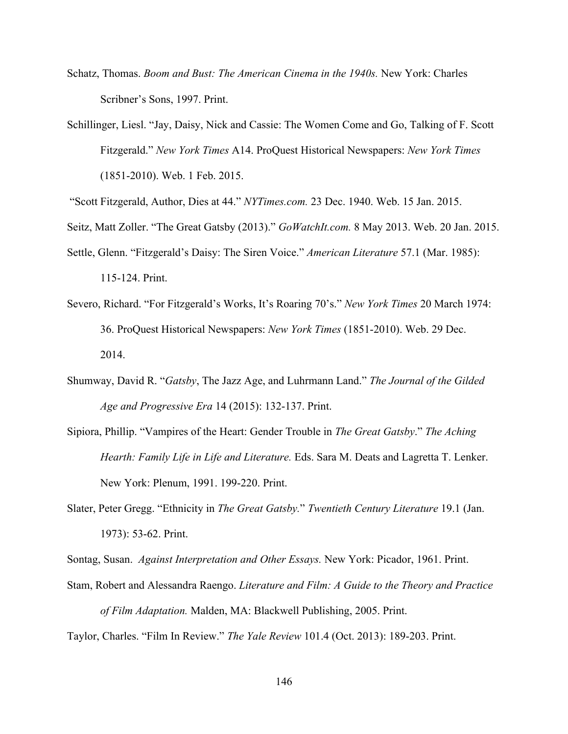- Schatz, Thomas. *Boom and Bust: The American Cinema in the 1940s.* New York: Charles Scribner's Sons, 1997. Print.
- Schillinger, Liesl. "Jay, Daisy, Nick and Cassie: The Women Come and Go, Talking of F. Scott Fitzgerald." *New York Times* A14. ProQuest Historical Newspapers: *New York Times* (1851-2010). Web. 1 Feb. 2015.

"Scott Fitzgerald, Author, Dies at 44." *NYTimes.com.* 23 Dec. 1940. Web. 15 Jan. 2015.

Seitz, Matt Zoller. "The Great Gatsby (2013)." *GoWatchIt.com.* 8 May 2013. Web. 20 Jan. 2015.

- Settle, Glenn. "Fitzgerald's Daisy: The Siren Voice." *American Literature* 57.1 (Mar. 1985): 115-124. Print.
- Severo, Richard. "For Fitzgerald's Works, It's Roaring 70's." *New York Times* 20 March 1974: 36. ProQuest Historical Newspapers: *New York Times* (1851-2010). Web. 29 Dec. 2014.
- Shumway, David R. "*Gatsby*, The Jazz Age, and Luhrmann Land." *The Journal of the Gilded Age and Progressive Era* 14 (2015): 132-137. Print.
- Sipiora, Phillip. "Vampires of the Heart: Gender Trouble in *The Great Gatsby*." *The Aching Hearth: Family Life in Life and Literature.* Eds. Sara M. Deats and Lagretta T. Lenker. New York: Plenum, 1991. 199-220. Print.
- Slater, Peter Gregg. "Ethnicity in *The Great Gatsby.*" *Twentieth Century Literature* 19.1 (Jan. 1973): 53-62. Print.

Sontag, Susan. *Against Interpretation and Other Essays.* New York: Picador, 1961. Print.

Stam, Robert and Alessandra Raengo. *Literature and Film: A Guide to the Theory and Practice of Film Adaptation.* Malden, MA: Blackwell Publishing, 2005. Print.

Taylor, Charles. "Film In Review." *The Yale Review* 101.4 (Oct. 2013): 189-203. Print.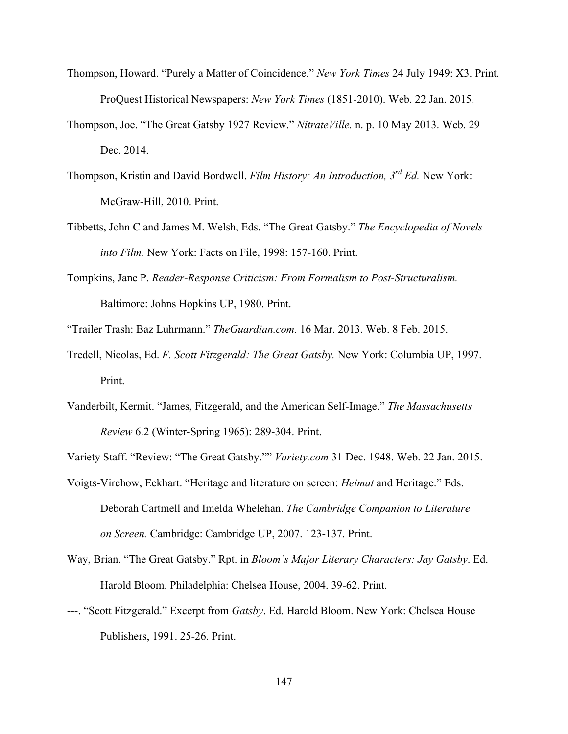- Thompson, Howard. "Purely a Matter of Coincidence." *New York Times* 24 July 1949: X3. Print. ProQuest Historical Newspapers: *New York Times* (1851-2010). Web. 22 Jan. 2015.
- Thompson, Joe. "The Great Gatsby 1927 Review." *NitrateVille.* n. p. 10 May 2013. Web. 29 Dec. 2014.
- Thompson, Kristin and David Bordwell. *Film History: An Introduction, 3rd Ed.* New York: McGraw-Hill, 2010. Print.
- Tibbetts, John C and James M. Welsh, Eds. "The Great Gatsby." *The Encyclopedia of Novels into Film.* New York: Facts on File, 1998: 157-160. Print.
- Tompkins, Jane P. *Reader-Response Criticism: From Formalism to Post-Structuralism.*  Baltimore: Johns Hopkins UP, 1980. Print.
- "Trailer Trash: Baz Luhrmann." *TheGuardian.com.* 16 Mar. 2013. Web. 8 Feb. 2015.
- Tredell, Nicolas, Ed. *F. Scott Fitzgerald: The Great Gatsby.* New York: Columbia UP, 1997. Print.
- Vanderbilt, Kermit. "James, Fitzgerald, and the American Self-Image." *The Massachusetts Review* 6.2 (Winter-Spring 1965): 289-304. Print.
- Variety Staff. "Review: "The Great Gatsby."" *Variety.com* 31 Dec. 1948. Web. 22 Jan. 2015.
- Voigts-Virchow, Eckhart. "Heritage and literature on screen: *Heimat* and Heritage." Eds. Deborah Cartmell and Imelda Whelehan. *The Cambridge Companion to Literature on Screen.* Cambridge: Cambridge UP, 2007. 123-137. Print.
- Way, Brian. "The Great Gatsby." Rpt. in *Bloom's Major Literary Characters: Jay Gatsby*. Ed. Harold Bloom. Philadelphia: Chelsea House, 2004. 39-62. Print.
- ---. "Scott Fitzgerald." Excerpt from *Gatsby*. Ed. Harold Bloom. New York: Chelsea House Publishers, 1991. 25-26. Print.